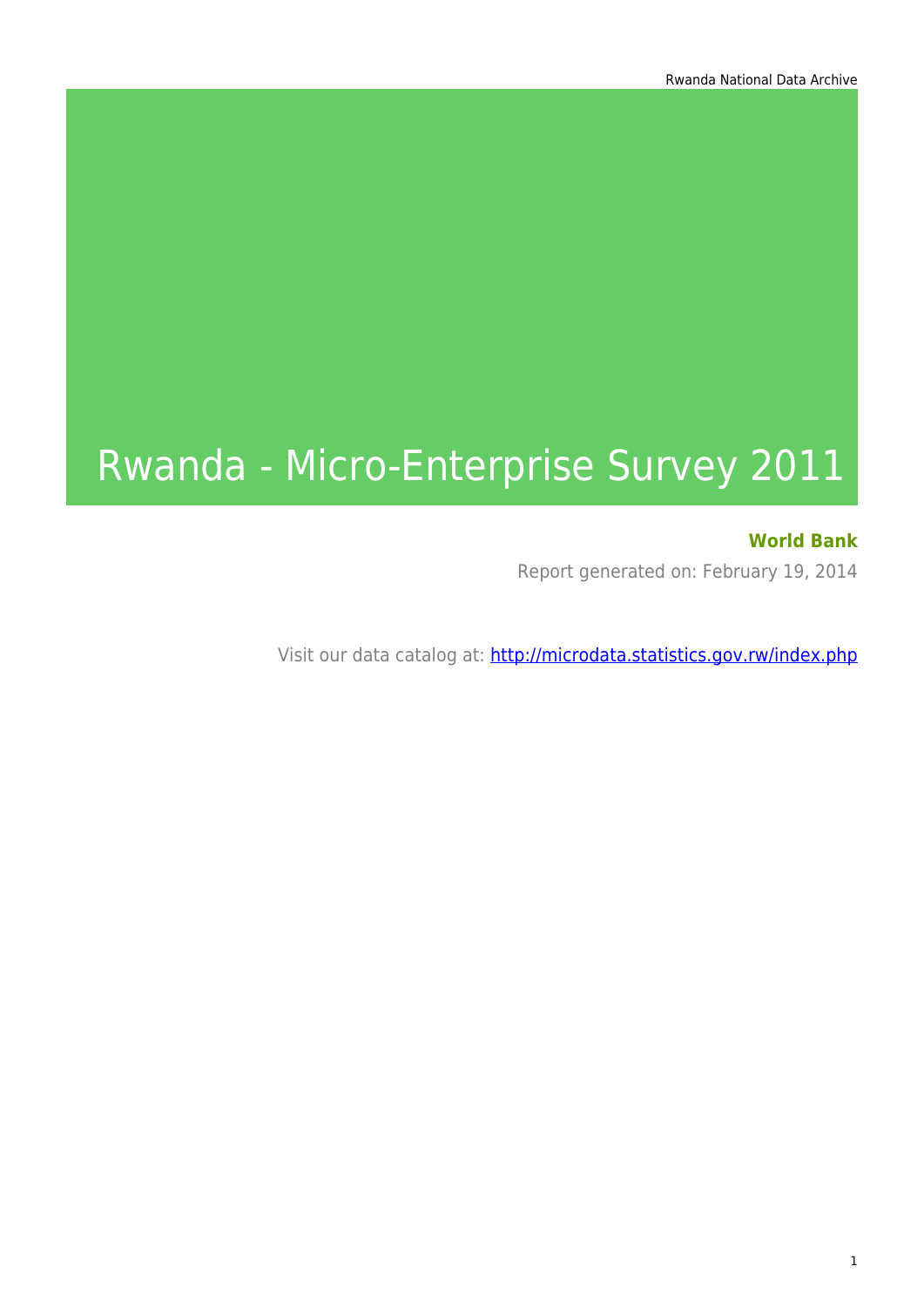# Rwanda - Micro-Enterprise Survey 2011

### **World Bank**

Report generated on: February 19, 2014

Visit our data catalog at: http://microdata.statistics.gov.rw/index.php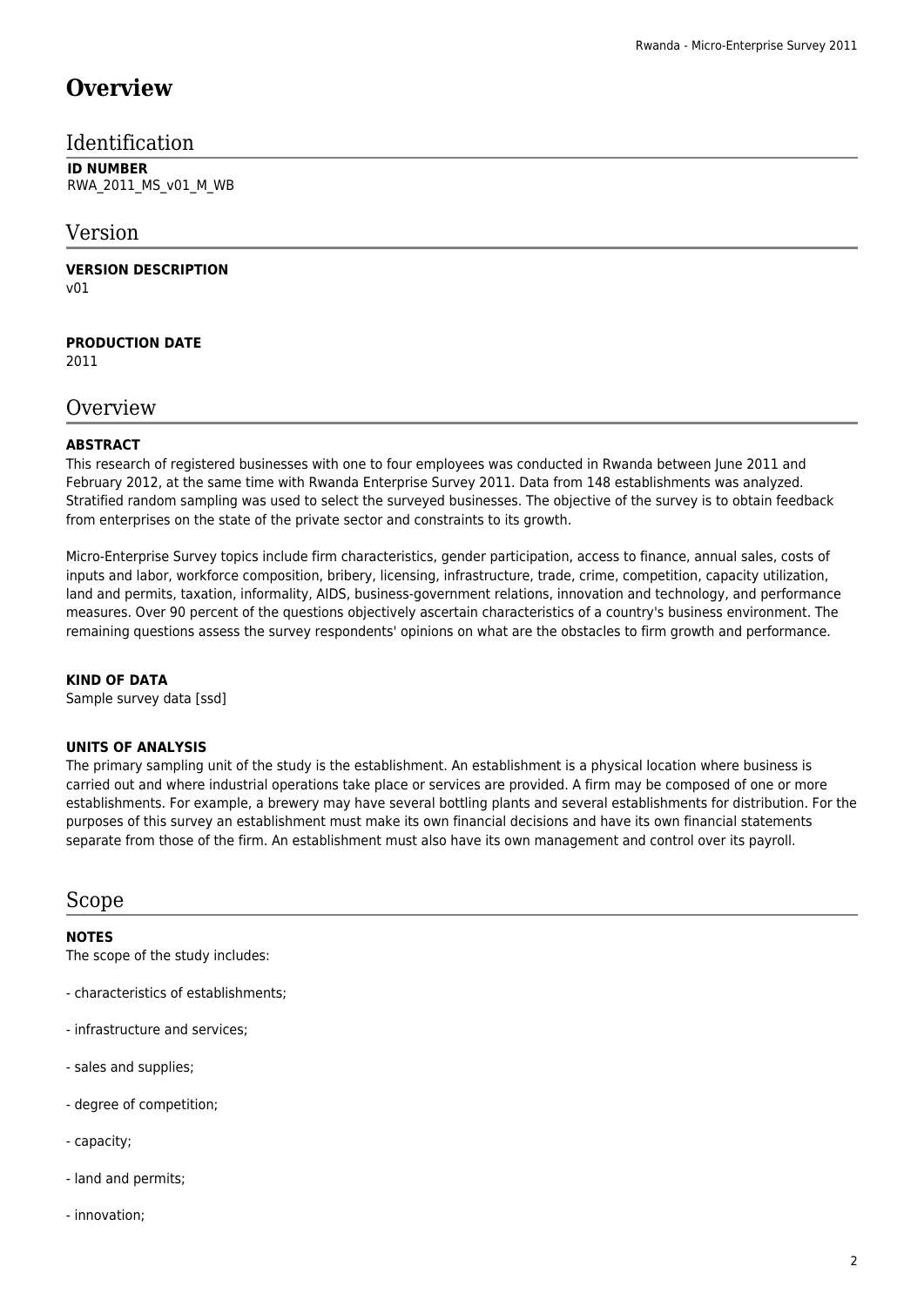### **Overview**

### Identification

**ID NUMBER** RWA\_2011\_MS\_v01\_M\_WB

### Version

**VERSION DESCRIPTION** v01

**PRODUCTION DATE**

2011

#### **Overview**

#### **ABSTRACT**

This research of registered businesses with one to four employees was conducted in Rwanda between June 2011 and February 2012, at the same time with Rwanda Enterprise Survey 2011. Data from 148 establishments was analyzed. Stratified random sampling was used to select the surveyed businesses. The objective of the survey is to obtain feedback from enterprises on the state of the private sector and constraints to its growth.

Micro-Enterprise Survey topics include firm characteristics, gender participation, access to finance, annual sales, costs of inputs and labor, workforce composition, bribery, licensing, infrastructure, trade, crime, competition, capacity utilization, land and permits, taxation, informality, AIDS, business-government relations, innovation and technology, and performance measures. Over 90 percent of the questions objectively ascertain characteristics of a country's business environment. The remaining questions assess the survey respondents' opinions on what are the obstacles to firm growth and performance.

#### **KIND OF DATA**

Sample survey data [ssd]

#### **UNITS OF ANALYSIS**

The primary sampling unit of the study is the establishment. An establishment is a physical location where business is carried out and where industrial operations take place or services are provided. A firm may be composed of one or more establishments. For example, a brewery may have several bottling plants and several establishments for distribution. For the purposes of this survey an establishment must make its own financial decisions and have its own financial statements separate from those of the firm. An establishment must also have its own management and control over its payroll.

#### Scope

#### **NOTES**

The scope of the study includes:

- characteristics of establishments;
- infrastructure and services;
- sales and supplies;
- degree of competition;
- capacity;
- land and permits;
- innovation;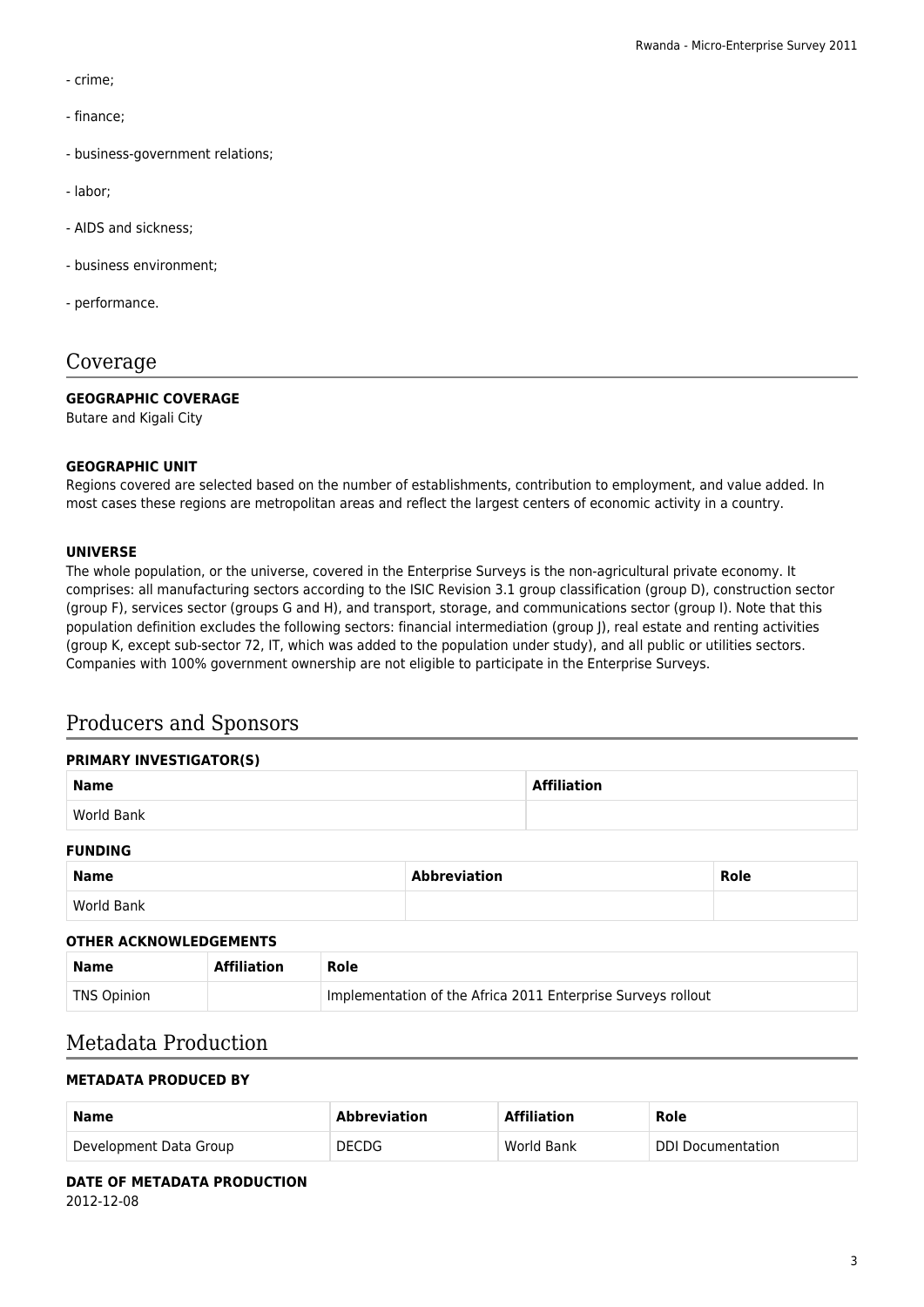- crime;
- finance;
- business-government relations;
- labor;
- AIDS and sickness;
- business environment;
- performance.

### Coverage

#### **GEOGRAPHIC COVERAGE**

Butare and Kigali City

#### **GEOGRAPHIC UNIT**

Regions covered are selected based on the number of establishments, contribution to employment, and value added. In most cases these regions are metropolitan areas and reflect the largest centers of economic activity in a country.

#### **UNIVERSE**

The whole population, or the universe, covered in the Enterprise Surveys is the non-agricultural private economy. It comprises: all manufacturing sectors according to the ISIC Revision 3.1 group classification (group D), construction sector (group F), services sector (groups G and H), and transport, storage, and communications sector (group I). Note that this population definition excludes the following sectors: financial intermediation (group J), real estate and renting activities (group K, except sub-sector 72, IT, which was added to the population under study), and all public or utilities sectors. Companies with 100% government ownership are not eligible to participate in the Enterprise Surveys.

### Producers and Sponsors

|             | <b>PRIMARY INVESTIGATOR(S)</b> |                    |  |  |  |  |  |
|-------------|--------------------------------|--------------------|--|--|--|--|--|
| <b>Name</b> |                                | <b>Affiliation</b> |  |  |  |  |  |
|             | World Bank                     |                    |  |  |  |  |  |
|             | <b>FUNDING</b>                 |                    |  |  |  |  |  |

| <b>Name</b> | <b>Abbreviation</b> | <b>Role</b><br>___ |
|-------------|---------------------|--------------------|
| World Bank  |                     |                    |

#### **OTHER ACKNOWLEDGEMENTS**

| Name        | <b>Affiliation</b> | Role                                                         |
|-------------|--------------------|--------------------------------------------------------------|
| TNS Opinion |                    | Implementation of the Africa 2011 Enterprise Surveys rollout |

#### Metadata Production

#### **METADATA PRODUCED BY**

| <b>Name</b>            | <b>Abbreviation</b> | <b>Affiliation</b> | Role                     |
|------------------------|---------------------|--------------------|--------------------------|
| Development Data Group | <b>DECDG</b>        | World Bank         | <b>DDI Documentation</b> |

**DATE OF METADATA PRODUCTION** 2012-12-08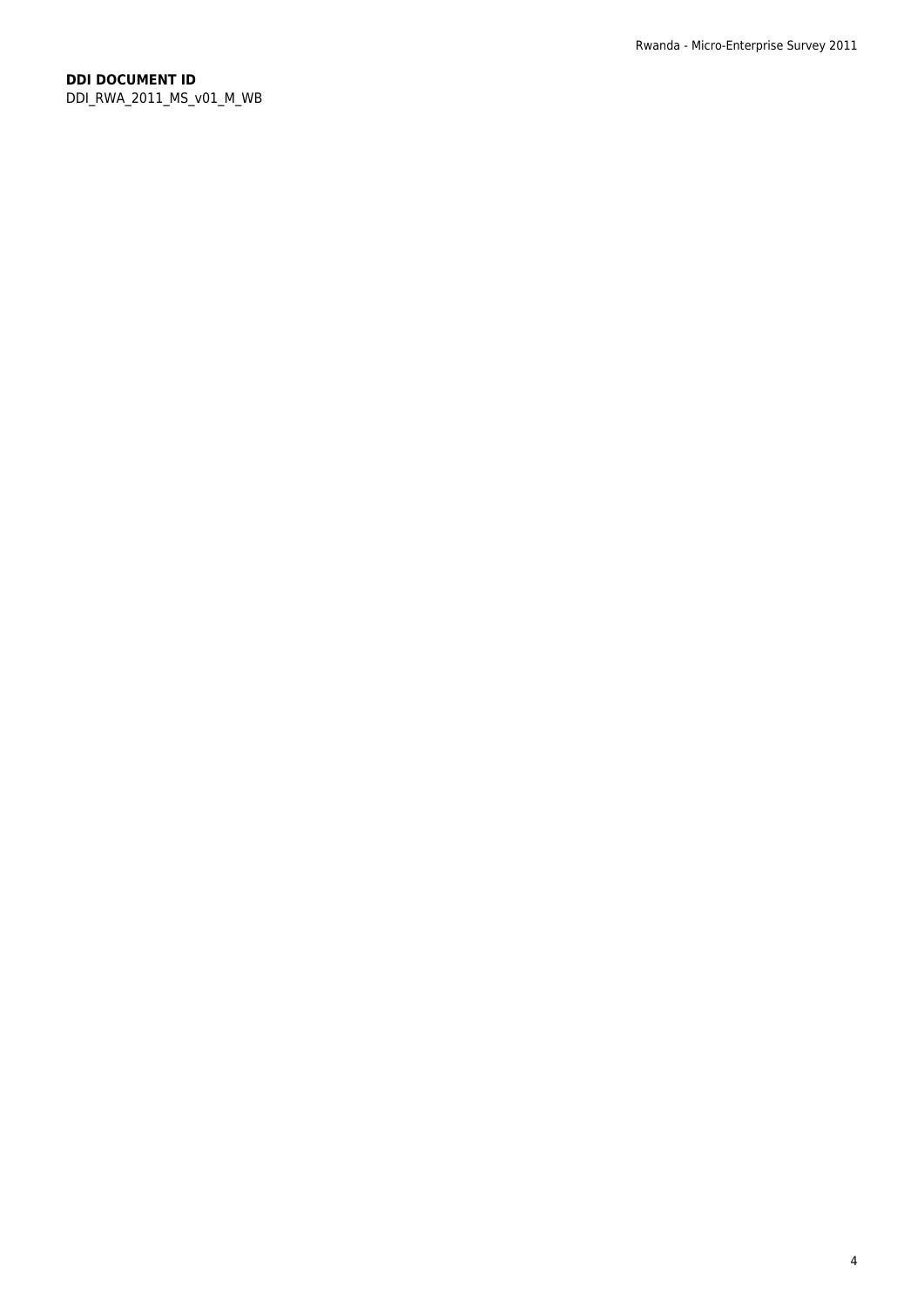#### **DDI DOCUMENT ID** DDI\_RWA\_2011\_MS\_v01\_M\_WB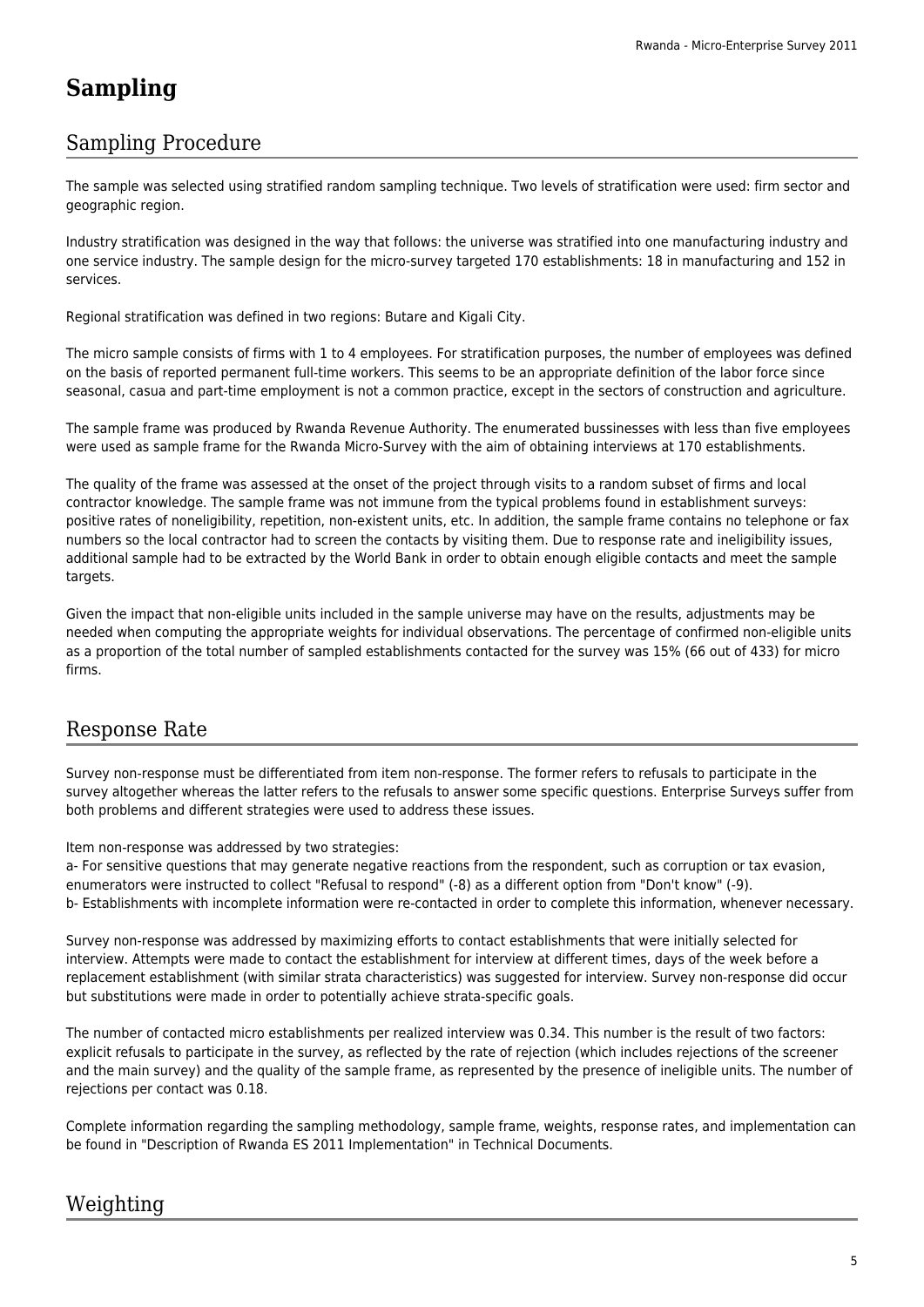## **Sampling**

### Sampling Procedure

The sample was selected using stratified random sampling technique. Two levels of stratification were used: firm sector and geographic region.

Industry stratification was designed in the way that follows: the universe was stratified into one manufacturing industry and one service industry. The sample design for the micro-survey targeted 170 establishments: 18 in manufacturing and 152 in services.

Regional stratification was defined in two regions: Butare and Kigali City.

The micro sample consists of firms with 1 to 4 employees. For stratification purposes, the number of employees was defined on the basis of reported permanent full-time workers. This seems to be an appropriate definition of the labor force since seasonal, casua and part-time employment is not a common practice, except in the sectors of construction and agriculture.

The sample frame was produced by Rwanda Revenue Authority. The enumerated bussinesses with less than five employees were used as sample frame for the Rwanda Micro-Survey with the aim of obtaining interviews at 170 establishments.

The quality of the frame was assessed at the onset of the project through visits to a random subset of firms and local contractor knowledge. The sample frame was not immune from the typical problems found in establishment surveys: positive rates of noneligibility, repetition, non-existent units, etc. In addition, the sample frame contains no telephone or fax numbers so the local contractor had to screen the contacts by visiting them. Due to response rate and ineligibility issues, additional sample had to be extracted by the World Bank in order to obtain enough eligible contacts and meet the sample targets.

Given the impact that non-eligible units included in the sample universe may have on the results, adjustments may be needed when computing the appropriate weights for individual observations. The percentage of confirmed non-eligible units as a proportion of the total number of sampled establishments contacted for the survey was 15% (66 out of 433) for micro firms.

### Response Rate

Survey non-response must be differentiated from item non-response. The former refers to refusals to participate in the survey altogether whereas the latter refers to the refusals to answer some specific questions. Enterprise Surveys suffer from both problems and different strategies were used to address these issues.

Item non-response was addressed by two strategies:

a- For sensitive questions that may generate negative reactions from the respondent, such as corruption or tax evasion, enumerators were instructed to collect "Refusal to respond" (-8) as a different option from "Don't know" (-9). b- Establishments with incomplete information were re-contacted in order to complete this information, whenever necessary.

Survey non-response was addressed by maximizing efforts to contact establishments that were initially selected for interview. Attempts were made to contact the establishment for interview at different times, days of the week before a replacement establishment (with similar strata characteristics) was suggested for interview. Survey non-response did occur but substitutions were made in order to potentially achieve strata-specific goals.

The number of contacted micro establishments per realized interview was 0.34. This number is the result of two factors: explicit refusals to participate in the survey, as reflected by the rate of rejection (which includes rejections of the screener and the main survey) and the quality of the sample frame, as represented by the presence of ineligible units. The number of rejections per contact was 0.18.

Complete information regarding the sampling methodology, sample frame, weights, response rates, and implementation can be found in "Description of Rwanda ES 2011 Implementation" in Technical Documents.

### Weighting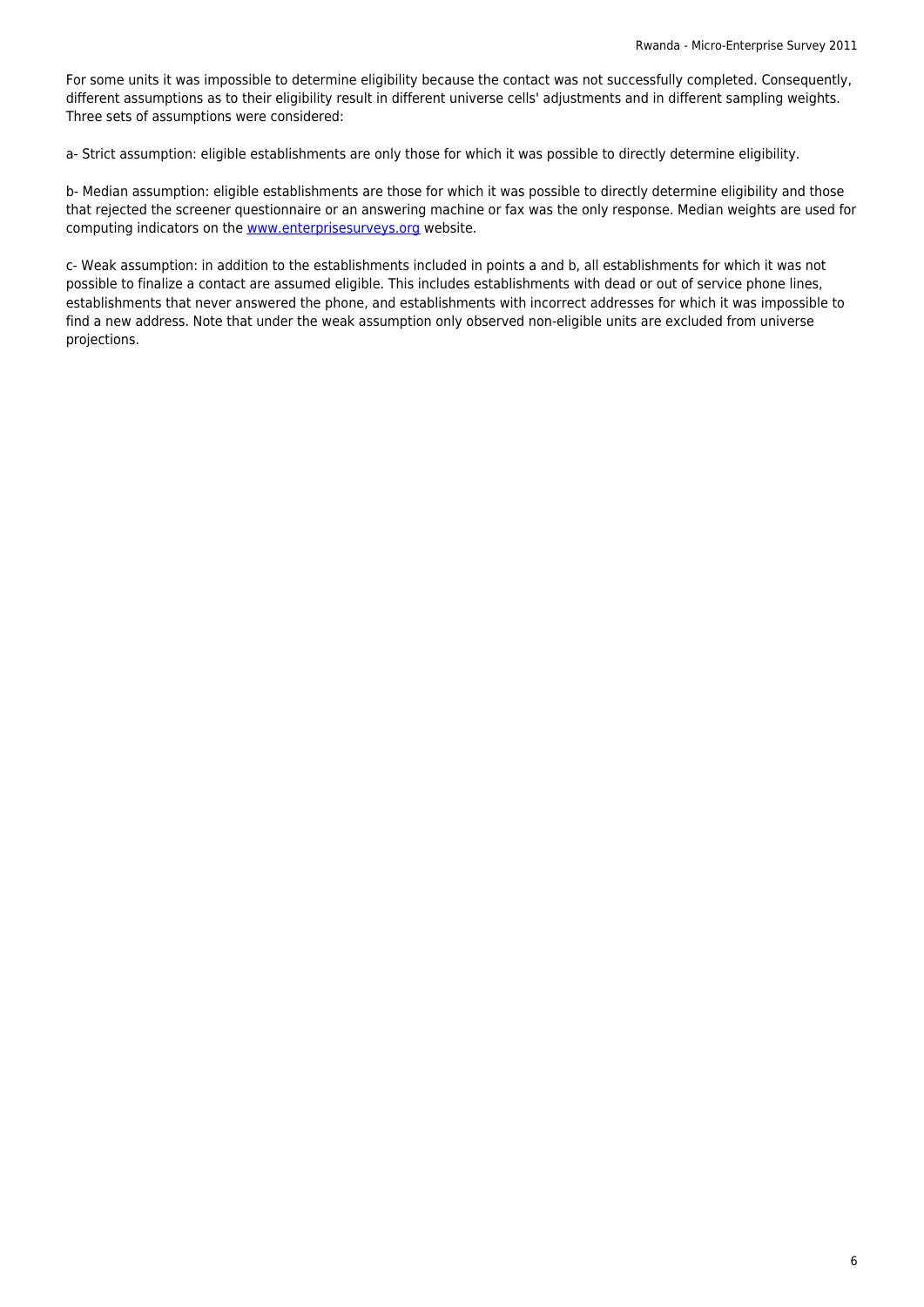For some units it was impossible to determine eligibility because the contact was not successfully completed. Consequently, different assumptions as to their eligibility result in different universe cells' adjustments and in different sampling weights. Three sets of assumptions were considered:

a- Strict assumption: eligible establishments are only those for which it was possible to directly determine eligibility.

b- Median assumption: eligible establishments are those for which it was possible to directly determine eligibility and those that rejected the screener questionnaire or an answering machine or fax was the only response. Median weights are used for computing indicators on the www.enterprisesurveys.org website.

c- Weak assumption: in addition to the establishments included in points a and b, all establishments for which it was not possible to finalize a contact are assumed eligible. This includes establishments with dead or out of service phone lines, establishments that never a[nswered the phone, and esta](http://microdata.statistics.gov.rw/www.enterprisesurveys.org)blishments with incorrect addresses for which it was impossible to find a new address. Note that under the weak assumption only observed non-eligible units are excluded from universe projections.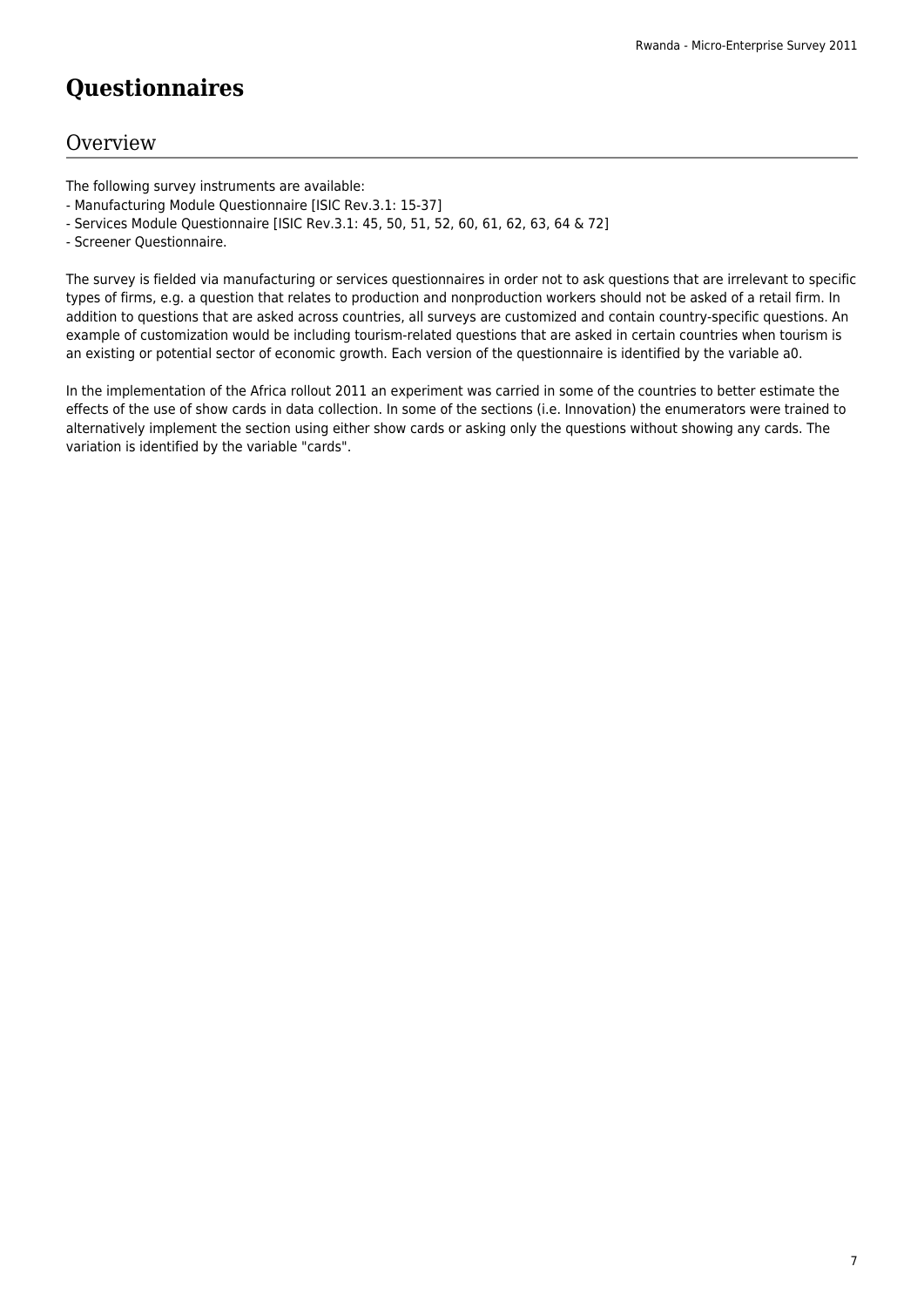## **Questionnaires**

### **Overview**

The following survey instruments are available:

- Manufacturing Module Questionnaire [ISIC Rev.3.1: 15-37]
- Services Module Questionnaire [ISIC Rev.3.1: 45, 50, 51, 52, 60, 61, 62, 63, 64 & 72]
- Screener Questionnaire.

The survey is fielded via manufacturing or services questionnaires in order not to ask questions that are irrelevant to specific types of firms, e.g. a question that relates to production and nonproduction workers should not be asked of a retail firm. In addition to questions that are asked across countries, all surveys are customized and contain country-specific questions. An example of customization would be including tourism-related questions that are asked in certain countries when tourism is an existing or potential sector of economic growth. Each version of the questionnaire is identified by the variable a0.

In the implementation of the Africa rollout 2011 an experiment was carried in some of the countries to better estimate the effects of the use of show cards in data collection. In some of the sections (i.e. Innovation) the enumerators were trained to alternatively implement the section using either show cards or asking only the questions without showing any cards. The variation is identified by the variable "cards".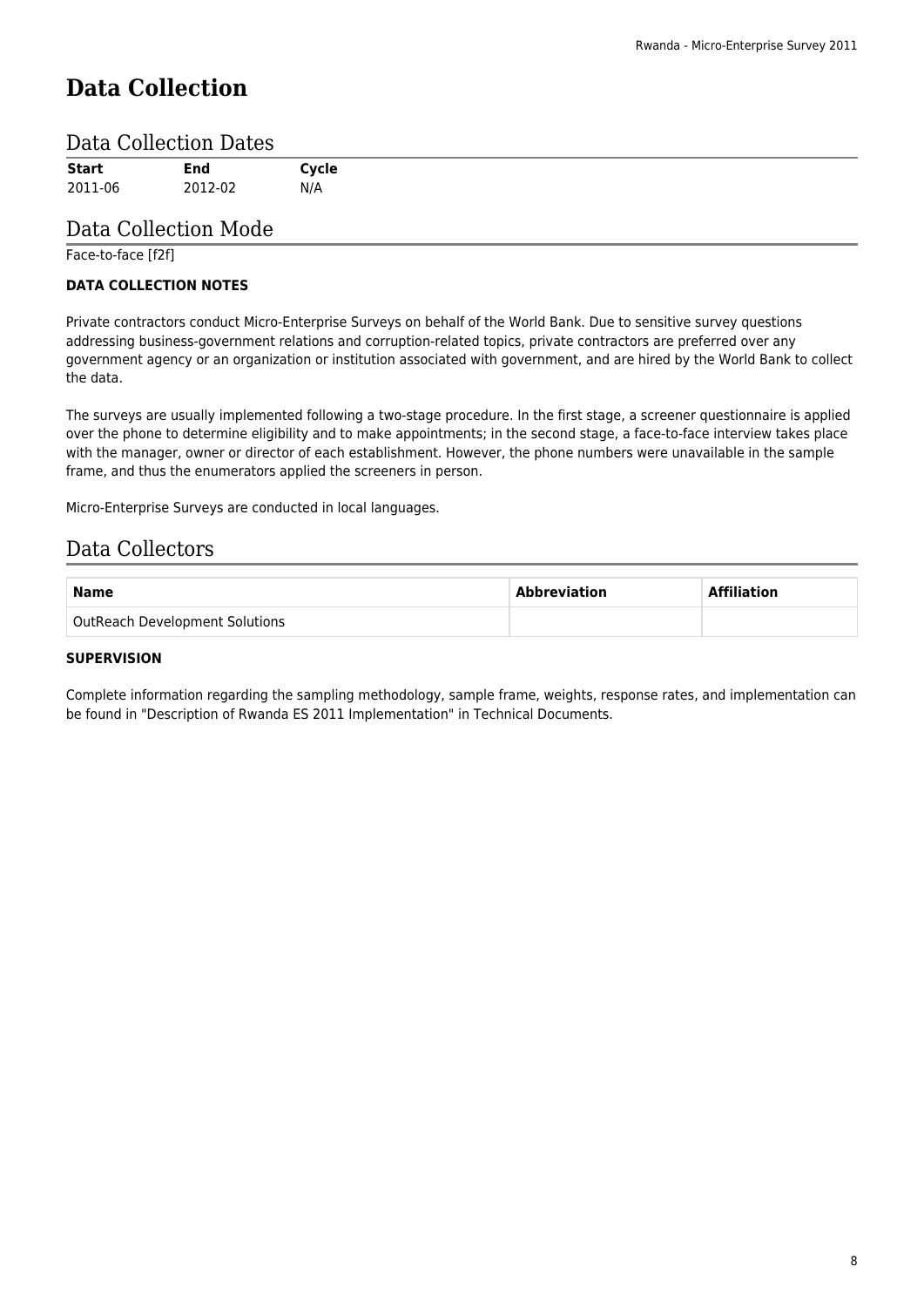## **Data Collection**

#### Data Collection Dates

| <b>Start</b> | End     | Cycle |  |  |
|--------------|---------|-------|--|--|
| 2011-06      | 2012-02 | N/A   |  |  |

### Data Collection Mode

Face-to-face [f2f]

#### **DATA COLLECTION NOTES**

Private contractors conduct Micro-Enterprise Surveys on behalf of the World Bank. Due to sensitive survey questions addressing business-government relations and corruption-related topics, private contractors are preferred over any government agency or an organization or institution associated with government, and are hired by the World Bank to collect the data.

The surveys are usually implemented following a two-stage procedure. In the first stage, a screener questionnaire is applied over the phone to determine eligibility and to make appointments; in the second stage, a face-to-face interview takes place with the manager, owner or director of each establishment. However, the phone numbers were unavailable in the sample frame, and thus the enumerators applied the screeners in person.

Micro-Enterprise Surveys are conducted in local languages.

### Data Collectors

| <b>Name</b>                           | Abbreviation | <b>Affiliation</b> |
|---------------------------------------|--------------|--------------------|
| <b>OutReach Development Solutions</b> |              |                    |

#### **SUPERVISION**

Complete information regarding the sampling methodology, sample frame, weights, response rates, and implementation can be found in "Description of Rwanda ES 2011 Implementation" in Technical Documents.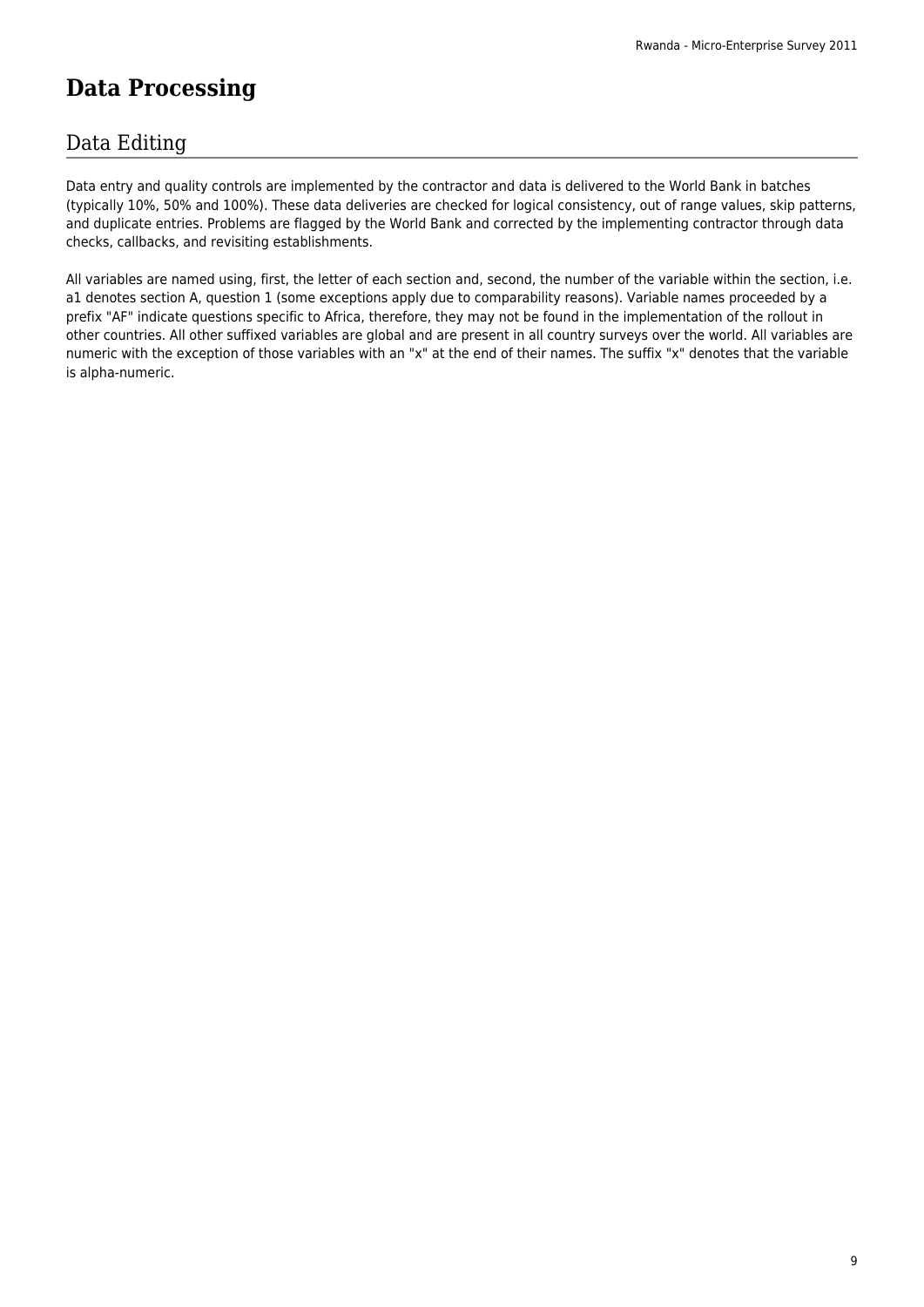## **Data Processing**

### Data Editing

Data entry and quality controls are implemented by the contractor and data is delivered to the World Bank in batches (typically 10%, 50% and 100%). These data deliveries are checked for logical consistency, out of range values, skip patterns, and duplicate entries. Problems are flagged by the World Bank and corrected by the implementing contractor through data checks, callbacks, and revisiting establishments.

All variables are named using, first, the letter of each section and, second, the number of the variable within the section, i.e. a1 denotes section A, question 1 (some exceptions apply due to comparability reasons). Variable names proceeded by a prefix "AF" indicate questions specific to Africa, therefore, they may not be found in the implementation of the rollout in other countries. All other suffixed variables are global and are present in all country surveys over the world. All variables are numeric with the exception of those variables with an "x" at the end of their names. The suffix "x" denotes that the variable is alpha-numeric.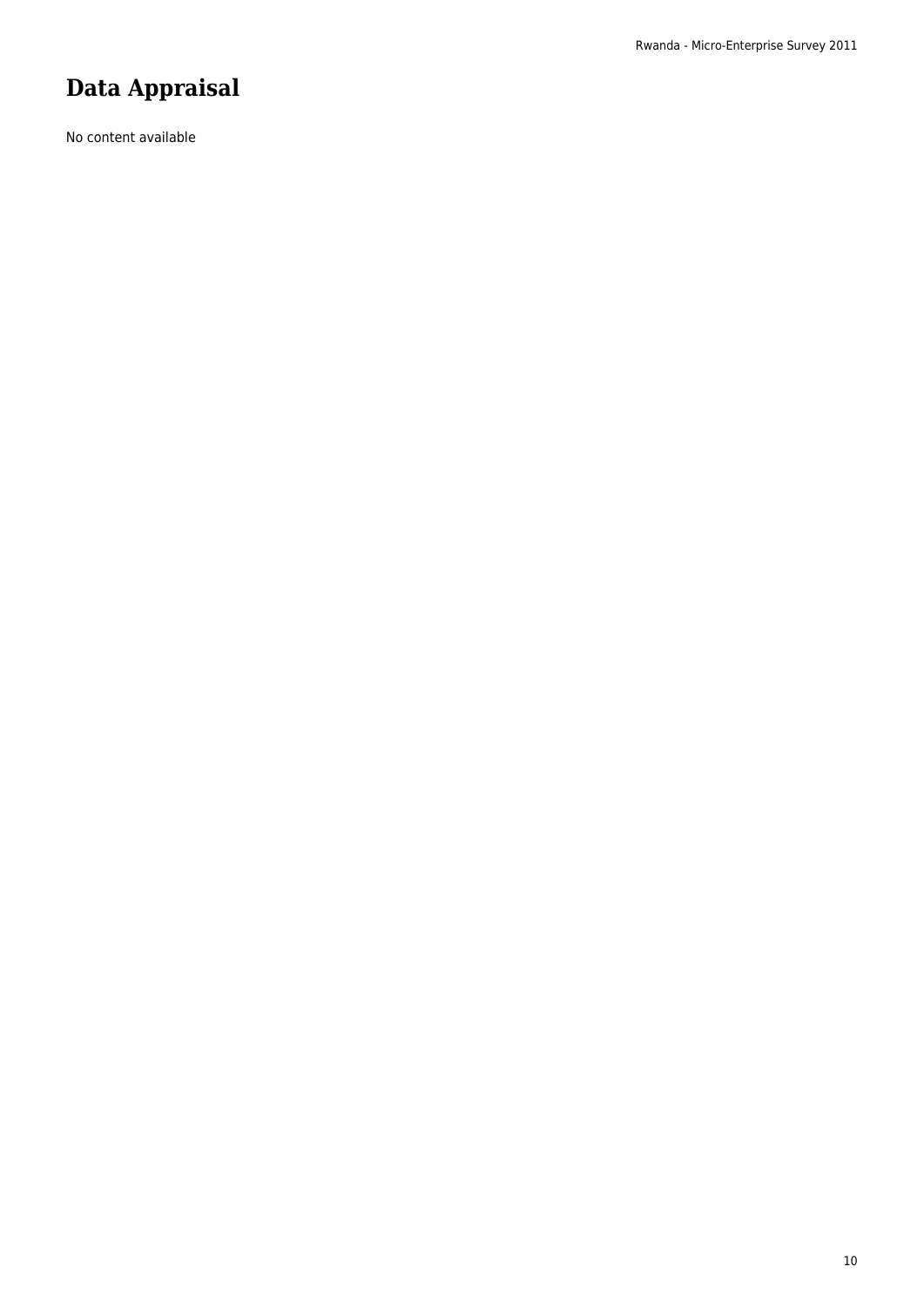## **Data Appraisal**

No content available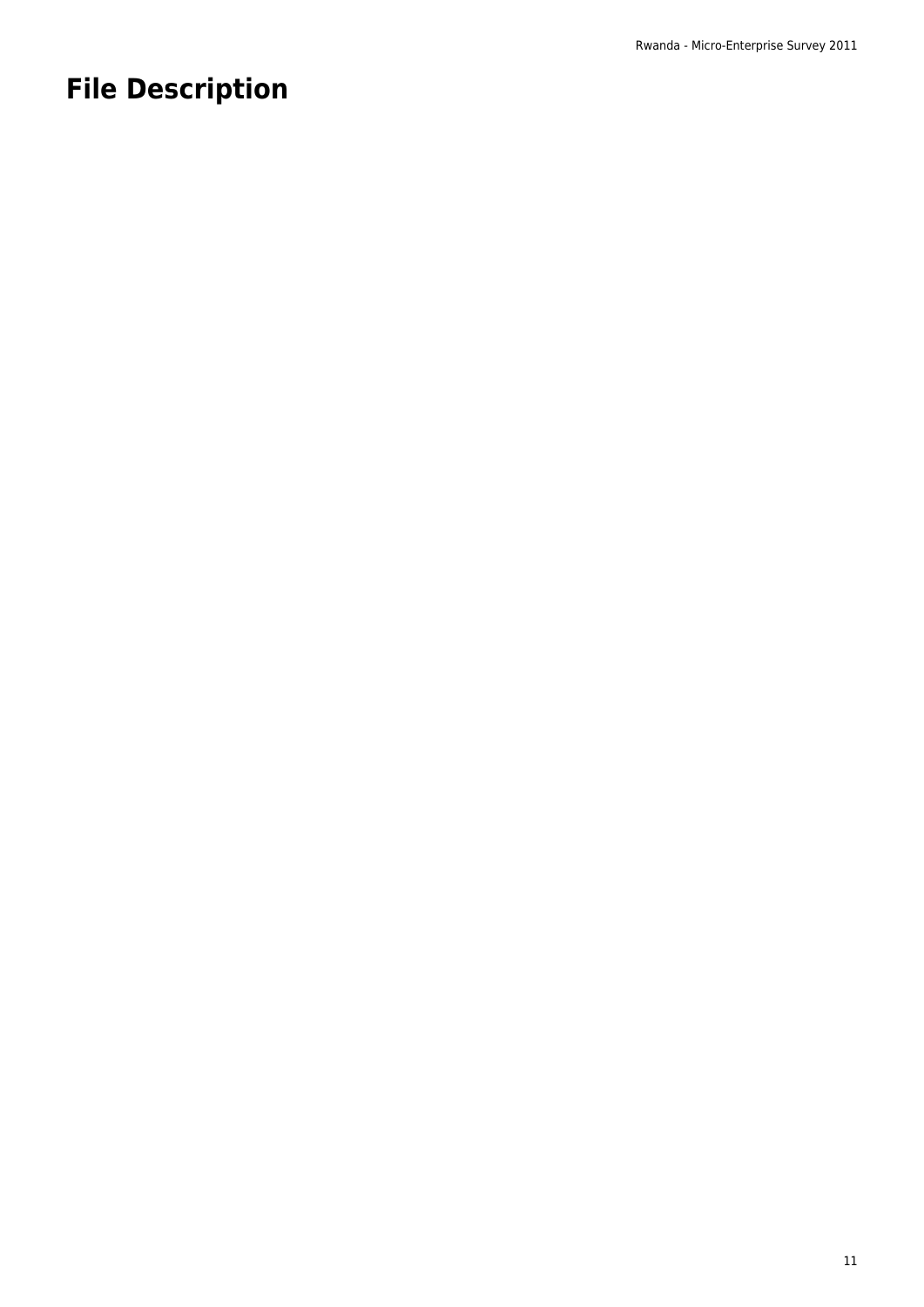## **File Description**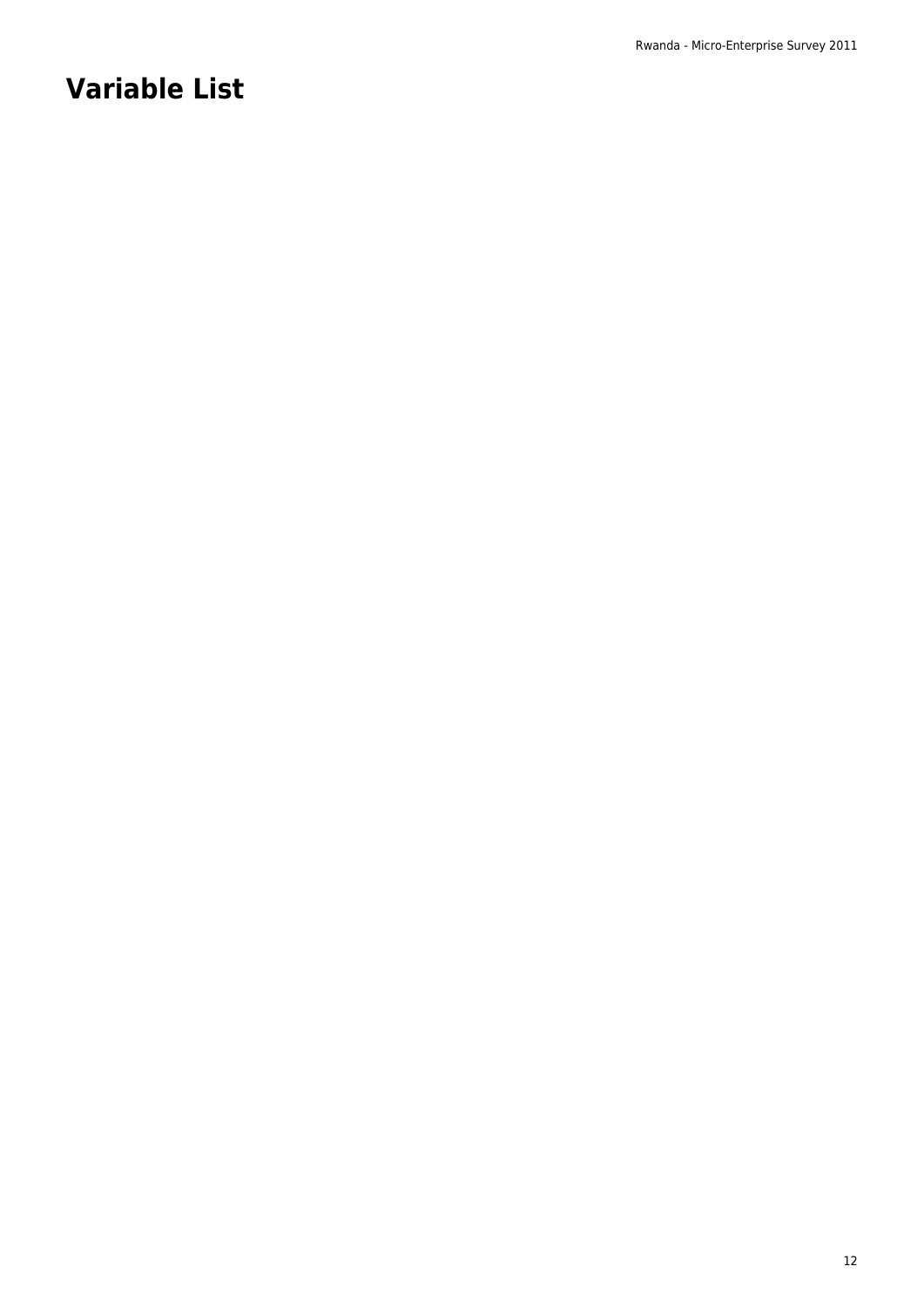## **Variable List**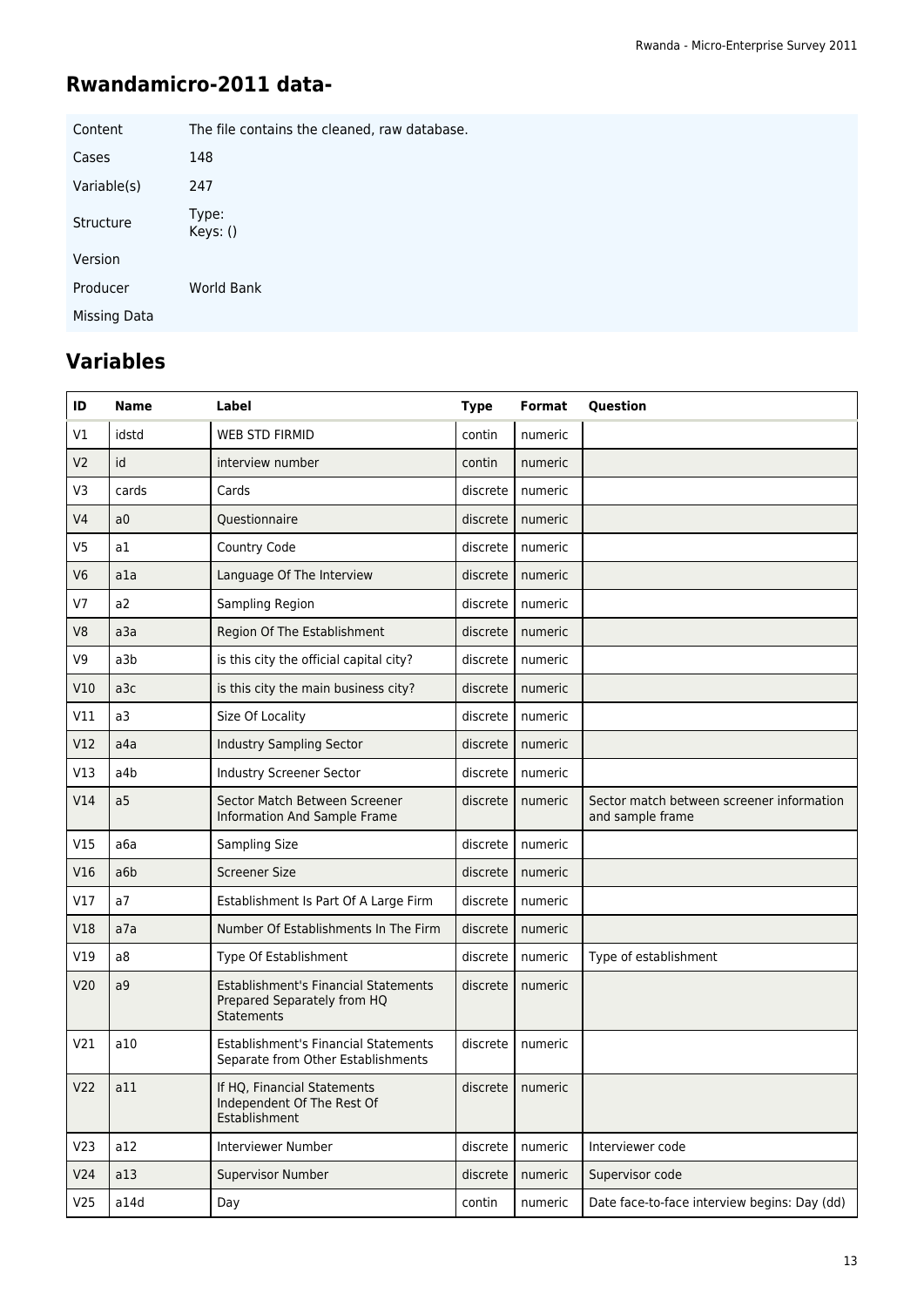## **Rwandamicro-2011 data-**

| Content      | The file contains the cleaned, raw database. |
|--------------|----------------------------------------------|
| Cases        | 148                                          |
| Variable(s)  | 247                                          |
| Structure    | Type:<br>Keys: ()                            |
| Version      |                                              |
| Producer     | World Bank                                   |
| Missing Data |                                              |

## **Variables**

| ID<br><b>Name</b> |                | Label                                                                                    | <b>Type</b> | Format               | <b>Question</b>                                               |
|-------------------|----------------|------------------------------------------------------------------------------------------|-------------|----------------------|---------------------------------------------------------------|
| V1                | idstd          | <b>WEB STD FIRMID</b>                                                                    | contin      | numeric              |                                                               |
| V <sub>2</sub>    | id             | interview number                                                                         | contin      | numeric              |                                                               |
| V <sub>3</sub>    | cards          | Cards                                                                                    | discrete    | numeric              |                                                               |
| V <sub>4</sub>    | a <sub>0</sub> | Questionnaire                                                                            | discrete    | numeric              |                                                               |
| V <sub>5</sub>    | a1             | Country Code                                                                             | discrete    | numeric              |                                                               |
| V <sub>6</sub>    | a1a            | Language Of The Interview                                                                | discrete    | numeric              |                                                               |
| V <sub>7</sub>    | a2             | Sampling Region                                                                          | discrete    | numeric              |                                                               |
| V <sub>8</sub>    | a3a            | Region Of The Establishment                                                              | discrete    | numeric              |                                                               |
| V <sub>9</sub>    | a3b            | is this city the official capital city?                                                  | discrete    | numeric              |                                                               |
| V10               | a3c            | is this city the main business city?                                                     | discrete    | numeric              |                                                               |
| V11               | a3             | Size Of Locality                                                                         | discrete    | numeric              |                                                               |
| V12               | a4a            | <b>Industry Sampling Sector</b>                                                          | discrete    | numeric              |                                                               |
| V13               | a4b            | <b>Industry Screener Sector</b>                                                          | discrete    | numeric              |                                                               |
| V14               | a5             | Sector Match Between Screener<br>Information And Sample Frame                            | discrete    | numeric              | Sector match between screener information<br>and sample frame |
| V15               | a6a            | Sampling Size                                                                            | discrete    | numeric              |                                                               |
| V16               | a6b            | <b>Screener Size</b>                                                                     | discrete    | numeric              |                                                               |
| V17               | a7             | Establishment Is Part Of A Large Firm                                                    | discrete    | numeric              |                                                               |
| V18               | a7a            | Number Of Establishments In The Firm                                                     | discrete    | numeric              |                                                               |
| V19               | a8             | Type Of Establishment                                                                    | discrete    | numeric              | Type of establishment                                         |
| V20               | a9             | Establishment's Financial Statements<br>Prepared Separately from HQ<br><b>Statements</b> | discrete    | numeric              |                                                               |
| V <sub>21</sub>   | a10            | Establishment's Financial Statements<br>Separate from Other Establishments               | discrete    | numeric              |                                                               |
| V <sub>22</sub>   | a11            | If HO. Financial Statements<br>Independent Of The Rest Of<br>Establishment               |             | $discrete$   numeric |                                                               |
| V <sub>23</sub>   | a12            | Interviewer Number                                                                       | discrete    | numeric              | Interviewer code                                              |
| V <sub>24</sub>   | a13            | <b>Supervisor Number</b>                                                                 | discrete    | numeric              | Supervisor code                                               |
| V25               | a14d           | Day                                                                                      | contin      | numeric              | Date face-to-face interview begins: Day (dd)                  |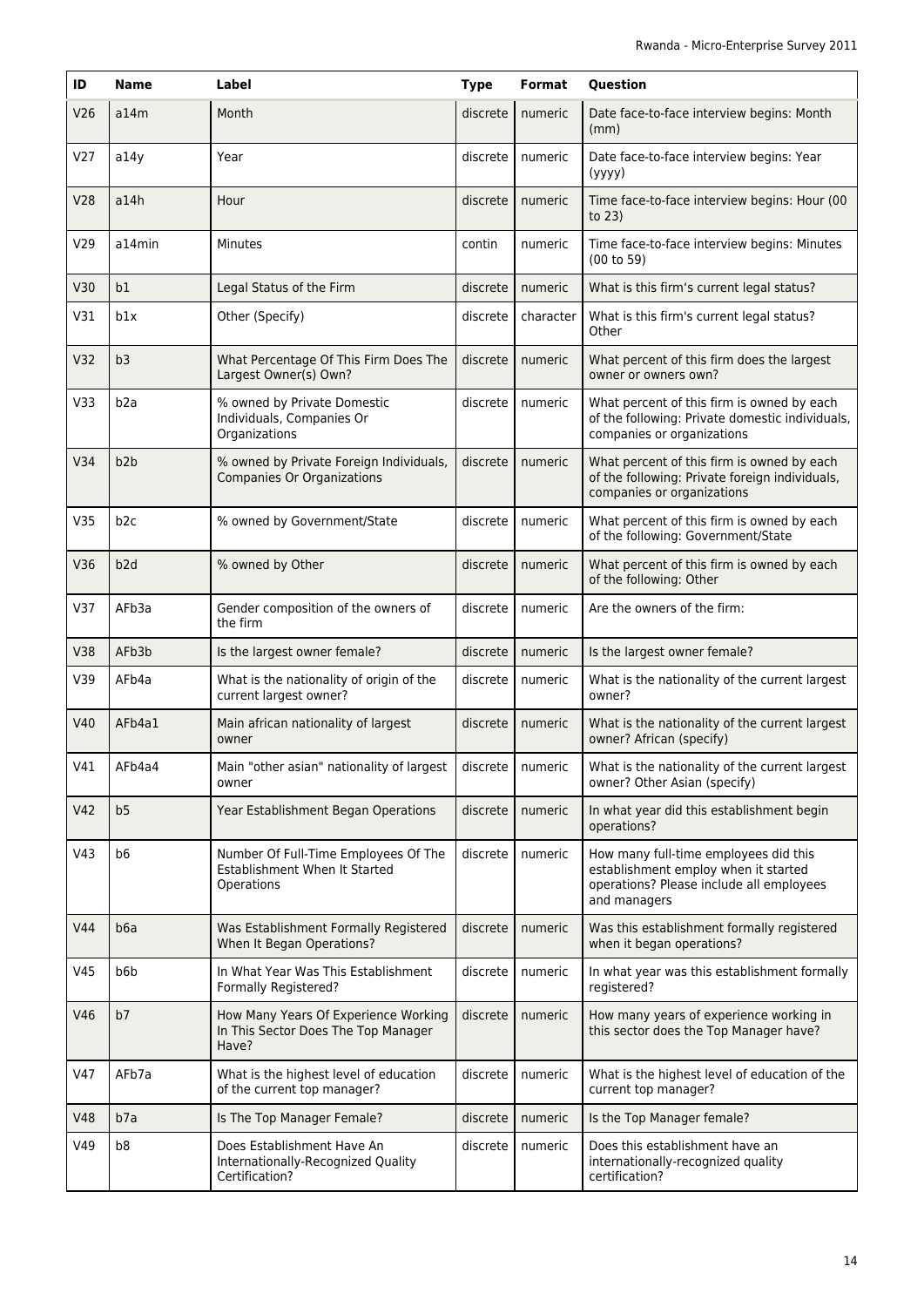| ID              | <b>Name</b>     | Label                                                                                | <b>Type</b> | Format             | Question                                                                                                                                  |
|-----------------|-----------------|--------------------------------------------------------------------------------------|-------------|--------------------|-------------------------------------------------------------------------------------------------------------------------------------------|
| V26             | a14m            | Month                                                                                | discrete    | numeric            | Date face-to-face interview begins: Month<br>(mm)                                                                                         |
| V <sub>27</sub> | a14y            | Year                                                                                 | discrete    | numeric            | Date face-to-face interview begins: Year<br>(yyyy)                                                                                        |
| V28             | a14h            | Hour                                                                                 | discrete    | numeric            | Time face-to-face interview begins: Hour (00<br>to $23$ )                                                                                 |
| V29             | a14min          | Minutes                                                                              | contin      | numeric            | Time face-to-face interview begins: Minutes<br>(00 to 59)                                                                                 |
| V30             | b1              | Legal Status of the Firm                                                             | discrete    | numeric            | What is this firm's current legal status?                                                                                                 |
| V31             | b1x             | Other (Specify)                                                                      | discrete    | character          | What is this firm's current legal status?<br>Other                                                                                        |
| V <sub>32</sub> | b3              | What Percentage Of This Firm Does The<br>Largest Owner(s) Own?                       | discrete    | numeric            | What percent of this firm does the largest<br>owner or owners own?                                                                        |
| V33             | b2a             | % owned by Private Domestic<br>Individuals, Companies Or<br>Organizations            | discrete    | numeric            | What percent of this firm is owned by each<br>of the following: Private domestic individuals,<br>companies or organizations               |
| V34             | b2b             | % owned by Private Foreign Individuals,<br><b>Companies Or Organizations</b>         | discrete    | numeric            | What percent of this firm is owned by each<br>of the following: Private foreign individuals,<br>companies or organizations                |
| V35             | b <sub>2c</sub> | % owned by Government/State                                                          | discrete    | numeric            | What percent of this firm is owned by each<br>of the following: Government/State                                                          |
| V36             | b <sub>2d</sub> | % owned by Other                                                                     | discrete    | numeric            | What percent of this firm is owned by each<br>of the following: Other                                                                     |
| V37             | AFb3a           | Gender composition of the owners of<br>the firm                                      | discrete    | numeric            | Are the owners of the firm:                                                                                                               |
| V38             | AFb3b           | Is the largest owner female?                                                         | discrete    | numeric            | Is the largest owner female?                                                                                                              |
| V39             | AFb4a           | What is the nationality of origin of the<br>current largest owner?                   | discrete    | numeric            | What is the nationality of the current largest<br>owner?                                                                                  |
| V40             | AFb4a1          | Main african nationality of largest<br>owner                                         | discrete    | numeric            | What is the nationality of the current largest<br>owner? African (specify)                                                                |
| V41             | AFb4a4          | Main "other asian" nationality of largest<br>owner                                   |             | discrete   numeric | What is the nationality of the current largest<br>owner? Other Asian (specify)                                                            |
| V42             | b <sub>5</sub>  | Year Establishment Began Operations                                                  | discrete    | numeric            | In what year did this establishment begin<br>operations?                                                                                  |
| V43             | b <sub>6</sub>  | Number Of Full-Time Employees Of The<br>Establishment When It Started<br>Operations  | discrete    | numeric            | How many full-time employees did this<br>establishment employ when it started<br>operations? Please include all employees<br>and managers |
| V44             | b6a             | Was Establishment Formally Registered<br>When It Began Operations?                   | discrete    | numeric            | Was this establishment formally registered<br>when it began operations?                                                                   |
| V45             | b6b             | In What Year Was This Establishment<br>Formally Registered?                          | discrete    | numeric            | In what year was this establishment formally<br>registered?                                                                               |
| V46             | b7              | How Many Years Of Experience Working<br>In This Sector Does The Top Manager<br>Have? | discrete    | numeric            | How many years of experience working in<br>this sector does the Top Manager have?                                                         |
| V47             | AFb7a           | What is the highest level of education<br>of the current top manager?                | discrete    | numeric            | What is the highest level of education of the<br>current top manager?                                                                     |
| <b>V48</b>      | b7a             | Is The Top Manager Female?                                                           | discrete    | numeric            | Is the Top Manager female?                                                                                                                |
| V49             | b8              | Does Establishment Have An<br>Internationally-Recognized Quality<br>Certification?   | discrete    | numeric            | Does this establishment have an<br>internationally-recognized quality<br>certification?                                                   |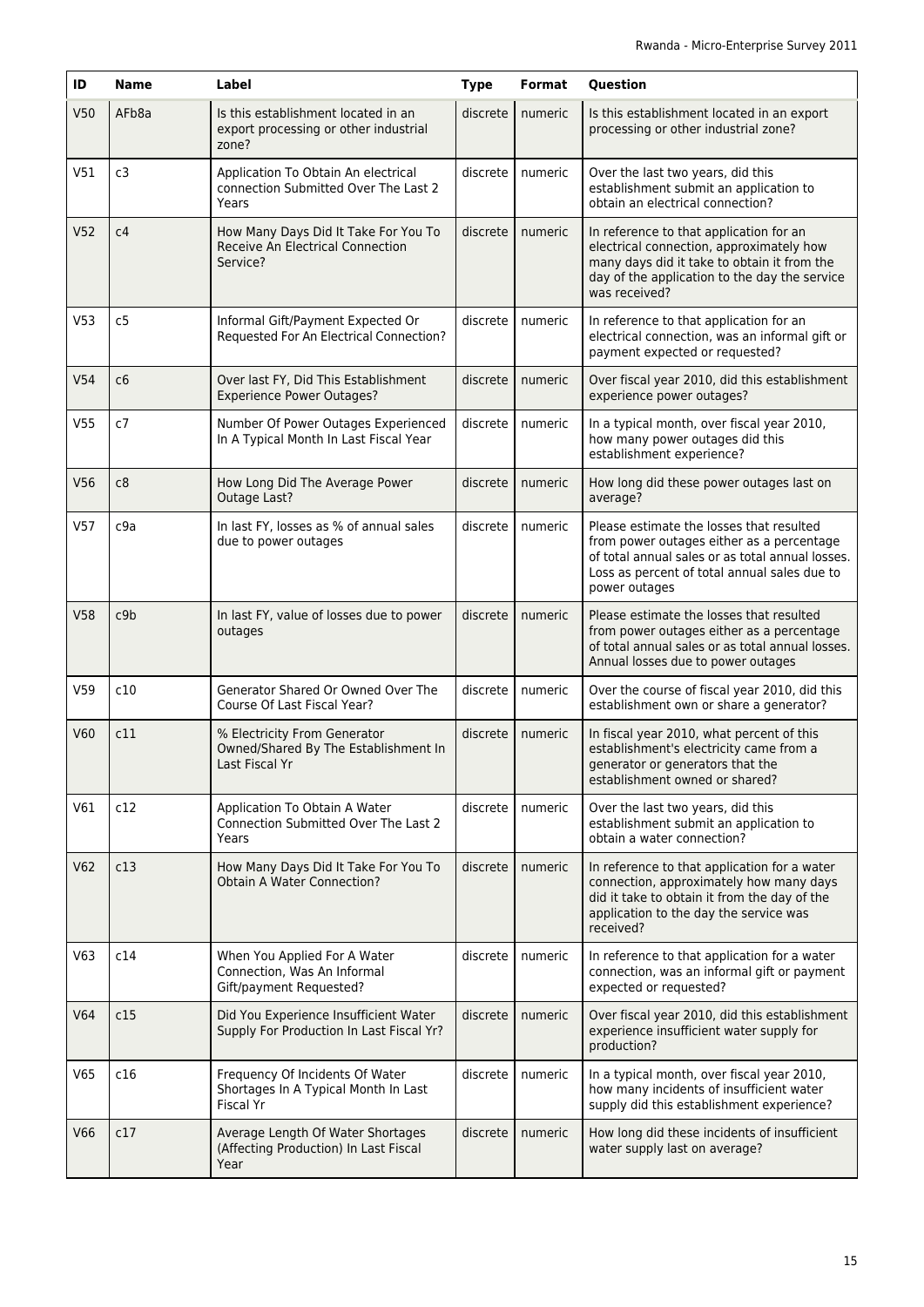| ID              | <b>Name</b>     | Label                                                                                  | <b>Type</b> | Format  | Question                                                                                                                                                                                                   |
|-----------------|-----------------|----------------------------------------------------------------------------------------|-------------|---------|------------------------------------------------------------------------------------------------------------------------------------------------------------------------------------------------------------|
| V <sub>50</sub> | AFb8a           | Is this establishment located in an<br>export processing or other industrial<br>zone?  | discrete    | numeric | Is this establishment located in an export<br>processing or other industrial zone?                                                                                                                         |
| V51             | c3              | Application To Obtain An electrical<br>connection Submitted Over The Last 2<br>Years   | discrete    | numeric | Over the last two years, did this<br>establishment submit an application to<br>obtain an electrical connection?                                                                                            |
| V <sub>52</sub> | c4              | How Many Days Did It Take For You To<br>Receive An Electrical Connection<br>Service?   | discrete    | numeric | In reference to that application for an<br>electrical connection, approximately how<br>many days did it take to obtain it from the<br>day of the application to the day the service<br>was received?       |
| V <sub>53</sub> | c <sub>5</sub>  | Informal Gift/Payment Expected Or<br>Requested For An Electrical Connection?           | discrete    | numeric | In reference to that application for an<br>electrical connection, was an informal gift or<br>payment expected or requested?                                                                                |
| V <sub>54</sub> | c6              | Over last FY, Did This Establishment<br><b>Experience Power Outages?</b>               | discrete    | numeric | Over fiscal year 2010, did this establishment<br>experience power outages?                                                                                                                                 |
| V <sub>55</sub> | c7              | Number Of Power Outages Experienced<br>In A Typical Month In Last Fiscal Year          | discrete    | numeric | In a typical month, over fiscal year 2010,<br>how many power outages did this<br>establishment experience?                                                                                                 |
| V56             | c8              | How Long Did The Average Power<br>Outage Last?                                         | discrete    | numeric | How long did these power outages last on<br>average?                                                                                                                                                       |
| V57             | c9a             | In last FY, losses as % of annual sales<br>due to power outages                        | discrete    | numeric | Please estimate the losses that resulted<br>from power outages either as a percentage<br>of total annual sales or as total annual losses.<br>Loss as percent of total annual sales due to<br>power outages |
| <b>V58</b>      | c9 <sub>b</sub> | In last FY, value of losses due to power<br>outages                                    | discrete    | numeric | Please estimate the losses that resulted<br>from power outages either as a percentage<br>of total annual sales or as total annual losses.<br>Annual losses due to power outages                            |
| V59             | c10             | Generator Shared Or Owned Over The<br>Course Of Last Fiscal Year?                      | discrete    | numeric | Over the course of fiscal year 2010, did this<br>establishment own or share a generator?                                                                                                                   |
| V60             | c11             | % Electricity From Generator<br>Owned/Shared By The Establishment In<br>Last Fiscal Yr | discrete    | numeric | In fiscal year 2010, what percent of this<br>establishment's electricity came from a<br>generator or generators that the<br>establishment owned or shared?                                                 |
| V61             | c12             | Application To Obtain A Water<br>Connection Submitted Over The Last 2<br>Years         | discrete    | numeric | Over the last two years, did this<br>establishment submit an application to<br>obtain a water connection?                                                                                                  |
| V62             | c13             | How Many Days Did It Take For You To<br><b>Obtain A Water Connection?</b>              | discrete    | numeric | In reference to that application for a water<br>connection, approximately how many days<br>did it take to obtain it from the day of the<br>application to the day the service was<br>received?             |
| V63             | c14             | When You Applied For A Water<br>Connection, Was An Informal<br>Gift/payment Requested? | discrete    | numeric | In reference to that application for a water<br>connection, was an informal gift or payment<br>expected or requested?                                                                                      |
| V64             | c15             | Did You Experience Insufficient Water<br>Supply For Production In Last Fiscal Yr?      | discrete    | numeric | Over fiscal year 2010, did this establishment<br>experience insufficient water supply for<br>production?                                                                                                   |
| V65             | c16             | Frequency Of Incidents Of Water<br>Shortages In A Typical Month In Last<br>Fiscal Yr   | discrete    | numeric | In a typical month, over fiscal year 2010,<br>how many incidents of insufficient water<br>supply did this establishment experience?                                                                        |
| <b>V66</b>      | c17             | Average Length Of Water Shortages<br>(Affecting Production) In Last Fiscal<br>Year     | discrete    | numeric | How long did these incidents of insufficient<br>water supply last on average?                                                                                                                              |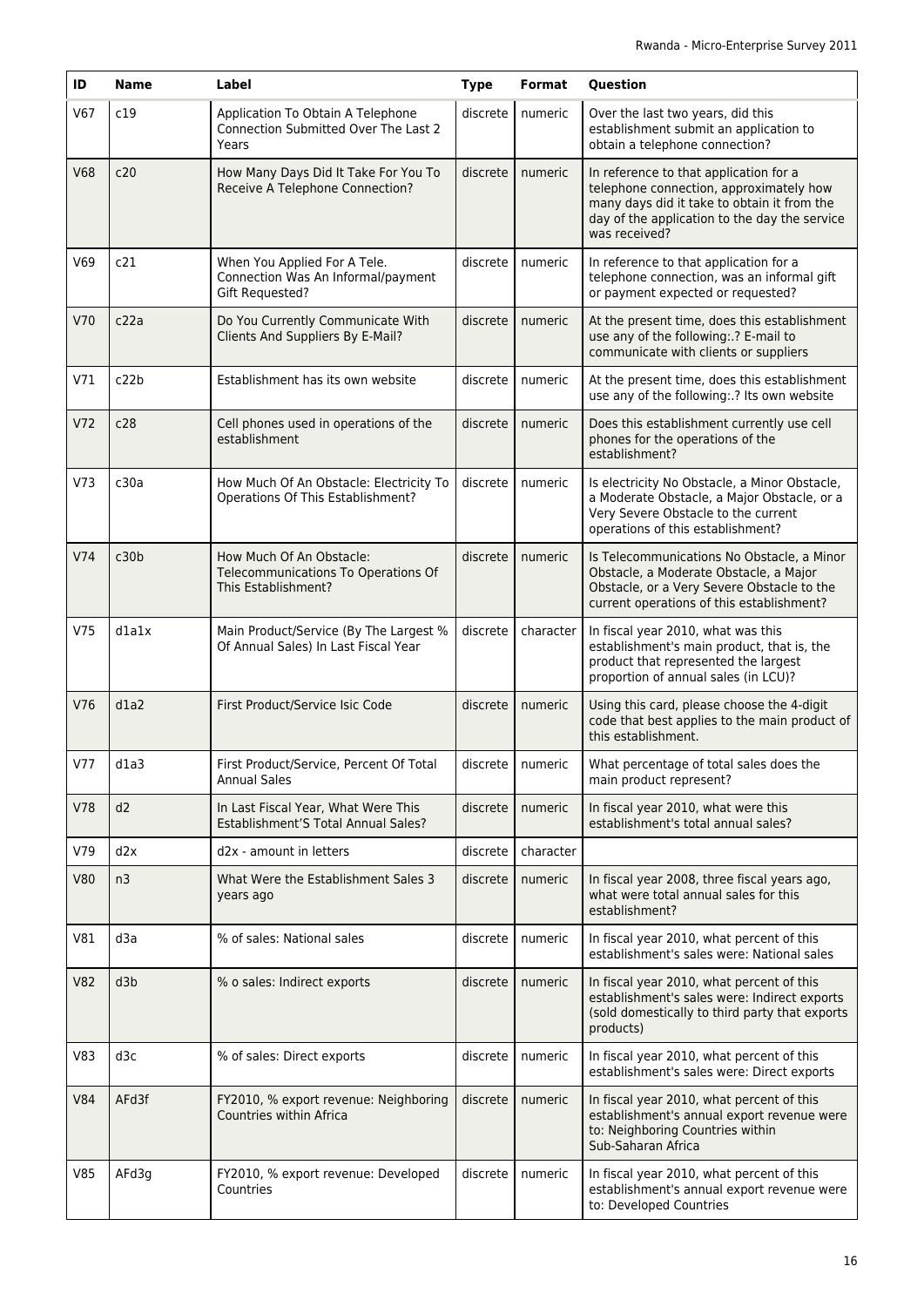| ID         | <b>Name</b> | Label                                                                                     | <b>Type</b> | Format             | Question                                                                                                                                                                                           |
|------------|-------------|-------------------------------------------------------------------------------------------|-------------|--------------------|----------------------------------------------------------------------------------------------------------------------------------------------------------------------------------------------------|
| V67        | c19         | Application To Obtain A Telephone<br><b>Connection Submitted Over The Last 2</b><br>Years | discrete    | numeric            | Over the last two years, did this<br>establishment submit an application to<br>obtain a telephone connection?                                                                                      |
| <b>V68</b> | c20         | How Many Days Did It Take For You To<br>Receive A Telephone Connection?                   | discrete    | numeric            | In reference to that application for a<br>telephone connection, approximately how<br>many days did it take to obtain it from the<br>day of the application to the day the service<br>was received? |
| V69        | c21         | When You Applied For A Tele.<br>Connection Was An Informal/payment<br>Gift Requested?     | discrete    | numeric            | In reference to that application for a<br>telephone connection, was an informal gift<br>or payment expected or requested?                                                                          |
| V70        | c22a        | Do You Currently Communicate With<br>Clients And Suppliers By E-Mail?                     | discrete    | numeric            | At the present time, does this establishment<br>use any of the following: .? E-mail to<br>communicate with clients or suppliers                                                                    |
| V71        | c22b        | Establishment has its own website                                                         | discrete    | numeric            | At the present time, does this establishment<br>use any of the following: .? Its own website                                                                                                       |
| V72        | c28         | Cell phones used in operations of the<br>establishment                                    | discrete    | numeric            | Does this establishment currently use cell<br>phones for the operations of the<br>establishment?                                                                                                   |
| V73        | c30a        | How Much Of An Obstacle: Electricity To<br>Operations Of This Establishment?              | discrete    | numeric            | Is electricity No Obstacle, a Minor Obstacle,<br>a Moderate Obstacle, a Major Obstacle, or a<br>Very Severe Obstacle to the current<br>operations of this establishment?                           |
| V74        | c30b        | How Much Of An Obstacle:<br>Telecommunications To Operations Of<br>This Establishment?    | discrete    | numeric            | Is Telecommunications No Obstacle, a Minor<br>Obstacle, a Moderate Obstacle, a Major<br>Obstacle, or a Very Severe Obstacle to the<br>current operations of this establishment?                    |
| V75        | dlalx       | Main Product/Service (By The Largest %<br>Of Annual Sales) In Last Fiscal Year            | discrete    | character          | In fiscal year 2010, what was this<br>establishment's main product, that is, the<br>product that represented the largest<br>proportion of annual sales (in LCU)?                                   |
| V76        | d1a2        | First Product/Service Isic Code                                                           | discrete    | numeric            | Using this card, please choose the 4-digit<br>code that best applies to the main product of<br>this establishment.                                                                                 |
| V77        | $d$ la3     | First Product/Service, Percent Of Total<br><b>Annual Sales</b>                            |             | discrete   numeric | What percentage of total sales does the<br>main product represent?                                                                                                                                 |
| <b>V78</b> | d2          | In Last Fiscal Year, What Were This<br>Establishment'S Total Annual Sales?                | discrete    | numeric            | In fiscal year 2010, what were this<br>establishment's total annual sales?                                                                                                                         |
| V79        | d2x         | d2x - amount in letters                                                                   | discrete    | character          |                                                                                                                                                                                                    |
| <b>V80</b> | n3          | What Were the Establishment Sales 3<br>years ago                                          | discrete    | numeric            | In fiscal year 2008, three fiscal years ago,<br>what were total annual sales for this<br>establishment?                                                                                            |
| V81        | d3a         | % of sales: National sales                                                                | discrete    | numeric            | In fiscal year 2010, what percent of this<br>establishment's sales were: National sales                                                                                                            |
| <b>V82</b> | d3b         | % o sales: Indirect exports                                                               | discrete    | numeric            | In fiscal year 2010, what percent of this<br>establishment's sales were: Indirect exports<br>(sold domestically to third party that exports<br>products)                                           |
| V83        | d3c         | % of sales: Direct exports                                                                | discrete    | numeric            | In fiscal year 2010, what percent of this<br>establishment's sales were: Direct exports                                                                                                            |
| <b>V84</b> | AFd3f       | FY2010, % export revenue: Neighboring<br>Countries within Africa                          | discrete    | numeric            | In fiscal year 2010, what percent of this<br>establishment's annual export revenue were<br>to: Neighboring Countries within<br>Sub-Saharan Africa                                                  |
| V85        | AFd3g       | FY2010, % export revenue: Developed<br>Countries                                          | discrete    | numeric            | In fiscal year 2010, what percent of this<br>establishment's annual export revenue were<br>to: Developed Countries                                                                                 |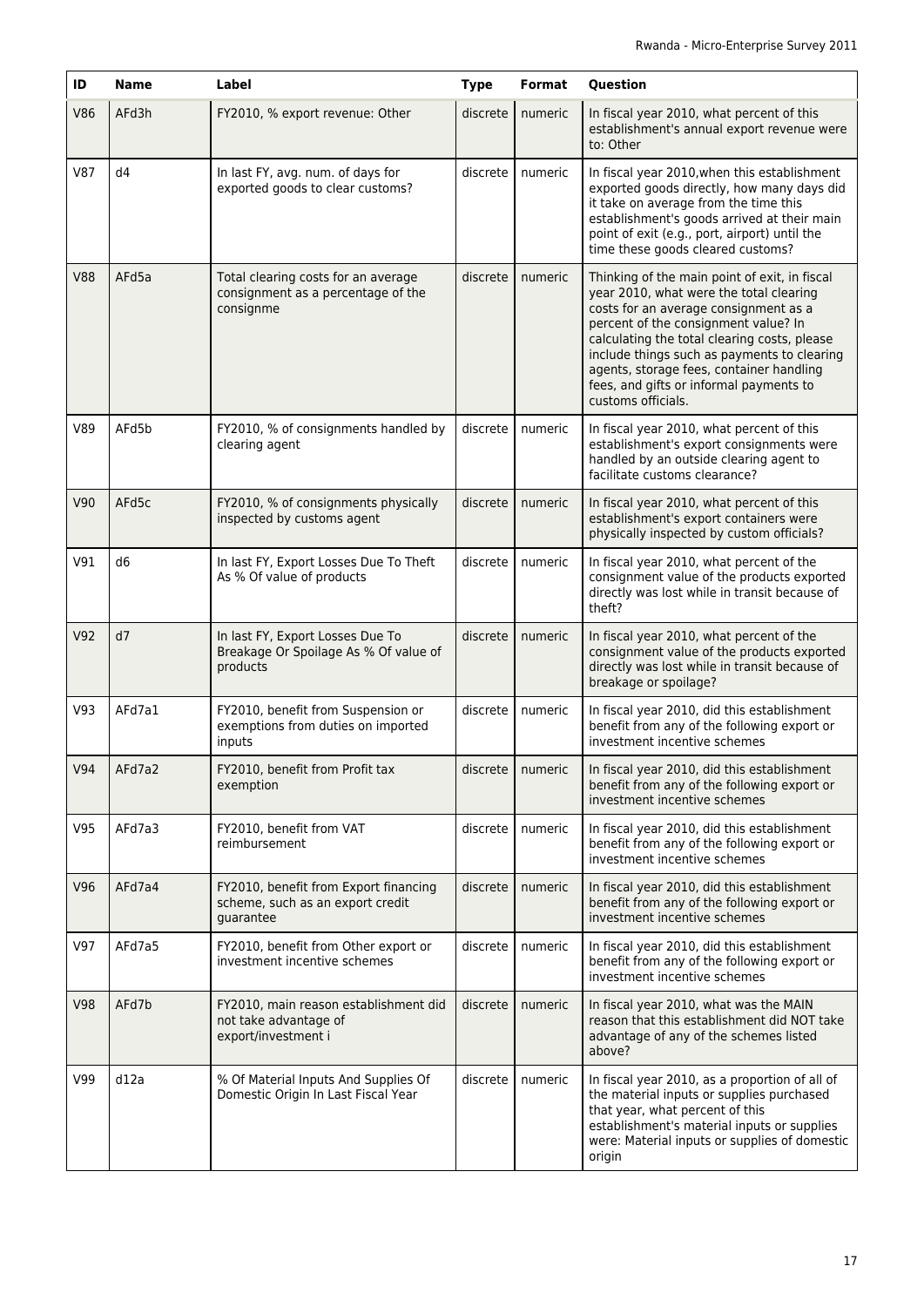| ID         | <b>Name</b>    | Label                                                                                  | <b>Type</b> | <b>Format</b> | Question                                                                                                                                                                                                                                                                                                                                                                              |
|------------|----------------|----------------------------------------------------------------------------------------|-------------|---------------|---------------------------------------------------------------------------------------------------------------------------------------------------------------------------------------------------------------------------------------------------------------------------------------------------------------------------------------------------------------------------------------|
| <b>V86</b> | AFd3h          | FY2010, % export revenue: Other                                                        | discrete    | numeric       | In fiscal year 2010, what percent of this<br>establishment's annual export revenue were<br>to: Other                                                                                                                                                                                                                                                                                  |
| <b>V87</b> | d4             | In last FY, avg. num. of days for<br>exported goods to clear customs?                  | discrete    | numeric       | In fiscal year 2010, when this establishment<br>exported goods directly, how many days did<br>it take on average from the time this<br>establishment's goods arrived at their main<br>point of exit (e.g., port, airport) until the<br>time these goods cleared customs?                                                                                                              |
| <b>V88</b> | AFd5a          | Total clearing costs for an average<br>consignment as a percentage of the<br>consignme | discrete    | numeric       | Thinking of the main point of exit, in fiscal<br>year 2010, what were the total clearing<br>costs for an average consignment as a<br>percent of the consignment value? In<br>calculating the total clearing costs, please<br>include things such as payments to clearing<br>agents, storage fees, container handling<br>fees, and gifts or informal payments to<br>customs officials. |
| V89        | AFd5b          | FY2010, % of consignments handled by<br>clearing agent                                 | discrete    | numeric       | In fiscal year 2010, what percent of this<br>establishment's export consignments were<br>handled by an outside clearing agent to<br>facilitate customs clearance?                                                                                                                                                                                                                     |
| V90        | AFd5c          | FY2010, % of consignments physically<br>inspected by customs agent                     | discrete    | numeric       | In fiscal year 2010, what percent of this<br>establishment's export containers were<br>physically inspected by custom officials?                                                                                                                                                                                                                                                      |
| V91        | d <sub>6</sub> | In last FY, Export Losses Due To Theft<br>As % Of value of products                    | discrete    | numeric       | In fiscal year 2010, what percent of the<br>consignment value of the products exported<br>directly was lost while in transit because of<br>theft?                                                                                                                                                                                                                                     |
| V92        | d7             | In last FY, Export Losses Due To<br>Breakage Or Spoilage As % Of value of<br>products  | discrete    | numeric       | In fiscal year 2010, what percent of the<br>consignment value of the products exported<br>directly was lost while in transit because of<br>breakage or spoilage?                                                                                                                                                                                                                      |
| V93        | AFd7a1         | FY2010, benefit from Suspension or<br>exemptions from duties on imported<br>inputs     | discrete    | numeric       | In fiscal year 2010, did this establishment<br>benefit from any of the following export or<br>investment incentive schemes                                                                                                                                                                                                                                                            |
| V94        | AFd7a2         | FY2010, benefit from Profit tax<br>exemption                                           | discrete    | numeric       | In fiscal year 2010, did this establishment<br>benefit from any of the following export or<br>investment incentive schemes                                                                                                                                                                                                                                                            |
| V95        | AFd7a3         | FY2010, benefit from VAT<br>reimbursement                                              | discrete    | numeric       | In fiscal year 2010, did this establishment<br>benefit from any of the following export or<br>investment incentive schemes                                                                                                                                                                                                                                                            |
| V96        | AFd7a4         | FY2010, benefit from Export financing<br>scheme, such as an export credit<br>quarantee | discrete    | numeric       | In fiscal year 2010, did this establishment<br>benefit from any of the following export or<br>investment incentive schemes                                                                                                                                                                                                                                                            |
| V97        | AFd7a5         | FY2010, benefit from Other export or<br>investment incentive schemes                   | discrete    | numeric       | In fiscal year 2010, did this establishment<br>benefit from any of the following export or<br>investment incentive schemes                                                                                                                                                                                                                                                            |
| <b>V98</b> | AFd7b          | FY2010, main reason establishment did<br>not take advantage of<br>export/investment i  | discrete    | numeric       | In fiscal year 2010, what was the MAIN<br>reason that this establishment did NOT take<br>advantage of any of the schemes listed<br>above?                                                                                                                                                                                                                                             |
| V99        | d12a           | % Of Material Inputs And Supplies Of<br>Domestic Origin In Last Fiscal Year            | discrete    | numeric       | In fiscal year 2010, as a proportion of all of<br>the material inputs or supplies purchased<br>that year, what percent of this<br>establishment's material inputs or supplies<br>were: Material inputs or supplies of domestic<br>origin                                                                                                                                              |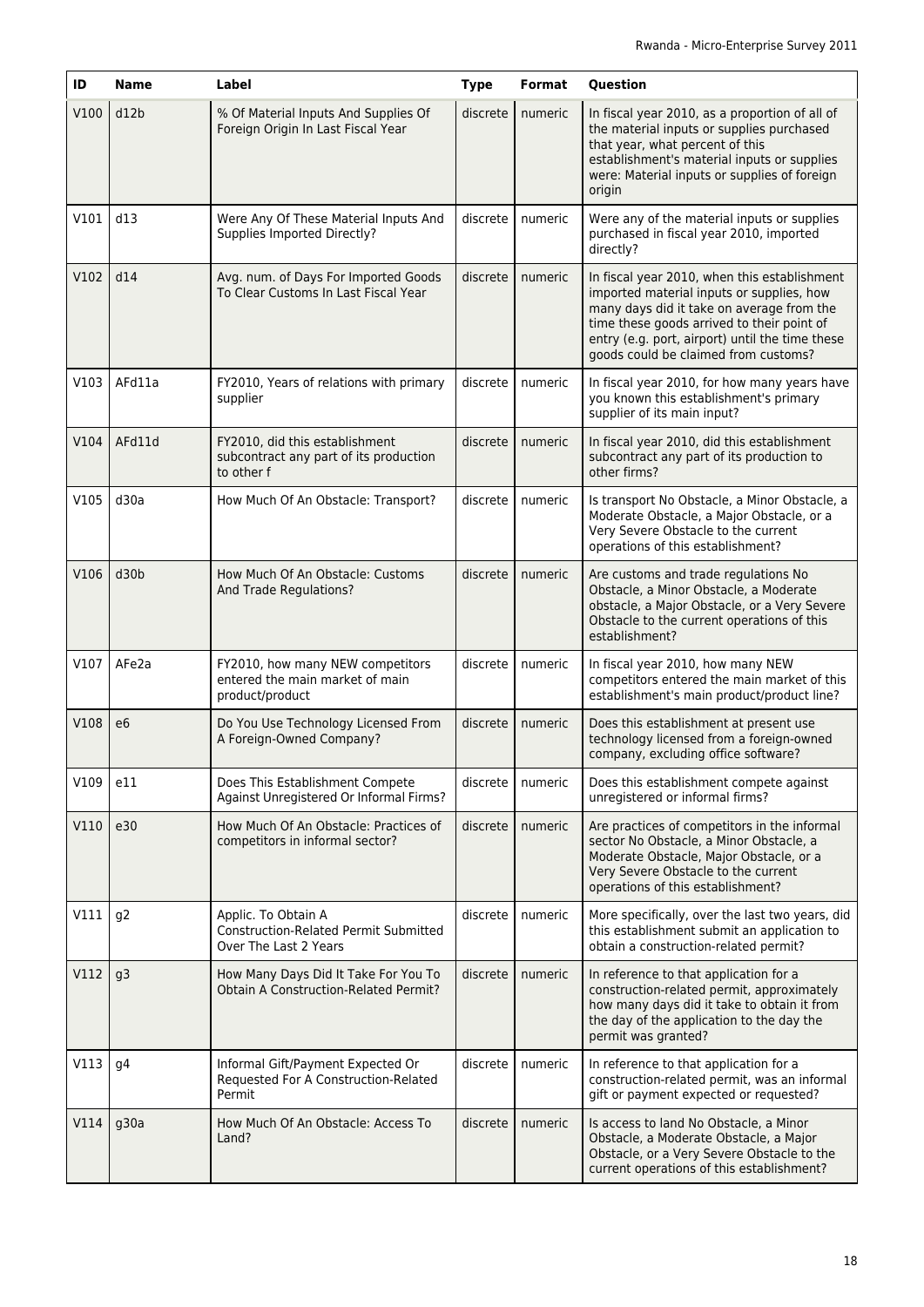| ID   | <b>Name</b>    | Label                                                                                        | <b>Type</b> | Format  | Question                                                                                                                                                                                                                                                                        |
|------|----------------|----------------------------------------------------------------------------------------------|-------------|---------|---------------------------------------------------------------------------------------------------------------------------------------------------------------------------------------------------------------------------------------------------------------------------------|
| V100 | d12b           | % Of Material Inputs And Supplies Of<br>Foreign Origin In Last Fiscal Year                   | discrete    | numeric | In fiscal year 2010, as a proportion of all of<br>the material inputs or supplies purchased<br>that year, what percent of this<br>establishment's material inputs or supplies<br>were: Material inputs or supplies of foreign<br>origin                                         |
| V101 | d13            | Were Any Of These Material Inputs And<br>Supplies Imported Directly?                         | discrete    | numeric | Were any of the material inputs or supplies<br>purchased in fiscal year 2010, imported<br>directly?                                                                                                                                                                             |
| V102 | d14            | Avg. num. of Days For Imported Goods<br>To Clear Customs In Last Fiscal Year                 | discrete    | numeric | In fiscal year 2010, when this establishment<br>imported material inputs or supplies, how<br>many days did it take on average from the<br>time these goods arrived to their point of<br>entry (e.g. port, airport) until the time these<br>goods could be claimed from customs? |
| V103 | AFd11a         | FY2010, Years of relations with primary<br>supplier                                          | discrete    | numeric | In fiscal year 2010, for how many years have<br>you known this establishment's primary<br>supplier of its main input?                                                                                                                                                           |
| V104 | AFd11d         | FY2010, did this establishment<br>subcontract any part of its production<br>to other f       | discrete    | numeric | In fiscal year 2010, did this establishment<br>subcontract any part of its production to<br>other firms?                                                                                                                                                                        |
| V105 | d30a           | How Much Of An Obstacle: Transport?                                                          | discrete    | numeric | Is transport No Obstacle, a Minor Obstacle, a<br>Moderate Obstacle, a Major Obstacle, or a<br>Very Severe Obstacle to the current<br>operations of this establishment?                                                                                                          |
| V106 | d30b           | How Much Of An Obstacle: Customs<br>And Trade Regulations?                                   | discrete    | numeric | Are customs and trade regulations No<br>Obstacle, a Minor Obstacle, a Moderate<br>obstacle, a Major Obstacle, or a Very Severe<br>Obstacle to the current operations of this<br>establishment?                                                                                  |
| V107 | AFe2a          | FY2010, how many NEW competitors<br>entered the main market of main<br>product/product       | discrete    | numeric | In fiscal year 2010, how many NEW<br>competitors entered the main market of this<br>establishment's main product/product line?                                                                                                                                                  |
| V108 | e <sub>6</sub> | Do You Use Technology Licensed From<br>A Foreign-Owned Company?                              | discrete    | numeric | Does this establishment at present use<br>technology licensed from a foreign-owned<br>company, excluding office software?                                                                                                                                                       |
| V109 | e11            | Does This Establishment Compete<br>Against Unregistered Or Informal Firms?                   | discrete    | numeric | Does this establishment compete against<br>unregistered or informal firms?                                                                                                                                                                                                      |
| V110 | e30            | How Much Of An Obstacle: Practices of<br>competitors in informal sector?                     | discrete    | numeric | Are practices of competitors in the informal<br>sector No Obstacle, a Minor Obstacle, a<br>Moderate Obstacle, Major Obstacle, or a<br>Very Severe Obstacle to the current<br>operations of this establishment?                                                                  |
| V111 | g <sub>2</sub> | Applic. To Obtain A<br><b>Construction-Related Permit Submitted</b><br>Over The Last 2 Years | discrete    | numeric | More specifically, over the last two years, did<br>this establishment submit an application to<br>obtain a construction-related permit?                                                                                                                                         |
| V112 | g3             | How Many Days Did It Take For You To<br><b>Obtain A Construction-Related Permit?</b>         | discrete    | numeric | In reference to that application for a<br>construction-related permit, approximately<br>how many days did it take to obtain it from<br>the day of the application to the day the<br>permit was granted?                                                                         |
| V113 | q4             | Informal Gift/Payment Expected Or<br>Requested For A Construction-Related<br>Permit          | discrete    | numeric | In reference to that application for a<br>construction-related permit, was an informal<br>gift or payment expected or requested?                                                                                                                                                |
| V114 | g30a           | How Much Of An Obstacle: Access To<br>Land?                                                  | discrete    | numeric | Is access to land No Obstacle, a Minor<br>Obstacle, a Moderate Obstacle, a Major<br>Obstacle, or a Very Severe Obstacle to the<br>current operations of this establishment?                                                                                                     |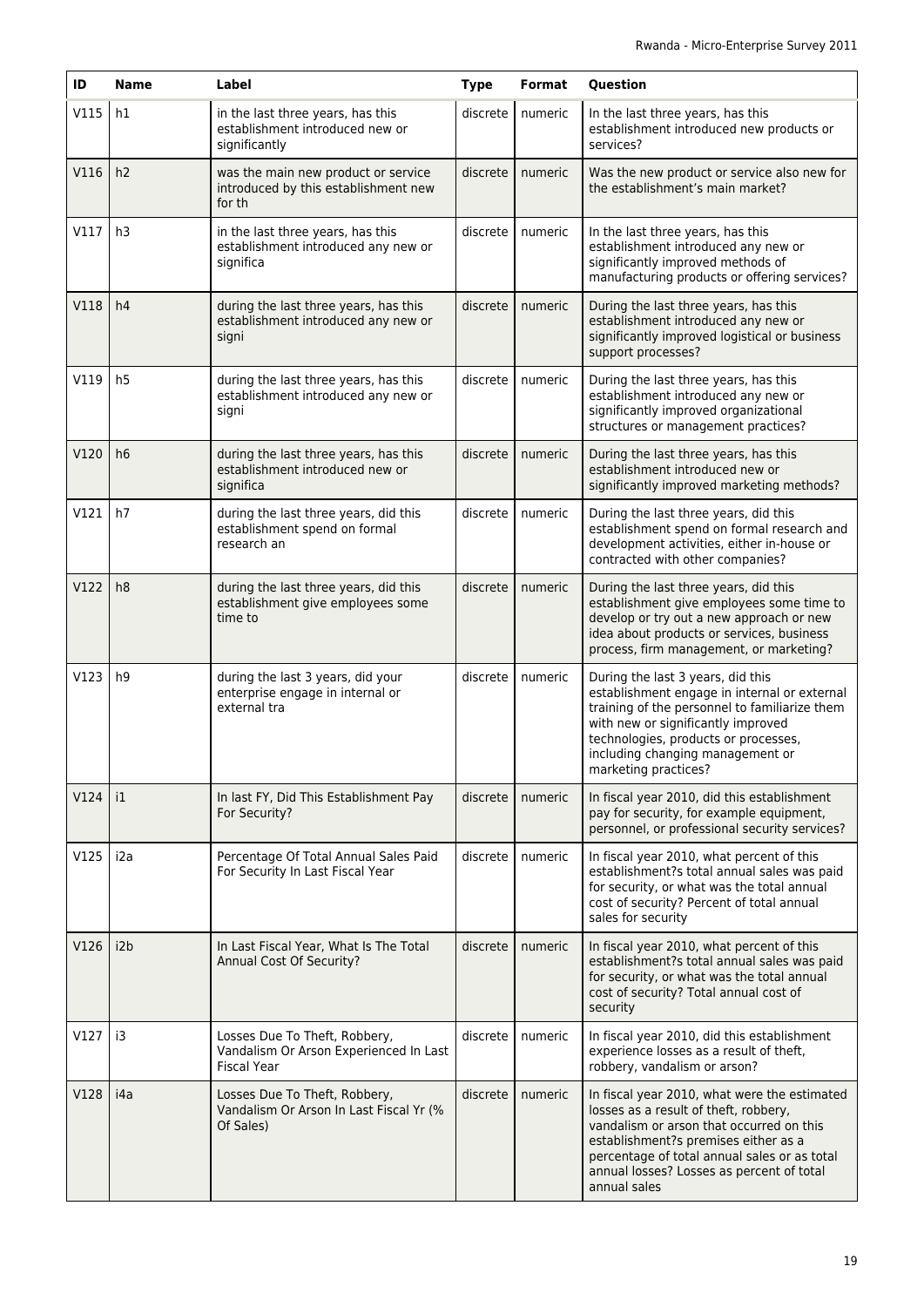| ID   | <b>Name</b>      | Label                                                                                         | <b>Type</b> | Format  | Question                                                                                                                                                                                                                                                                               |
|------|------------------|-----------------------------------------------------------------------------------------------|-------------|---------|----------------------------------------------------------------------------------------------------------------------------------------------------------------------------------------------------------------------------------------------------------------------------------------|
| V115 | h1               | in the last three years, has this<br>establishment introduced new or<br>significantly         | discrete    | numeric | In the last three years, has this<br>establishment introduced new products or<br>services?                                                                                                                                                                                             |
| V116 | h2               | was the main new product or service<br>introduced by this establishment new<br>for th         | discrete    | numeric | Was the new product or service also new for<br>the establishment's main market?                                                                                                                                                                                                        |
| V117 | h3               | in the last three years, has this<br>establishment introduced any new or<br>significa         | discrete    | numeric | In the last three years, has this<br>establishment introduced any new or<br>significantly improved methods of<br>manufacturing products or offering services?                                                                                                                          |
| V118 | h4               | during the last three years, has this<br>establishment introduced any new or<br>signi         | discrete    | numeric | During the last three years, has this<br>establishment introduced any new or<br>significantly improved logistical or business<br>support processes?                                                                                                                                    |
| V119 | h <sub>5</sub>   | during the last three years, has this<br>establishment introduced any new or<br>signi         | discrete    | numeric | During the last three years, has this<br>establishment introduced any new or<br>significantly improved organizational<br>structures or management practices?                                                                                                                           |
| V120 | h6               | during the last three years, has this<br>establishment introduced new or<br>significa         | discrete    | numeric | During the last three years, has this<br>establishment introduced new or<br>significantly improved marketing methods?                                                                                                                                                                  |
| V121 | h7               | during the last three years, did this<br>establishment spend on formal<br>research an         | discrete    | numeric | During the last three years, did this<br>establishment spend on formal research and<br>development activities, either in-house or<br>contracted with other companies?                                                                                                                  |
| V122 | h8               | during the last three years, did this<br>establishment give employees some<br>time to         | discrete    | numeric | During the last three years, did this<br>establishment give employees some time to<br>develop or try out a new approach or new<br>idea about products or services, business<br>process, firm management, or marketing?                                                                 |
| V123 | h <sub>9</sub>   | during the last 3 years, did your<br>enterprise engage in internal or<br>external tra         | discrete    | numeric | During the last 3 years, did this<br>establishment engage in internal or external<br>training of the personnel to familiarize them<br>with new or significantly improved<br>technologies, products or processes,<br>including changing management or<br>marketing practices?           |
| V124 | $\mathbf{1}$     | In last FY, Did This Establishment Pay<br>For Security?                                       | discrete    | numeric | In fiscal year 2010, did this establishment<br>pay for security, for example equipment,<br>personnel, or professional security services?                                                                                                                                               |
| V125 | i <sub>2</sub> a | Percentage Of Total Annual Sales Paid<br>For Security In Last Fiscal Year                     | discrete    | numeric | In fiscal year 2010, what percent of this<br>establishment?s total annual sales was paid<br>for security, or what was the total annual<br>cost of security? Percent of total annual<br>sales for security                                                                              |
| V126 | i2b              | In Last Fiscal Year, What Is The Total<br>Annual Cost Of Security?                            | discrete    | numeric | In fiscal year 2010, what percent of this<br>establishment?s total annual sales was paid<br>for security, or what was the total annual<br>cost of security? Total annual cost of<br>security                                                                                           |
| V127 | i3               | Losses Due To Theft, Robbery,<br>Vandalism Or Arson Experienced In Last<br><b>Fiscal Year</b> | discrete    | numeric | In fiscal year 2010, did this establishment<br>experience losses as a result of theft,<br>robbery, vandalism or arson?                                                                                                                                                                 |
| V128 | i4a              | Losses Due To Theft, Robbery,<br>Vandalism Or Arson In Last Fiscal Yr (%<br>Of Sales)         | discrete    | numeric | In fiscal year 2010, what were the estimated<br>losses as a result of theft, robbery,<br>vandalism or arson that occurred on this<br>establishment?s premises either as a<br>percentage of total annual sales or as total<br>annual losses? Losses as percent of total<br>annual sales |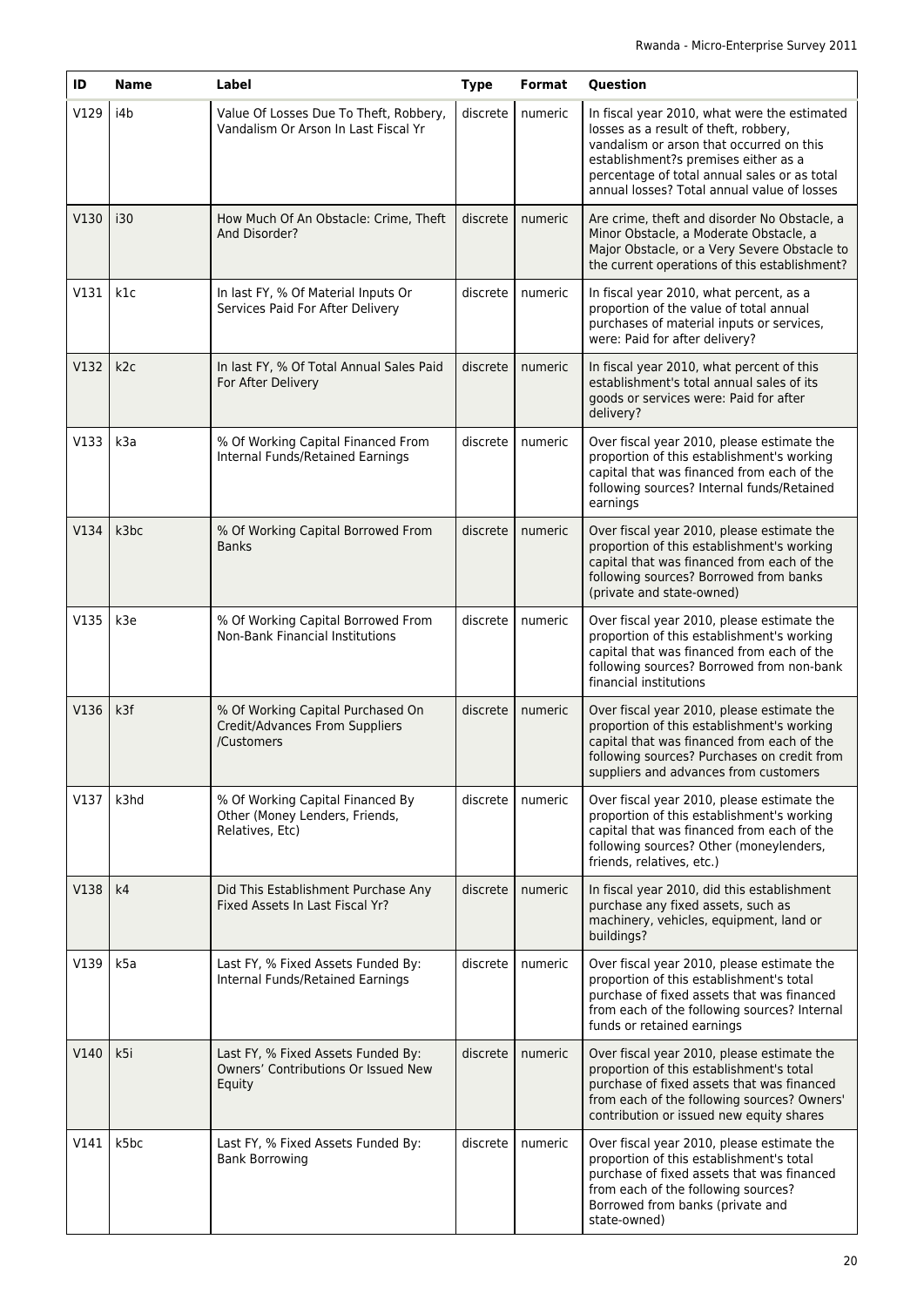| ID   | <b>Name</b>      | Label                                                                                 | <b>Type</b> | <b>Format</b> | Question                                                                                                                                                                                                                                                                 |
|------|------------------|---------------------------------------------------------------------------------------|-------------|---------------|--------------------------------------------------------------------------------------------------------------------------------------------------------------------------------------------------------------------------------------------------------------------------|
| V129 | i4b              | Value Of Losses Due To Theft, Robbery,<br>Vandalism Or Arson In Last Fiscal Yr        | discrete    | numeric       | In fiscal year 2010, what were the estimated<br>losses as a result of theft, robbery,<br>vandalism or arson that occurred on this<br>establishment?s premises either as a<br>percentage of total annual sales or as total<br>annual losses? Total annual value of losses |
| V130 | i30              | How Much Of An Obstacle: Crime, Theft<br>And Disorder?                                | discrete    | numeric       | Are crime, theft and disorder No Obstacle, a<br>Minor Obstacle, a Moderate Obstacle, a<br>Major Obstacle, or a Very Severe Obstacle to<br>the current operations of this establishment?                                                                                  |
| V131 | k1c              | In last FY, % Of Material Inputs Or<br>Services Paid For After Delivery               | discrete    | numeric       | In fiscal year 2010, what percent, as a<br>proportion of the value of total annual<br>purchases of material inputs or services,<br>were: Paid for after delivery?                                                                                                        |
| V132 | k2c              | In last FY, % Of Total Annual Sales Paid<br>For After Delivery                        | discrete    | numeric       | In fiscal year 2010, what percent of this<br>establishment's total annual sales of its<br>goods or services were: Paid for after<br>delivery?                                                                                                                            |
| V133 | k <sub>3</sub> a | % Of Working Capital Financed From<br>Internal Funds/Retained Earnings                | discrete    | numeric       | Over fiscal year 2010, please estimate the<br>proportion of this establishment's working<br>capital that was financed from each of the<br>following sources? Internal funds/Retained<br>earnings                                                                         |
| V134 | k3bc             | % Of Working Capital Borrowed From<br><b>Banks</b>                                    | discrete    | numeric       | Over fiscal year 2010, please estimate the<br>proportion of this establishment's working<br>capital that was financed from each of the<br>following sources? Borrowed from banks<br>(private and state-owned)                                                            |
| V135 | k3e              | % Of Working Capital Borrowed From<br><b>Non-Bank Financial Institutions</b>          | discrete    | numeric       | Over fiscal year 2010, please estimate the<br>proportion of this establishment's working<br>capital that was financed from each of the<br>following sources? Borrowed from non-bank<br>financial institutions                                                            |
| V136 | k <sub>3f</sub>  | % Of Working Capital Purchased On<br>Credit/Advances From Suppliers<br>/Customers     | discrete    | numeric       | Over fiscal year 2010, please estimate the<br>proportion of this establishment's working<br>capital that was financed from each of the<br>following sources? Purchases on credit from<br>suppliers and advances from customers                                           |
| V137 | k3hd             | % Of Working Capital Financed By<br>Other (Money Lenders, Friends,<br>Relatives, Etc) | discrete    | numeric       | Over fiscal year 2010, please estimate the<br>proportion of this establishment's working<br>capital that was financed from each of the<br>following sources? Other (moneylenders,<br>friends, relatives, etc.)                                                           |
| V138 | k4               | Did This Establishment Purchase Any<br>Fixed Assets In Last Fiscal Yr?                | discrete    | numeric       | In fiscal year 2010, did this establishment<br>purchase any fixed assets, such as<br>machinery, vehicles, equipment, land or<br>buildings?                                                                                                                               |
| V139 | k5a              | Last FY, % Fixed Assets Funded By:<br>Internal Funds/Retained Earnings                | discrete    | numeric       | Over fiscal year 2010, please estimate the<br>proportion of this establishment's total<br>purchase of fixed assets that was financed<br>from each of the following sources? Internal<br>funds or retained earnings                                                       |
| V140 | k5i              | Last FY, % Fixed Assets Funded By:<br>Owners' Contributions Or Issued New<br>Equity   | discrete    | numeric       | Over fiscal year 2010, please estimate the<br>proportion of this establishment's total<br>purchase of fixed assets that was financed<br>from each of the following sources? Owners'<br>contribution or issued new equity shares                                          |
| V141 | k5bc             | Last FY, % Fixed Assets Funded By:<br><b>Bank Borrowing</b>                           | discrete    | numeric       | Over fiscal year 2010, please estimate the<br>proportion of this establishment's total<br>purchase of fixed assets that was financed<br>from each of the following sources?<br>Borrowed from banks (private and<br>state-owned)                                          |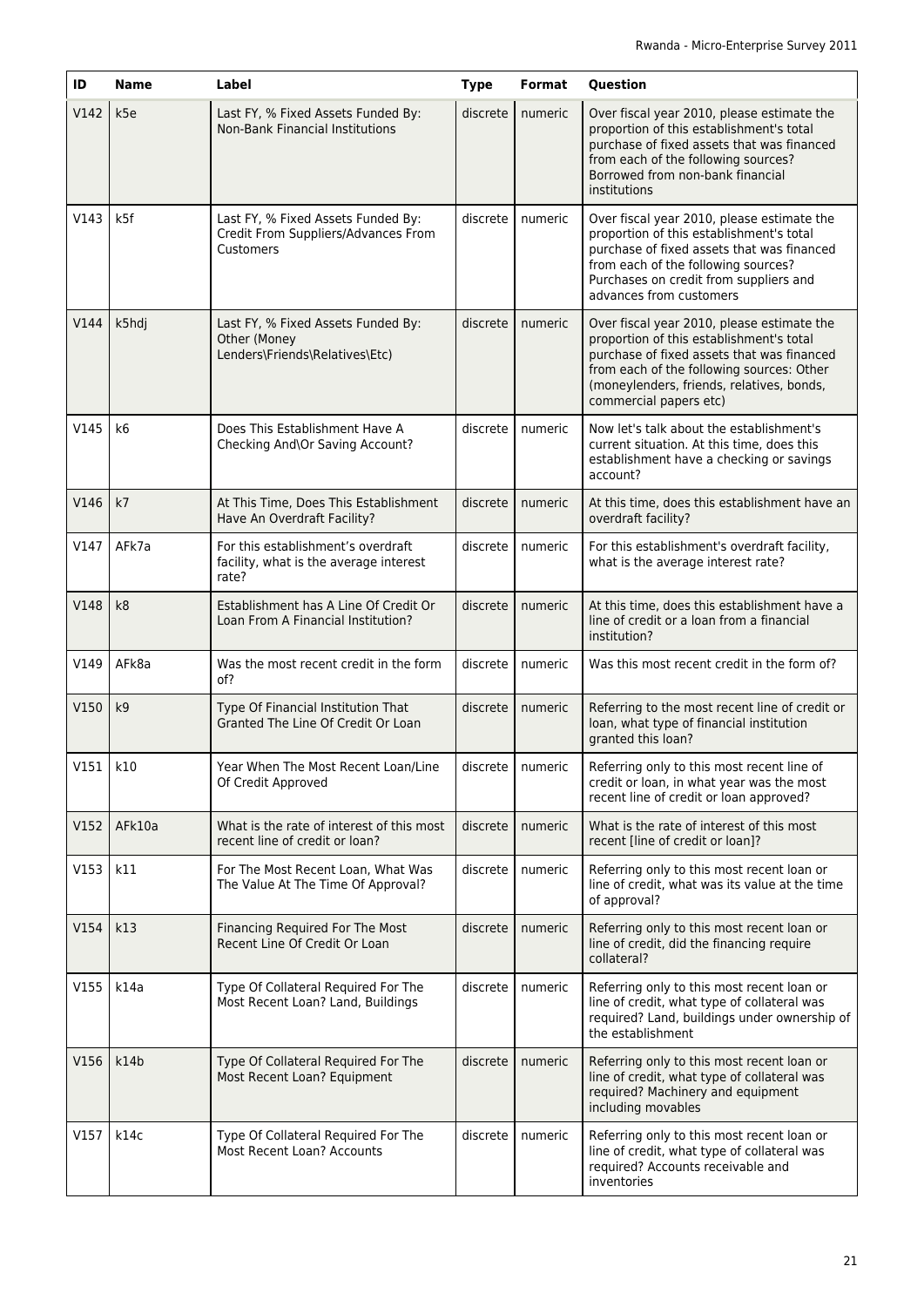| ID           | <b>Name</b>     | Label                                                                                  | <b>Type</b> | Format  | Question                                                                                                                                                                                                                                                 |
|--------------|-----------------|----------------------------------------------------------------------------------------|-------------|---------|----------------------------------------------------------------------------------------------------------------------------------------------------------------------------------------------------------------------------------------------------------|
| V142         | k <sub>5e</sub> | Last FY, % Fixed Assets Funded By:<br><b>Non-Bank Financial Institutions</b>           | discrete    | numeric | Over fiscal year 2010, please estimate the<br>proportion of this establishment's total<br>purchase of fixed assets that was financed<br>from each of the following sources?<br>Borrowed from non-bank financial<br>institutions                          |
| V143         | k5f             | Last FY, % Fixed Assets Funded By:<br>Credit From Suppliers/Advances From<br>Customers | discrete    | numeric | Over fiscal year 2010, please estimate the<br>proportion of this establishment's total<br>purchase of fixed assets that was financed<br>from each of the following sources?<br>Purchases on credit from suppliers and<br>advances from customers         |
| V144         | k5hdj           | Last FY, % Fixed Assets Funded By:<br>Other (Money<br>Lenders\Friends\Relatives\Etc)   | discrete    | numeric | Over fiscal year 2010, please estimate the<br>proportion of this establishment's total<br>purchase of fixed assets that was financed<br>from each of the following sources: Other<br>(moneylenders, friends, relatives, bonds,<br>commercial papers etc) |
| V145         | k6              | Does This Establishment Have A<br>Checking And\Or Saving Account?                      | discrete    | numeric | Now let's talk about the establishment's<br>current situation. At this time, does this<br>establishment have a checking or savings<br>account?                                                                                                           |
| V146         | k7              | At This Time, Does This Establishment<br>Have An Overdraft Facility?                   | discrete    | numeric | At this time, does this establishment have an<br>overdraft facility?                                                                                                                                                                                     |
| V147         | AFk7a           | For this establishment's overdraft<br>facility, what is the average interest<br>rate?  | discrete    | numeric | For this establishment's overdraft facility,<br>what is the average interest rate?                                                                                                                                                                       |
| V148         | k8              | Establishment has A Line Of Credit Or<br>Loan From A Financial Institution?            | discrete    | numeric | At this time, does this establishment have a<br>line of credit or a loan from a financial<br>institution?                                                                                                                                                |
| V149         | AFk8a           | Was the most recent credit in the form<br>of?                                          | discrete    | numeric | Was this most recent credit in the form of?                                                                                                                                                                                                              |
| V150         | k <sub>9</sub>  | Type Of Financial Institution That<br>Granted The Line Of Credit Or Loan               | discrete    | numeric | Referring to the most recent line of credit or<br>loan, what type of financial institution<br>granted this loan?                                                                                                                                         |
| $V151$ $k10$ |                 | Year When The Most Recent Loan/Line<br>Of Credit Approved                              | discrete    | numeric | Referring only to this most recent line of<br>credit or loan, in what year was the most<br>recent line of credit or loan approved?                                                                                                                       |
| V152         | AFk10a          | What is the rate of interest of this most<br>recent line of credit or loan?            | discrete    | numeric | What is the rate of interest of this most<br>recent [line of credit or loan]?                                                                                                                                                                            |
| V153         | k11             | For The Most Recent Loan, What Was<br>The Value At The Time Of Approval?               | discrete    | numeric | Referring only to this most recent loan or<br>line of credit, what was its value at the time<br>of approval?                                                                                                                                             |
| V154         | k13             | Financing Required For The Most<br>Recent Line Of Credit Or Loan                       | discrete    | numeric | Referring only to this most recent loan or<br>line of credit, did the financing require<br>collateral?                                                                                                                                                   |
| V155         | k14a            | Type Of Collateral Required For The<br>Most Recent Loan? Land, Buildings               | discrete    | numeric | Referring only to this most recent loan or<br>line of credit, what type of collateral was<br>required? Land, buildings under ownership of<br>the establishment                                                                                           |
| V156         | k14b            | Type Of Collateral Required For The<br>Most Recent Loan? Equipment                     | discrete    | numeric | Referring only to this most recent loan or<br>line of credit, what type of collateral was<br>required? Machinery and equipment<br>including movables                                                                                                     |
| V157         | k14c            | Type Of Collateral Required For The<br>Most Recent Loan? Accounts                      | discrete    | numeric | Referring only to this most recent loan or<br>line of credit, what type of collateral was<br>required? Accounts receivable and<br>inventories                                                                                                            |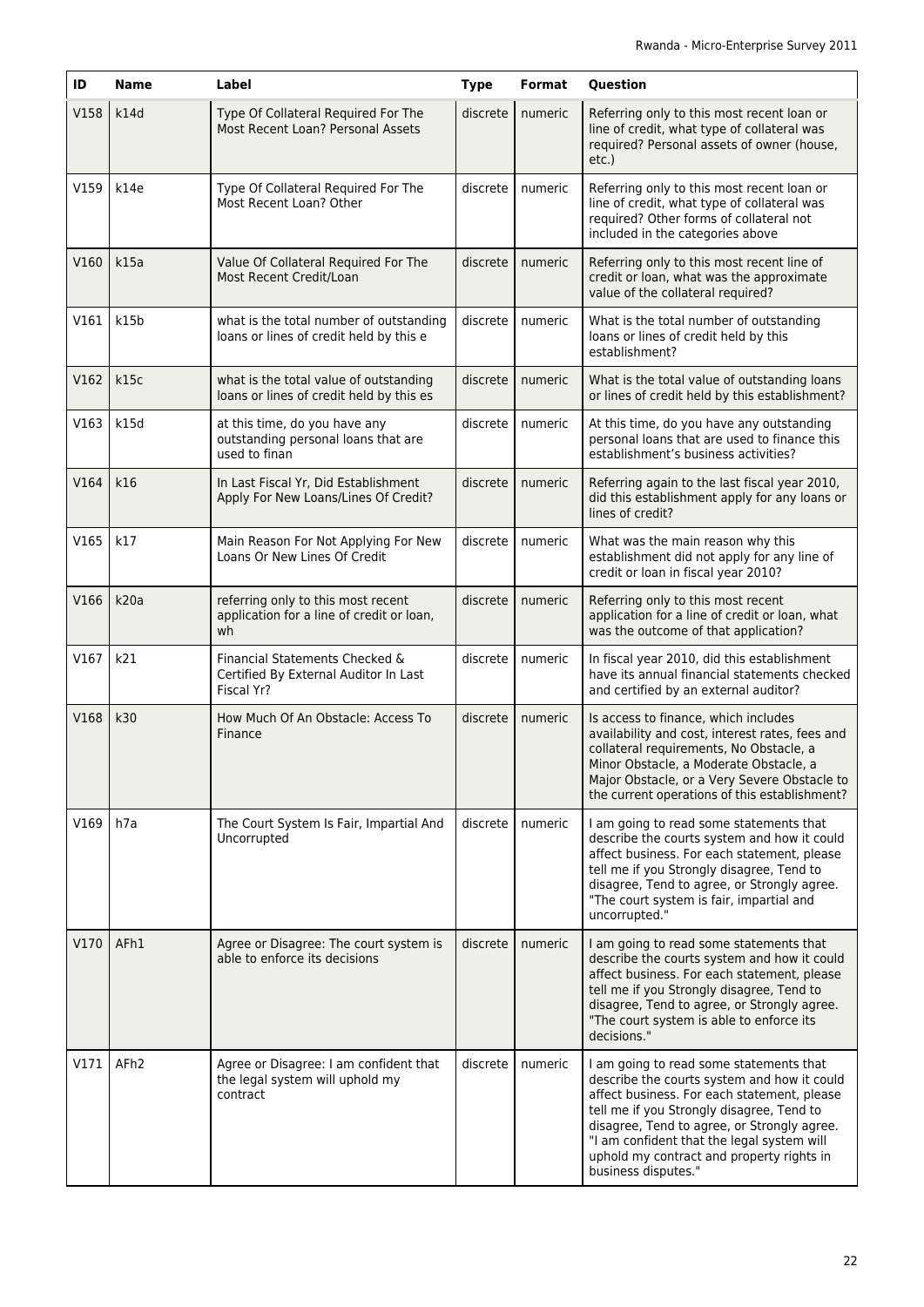| ID   | <b>Name</b>      | Label                                                                                 | <b>Type</b> | Format  | Question                                                                                                                                                                                                                                                                                                                                            |
|------|------------------|---------------------------------------------------------------------------------------|-------------|---------|-----------------------------------------------------------------------------------------------------------------------------------------------------------------------------------------------------------------------------------------------------------------------------------------------------------------------------------------------------|
| V158 | k14d             | Type Of Collateral Required For The<br>Most Recent Loan? Personal Assets              | discrete    | numeric | Referring only to this most recent loan or<br>line of credit, what type of collateral was<br>required? Personal assets of owner (house,<br>$etc.$ )                                                                                                                                                                                                 |
| V159 | k14e             | Type Of Collateral Required For The<br>Most Recent Loan? Other                        | discrete    | numeric | Referring only to this most recent loan or<br>line of credit, what type of collateral was<br>required? Other forms of collateral not<br>included in the categories above                                                                                                                                                                            |
| V160 | k15a             | Value Of Collateral Required For The<br>Most Recent Credit/Loan                       | discrete    | numeric | Referring only to this most recent line of<br>credit or loan, what was the approximate<br>value of the collateral required?                                                                                                                                                                                                                         |
| V161 | k15b             | what is the total number of outstanding<br>loans or lines of credit held by this e    | discrete    | numeric | What is the total number of outstanding<br>loans or lines of credit held by this<br>establishment?                                                                                                                                                                                                                                                  |
| V162 | k15c             | what is the total value of outstanding<br>loans or lines of credit held by this es    | discrete    | numeric | What is the total value of outstanding loans<br>or lines of credit held by this establishment?                                                                                                                                                                                                                                                      |
| V163 | k15d             | at this time, do you have any<br>outstanding personal loans that are<br>used to finan | discrete    | numeric | At this time, do you have any outstanding<br>personal loans that are used to finance this<br>establishment's business activities?                                                                                                                                                                                                                   |
| V164 | k16              | In Last Fiscal Yr, Did Establishment<br>Apply For New Loans/Lines Of Credit?          | discrete    | numeric | Referring again to the last fiscal year 2010,<br>did this establishment apply for any loans or<br>lines of credit?                                                                                                                                                                                                                                  |
| V165 | k17              | Main Reason For Not Applying For New<br>Loans Or New Lines Of Credit                  | discrete    | numeric | What was the main reason why this<br>establishment did not apply for any line of<br>credit or loan in fiscal year 2010?                                                                                                                                                                                                                             |
| V166 | k20a             | referring only to this most recent<br>application for a line of credit or loan,<br>wh | discrete    | numeric | Referring only to this most recent<br>application for a line of credit or loan, what<br>was the outcome of that application?                                                                                                                                                                                                                        |
| V167 | k21              | Financial Statements Checked &<br>Certified By External Auditor In Last<br>Fiscal Yr? | discrete    | numeric | In fiscal year 2010, did this establishment<br>have its annual financial statements checked<br>and certified by an external auditor?                                                                                                                                                                                                                |
| V168 | k30              | How Much Of An Obstacle: Access To<br>Finance                                         | discrete    | numeric | Is access to finance, which includes<br>availability and cost, interest rates, fees and<br>collateral requirements, No Obstacle, a<br>Minor Obstacle, a Moderate Obstacle, a<br>Major Obstacle, or a Very Severe Obstacle to<br>the current operations of this establishment?                                                                       |
| V169 | h7a              | The Court System Is Fair, Impartial And<br>Uncorrupted                                | discrete    | numeric | I am going to read some statements that<br>describe the courts system and how it could<br>affect business. For each statement, please<br>tell me if you Strongly disagree, Tend to<br>disagree, Tend to agree, or Strongly agree.<br>"The court system is fair, impartial and<br>uncorrupted."                                                      |
| V170 | AFh1             | Agree or Disagree: The court system is<br>able to enforce its decisions               | discrete    | numeric | I am going to read some statements that<br>describe the courts system and how it could<br>affect business. For each statement, please<br>tell me if you Strongly disagree, Tend to<br>disagree, Tend to agree, or Strongly agree.<br>"The court system is able to enforce its<br>decisions."                                                        |
| V171 | AFh <sub>2</sub> | Agree or Disagree: I am confident that<br>the legal system will uphold my<br>contract | discrete    | numeric | I am going to read some statements that<br>describe the courts system and how it could<br>affect business. For each statement, please<br>tell me if you Strongly disagree, Tend to<br>disagree, Tend to agree, or Strongly agree.<br>"I am confident that the legal system will<br>uphold my contract and property rights in<br>business disputes." |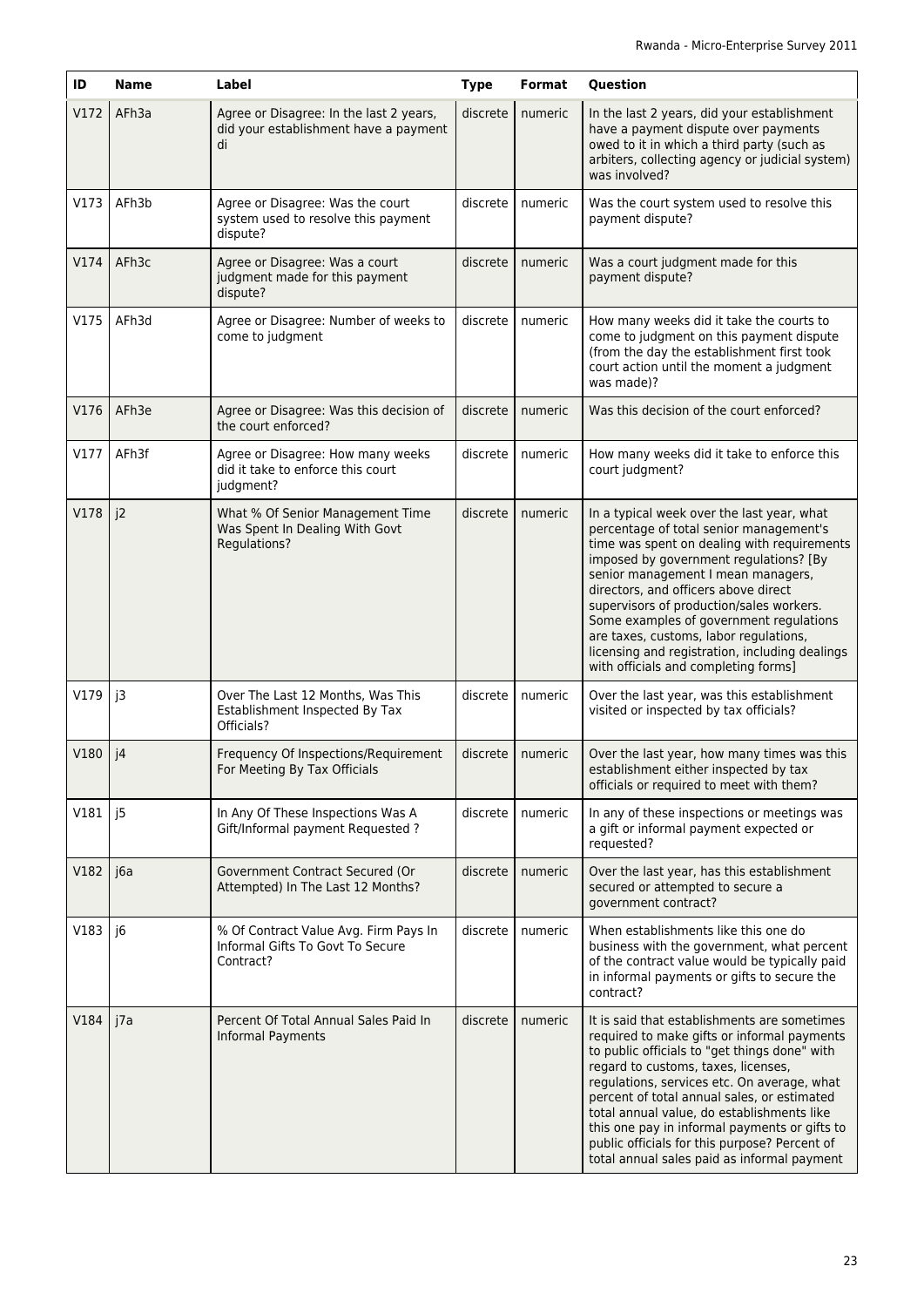| ID   | <b>Name</b> | Label                                                                                  | <b>Type</b> | Format             | Question                                                                                                                                                                                                                                                                                                                                                                                                                                                                                |
|------|-------------|----------------------------------------------------------------------------------------|-------------|--------------------|-----------------------------------------------------------------------------------------------------------------------------------------------------------------------------------------------------------------------------------------------------------------------------------------------------------------------------------------------------------------------------------------------------------------------------------------------------------------------------------------|
| V172 | AFh3a       | Agree or Disagree: In the last 2 years,<br>did your establishment have a payment<br>di | discrete    | numeric            | In the last 2 years, did your establishment<br>have a payment dispute over payments<br>owed to it in which a third party (such as<br>arbiters, collecting agency or judicial system)<br>was involved?                                                                                                                                                                                                                                                                                   |
| V173 | AFh3b       | Agree or Disagree: Was the court<br>system used to resolve this payment<br>dispute?    | discrete    | numeric            | Was the court system used to resolve this<br>payment dispute?                                                                                                                                                                                                                                                                                                                                                                                                                           |
| V174 | AFh3c       | Agree or Disagree: Was a court<br>judgment made for this payment<br>dispute?           | discrete    | numeric            | Was a court judgment made for this<br>payment dispute?                                                                                                                                                                                                                                                                                                                                                                                                                                  |
| V175 | AFh3d       | Agree or Disagree: Number of weeks to<br>come to judgment                              | discrete    | numeric            | How many weeks did it take the courts to<br>come to judgment on this payment dispute<br>(from the day the establishment first took<br>court action until the moment a judgment<br>was made)?                                                                                                                                                                                                                                                                                            |
| V176 | AFh3e       | Agree or Disagree: Was this decision of<br>the court enforced?                         | discrete    | numeric            | Was this decision of the court enforced?                                                                                                                                                                                                                                                                                                                                                                                                                                                |
| V177 | AFh3f       | Agree or Disagree: How many weeks<br>did it take to enforce this court<br>judgment?    | discrete    | numeric            | How many weeks did it take to enforce this<br>court judgment?                                                                                                                                                                                                                                                                                                                                                                                                                           |
| V178 | j2          | What % Of Senior Management Time<br>Was Spent In Dealing With Govt<br>Regulations?     | discrete    | numeric            | In a typical week over the last year, what<br>percentage of total senior management's<br>time was spent on dealing with requirements<br>imposed by government regulations? [By<br>senior management I mean managers,<br>directors, and officers above direct<br>supervisors of production/sales workers.<br>Some examples of government regulations<br>are taxes, customs, labor regulations,<br>licensing and registration, including dealings<br>with officials and completing forms] |
| V179 | j3          | Over The Last 12 Months, Was This<br>Establishment Inspected By Tax<br>Officials?      | discrete    | numeric            | Over the last year, was this establishment<br>visited or inspected by tax officials?                                                                                                                                                                                                                                                                                                                                                                                                    |
| V180 | j4          | Frequency Of Inspections/Requirement<br>For Meeting By Tax Officials                   |             | discrete   numeric | Over the last year, how many times was this<br>establishment either inspected by tax<br>officials or required to meet with them?                                                                                                                                                                                                                                                                                                                                                        |
| V181 | j5          | In Any Of These Inspections Was A<br>Gift/Informal payment Requested ?                 | discrete    | numeric            | In any of these inspections or meetings was<br>a gift or informal payment expected or<br>requested?                                                                                                                                                                                                                                                                                                                                                                                     |
| V182 | j6a         | Government Contract Secured (Or<br>Attempted) In The Last 12 Months?                   | discrete    | numeric            | Over the last year, has this establishment<br>secured or attempted to secure a<br>government contract?                                                                                                                                                                                                                                                                                                                                                                                  |
| V183 | j6          | % Of Contract Value Avg. Firm Pays In<br>Informal Gifts To Govt To Secure<br>Contract? | discrete    | numeric            | When establishments like this one do<br>business with the government, what percent<br>of the contract value would be typically paid<br>in informal payments or gifts to secure the<br>contract?                                                                                                                                                                                                                                                                                         |
| V184 | j7a         | Percent Of Total Annual Sales Paid In<br>Informal Payments                             | discrete    | numeric            | It is said that establishments are sometimes<br>required to make gifts or informal payments<br>to public officials to "get things done" with<br>regard to customs, taxes, licenses,<br>regulations, services etc. On average, what<br>percent of total annual sales, or estimated<br>total annual value, do establishments like<br>this one pay in informal payments or gifts to<br>public officials for this purpose? Percent of<br>total annual sales paid as informal payment        |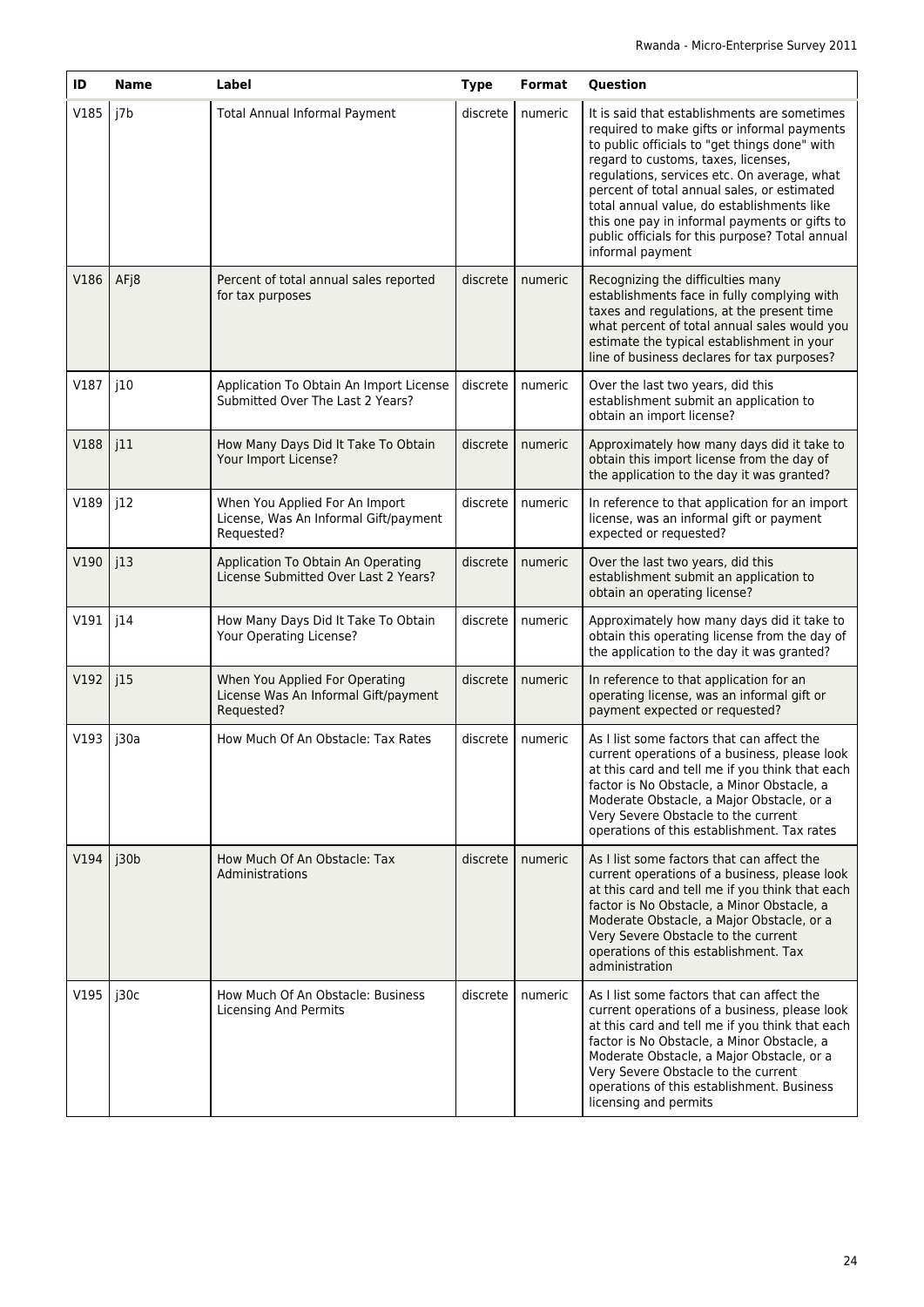| ID   | <b>Name</b> | Label                                                                                 | <b>Type</b> | Format  | <b>Question</b>                                                                                                                                                                                                                                                                                                                                                                                                                                         |
|------|-------------|---------------------------------------------------------------------------------------|-------------|---------|---------------------------------------------------------------------------------------------------------------------------------------------------------------------------------------------------------------------------------------------------------------------------------------------------------------------------------------------------------------------------------------------------------------------------------------------------------|
| V185 | j7b         | Total Annual Informal Payment                                                         | discrete    | numeric | It is said that establishments are sometimes<br>required to make gifts or informal payments<br>to public officials to "get things done" with<br>regard to customs, taxes, licenses,<br>regulations, services etc. On average, what<br>percent of total annual sales, or estimated<br>total annual value, do establishments like<br>this one pay in informal payments or gifts to<br>public officials for this purpose? Total annual<br>informal payment |
| V186 | AFj8        | Percent of total annual sales reported<br>for tax purposes                            | discrete    | numeric | Recognizing the difficulties many<br>establishments face in fully complying with<br>taxes and regulations, at the present time<br>what percent of total annual sales would you<br>estimate the typical establishment in your<br>line of business declares for tax purposes?                                                                                                                                                                             |
| V187 | j10         | Application To Obtain An Import License<br>Submitted Over The Last 2 Years?           | discrete    | numeric | Over the last two years, did this<br>establishment submit an application to<br>obtain an import license?                                                                                                                                                                                                                                                                                                                                                |
| V188 | j11         | How Many Days Did It Take To Obtain<br>Your Import License?                           | discrete    | numeric | Approximately how many days did it take to<br>obtain this import license from the day of<br>the application to the day it was granted?                                                                                                                                                                                                                                                                                                                  |
| V189 | j12         | When You Applied For An Import<br>License, Was An Informal Gift/payment<br>Requested? | discrete    | numeric | In reference to that application for an import<br>license, was an informal gift or payment<br>expected or requested?                                                                                                                                                                                                                                                                                                                                    |
| V190 | j13         | Application To Obtain An Operating<br>License Submitted Over Last 2 Years?            | discrete    | numeric | Over the last two years, did this<br>establishment submit an application to<br>obtain an operating license?                                                                                                                                                                                                                                                                                                                                             |
| V191 | j14         | How Many Days Did It Take To Obtain<br>Your Operating License?                        | discrete    | numeric | Approximately how many days did it take to<br>obtain this operating license from the day of<br>the application to the day it was granted?                                                                                                                                                                                                                                                                                                               |
| V192 | j15         | When You Applied For Operating<br>License Was An Informal Gift/payment<br>Requested?  | discrete    | numeric | In reference to that application for an<br>operating license, was an informal gift or<br>payment expected or requested?                                                                                                                                                                                                                                                                                                                                 |
| V193 | j30a        | How Much Of An Obstacle: Tax Rates                                                    | discrete    | numeric | As I list some factors that can affect the<br>current operations of a business, please look<br>at this card and tell me if you think that each<br>factor is No Obstacle, a Minor Obstacle, a<br>Moderate Obstacle, a Major Obstacle, or a<br>Very Severe Obstacle to the current<br>operations of this establishment. Tax rates                                                                                                                         |
| V194 | j30b        | How Much Of An Obstacle: Tax<br>Administrations                                       | discrete    | numeric | As I list some factors that can affect the<br>current operations of a business, please look<br>at this card and tell me if you think that each<br>factor is No Obstacle, a Minor Obstacle, a<br>Moderate Obstacle, a Major Obstacle, or a<br>Very Severe Obstacle to the current<br>operations of this establishment. Tax<br>administration                                                                                                             |
| V195 | j30c        | How Much Of An Obstacle: Business<br>Licensing And Permits                            | discrete    | numeric | As I list some factors that can affect the<br>current operations of a business, please look<br>at this card and tell me if you think that each<br>factor is No Obstacle, a Minor Obstacle, a<br>Moderate Obstacle, a Major Obstacle, or a<br>Very Severe Obstacle to the current<br>operations of this establishment. Business<br>licensing and permits                                                                                                 |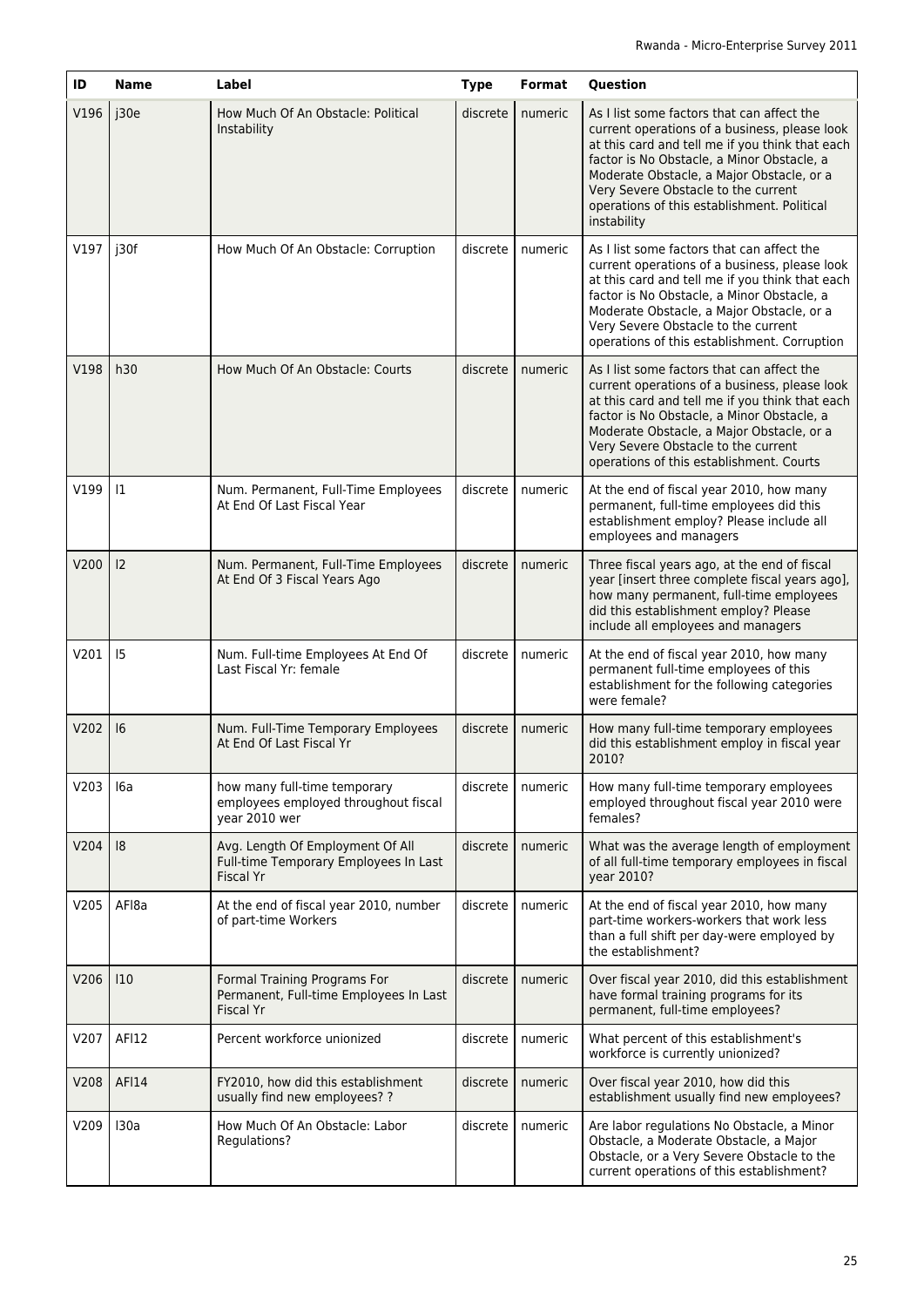| ID   | <b>Name</b> | Label                                                                                         | <b>Type</b> | Format  | Question                                                                                                                                                                                                                                                                                                                                       |
|------|-------------|-----------------------------------------------------------------------------------------------|-------------|---------|------------------------------------------------------------------------------------------------------------------------------------------------------------------------------------------------------------------------------------------------------------------------------------------------------------------------------------------------|
| V196 | j30e        | How Much Of An Obstacle: Political<br>Instability                                             | discrete    | numeric | As I list some factors that can affect the<br>current operations of a business, please look<br>at this card and tell me if you think that each<br>factor is No Obstacle, a Minor Obstacle, a<br>Moderate Obstacle, a Major Obstacle, or a<br>Very Severe Obstacle to the current<br>operations of this establishment. Political<br>instability |
| V197 | j30f        | How Much Of An Obstacle: Corruption                                                           | discrete    | numeric | As I list some factors that can affect the<br>current operations of a business, please look<br>at this card and tell me if you think that each<br>factor is No Obstacle, a Minor Obstacle, a<br>Moderate Obstacle, a Major Obstacle, or a<br>Very Severe Obstacle to the current<br>operations of this establishment. Corruption               |
| V198 | h30         | How Much Of An Obstacle: Courts                                                               | discrete    | numeric | As I list some factors that can affect the<br>current operations of a business, please look<br>at this card and tell me if you think that each<br>factor is No Obstacle, a Minor Obstacle, a<br>Moderate Obstacle, a Major Obstacle, or a<br>Very Severe Obstacle to the current<br>operations of this establishment. Courts                   |
| V199 | $ 1\rangle$ | Num. Permanent, Full-Time Employees<br>At End Of Last Fiscal Year                             | discrete    | numeric | At the end of fiscal year 2010, how many<br>permanent, full-time employees did this<br>establishment employ? Please include all<br>employees and managers                                                                                                                                                                                      |
| V200 | 12          | Num. Permanent, Full-Time Employees<br>At End Of 3 Fiscal Years Ago                           | discrete    | numeric | Three fiscal years ago, at the end of fiscal<br>year [insert three complete fiscal years ago],<br>how many permanent, full-time employees<br>did this establishment employ? Please<br>include all employees and managers                                                                                                                       |
| V201 | 15          | Num. Full-time Employees At End Of<br>Last Fiscal Yr: female                                  | discrete    | numeric | At the end of fiscal year 2010, how many<br>permanent full-time employees of this<br>establishment for the following categories<br>were female?                                                                                                                                                                                                |
| V202 | 6           | Num. Full-Time Temporary Employees<br>At End Of Last Fiscal Yr                                | discrete    | numeric | How many full-time temporary employees<br>did this establishment employ in fiscal year<br>2010?                                                                                                                                                                                                                                                |
| V203 | 16a         | how many full-time temporary<br>employees employed throughout fiscal<br>year 2010 wer         | discrete    | numeric | How many full-time temporary employees<br>employed throughout fiscal year 2010 were<br>females?                                                                                                                                                                                                                                                |
| V204 | 8           | Avg. Length Of Employment Of All<br>Full-time Temporary Employees In Last<br><b>Fiscal Yr</b> | discrete    | numeric | What was the average length of employment<br>of all full-time temporary employees in fiscal<br>year 2010?                                                                                                                                                                                                                                      |
| V205 | AFI8a       | At the end of fiscal year 2010, number<br>of part-time Workers                                | discrete    | numeric | At the end of fiscal year 2010, how many<br>part-time workers-workers that work less<br>than a full shift per day-were employed by<br>the establishment?                                                                                                                                                                                       |
| V206 | 10          | Formal Training Programs For<br>Permanent, Full-time Employees In Last<br><b>Fiscal Yr</b>    | discrete    | numeric | Over fiscal year 2010, did this establishment<br>have formal training programs for its<br>permanent, full-time employees?                                                                                                                                                                                                                      |
| V207 | AF112       | Percent workforce unionized                                                                   | discrete    | numeric | What percent of this establishment's<br>workforce is currently unionized?                                                                                                                                                                                                                                                                      |
| V208 | AF114       | FY2010, how did this establishment<br>usually find new employees? ?                           | discrete    | numeric | Over fiscal year 2010, how did this<br>establishment usually find new employees?                                                                                                                                                                                                                                                               |
| V209 | 130a        | How Much Of An Obstacle: Labor<br>Regulations?                                                | discrete    | numeric | Are labor regulations No Obstacle, a Minor<br>Obstacle, a Moderate Obstacle, a Major<br>Obstacle, or a Very Severe Obstacle to the<br>current operations of this establishment?                                                                                                                                                                |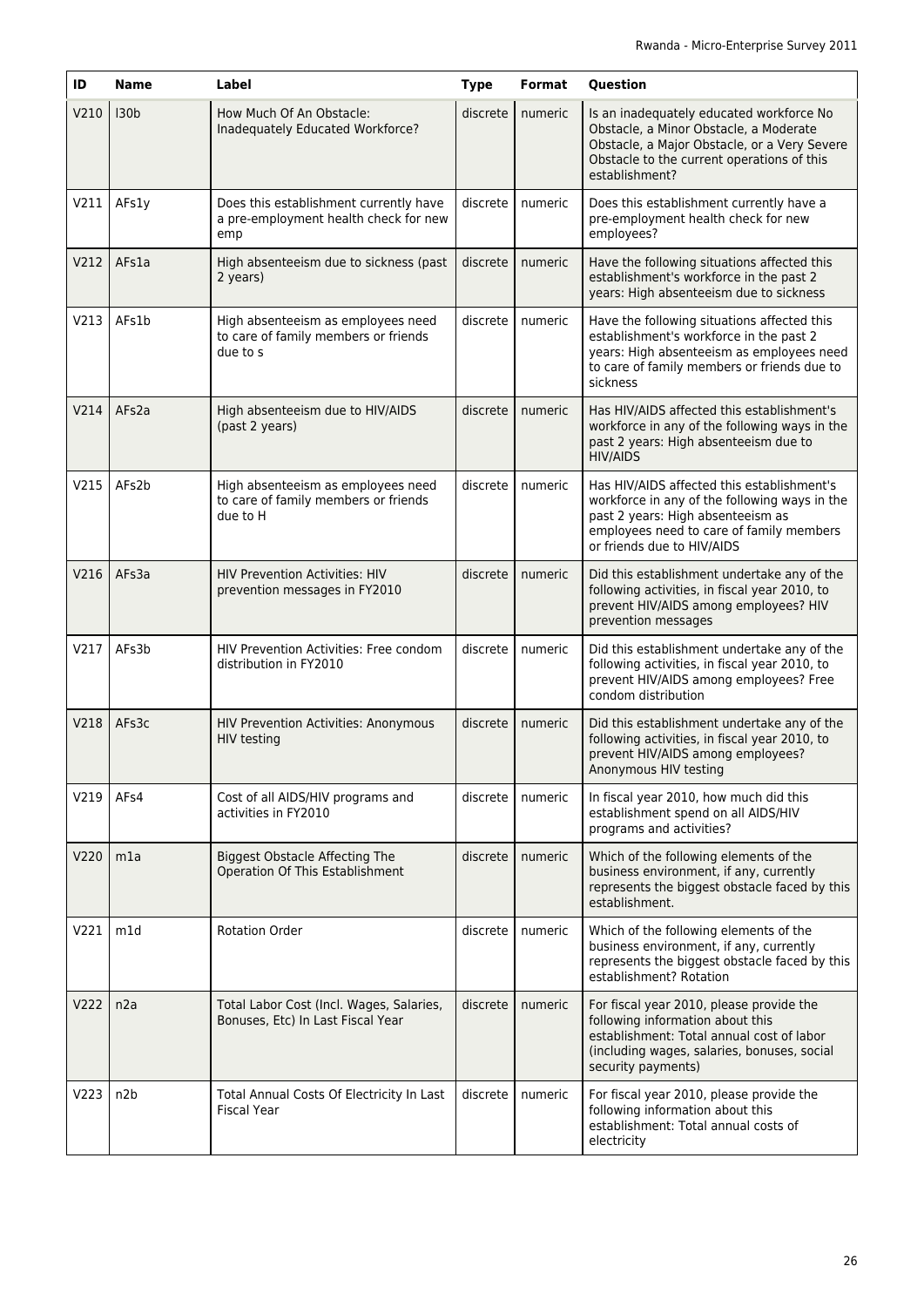| ID   | <b>Name</b>      | Label                                                                                  | <b>Type</b> | <b>Format</b> | Question                                                                                                                                                                                                   |
|------|------------------|----------------------------------------------------------------------------------------|-------------|---------------|------------------------------------------------------------------------------------------------------------------------------------------------------------------------------------------------------------|
| V210 | 130 <sub>b</sub> | How Much Of An Obstacle:<br>Inadequately Educated Workforce?                           | discrete    | numeric       | Is an inadequately educated workforce No<br>Obstacle, a Minor Obstacle, a Moderate<br>Obstacle, a Major Obstacle, or a Very Severe<br>Obstacle to the current operations of this<br>establishment?         |
| V211 | AFs1y            | Does this establishment currently have<br>a pre-employment health check for new<br>emp | discrete    | numeric       | Does this establishment currently have a<br>pre-employment health check for new<br>employees?                                                                                                              |
| V212 | AFs1a            | High absenteeism due to sickness (past<br>2 years)                                     | discrete    | numeric       | Have the following situations affected this<br>establishment's workforce in the past 2<br>years: High absenteeism due to sickness                                                                          |
| V213 | AFs1b            | High absenteeism as employees need<br>to care of family members or friends<br>due to s | discrete    | numeric       | Have the following situations affected this<br>establishment's workforce in the past 2<br>years: High absenteeism as employees need<br>to care of family members or friends due to<br>sickness             |
| V214 | AFs2a            | High absenteeism due to HIV/AIDS<br>(past 2 years)                                     | discrete    | numeric       | Has HIV/AIDS affected this establishment's<br>workforce in any of the following ways in the<br>past 2 years: High absenteeism due to<br><b>HIV/AIDS</b>                                                    |
| V215 | AFs2b            | High absenteeism as employees need<br>to care of family members or friends<br>due to H | discrete    | numeric       | Has HIV/AIDS affected this establishment's<br>workforce in any of the following ways in the<br>past 2 years: High absenteeism as<br>employees need to care of family members<br>or friends due to HIV/AIDS |
| V216 | AFs3a            | <b>HIV Prevention Activities: HIV</b><br>prevention messages in FY2010                 | discrete    | numeric       | Did this establishment undertake any of the<br>following activities, in fiscal year 2010, to<br>prevent HIV/AIDS among employees? HIV<br>prevention messages                                               |
| V217 | AFs3b            | HIV Prevention Activities: Free condom<br>distribution in FY2010                       | discrete    | numeric       | Did this establishment undertake any of the<br>following activities, in fiscal year 2010, to<br>prevent HIV/AIDS among employees? Free<br>condom distribution                                              |
| V218 | AFs3c            | <b>HIV Prevention Activities: Anonymous</b><br>HIV testing                             | discrete    | numeric       | Did this establishment undertake any of the<br>following activities, in fiscal year 2010, to<br>prevent HIV/AIDS among employees?<br>Anonymous HIV testing                                                 |
| V219 | AF <sub>s4</sub> | Cost of all AIDS/HIV programs and<br>activities in FY2010                              | discrete    | numeric       | In fiscal year 2010, how much did this<br>establishment spend on all AIDS/HIV<br>programs and activities?                                                                                                  |
| V220 | m1a              | <b>Biggest Obstacle Affecting The</b><br>Operation Of This Establishment               | discrete    | numeric       | Which of the following elements of the<br>business environment, if any, currently<br>represents the biggest obstacle faced by this<br>establishment.                                                       |
| V221 | m1d              | <b>Rotation Order</b>                                                                  | discrete    | numeric       | Which of the following elements of the<br>business environment, if any, currently<br>represents the biggest obstacle faced by this<br>establishment? Rotation                                              |
| V222 | n2a              | Total Labor Cost (Incl. Wages, Salaries,<br>Bonuses, Etc) In Last Fiscal Year          | discrete    | numeric       | For fiscal year 2010, please provide the<br>following information about this<br>establishment: Total annual cost of labor<br>(including wages, salaries, bonuses, social<br>security payments)             |
| V223 | n <sub>2</sub> b | Total Annual Costs Of Electricity In Last<br><b>Fiscal Year</b>                        | discrete    | numeric       | For fiscal year 2010, please provide the<br>following information about this<br>establishment: Total annual costs of<br>electricity                                                                        |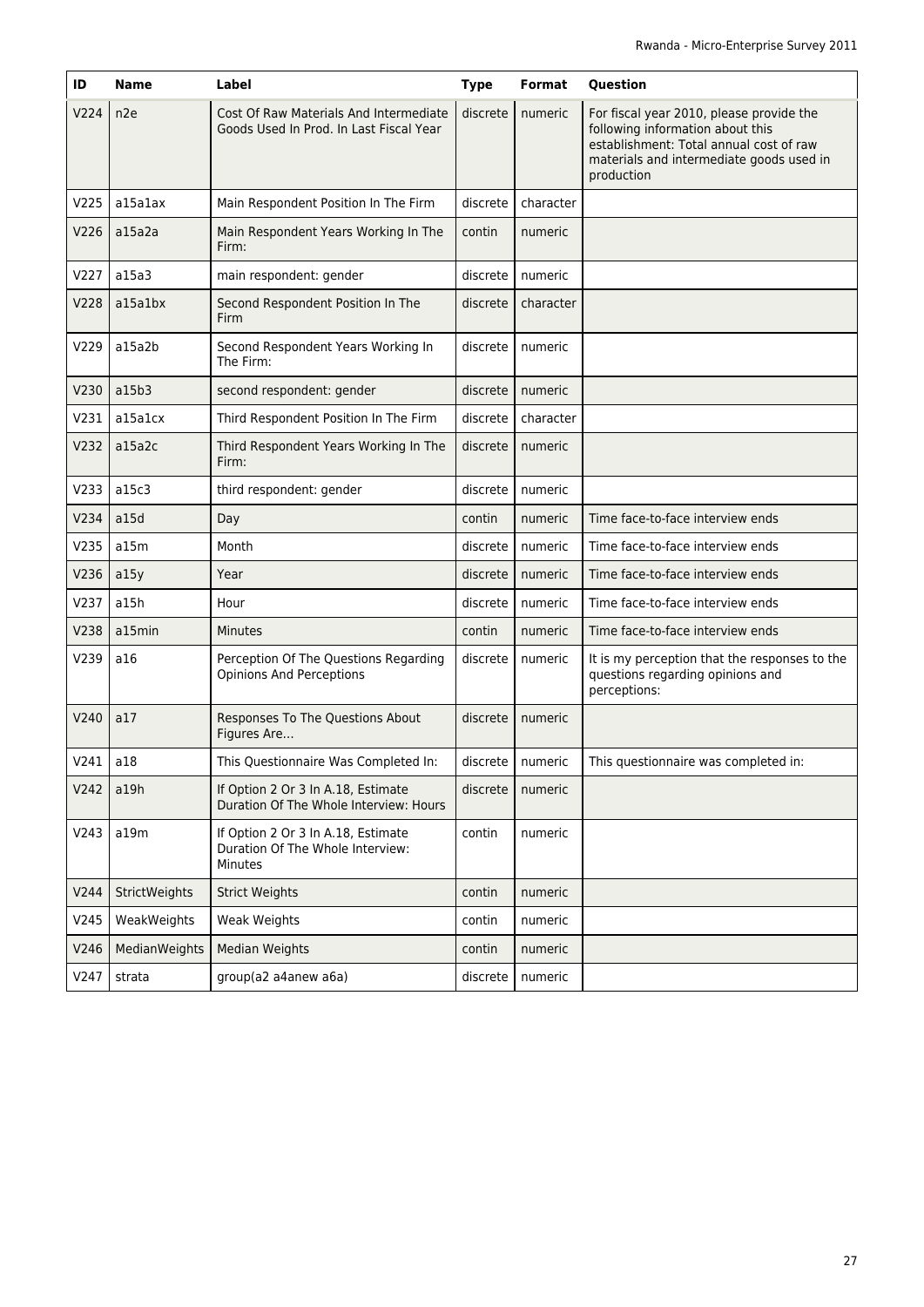| ID   | <b>Name</b>     | Label                                                                             | <b>Type</b> | Format             | Question                                                                                                                                                                          |
|------|-----------------|-----------------------------------------------------------------------------------|-------------|--------------------|-----------------------------------------------------------------------------------------------------------------------------------------------------------------------------------|
| V224 | n <sub>2e</sub> | Cost Of Raw Materials And Intermediate<br>Goods Used In Prod. In Last Fiscal Year | discrete    | numeric            | For fiscal year 2010, please provide the<br>following information about this<br>establishment: Total annual cost of raw<br>materials and intermediate goods used in<br>production |
| V225 | al5alax         | Main Respondent Position In The Firm                                              | discrete    | character          |                                                                                                                                                                                   |
| V226 | a15a2a          | Main Respondent Years Working In The<br>Firm:                                     | contin      | numeric            |                                                                                                                                                                                   |
| V227 | a15a3           | main respondent: gender                                                           | discrete    | numeric            |                                                                                                                                                                                   |
| V228 | a15a1bx         | Second Respondent Position In The<br>Firm                                         | discrete    | character          |                                                                                                                                                                                   |
| V229 | a15a2b          | Second Respondent Years Working In<br>The Firm:                                   | discrete    | numeric            |                                                                                                                                                                                   |
| V230 | a15b3           | second respondent: gender                                                         | discrete    | numeric            |                                                                                                                                                                                   |
| V231 | a15a1cx         | Third Respondent Position In The Firm                                             | discrete    | character          |                                                                                                                                                                                   |
| V232 | a15a2c          | Third Respondent Years Working In The<br>Firm:                                    | discrete    | numeric            |                                                                                                                                                                                   |
| V233 | a15c3           | third respondent: gender                                                          | discrete    | numeric            |                                                                                                                                                                                   |
| V234 | a15d            | Day                                                                               | contin      | numeric            | Time face-to-face interview ends                                                                                                                                                  |
| V235 | a15m            | Month                                                                             | discrete    | numeric            | Time face-to-face interview ends                                                                                                                                                  |
| V236 | a15y            | Year                                                                              | discrete    | numeric            | Time face-to-face interview ends                                                                                                                                                  |
| V237 | a15h            | Hour                                                                              | discrete    | numeric            | Time face-to-face interview ends                                                                                                                                                  |
| V238 | a15min          | <b>Minutes</b>                                                                    | contin      | numeric            | Time face-to-face interview ends                                                                                                                                                  |
| V239 | a16             | Perception Of The Questions Regarding<br><b>Opinions And Perceptions</b>          | discrete    | numeric            | It is my perception that the responses to the<br>questions regarding opinions and<br>perceptions:                                                                                 |
| V240 | a17             | Responses To The Questions About<br>Figures Are                                   | discrete    | numeric            |                                                                                                                                                                                   |
| V241 | a18             | This Questionnaire Was Completed In:                                              |             | discrete   numeric | This questionnaire was completed in:                                                                                                                                              |
| V242 | a19h            | If Option 2 Or 3 In A.18, Estimate<br>Duration Of The Whole Interview: Hours      | discrete    | numeric            |                                                                                                                                                                                   |
| V243 | a19m            | If Option 2 Or 3 In A.18, Estimate<br>Duration Of The Whole Interview:<br>Minutes | contin      | numeric            |                                                                                                                                                                                   |
| V244 | StrictWeights   | <b>Strict Weights</b>                                                             | contin      | numeric            |                                                                                                                                                                                   |
| V245 | WeakWeights     | Weak Weights                                                                      | contin      | numeric            |                                                                                                                                                                                   |
| V246 | MedianWeights   | <b>Median Weights</b>                                                             | contin      | numeric            |                                                                                                                                                                                   |
| V247 | strata          | group(a2 a4anew a6a)                                                              | discrete    | numeric            |                                                                                                                                                                                   |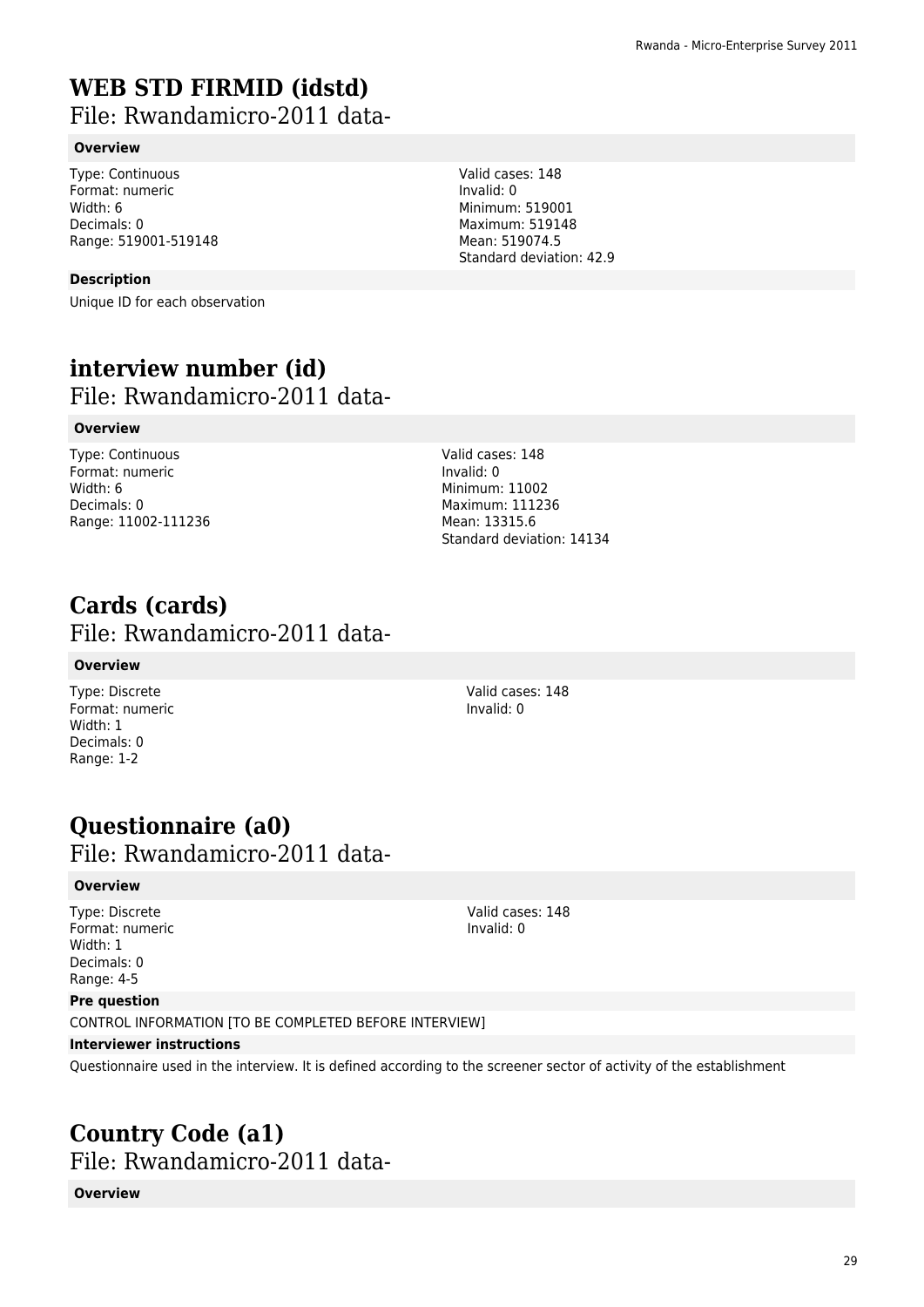## **WEB STD FIRMID (idstd)**

File: Rwandamicro-2011 data-

#### **Overview**

Type: Continuous Format: numeric Width: 6 Decimals: 0 Range: 519001-519148

#### **Description**

Unique ID for each observation

### **interview number (id)**  File: Rwandamicro-2011 data-

#### **Overview**

Type: Continuous Format: numeric Width: 6 Decimals: 0 Range: 11002-111236

Valid cases: 148 Invalid: 0 Minimum: 11002 Maximum: 111236 Mean: 13315.6 Standard deviation: 14134

### **Cards (cards)**  File: Rwandamicro-2011 data-

#### **Overview**

Type: Discrete Format: numeric Width: 1 Decimals: 0 Range: 1-2

Valid cases: 148 Invalid: 0

## **Questionnaire (a0)**

## File: Rwandamicro-2011 data-

#### **Overview**

Type: Discrete Format: numeric Width: 1 Decimals: 0 Range: 4-5

Valid cases: 148 Invalid: 0

#### **Pre question**

CONTROL INFORMATION [TO BE COMPLETED BEFORE INTERVIEW]

#### **Interviewer instructions**

Questionnaire used in the interview. It is defined according to the screener sector of activity of the establishment

### **Country Code (a1)**  File: Rwandamicro-2011 data-

**Overview**

Valid cases: 148 Invalid: 0 Minimum: 519001 Maximum: 519148 Mean: 519074.5 Standard deviation: 42.9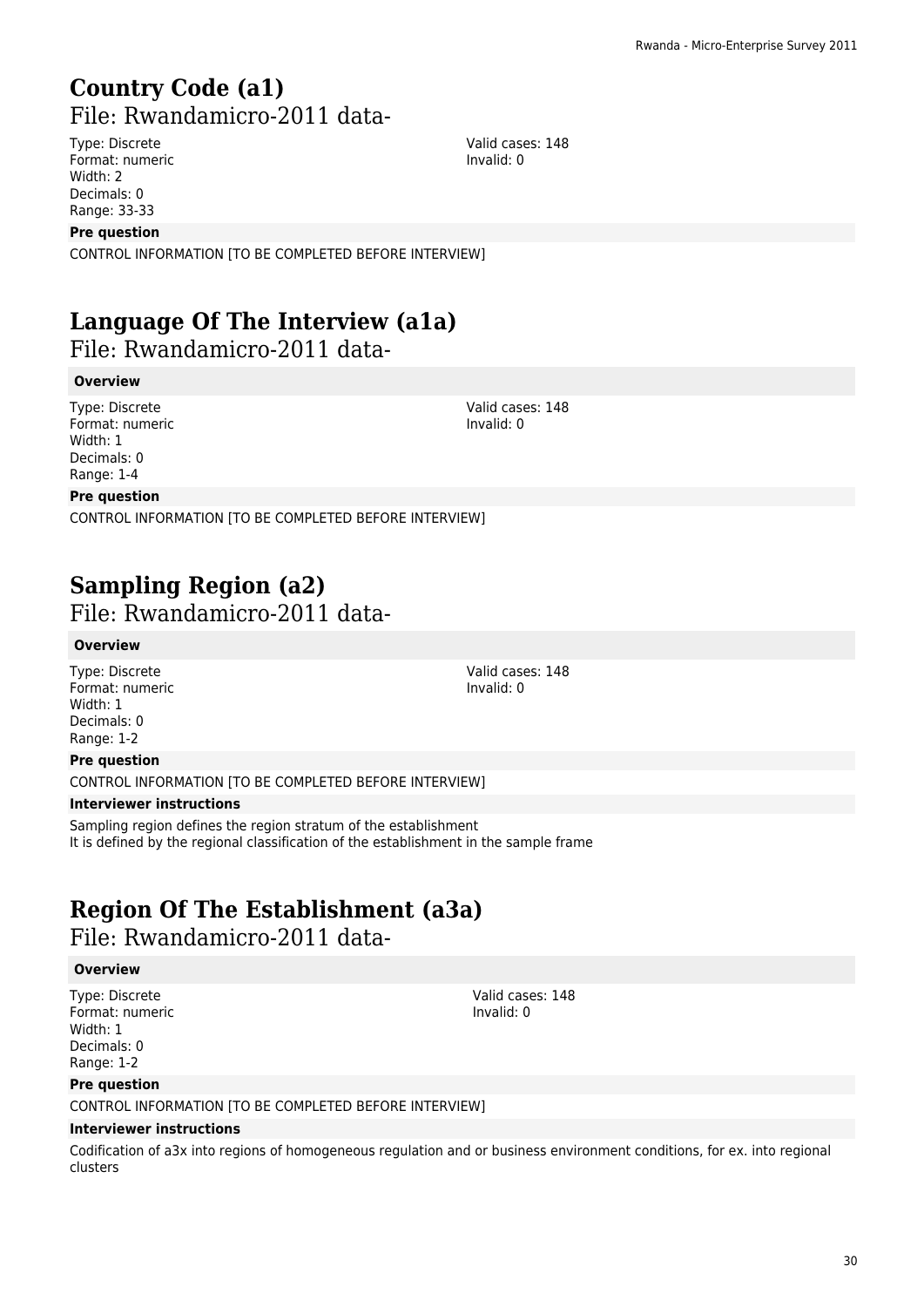## **Country Code (a1)**  File: Rwandamicro-2011 data-

Type: Discrete Format: numeric Width: 2 Decimals: 0 Range: 33-33

#### **Pre question**

CONTROL INFORMATION [TO BE COMPLETED BEFORE INTERVIEW]

## **Language Of The Interview (a1a)**

File: Rwandamicro-2011 data-

#### **Overview**

Type: Discrete Format: numeric Width: 1 Decimals: 0 Range: 1-4

Valid cases: 148 Invalid: 0

#### **Pre question**

CONTROL INFORMATION [TO BE COMPLETED BEFORE INTERVIEW]

## **Sampling Region (a2)**

File: Rwandamicro-2011 data-

#### **Overview**

Type: Discrete Format: numeric Width: 1 Decimals: 0 Range: 1-2

#### **Pre question**

CONTROL INFORMATION [TO BE COMPLETED BEFORE INTERVIEW]

#### **Interviewer instructions**

Sampling region defines the region stratum of the establishment It is defined by the regional classification of the establishment in the sample frame

## **Region Of The Establishment (a3a)**

File: Rwandamicro-2011 data-

#### **Overview**

Type: Discrete Format: numeric Width: 1 Decimals: 0 Range: 1-2

#### **Pre question**

CONTROL INFORMATION [TO BE COMPLETED BEFORE INTERVIEW]

#### **Interviewer instructions**

Codification of a3x into regions of homogeneous regulation and or business environment conditions, for ex. into regional clusters

Valid cases: 148 Invalid: 0

Valid cases: 148 Invalid: 0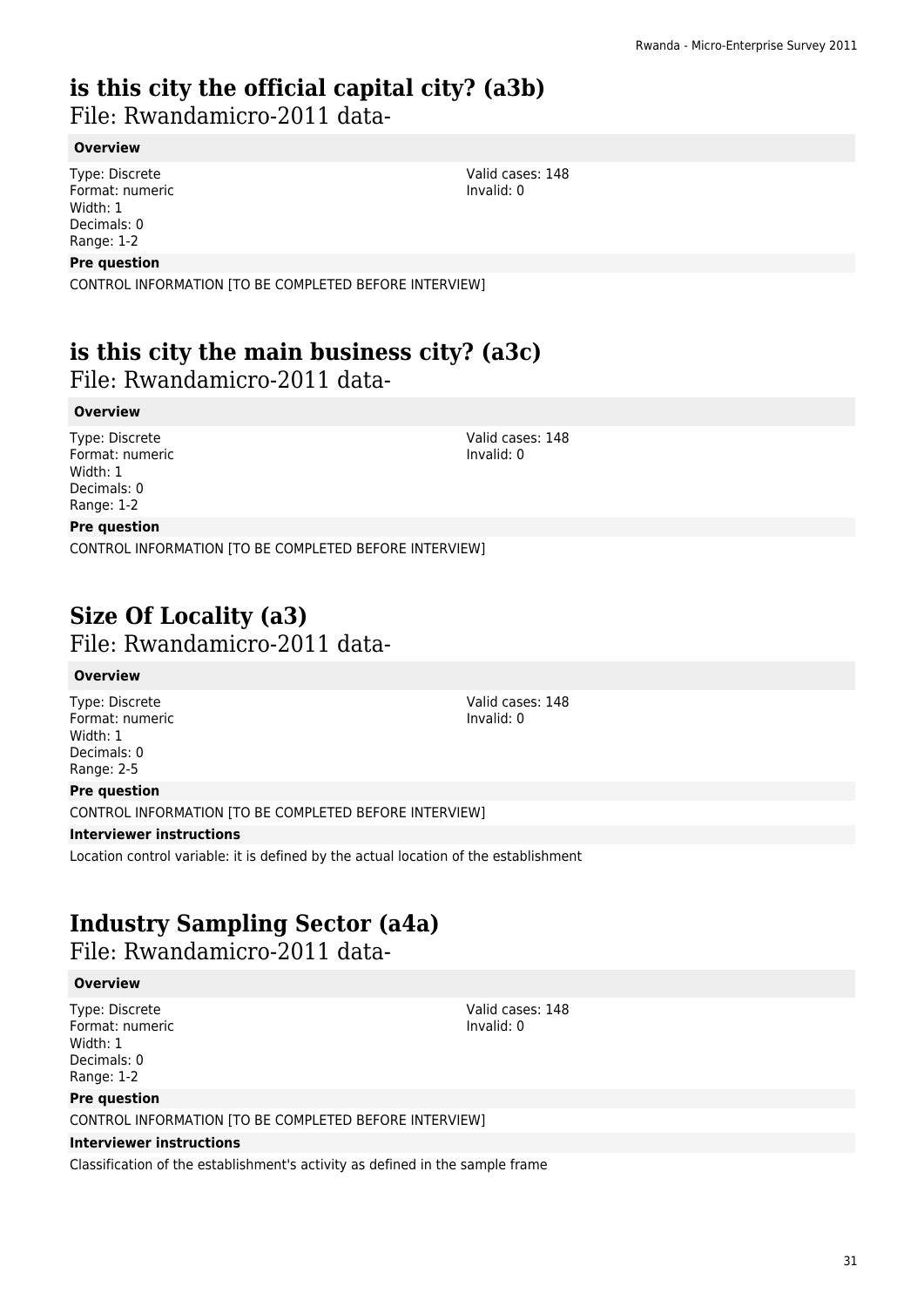## **is this city the official capital city? (a3b)**

File: Rwandamicro-2011 data-

#### **Overview**

Type: Discrete Format: numeric Width: 1 Decimals: 0 Range: 1-2

#### **Pre question**

CONTROL INFORMATION [TO BE COMPLETED BEFORE INTERVIEW]

## **is this city the main business city? (a3c)**

File: Rwandamicro-2011 data-

#### **Overview**

Type: Discrete Format: numeric Width: 1 Decimals: 0 Range: 1-2

Valid cases: 148 Invalid: 0

Valid cases: 148 Invalid: 0

#### **Pre question**

CONTROL INFORMATION [TO BE COMPLETED BEFORE INTERVIEW]

### **Size Of Locality (a3)**  File: Rwandamicro-2011 data-

#### **Overview**

Type: Discrete Format: numeric Width: 1 Decimals: 0 Range: 2-5

#### **Pre question**

CONTROL INFORMATION [TO BE COMPLETED BEFORE INTERVIEW]

#### **Interviewer instructions**

Location control variable: it is defined by the actual location of the establishment

## **Industry Sampling Sector (a4a)**

File: Rwandamicro-2011 data-

#### **Overview**

Type: Discrete Format: numeric Width: 1 Decimals: 0 Range: 1-2

#### **Pre question**

CONTROL INFORMATION [TO BE COMPLETED BEFORE INTERVIEW]

#### **Interviewer instructions**

Classification of the establishment's activity as defined in the sample frame

Valid cases: 148 Invalid: 0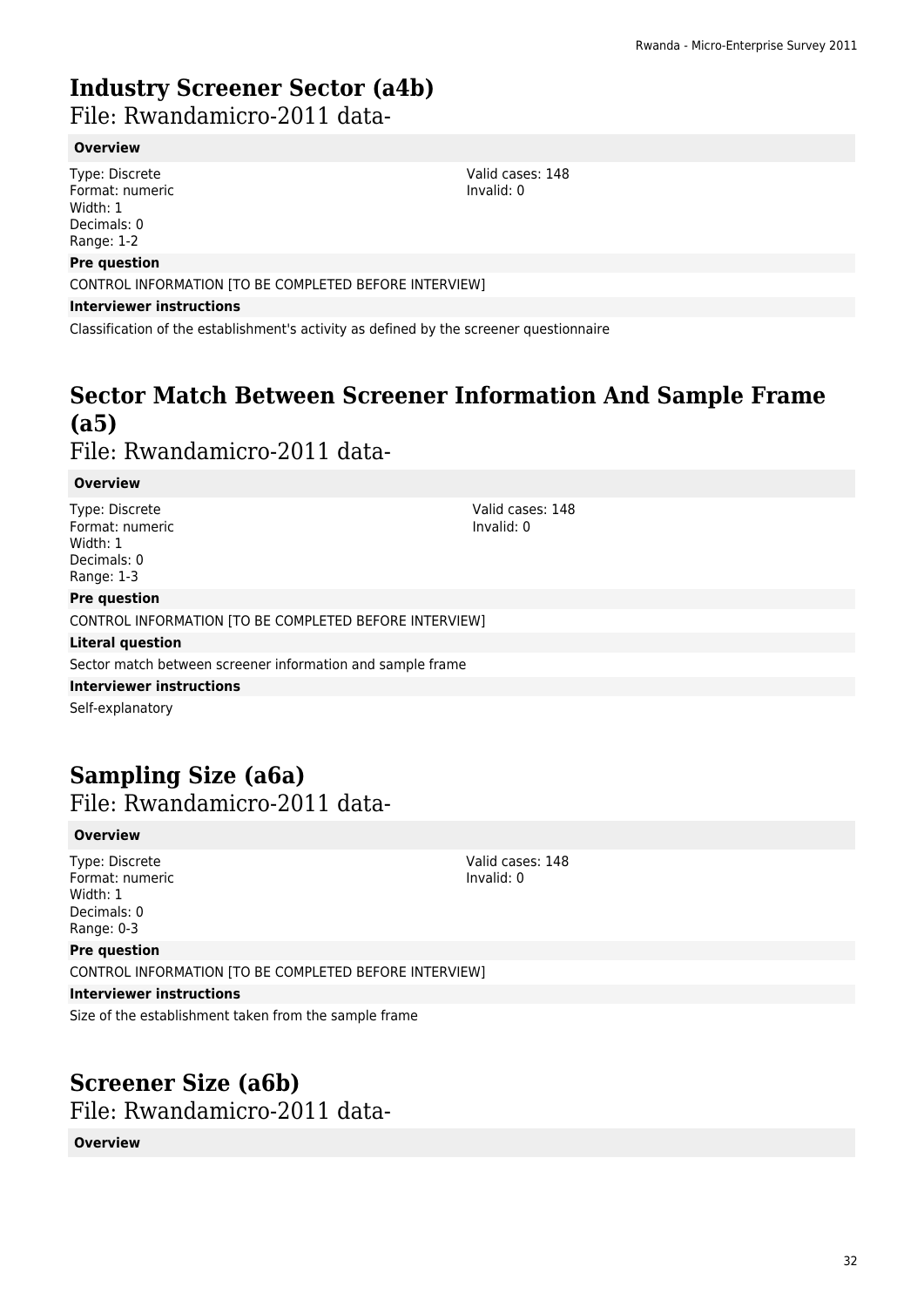## **Industry Screener Sector (a4b)**

File: Rwandamicro-2011 data-

#### **Overview**

Type: Discrete Format: numeric Width: 1 Decimals: 0 Range: 1-2

#### **Pre question**

CONTROL INFORMATION [TO BE COMPLETED BEFORE INTERVIEW]

#### **Interviewer instructions**

Classification of the establishment's activity as defined by the screener questionnaire

## **Sector Match Between Screener Information And Sample Frame (a5)**

### File: Rwandamicro-2011 data-

#### **Overview**

Type: Discrete Format: numeric Width: 1 Decimals: 0 Range: 1-3

#### **Pre question**

CONTROL INFORMATION [TO BE COMPLETED BEFORE INTERVIEW]

#### **Literal question**

Sector match between screener information and sample frame

#### **Interviewer instructions**

Self-explanatory

### **Sampling Size (a6a)**  File: Rwandamicro-2011 data-

#### **Overview**

Type: Discrete Format: numeric Width: 1 Decimals: 0 Range: 0-3

#### **Pre question**

CONTROL INFORMATION [TO BE COMPLETED BEFORE INTERVIEW]

#### **Interviewer instructions**

Size of the establishment taken from the sample frame

## **Screener Size (a6b)**

File: Rwandamicro-2011 data-

#### **Overview**

Valid cases: 148 Invalid: 0

Valid cases: 148 Invalid: 0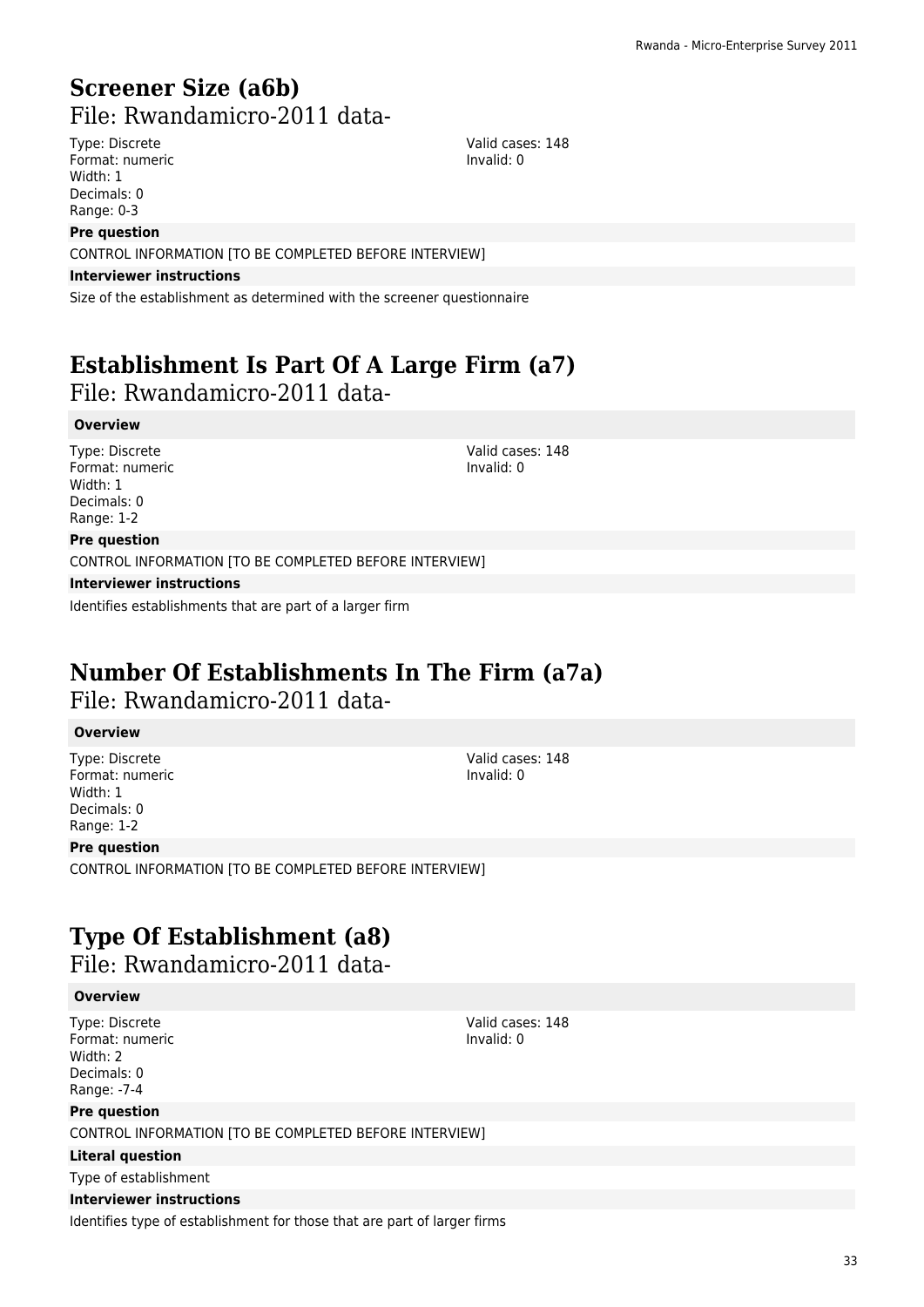## **Screener Size (a6b)**  File: Rwandamicro-2011 data-

Type: Discrete Format: numeric Width: 1 Decimals: 0 Range: 0-3

Valid cases: 148 Invalid: 0

#### **Pre question**

CONTROL INFORMATION [TO BE COMPLETED BEFORE INTERVIEW]

#### **Interviewer instructions**

Size of the establishment as determined with the screener questionnaire

## **Establishment Is Part Of A Large Firm (a7)**

### File: Rwandamicro-2011 data-

#### **Overview**

Type: Discrete Format: numeric Width: 1 Decimals: 0 Range: 1-2

Valid cases: 148 Invalid: 0

#### **Pre question**

CONTROL INFORMATION [TO BE COMPLETED BEFORE INTERVIEW]

#### **Interviewer instructions**

Identifies establishments that are part of a larger firm

## **Number Of Establishments In The Firm (a7a)**

### File: Rwandamicro-2011 data-

#### **Overview**

Type: Discrete Format: numeric Width: 1 Decimals: 0 Range: 1-2

#### **Pre question**

CONTROL INFORMATION [TO BE COMPLETED BEFORE INTERVIEW]

## **Type Of Establishment (a8)**

File: Rwandamicro-2011 data-

#### **Overview**

Type: Discrete Format: numeric Width: 2 Decimals: 0 Range: -7-4

#### **Pre question**

CONTROL INFORMATION ITO BE COMPLETED BEFORE INTERVIEW]

#### **Literal question**

Type of establishment

#### **Interviewer instructions**

Identifies type of establishment for those that are part of larger firms

Valid cases: 148 Invalid: 0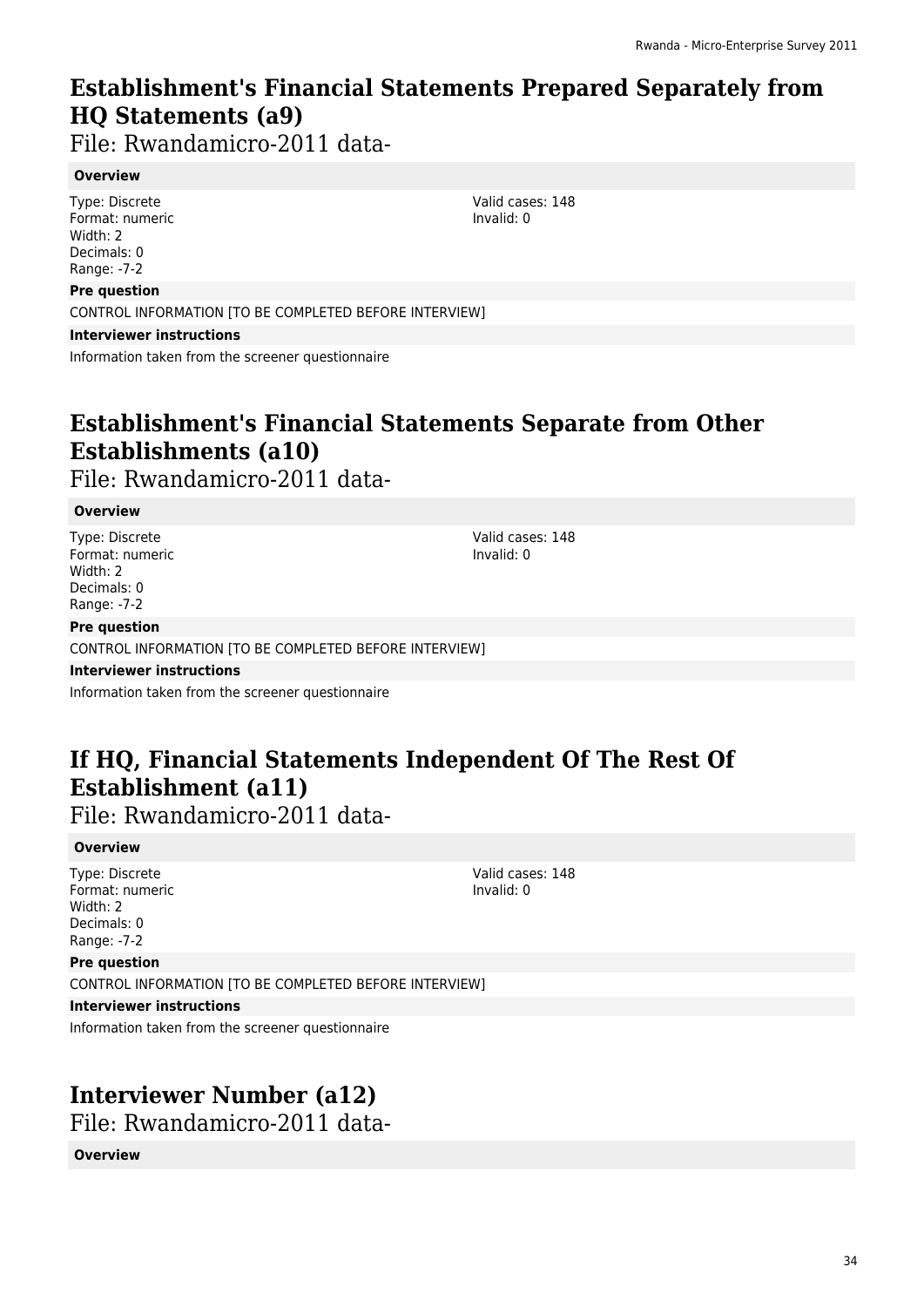## **Establishment's Financial Statements Prepared Separately from HQ Statements (a9)**

File: Rwandamicro-2011 data-

#### **Overview**

Type: Discrete Format: numeric Width: 2 Decimals: 0 Range: -7-2

#### **Pre question**

CONTROL INFORMATION [TO BE COMPLETED BEFORE INTERVIEW]

**Interviewer instructions**

Information taken from the screener questionnaire

## **Establishment's Financial Statements Separate from Other Establishments (a10)**

File: Rwandamicro-2011 data-

#### **Overview**

Type: Discrete Format: numeric Width: 2 Decimals: 0 Range: -7-2

**Pre question**

CONTROL INFORMATION [TO BE COMPLETED BEFORE INTERVIEW]

**Interviewer instructions**

Information taken from the screener questionnaire

## **If HQ, Financial Statements Independent Of The Rest Of Establishment (a11)**

File: Rwandamicro-2011 data-

#### **Overview**

Type: Discrete Format: numeric Width: 2 Decimals: 0 Range: -7-2

**Pre question**

Valid cases: 148 Invalid: 0

## CONTROL INFORMATION [TO BE COMPLETED BEFORE INTERVIEW]

**Interviewer instructions**

Information taken from the screener questionnaire

## **Interviewer Number (a12)**

File: Rwandamicro-2011 data-

#### **Overview**

Valid cases: 148 Invalid: 0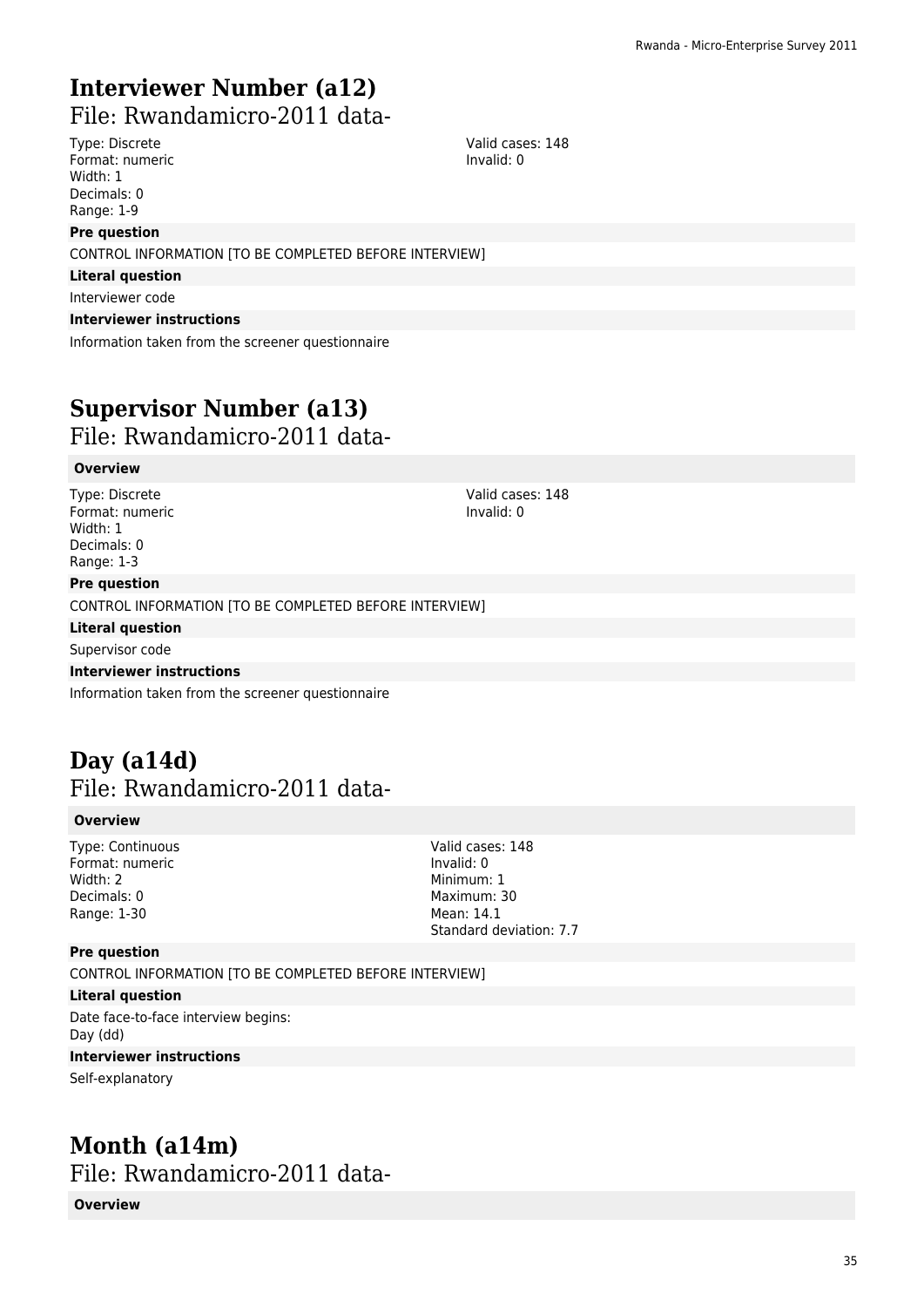## **Interviewer Number (a12)**

File: Rwandamicro-2011 data-

Type: Discrete Format: numeric Width: 1 Decimals: 0 Range: 1-9

#### **Pre question**

CONTROL INFORMATION [TO BE COMPLETED BEFORE INTERVIEW]

**Literal question**

Interviewer code

#### **Interviewer instructions**

Information taken from the screener questionnaire

## **Supervisor Number (a13)**

File: Rwandamicro-2011 data-

#### **Overview**

Type: Discrete Format: numeric Width: 1 Decimals: 0 Range: 1-3

**Pre question**

CONTROL INFORMATION [TO BE COMPLETED BEFORE INTERVIEW]

**Literal question**

Supervisor code

#### **Interviewer instructions**

Information taken from the screener questionnaire

### **Day (a14d)**  File: Rwandamicro-2011 data-

#### **Overview**

Type: Continuous Format: numeric Width: 2 Decimals: 0 Range: 1-30

Valid cases: 148 Invalid: 0 Minimum: 1 Maximum: 30 Mean: 14.1 Standard deviation: 7.7

#### **Pre question**

CONTROL INFORMATION [TO BE COMPLETED BEFORE INTERVIEW]

#### **Literal question**

Date face-to-face interview begins: Day (dd)

#### **Interviewer instructions**

Self-explanatory

### **Month (a14m)**  File: Rwandamicro-2011 data-

**Overview**

Valid cases: 148 Invalid: 0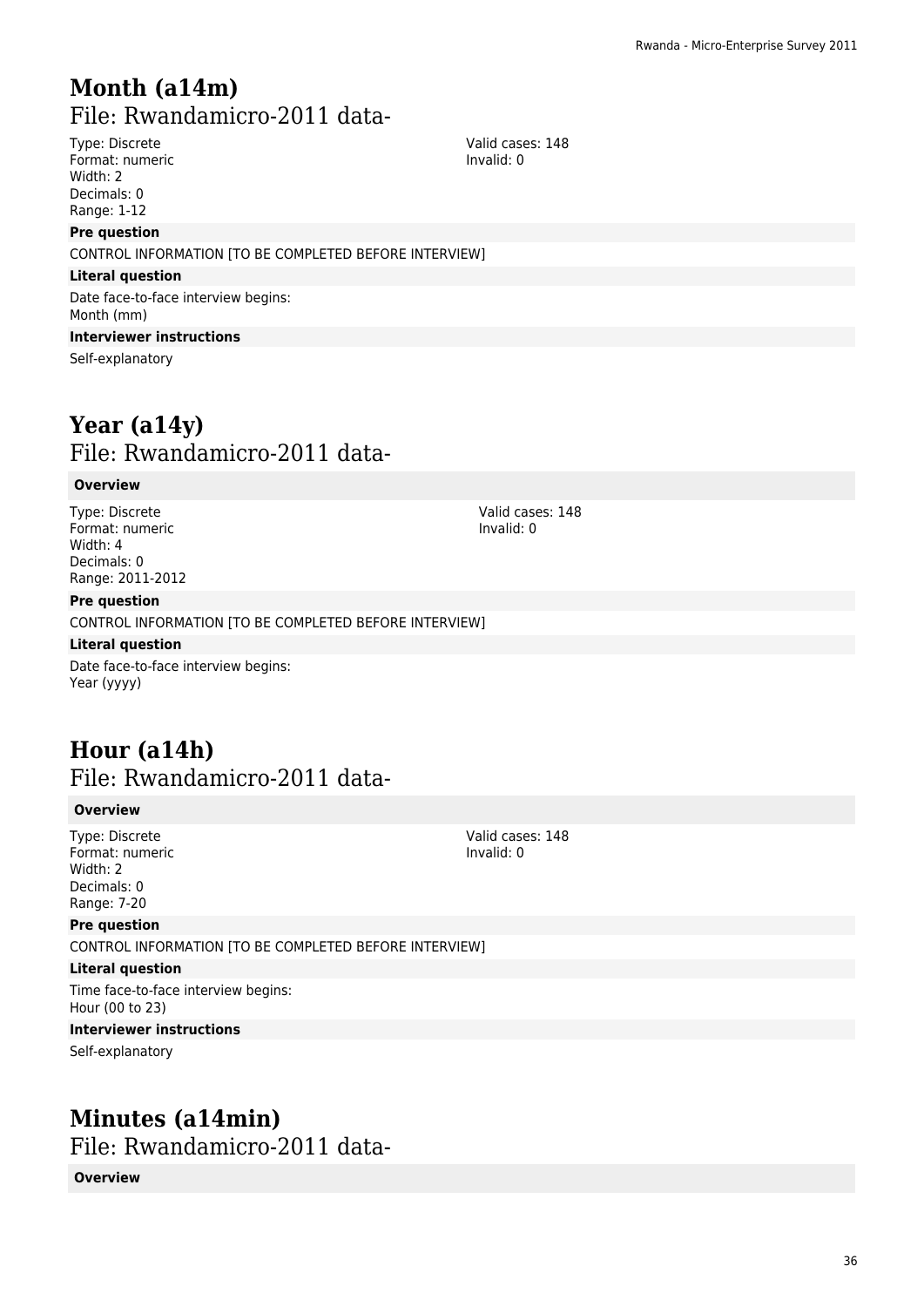## **Month (a14m)**  File: Rwandamicro-2011 data-

Type: Discrete Format: numeric Width: 2 Decimals: 0 Range: 1-12

#### **Pre question**

CONTROL INFORMATION [TO BE COMPLETED BEFORE INTERVIEW]

#### **Literal question**

Date face-to-face interview begins: Month (mm)

#### **Interviewer instructions**

Self-explanatory

### **Year (a14y)**  File: Rwandamicro-2011 data-

#### **Overview**

Type: Discrete Format: numeric Width: 4 Decimals: 0 Range: 2011-2012

**Pre question**

CONTROL INFORMATION [TO BE COMPLETED BEFORE INTERVIEW]

#### **Literal question**

Date face-to-face interview begins: Year (yyyy)

### **Hour (a14h)**  File: Rwandamicro-2011 data-

#### **Overview**

Type: Discrete Format: numeric Width: 2 Decimals: 0 Range: 7-20

#### **Pre question**

CONTROL INFORMATION [TO BE COMPLETED BEFORE INTERVIEW]

#### **Literal question**

Time face-to-face interview begins: Hour (00 to 23)

#### **Interviewer instructions**

Self-explanatory

### **Minutes (a14min)**  File: Rwandamicro-2011 data-

#### **Overview**

Valid cases: 148 Invalid: 0

Valid cases: 148 Invalid: 0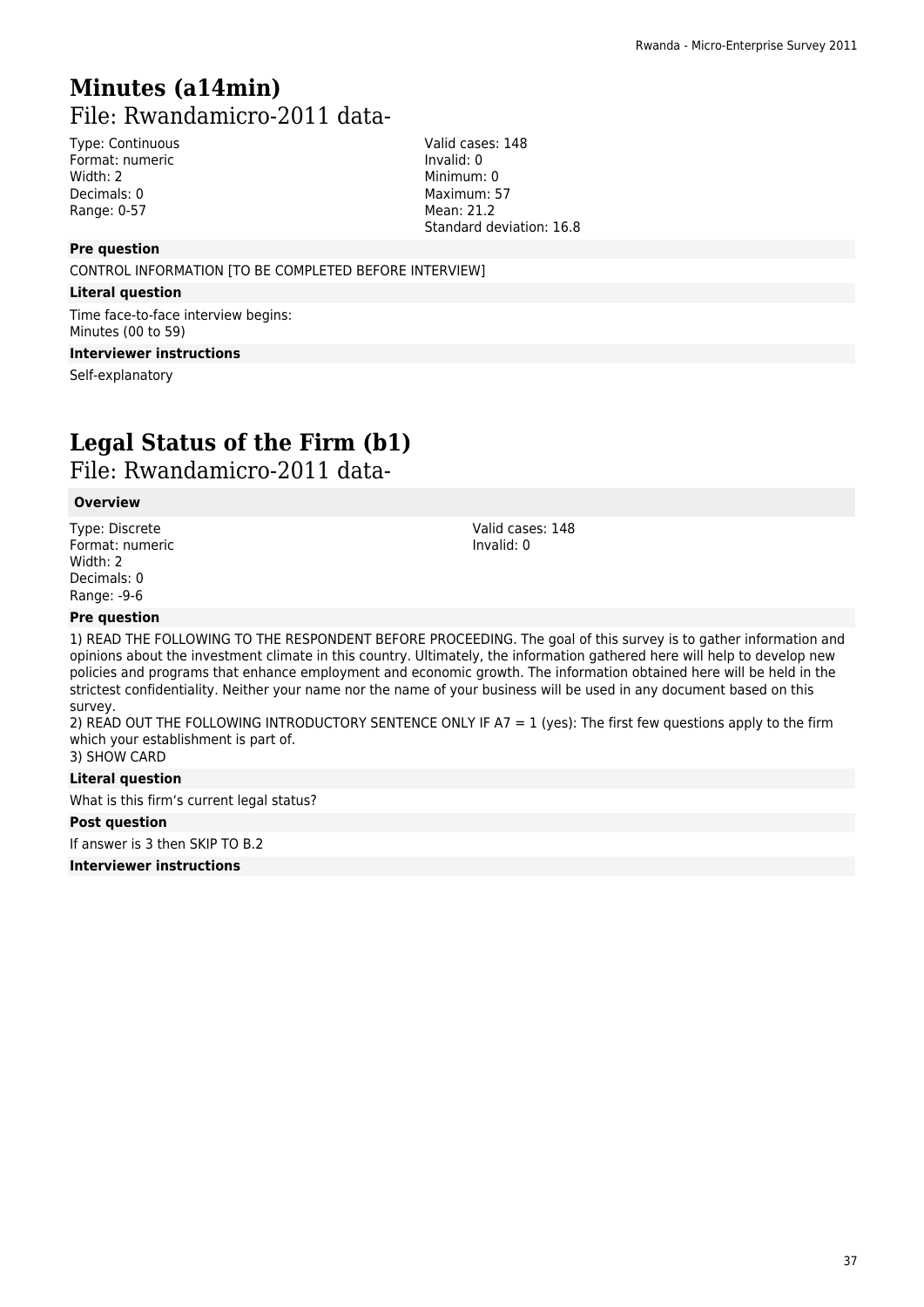# **Minutes (a14min)**  File: Rwandamicro-2011 data-

Type: Continuous Format: numeric Width: 2 Decimals: 0 Range: 0-57

Valid cases: 148 Invalid: 0 Minimum: 0 Maximum: 57 Mean: 21.2 Standard deviation: 16.8

### **Pre question**

CONTROL INFORMATION [TO BE COMPLETED BEFORE INTERVIEW]

#### **Literal question**

Time face-to-face interview begins: Minutes (00 to 59)

### **Interviewer instructions**

Self-explanatory

# **Legal Status of the Firm (b1)**

File: Rwandamicro-2011 data-

### **Overview**

Type: Discrete Format: numeric Width: 2 Decimals: 0 Range: -9-6

Valid cases: 148 Invalid: 0

### **Pre question**

1) READ THE FOLLOWING TO THE RESPONDENT BEFORE PROCEEDING. The goal of this survey is to gather information and opinions about the investment climate in this country. Ultimately, the information gathered here will help to develop new policies and programs that enhance employment and economic growth. The information obtained here will be held in the strictest confidentiality. Neither your name nor the name of your business will be used in any document based on this survey.

2) READ OUT THE FOLLOWING INTRODUCTORY SENTENCE ONLY IF A7 = 1 (yes): The first few questions apply to the firm which your establishment is part of. 3) SHOW CARD

### **Literal question**

What is this firm's current legal status?

### **Post question**

If answer is 3 then SKIP TO B.2

**Interviewer instructions**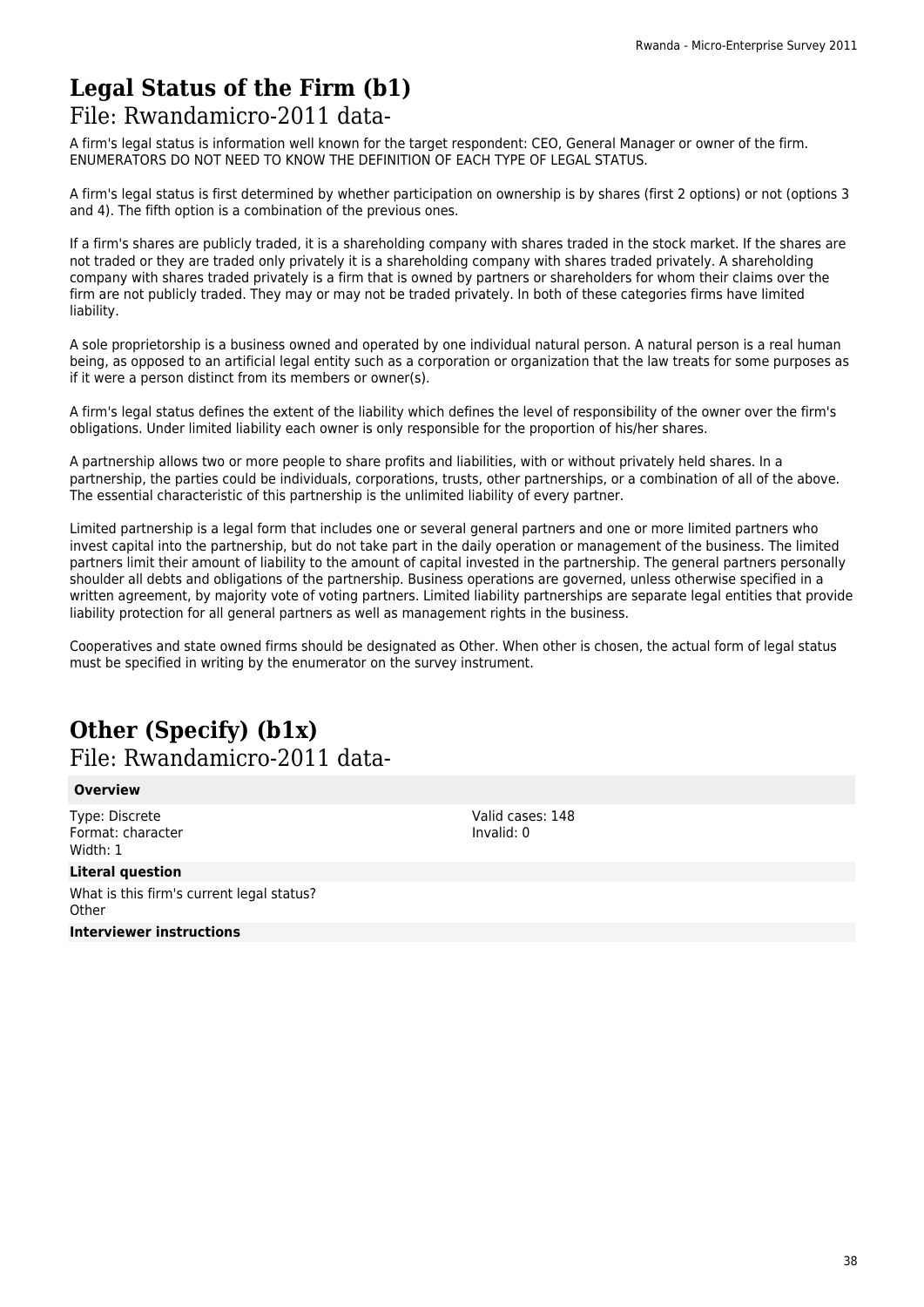# **Legal Status of the Firm (b1)**

### File: Rwandamicro-2011 data-

A firm's legal status is information well known for the target respondent: CEO, General Manager or owner of the firm. ENUMERATORS DO NOT NEED TO KNOW THE DEFINITION OF EACH TYPE OF LEGAL STATUS.

A firm's legal status is first determined by whether participation on ownership is by shares (first 2 options) or not (options 3 and 4). The fifth option is a combination of the previous ones.

If a firm's shares are publicly traded, it is a shareholding company with shares traded in the stock market. If the shares are not traded or they are traded only privately it is a shareholding company with shares traded privately. A shareholding company with shares traded privately is a firm that is owned by partners or shareholders for whom their claims over the firm are not publicly traded. They may or may not be traded privately. In both of these categories firms have limited liability.

A sole proprietorship is a business owned and operated by one individual natural person. A natural person is a real human being, as opposed to an artificial legal entity such as a corporation or organization that the law treats for some purposes as if it were a person distinct from its members or owner(s).

A firm's legal status defines the extent of the liability which defines the level of responsibility of the owner over the firm's obligations. Under limited liability each owner is only responsible for the proportion of his/her shares.

A partnership allows two or more people to share profits and liabilities, with or without privately held shares. In a partnership, the parties could be individuals, corporations, trusts, other partnerships, or a combination of all of the above. The essential characteristic of this partnership is the unlimited liability of every partner.

Limited partnership is a legal form that includes one or several general partners and one or more limited partners who invest capital into the partnership, but do not take part in the daily operation or management of the business. The limited partners limit their amount of liability to the amount of capital invested in the partnership. The general partners personally shoulder all debts and obligations of the partnership. Business operations are governed, unless otherwise specified in a written agreement, by majority vote of voting partners. Limited liability partnerships are separate legal entities that provide liability protection for all general partners as well as management rights in the business.

Cooperatives and state owned firms should be designated as Other. When other is chosen, the actual form of legal status must be specified in writing by the enumerator on the survey instrument.

## **Other (Specify) (b1x)**  File: Rwandamicro-2011 data-

### **Overview**

Type: Discrete Format: character Width: 1

### **Literal question**

What is this firm's current legal status? **Other Interviewer instructions**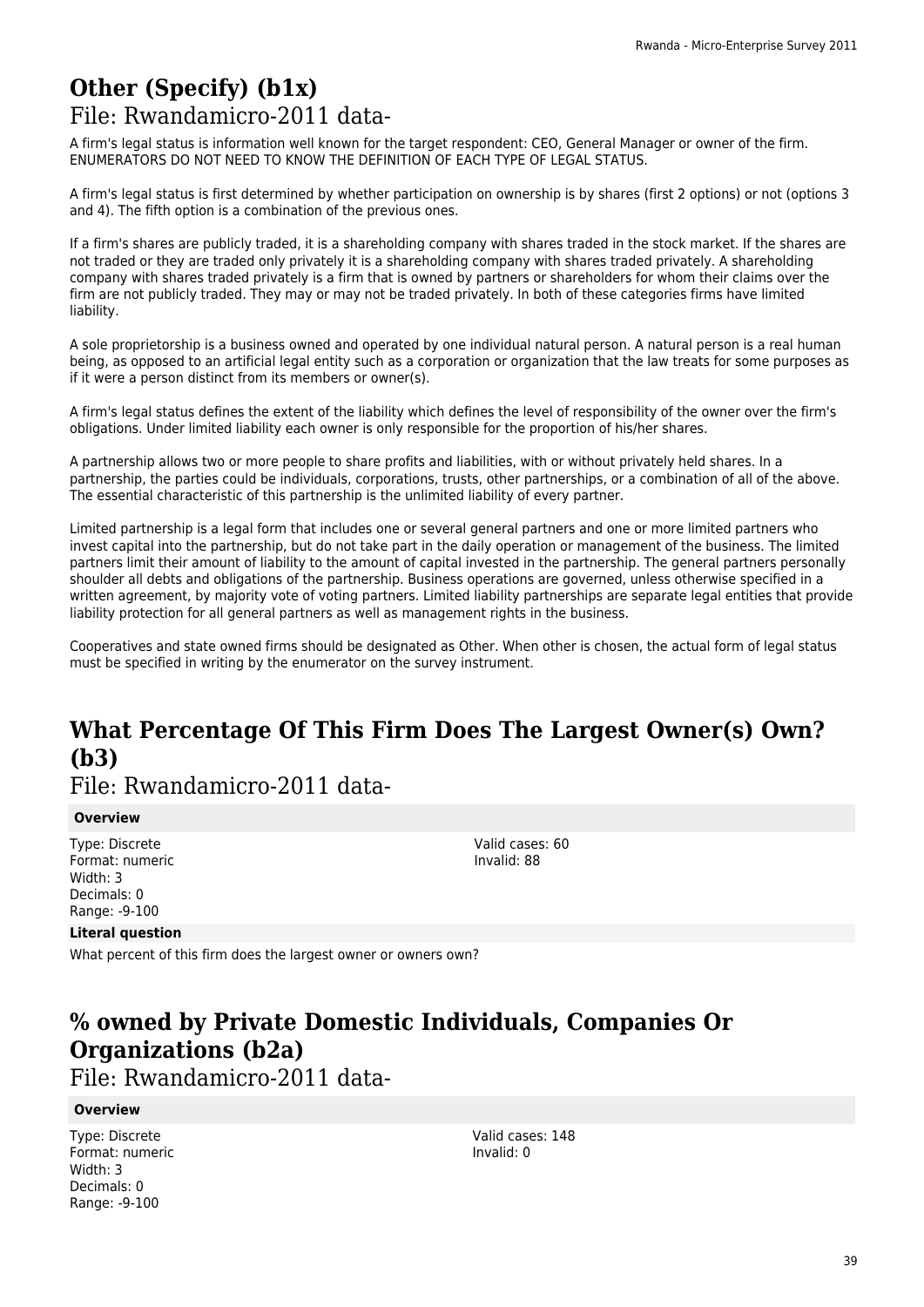## **Other (Specify) (b1x)**  File: Rwandamicro-2011 data-

A firm's legal status is information well known for the target respondent: CEO, General Manager or owner of the firm. ENUMERATORS DO NOT NEED TO KNOW THE DEFINITION OF EACH TYPE OF LEGAL STATUS.

A firm's legal status is first determined by whether participation on ownership is by shares (first 2 options) or not (options 3 and 4). The fifth option is a combination of the previous ones.

If a firm's shares are publicly traded, it is a shareholding company with shares traded in the stock market. If the shares are not traded or they are traded only privately it is a shareholding company with shares traded privately. A shareholding company with shares traded privately is a firm that is owned by partners or shareholders for whom their claims over the firm are not publicly traded. They may or may not be traded privately. In both of these categories firms have limited liability.

A sole proprietorship is a business owned and operated by one individual natural person. A natural person is a real human being, as opposed to an artificial legal entity such as a corporation or organization that the law treats for some purposes as if it were a person distinct from its members or owner(s).

A firm's legal status defines the extent of the liability which defines the level of responsibility of the owner over the firm's obligations. Under limited liability each owner is only responsible for the proportion of his/her shares.

A partnership allows two or more people to share profits and liabilities, with or without privately held shares. In a partnership, the parties could be individuals, corporations, trusts, other partnerships, or a combination of all of the above. The essential characteristic of this partnership is the unlimited liability of every partner.

Limited partnership is a legal form that includes one or several general partners and one or more limited partners who invest capital into the partnership, but do not take part in the daily operation or management of the business. The limited partners limit their amount of liability to the amount of capital invested in the partnership. The general partners personally shoulder all debts and obligations of the partnership. Business operations are governed, unless otherwise specified in a written agreement, by majority vote of voting partners. Limited liability partnerships are separate legal entities that provide liability protection for all general partners as well as management rights in the business.

Cooperatives and state owned firms should be designated as Other. When other is chosen, the actual form of legal status must be specified in writing by the enumerator on the survey instrument.

# **What Percentage Of This Firm Does The Largest Owner(s) Own? (b3)**

File: Rwandamicro-2011 data-

### **Overview**

Type: Discrete Format: numeric Width: 3 Decimals: 0 Range: -9-100

Valid cases: 60 Invalid: 88

### **Literal question**

What percent of this firm does the largest owner or owners own?

# **% owned by Private Domestic Individuals, Companies Or Organizations (b2a)**

File: Rwandamicro-2011 data-

### **Overview**

Type: Discrete Format: numeric Width: 3 Decimals: 0 Range: -9-100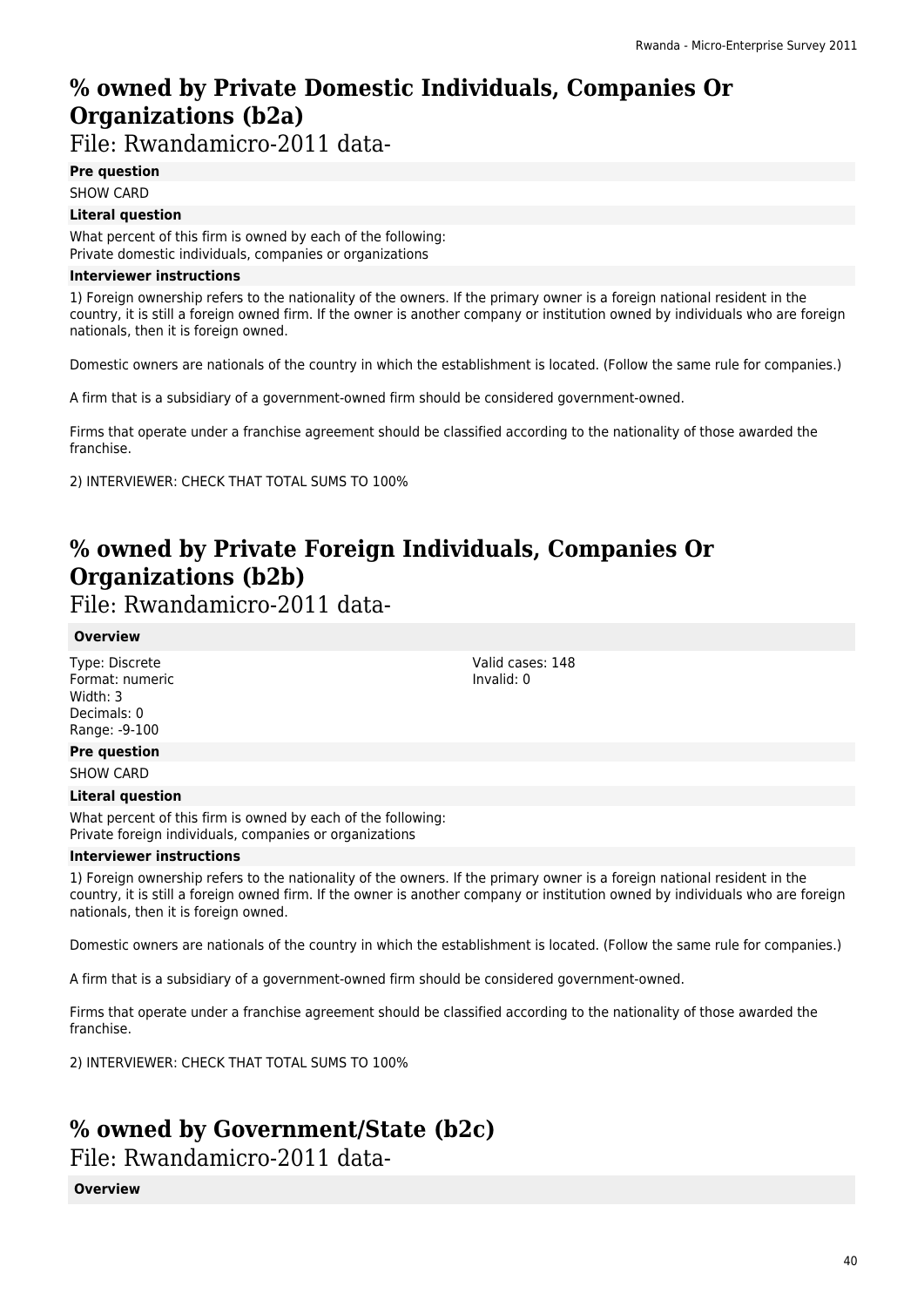# **% owned by Private Domestic Individuals, Companies Or Organizations (b2a)**

File: Rwandamicro-2011 data-

**Pre question**

SHOW CARD

### **Literal question**

What percent of this firm is owned by each of the following: Private domestic individuals, companies or organizations

### **Interviewer instructions**

1) Foreign ownership refers to the nationality of the owners. If the primary owner is a foreign national resident in the country, it is still a foreign owned firm. If the owner is another company or institution owned by individuals who are foreign nationals, then it is foreign owned.

Domestic owners are nationals of the country in which the establishment is located. (Follow the same rule for companies.)

A firm that is a subsidiary of a government-owned firm should be considered government-owned.

Firms that operate under a franchise agreement should be classified according to the nationality of those awarded the franchise.

2) INTERVIEWER: CHECK THAT TOTAL SUMS TO 100%

# **% owned by Private Foreign Individuals, Companies Or Organizations (b2b)**

File: Rwandamicro-2011 data-

### **Overview**

Type: Discrete Format: numeric Width: 3 Decimals: 0 Range: -9-100

**Pre question**

SHOW CARD

### **Literal question**

What percent of this firm is owned by each of the following: Private foreign individuals, companies or organizations

### **Interviewer instructions**

1) Foreign ownership refers to the nationality of the owners. If the primary owner is a foreign national resident in the country, it is still a foreign owned firm. If the owner is another company or institution owned by individuals who are foreign nationals, then it is foreign owned.

Domestic owners are nationals of the country in which the establishment is located. (Follow the same rule for companies.)

A firm that is a subsidiary of a government-owned firm should be considered government-owned.

Firms that operate under a franchise agreement should be classified according to the nationality of those awarded the franchise.

2) INTERVIEWER: CHECK THAT TOTAL SUMS TO 100%

# **% owned by Government/State (b2c)**

File: Rwandamicro-2011 data-

**Overview**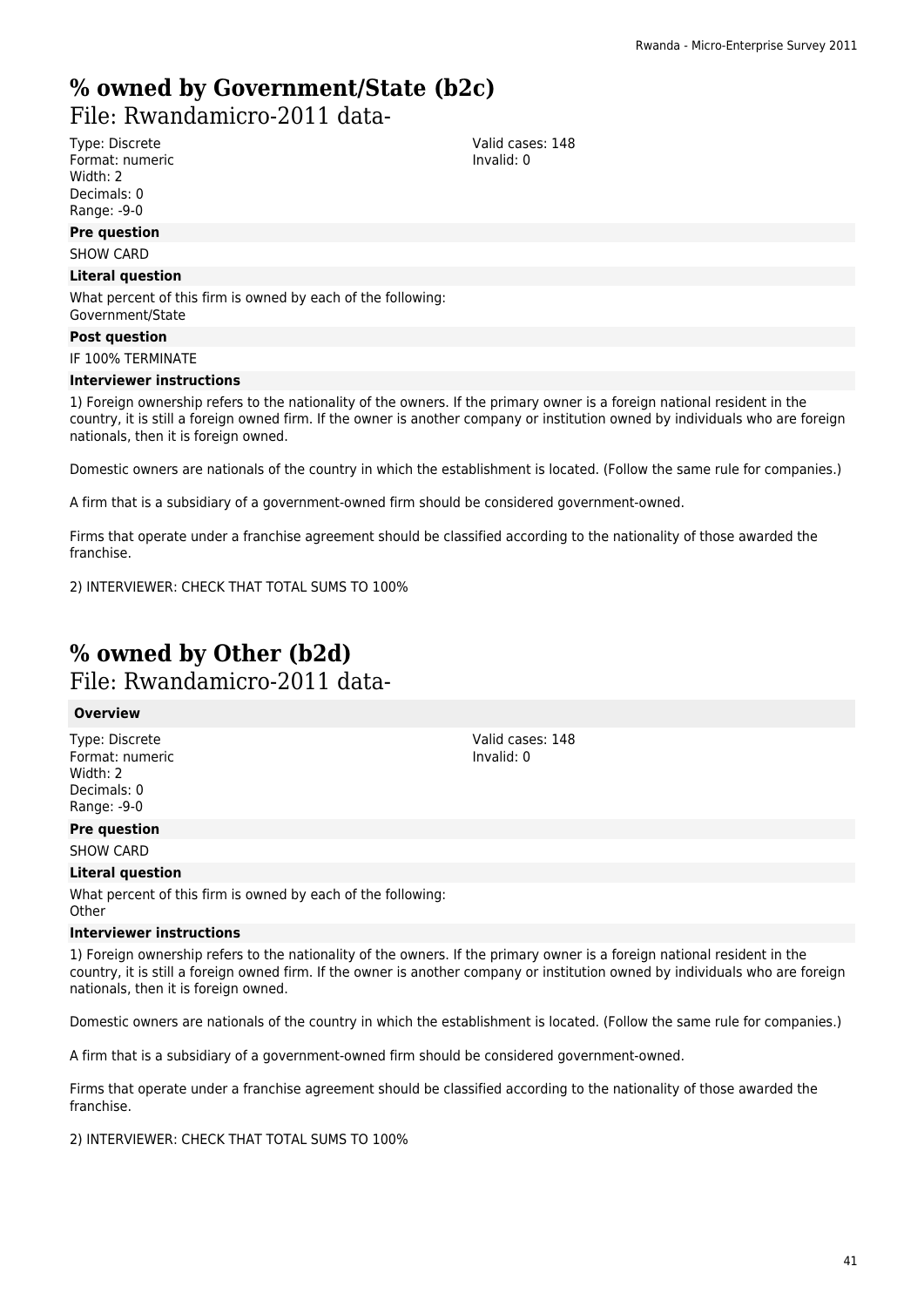### **% owned by Government/State (b2c)**  File: Rwandamicro-2011 data-

Type: Discrete Format: numeric Width: 2 Decimals: 0

### Range: -9-0 **Pre question**

SHOW CARD

### **Literal question**

What percent of this firm is owned by each of the following: Government/State

#### **Post question**

IF 100% TERMINATE

#### **Interviewer instructions**

1) Foreign ownership refers to the nationality of the owners. If the primary owner is a foreign national resident in the country, it is still a foreign owned firm. If the owner is another company or institution owned by individuals who are foreign nationals, then it is foreign owned.

Domestic owners are nationals of the country in which the establishment is located. (Follow the same rule for companies.)

A firm that is a subsidiary of a government-owned firm should be considered government-owned.

Firms that operate under a franchise agreement should be classified according to the nationality of those awarded the franchise.

2) INTERVIEWER: CHECK THAT TOTAL SUMS TO 100%

## **% owned by Other (b2d)**  File: Rwandamicro-2011 data-

### **Overview**

Type: Discrete Format: numeric Width: 2 Decimals: 0 Range: -9-0

### **Pre question**

SHOW CARD

### **Literal question**

What percent of this firm is owned by each of the following: **Other** 

#### **Interviewer instructions**

1) Foreign ownership refers to the nationality of the owners. If the primary owner is a foreign national resident in the country, it is still a foreign owned firm. If the owner is another company or institution owned by individuals who are foreign nationals, then it is foreign owned.

Valid cases: 148 Invalid: 0

Domestic owners are nationals of the country in which the establishment is located. (Follow the same rule for companies.)

A firm that is a subsidiary of a government-owned firm should be considered government-owned.

Firms that operate under a franchise agreement should be classified according to the nationality of those awarded the franchise.

2) INTERVIEWER: CHECK THAT TOTAL SUMS TO 100%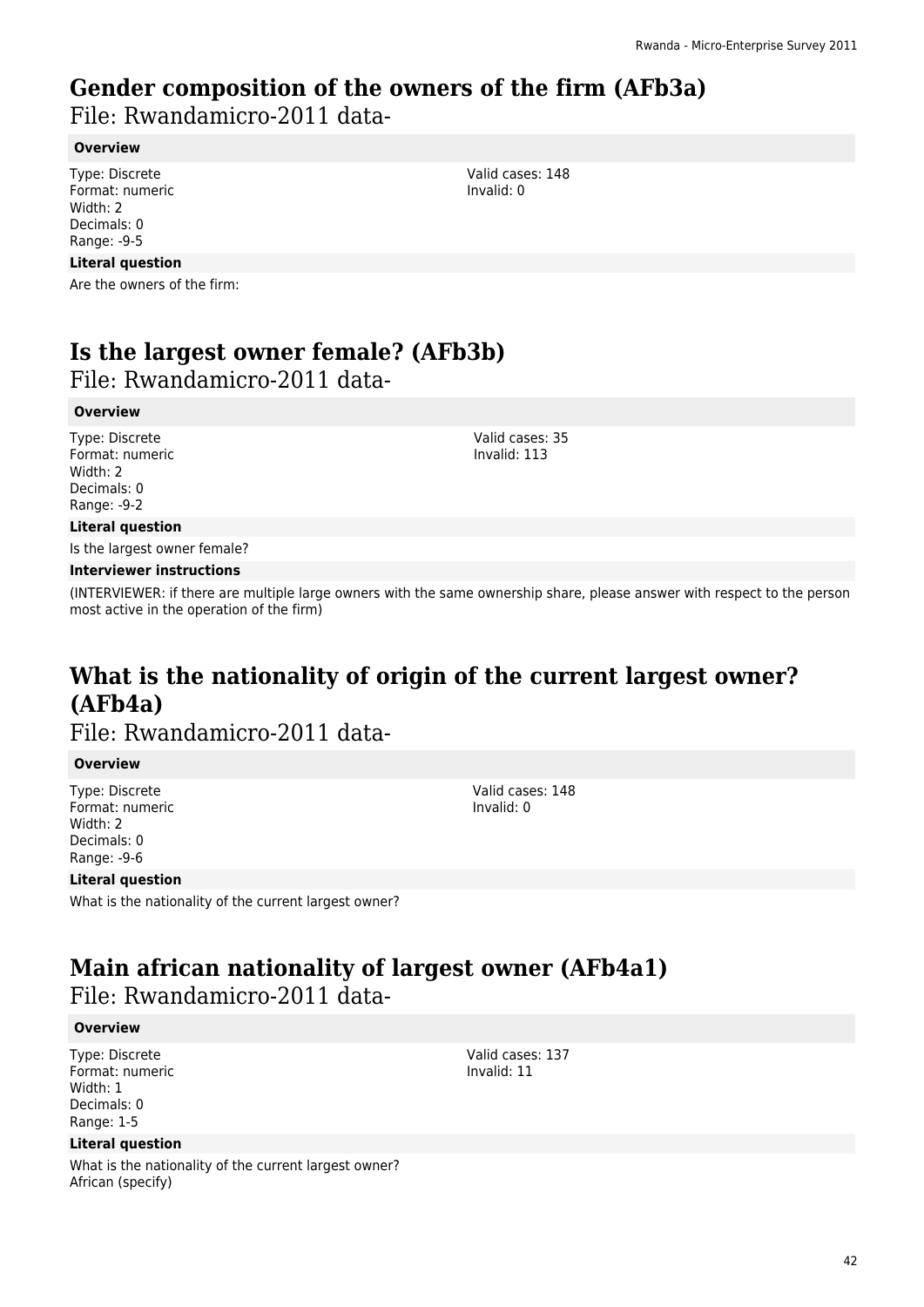## **Gender composition of the owners of the firm (AFb3a)**

File: Rwandamicro-2011 data-

### **Overview**

Type: Discrete Format: numeric Width: 2 Decimals: 0 Range: -9-5

### **Literal question**

Are the owners of the firm:

# **Is the largest owner female? (AFb3b)**

File: Rwandamicro-2011 data-

### **Overview**

Type: Discrete Format: numeric Width: 2 Decimals: 0 Range: -9-2

Valid cases: 35 Invalid: 113

Valid cases: 148 Invalid: 0

### **Literal question**

Is the largest owner female?

### **Interviewer instructions**

(INTERVIEWER: if there are multiple large owners with the same ownership share, please answer with respect to the person most active in the operation of the firm)

# **What is the nationality of origin of the current largest owner? (AFb4a)**

File: Rwandamicro-2011 data-

### **Overview**

Type: Discrete Format: numeric Width: 2 Decimals: 0 Range: -9-6

Valid cases: 148 Invalid: 0

### **Literal question**

What is the nationality of the current largest owner?

# **Main african nationality of largest owner (AFb4a1)**

File: Rwandamicro-2011 data-

### **Overview**

Type: Discrete Format: numeric Width: 1 Decimals: 0 Range: 1-5

### **Literal question**

What is the nationality of the current largest owner? African (specify)

Valid cases: 137 Invalid: 11

42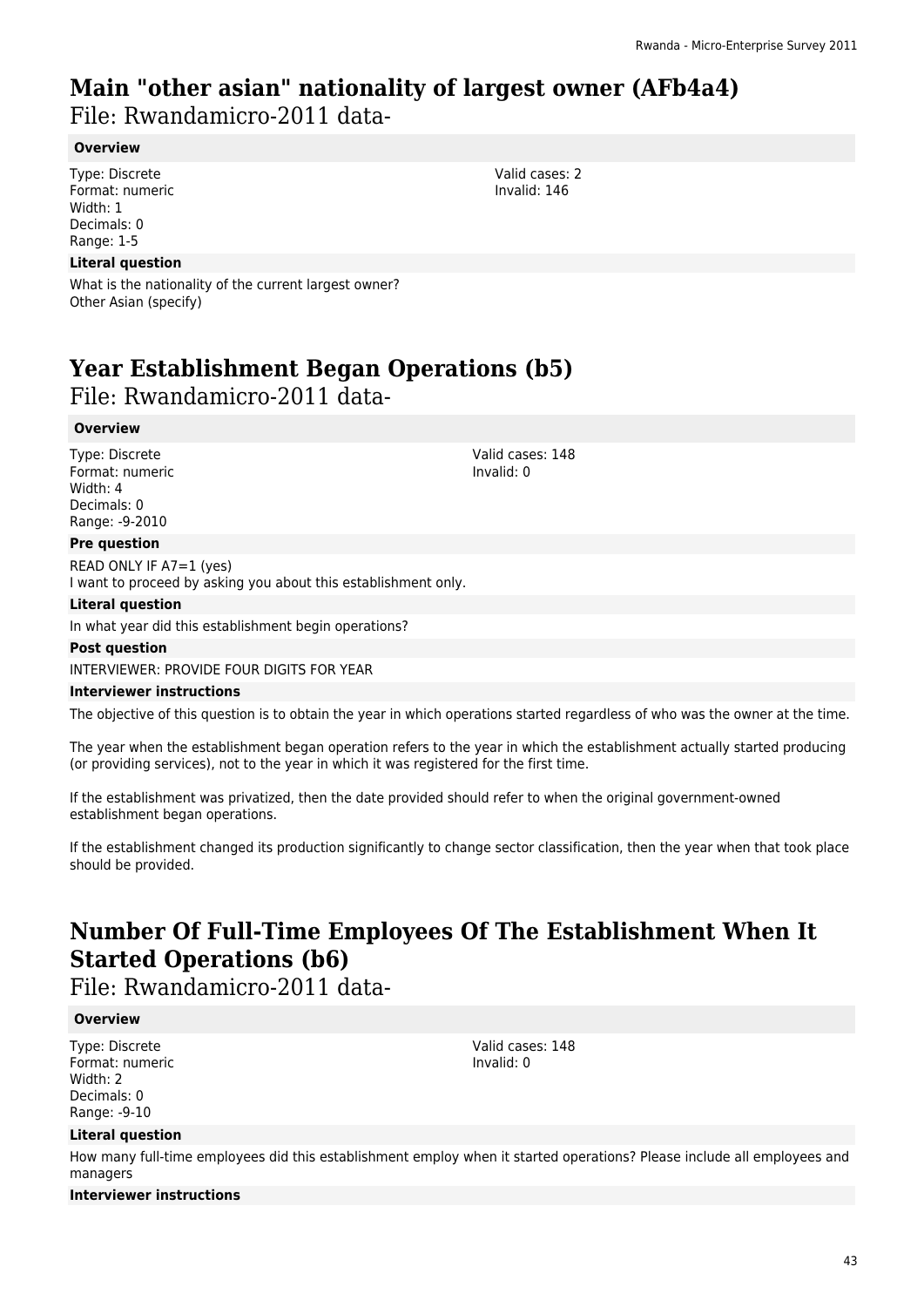# **Main "other asian" nationality of largest owner (AFb4a4)**

File: Rwandamicro-2011 data-

### **Overview**

Type: Discrete Format: numeric Width: 1 Decimals: 0 Range: 1-5

### **Literal question**

What is the nationality of the current largest owner? Other Asian (specify)

# **Year Establishment Began Operations (b5)**

### File: Rwandamicro-2011 data-

### **Overview**

Type: Discrete Format: numeric Width: 4 Decimals: 0 Range: -9-2010

### **Pre question**

READ ONLY IF A7=1 (yes) I want to proceed by asking you about this establishment only.

### **Literal question**

In what year did this establishment begin operations?

#### **Post question**

INTERVIEWER: PROVIDE FOUR DIGITS FOR YEAR

### **Interviewer instructions**

The objective of this question is to obtain the year in which operations started regardless of who was the owner at the time.

The year when the establishment began operation refers to the year in which the establishment actually started producing (or providing services), not to the year in which it was registered for the first time.

If the establishment was privatized, then the date provided should refer to when the original government-owned establishment began operations.

If the establishment changed its production significantly to change sector classification, then the year when that took place should be provided.

# **Number Of Full-Time Employees Of The Establishment When It Started Operations (b6)**

File: Rwandamicro-2011 data-

### **Overview**

Type: Discrete Format: numeric Width: 2 Decimals: 0 Range: -9-10

### **Literal question**

How many full-time employees did this establishment employ when it started operations? Please include all employees and managers

Valid cases: 148 Invalid: 0

### **Interviewer instructions**

Valid cases: 2 Invalid: 146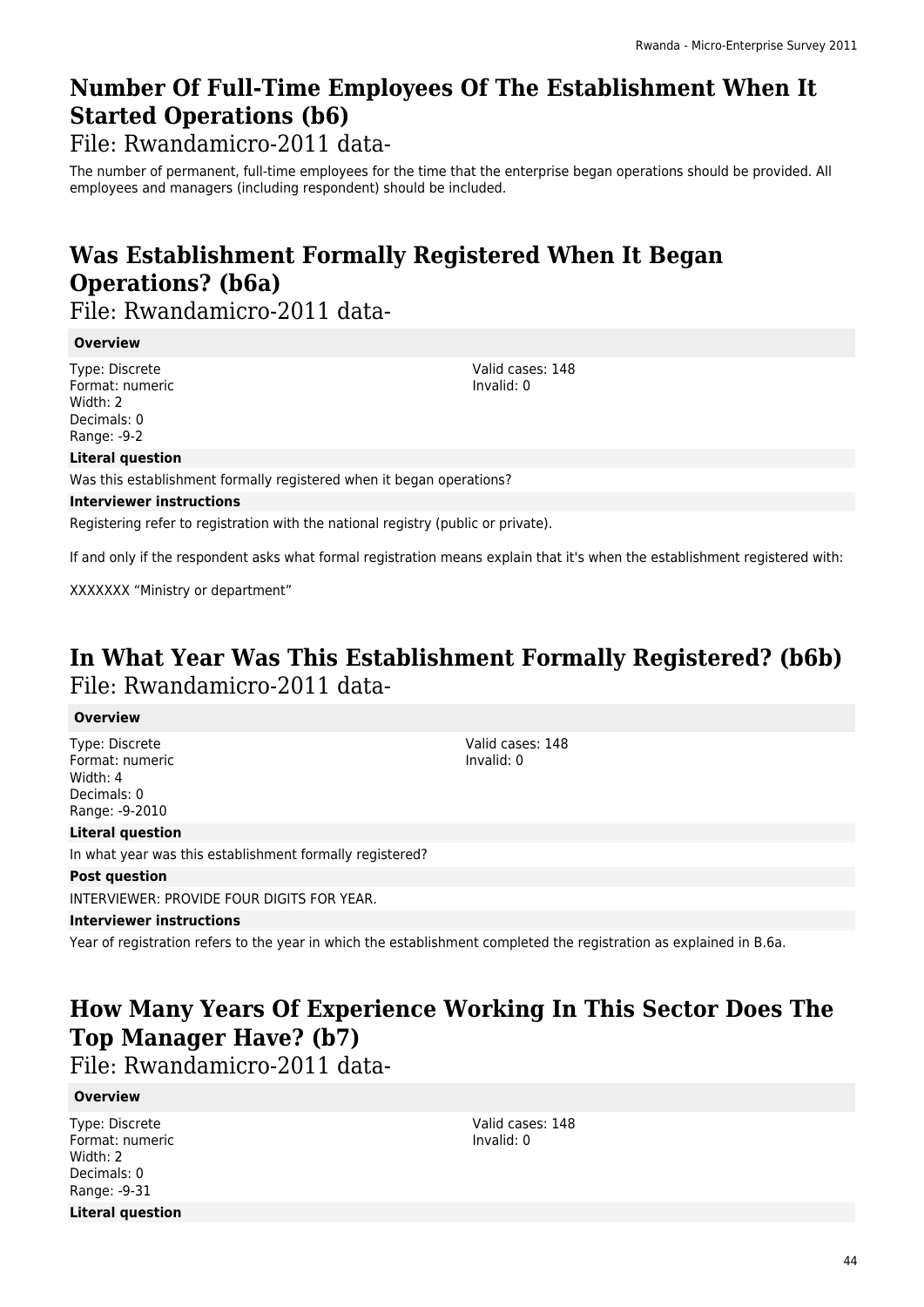## **Number Of Full-Time Employees Of The Establishment When It Started Operations (b6)**

File: Rwandamicro-2011 data-

The number of permanent, full-time employees for the time that the enterprise began operations should be provided. All employees and managers (including respondent) should be included.

# **Was Establishment Formally Registered When It Began Operations? (b6a)**

File: Rwandamicro-2011 data-

### **Overview**

Type: Discrete Format: numeric Width: 2 Decimals: 0 Range: -9-2

Valid cases: 148 Invalid: 0

### **Literal question**

Was this establishment formally registered when it began operations?

### **Interviewer instructions**

Registering refer to registration with the national registry (public or private).

If and only if the respondent asks what formal registration means explain that it's when the establishment registered with:

XXXXXXX "Ministry or department"

## **In What Year Was This Establishment Formally Registered? (b6b)**  File: Rwandamicro-2011 data-

### **Overview**

Type: Discrete Format: numeric Width: 4 Decimals: 0 Range: -9-2010

Valid cases: 148 Invalid: 0

### **Literal question**

In what year was this establishment formally registered?

### **Post question**

INTERVIEWER: PROVIDE FOUR DIGITS FOR YEAR.

### **Interviewer instructions**

Year of registration refers to the year in which the establishment completed the registration as explained in B.6a.

# **How Many Years Of Experience Working In This Sector Does The Top Manager Have? (b7)**

File: Rwandamicro-2011 data-

### **Overview**

Type: Discrete Format: numeric Width: 2 Decimals: 0 Range: -9-31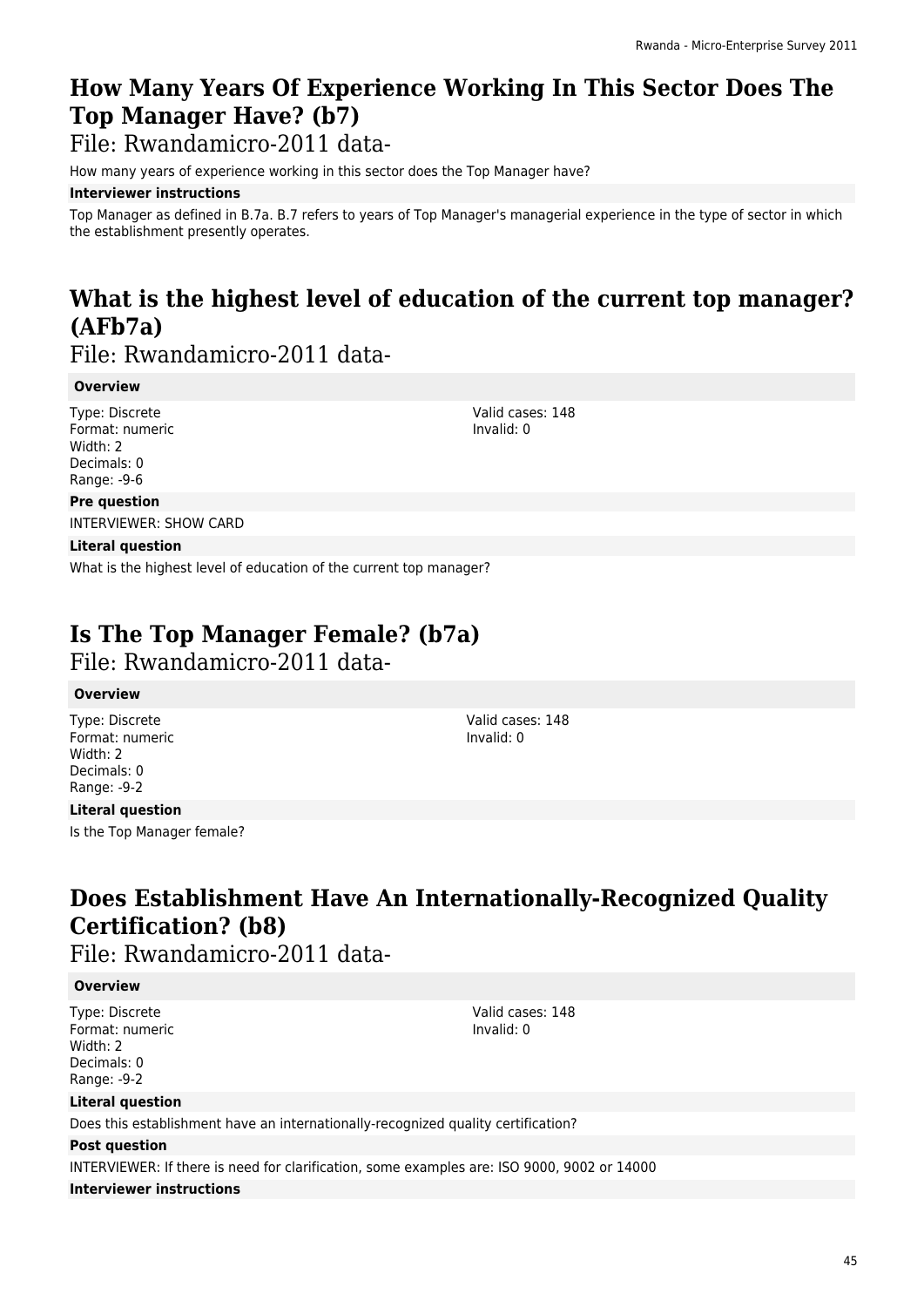# **How Many Years Of Experience Working In This Sector Does The Top Manager Have? (b7)**

File: Rwandamicro-2011 data-

How many years of experience working in this sector does the Top Manager have?

### **Interviewer instructions**

Top Manager as defined in B.7a. B.7 refers to years of Top Manager's managerial experience in the type of sector in which the establishment presently operates.

# **What is the highest level of education of the current top manager? (AFb7a)**

File: Rwandamicro-2011 data-

### **Overview**

Type: Discrete Format: numeric Width: 2 Decimals: 0 Range: -9-6

Valid cases: 148 Invalid: 0

### **Pre question**

INTERVIEWER: SHOW CARD

### **Literal question**

What is the highest level of education of the current top manager?

## **Is The Top Manager Female? (b7a)**

File: Rwandamicro-2011 data-

### **Overview**

Type: Discrete Format: numeric Width: 2 Decimals: 0 Range: -9-2

Valid cases: 148 Invalid: 0

### **Literal question**

Is the Top Manager female?

# **Does Establishment Have An Internationally-Recognized Quality Certification? (b8)**

File: Rwandamicro-2011 data-

### **Overview**

Type: Discrete Format: numeric Width: 2 Decimals: 0 Range: -9-2

Valid cases: 148 Invalid: 0

### **Literal question**

Does this establishment have an internationally-recognized quality certification?

### **Post question**

INTERVIEWER: If there is need for clarification, some examples are: ISO 9000, 9002 or 14000

### **Interviewer instructions**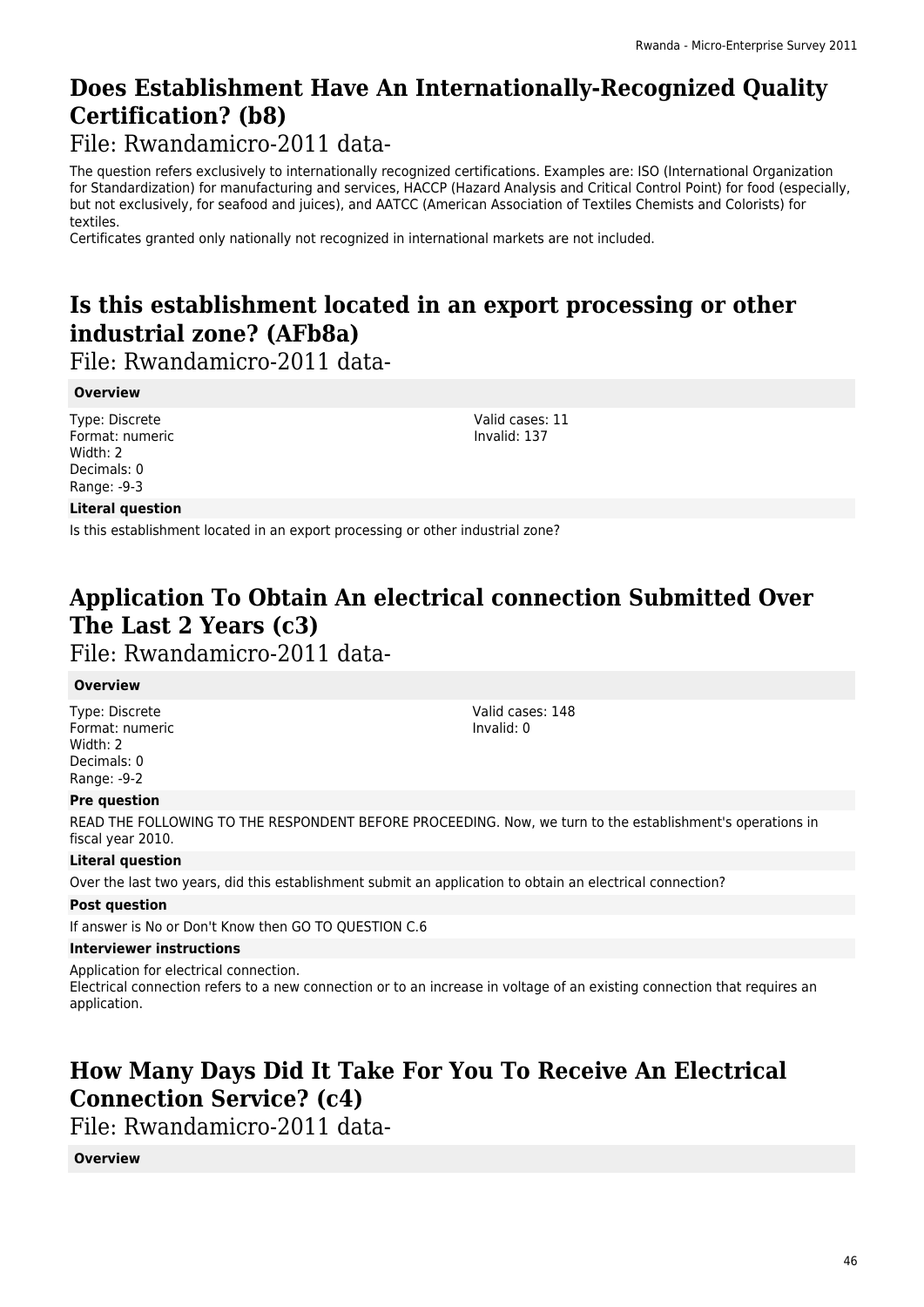## **Does Establishment Have An Internationally-Recognized Quality Certification? (b8)**

File: Rwandamicro-2011 data-

The question refers exclusively to internationally recognized certifications. Examples are: ISO (International Organization for Standardization) for manufacturing and services, HACCP (Hazard Analysis and Critical Control Point) for food (especially, but not exclusively, for seafood and juices), and AATCC (American Association of Textiles Chemists and Colorists) for textiles.

Certificates granted only nationally not recognized in international markets are not included.

# **Is this establishment located in an export processing or other industrial zone? (AFb8a)**

File: Rwandamicro-2011 data-

### **Overview**

Type: Discrete Format: numeric Width: 2 Decimals: 0 Range: -9-3

Valid cases: 11 Invalid: 137

### **Literal question**

Is this establishment located in an export processing or other industrial zone?

# **Application To Obtain An electrical connection Submitted Over The Last 2 Years (c3)**

File: Rwandamicro-2011 data-

### **Overview**

Type: Discrete Format: numeric Width: 2 Decimals: 0 Range: -9-2

Valid cases: 148 Invalid: 0

### **Pre question**

READ THE FOLLOWING TO THE RESPONDENT BEFORE PROCEEDING. Now, we turn to the establishment's operations in fiscal year 2010.

### **Literal question**

Over the last two years, did this establishment submit an application to obtain an electrical connection?

### **Post question**

If answer is No or Don't Know then GO TO QUESTION C.6

### **Interviewer instructions**

Application for electrical connection.

Electrical connection refers to a new connection or to an increase in voltage of an existing connection that requires an application.

## **How Many Days Did It Take For You To Receive An Electrical Connection Service? (c4)**

File: Rwandamicro-2011 data-

### **Overview**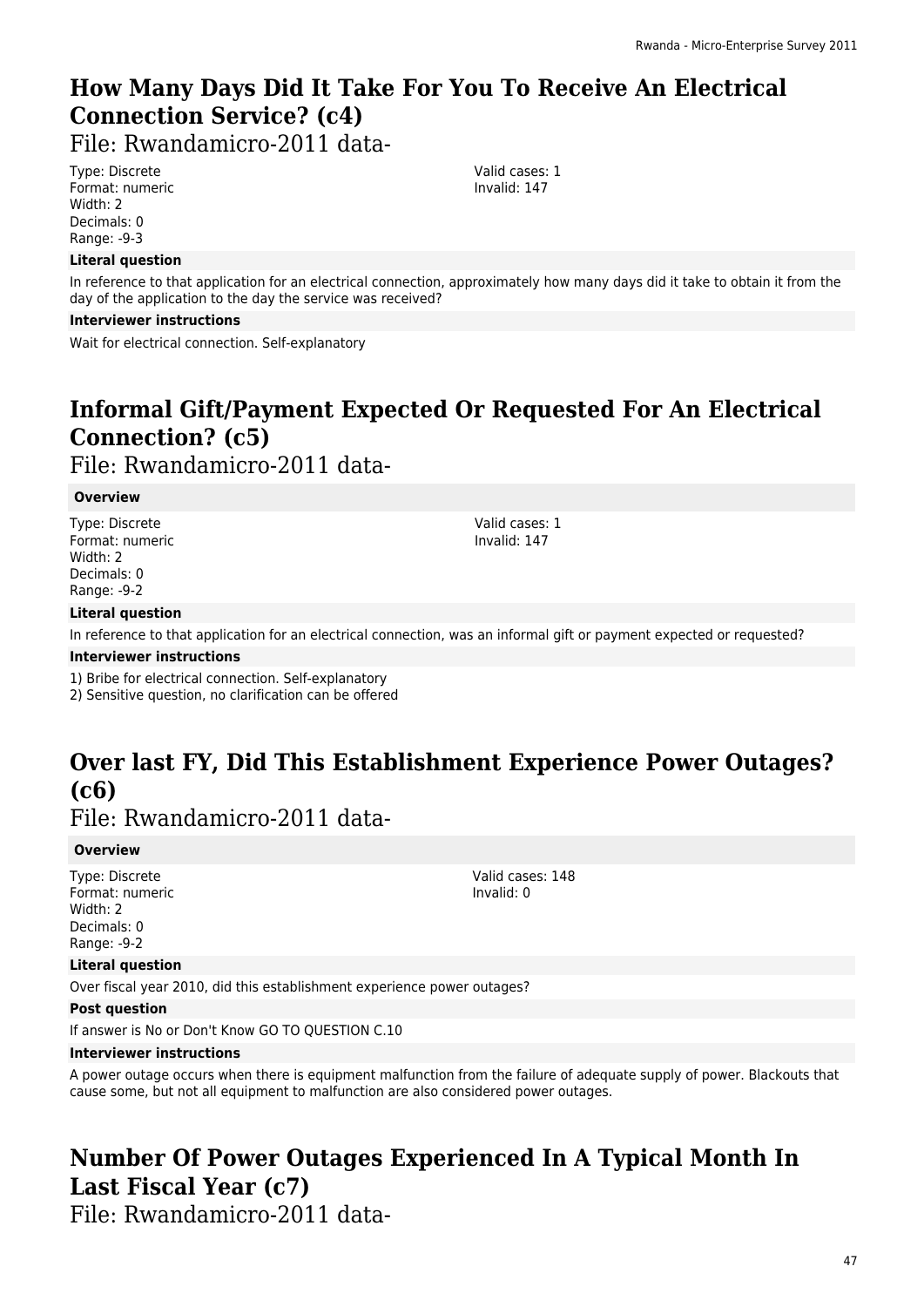# **How Many Days Did It Take For You To Receive An Electrical Connection Service? (c4)**

File: Rwandamicro-2011 data-

Type: Discrete Format: numeric Width: 2 Decimals: 0 Range: -9-3

### **Literal question**

In reference to that application for an electrical connection, approximately how many days did it take to obtain it from the day of the application to the day the service was received?

### **Interviewer instructions**

Wait for electrical connection. Self-explanatory

# **Informal Gift/Payment Expected Or Requested For An Electrical Connection? (c5)**

File: Rwandamicro-2011 data-

### **Overview**

Type: Discrete Format: numeric Width: 2 Decimals: 0 Range: -9-2

Valid cases: 1 Invalid: 147

### **Literal question**

In reference to that application for an electrical connection, was an informal gift or payment expected or requested?

### **Interviewer instructions**

1) Bribe for electrical connection. Self-explanatory

2) Sensitive question, no clarification can be offered

# **Over last FY, Did This Establishment Experience Power Outages? (c6)**

File: Rwandamicro-2011 data-

### **Overview**

Type: Discrete Format: numeric Width: 2 Decimals: 0 Range: -9-2

Valid cases: 148 Invalid: 0

### **Literal question**

Over fiscal year 2010, did this establishment experience power outages?

### **Post question**

If answer is No or Don't Know GO TO QUESTION C.10

### **Interviewer instructions**

A power outage occurs when there is equipment malfunction from the failure of adequate supply of power. Blackouts that cause some, but not all equipment to malfunction are also considered power outages.

# **Number Of Power Outages Experienced In A Typical Month In Last Fiscal Year (c7)**

File: Rwandamicro-2011 data-

47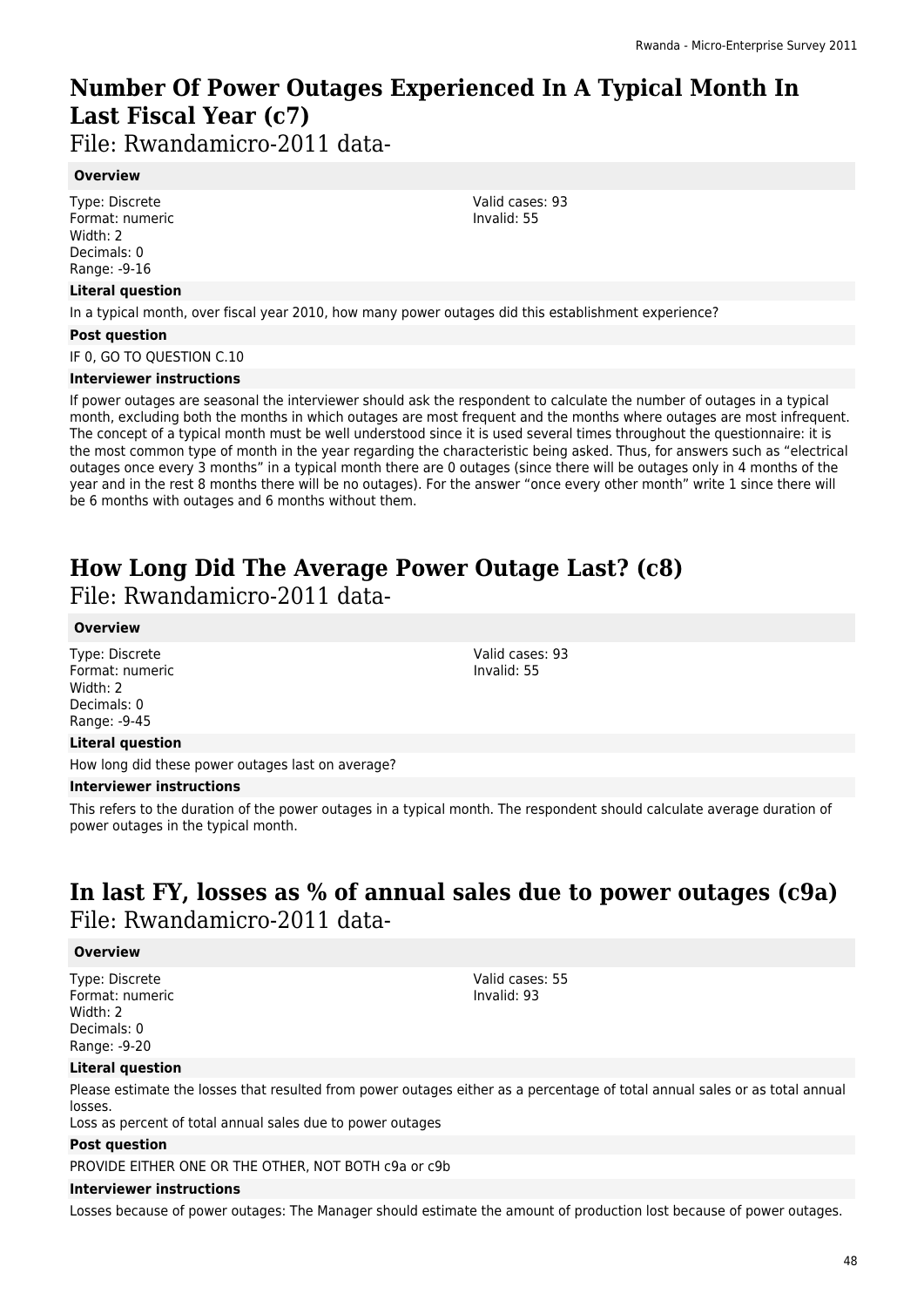# **Number Of Power Outages Experienced In A Typical Month In Last Fiscal Year (c7)**

File: Rwandamicro-2011 data-

### **Overview**

Type: Discrete Format: numeric Width: 2 Decimals: 0 Range: -9-16

### **Literal question**

In a typical month, over fiscal year 2010, how many power outages did this establishment experience?

### **Post question**

IF 0, GO TO QUESTION C.10

#### **Interviewer instructions**

If power outages are seasonal the interviewer should ask the respondent to calculate the number of outages in a typical month, excluding both the months in which outages are most frequent and the months where outages are most infrequent. The concept of a typical month must be well understood since it is used several times throughout the questionnaire: it is the most common type of month in the year regarding the characteristic being asked. Thus, for answers such as "electrical outages once every 3 months" in a typical month there are 0 outages (since there will be outages only in 4 months of the year and in the rest 8 months there will be no outages). For the answer "once every other month" write 1 since there will be 6 months with outages and 6 months without them.

# **How Long Did The Average Power Outage Last? (c8)**

File: Rwandamicro-2011 data-

### **Overview**

Type: Discrete Format: numeric Width: 2 Decimals: 0 Range: -9-45

### **Literal question**

How long did these power outages last on average?

### **Interviewer instructions**

This refers to the duration of the power outages in a typical month. The respondent should calculate average duration of power outages in the typical month.

## **In last FY, losses as % of annual sales due to power outages (c9a)**  File: Rwandamicro-2011 data-

### **Overview**

Type: Discrete Format: numeric Width: 2 Decimals: 0 Range: -9-20

Valid cases: 55 Invalid: 93

### **Literal question**

Please estimate the losses that resulted from power outages either as a percentage of total annual sales or as total annual losses.

Loss as percent of total annual sales due to power outages

### **Post question**

PROVIDE EITHER ONE OR THE OTHER, NOT BOTH c9a or c9b

### **Interviewer instructions**

Losses because of power outages: The Manager should estimate the amount of production lost because of power outages.

Valid cases: 93 Invalid: 55

Valid cases: 93 Invalid: 55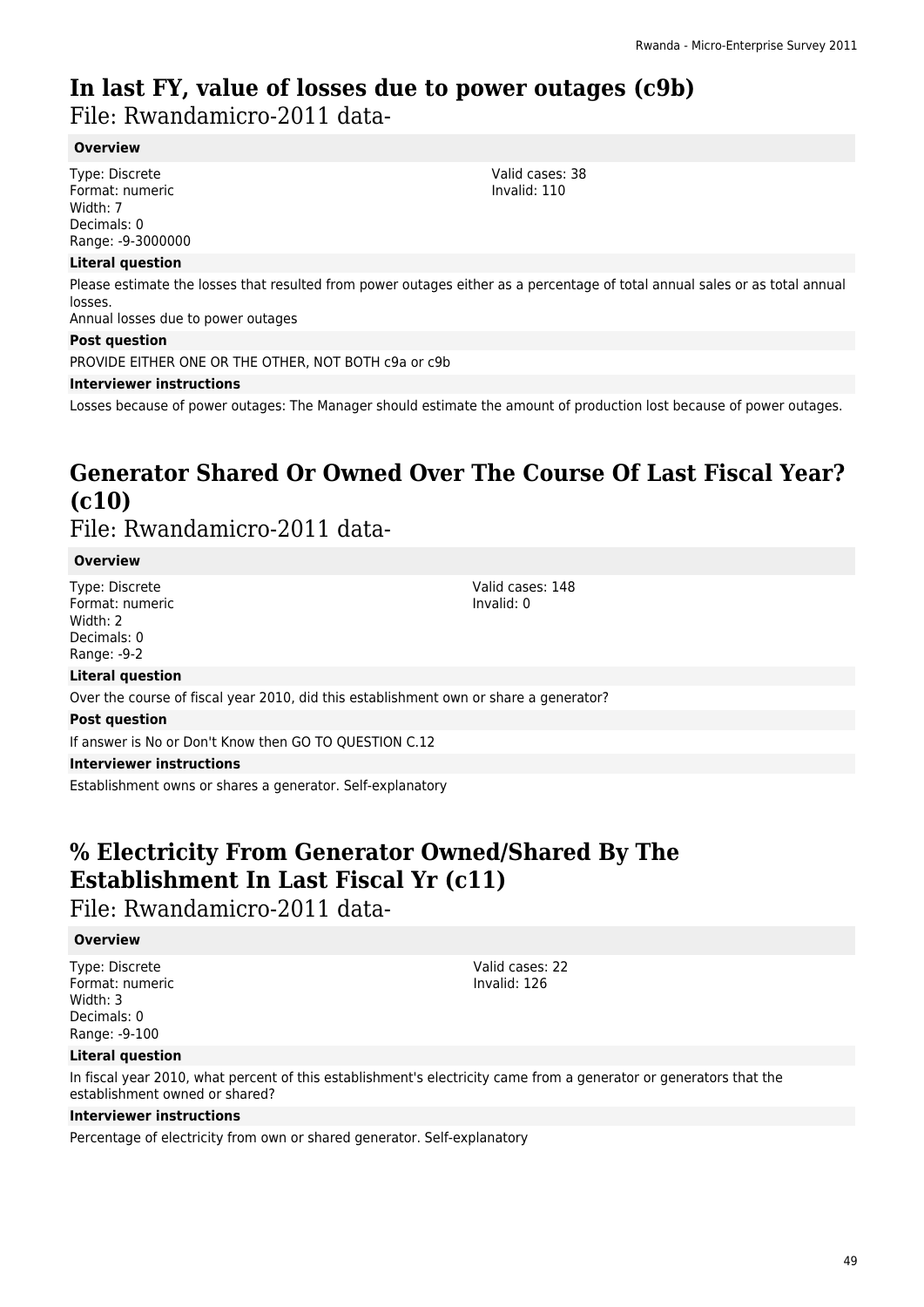## **In last FY, value of losses due to power outages (c9b)**  File: Rwandamicro-2011 data-

### **Overview**

Type: Discrete Format: numeric Width: 7 Decimals: 0 Range: -9-3000000

### **Literal question**

Please estimate the losses that resulted from power outages either as a percentage of total annual sales or as total annual losses.

Annual losses due to power outages

### **Post question**

PROVIDE EITHER ONE OR THE OTHER, NOT BOTH c9a or c9b

#### **Interviewer instructions**

Losses because of power outages: The Manager should estimate the amount of production lost because of power outages.

### **Generator Shared Or Owned Over The Course Of Last Fiscal Year? (c10)**  File: Rwandamicro-2011 data-

#### **Overview**

Type: Discrete Format: numeric Width: 2 Decimals: 0 Range: -9-2

Valid cases: 148 Invalid: 0

### **Literal question**

Over the course of fiscal year 2010, did this establishment own or share a generator?

#### **Post question**

If answer is No or Don't Know then GO TO QUESTION C.12

### **Interviewer instructions**

Establishment owns or shares a generator. Self-explanatory

## **% Electricity From Generator Owned/Shared By The Establishment In Last Fiscal Yr (c11)**

File: Rwandamicro-2011 data-

### **Overview**

Type: Discrete Format: numeric Width: 3 Decimals: 0 Range: -9-100

Valid cases: 22 Invalid: 126

### **Literal question**

In fiscal year 2010, what percent of this establishment's electricity came from a generator or generators that the establishment owned or shared?

### **Interviewer instructions**

Percentage of electricity from own or shared generator. Self-explanatory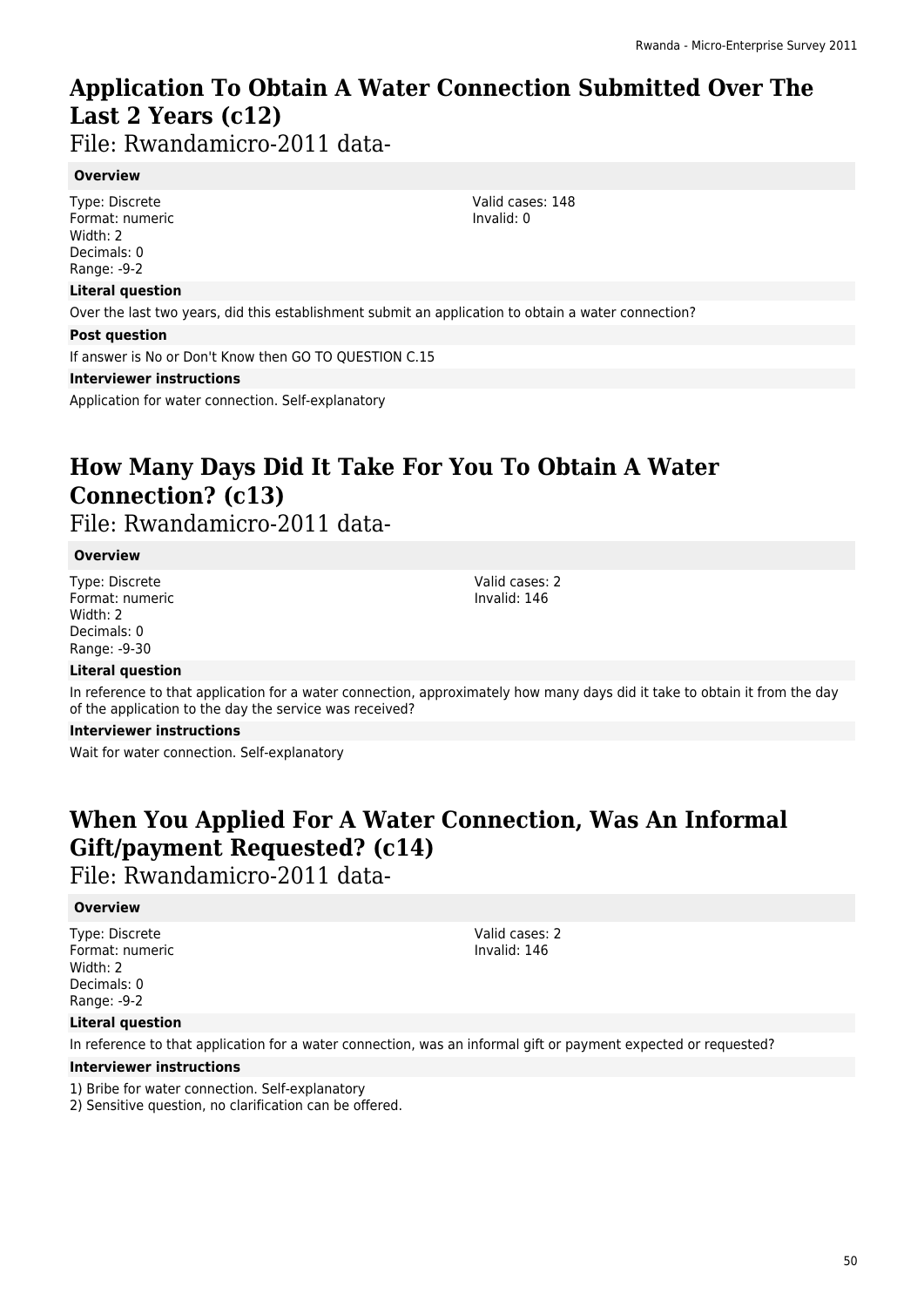# **Application To Obtain A Water Connection Submitted Over The Last 2 Years (c12)**

File: Rwandamicro-2011 data-

### **Overview**

Type: Discrete Format: numeric Width: 2 Decimals: 0 Range: -9-2

### **Literal question**

Over the last two years, did this establishment submit an application to obtain a water connection?

#### **Post question**

If answer is No or Don't Know then GO TO QUESTION C.15

#### **Interviewer instructions**

Application for water connection. Self-explanatory

# **How Many Days Did It Take For You To Obtain A Water Connection? (c13)**

File: Rwandamicro-2011 data-

### **Overview**

Type: Discrete Format: numeric Width: 2 Decimals: 0 Range: -9-30

Valid cases: 2 Invalid: 146

### **Literal question**

In reference to that application for a water connection, approximately how many days did it take to obtain it from the day of the application to the day the service was received?

### **Interviewer instructions**

Wait for water connection. Self-explanatory

# **When You Applied For A Water Connection, Was An Informal Gift/payment Requested? (c14)**

File: Rwandamicro-2011 data-

### **Overview**

Type: Discrete Format: numeric Width: 2 Decimals: 0 Range: -9-2

Valid cases: 2 Invalid: 146

### **Literal question**

In reference to that application for a water connection, was an informal gift or payment expected or requested?

### **Interviewer instructions**

- 1) Bribe for water connection. Self-explanatory
- 2) Sensitive question, no clarification can be offered.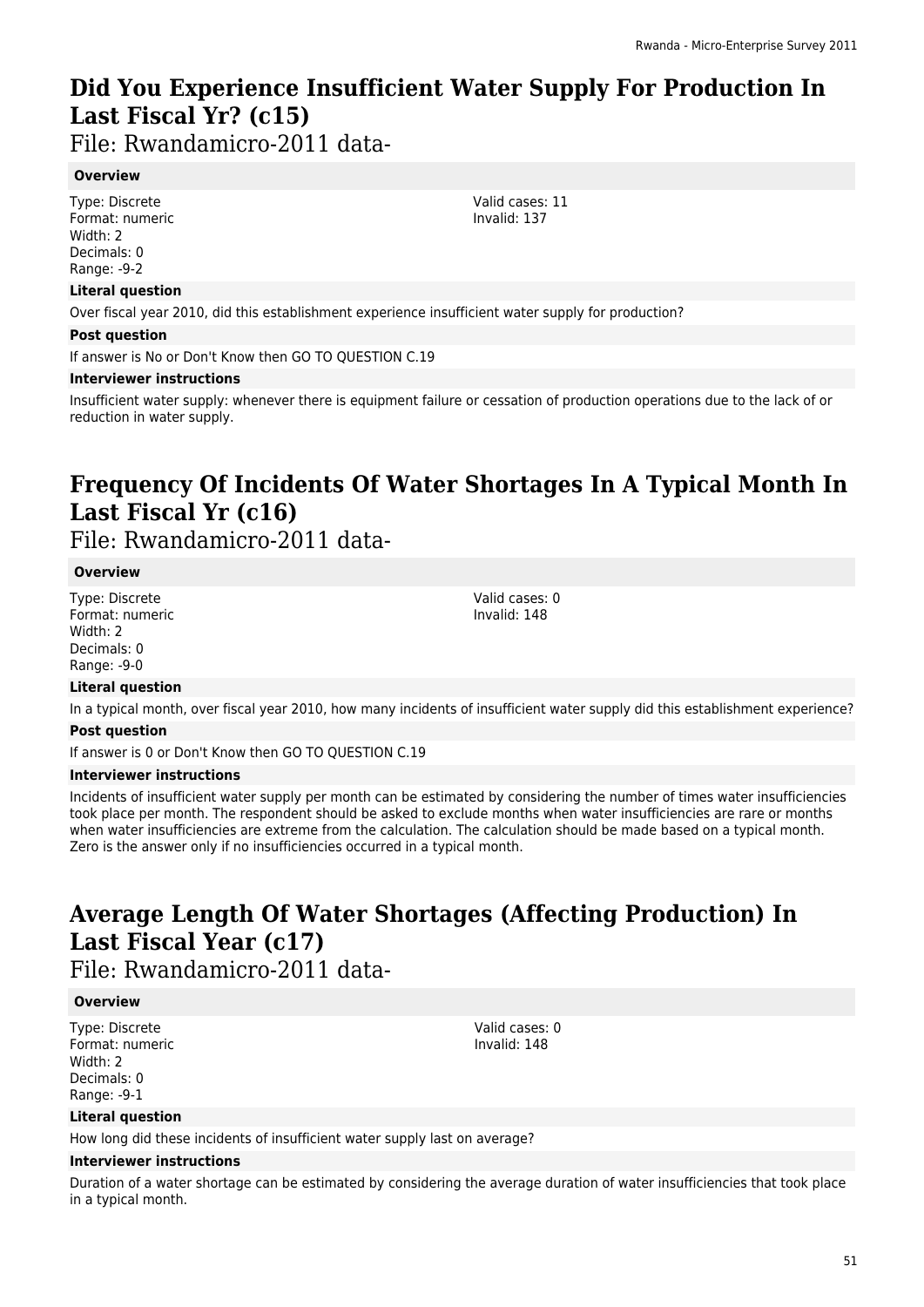# **Did You Experience Insufficient Water Supply For Production In Last Fiscal Yr? (c15)**

File: Rwandamicro-2011 data-

### **Overview**

Type: Discrete Format: numeric Width: 2 Decimals: 0 Range: -9-2

### **Literal question**

Over fiscal year 2010, did this establishment experience insufficient water supply for production?

### **Post question**

If answer is No or Don't Know then GO TO QUESTION C.19

### **Interviewer instructions**

Insufficient water supply: whenever there is equipment failure or cessation of production operations due to the lack of or reduction in water supply.

# **Frequency Of Incidents Of Water Shortages In A Typical Month In Last Fiscal Yr (c16)**

File: Rwandamicro-2011 data-

### **Overview**

Type: Discrete Format: numeric Width: 2 Decimals: 0 Range: -9-0

Valid cases: 0 Invalid: 148

### **Literal question**

In a typical month, over fiscal year 2010, how many incidents of insufficient water supply did this establishment experience? **Post question**

If answer is 0 or Don't Know then GO TO QUESTION C.19

### **Interviewer instructions**

Incidents of insufficient water supply per month can be estimated by considering the number of times water insufficiencies took place per month. The respondent should be asked to exclude months when water insufficiencies are rare or months when water insufficiencies are extreme from the calculation. The calculation should be made based on a typical month. Zero is the answer only if no insufficiencies occurred in a typical month.

# **Average Length Of Water Shortages (Affecting Production) In Last Fiscal Year (c17)**

File: Rwandamicro-2011 data-

### **Overview**

Type: Discrete Format: numeric Width: 2 Decimals: 0 Range: -9-1

Valid cases: 0 Invalid: 148

### **Literal question**

How long did these incidents of insufficient water supply last on average?

### **Interviewer instructions**

Duration of a water shortage can be estimated by considering the average duration of water insufficiencies that took place in a typical month.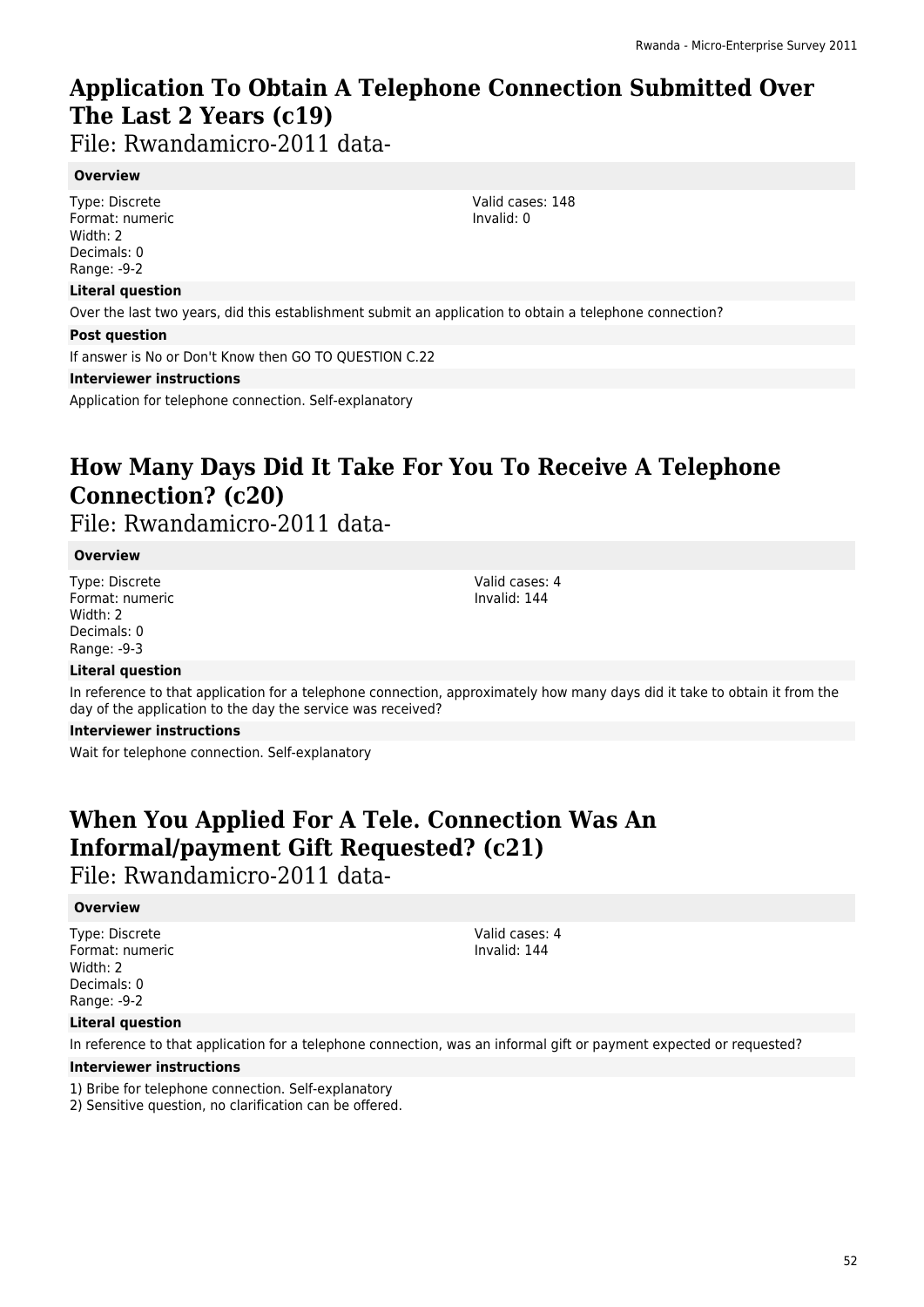# **Application To Obtain A Telephone Connection Submitted Over The Last 2 Years (c19)**

File: Rwandamicro-2011 data-

### **Overview**

Type: Discrete Format: numeric Width: 2 Decimals: 0 Range: -9-2

### **Literal question**

Over the last two years, did this establishment submit an application to obtain a telephone connection?

#### **Post question**

If answer is No or Don't Know then GO TO QUESTION C.22

#### **Interviewer instructions**

Application for telephone connection. Self-explanatory

# **How Many Days Did It Take For You To Receive A Telephone Connection? (c20)**

File: Rwandamicro-2011 data-

### **Overview**

Type: Discrete Format: numeric Width: 2 Decimals: 0 Range: -9-3

Valid cases: 4 Invalid: 144

### **Literal question**

In reference to that application for a telephone connection, approximately how many days did it take to obtain it from the day of the application to the day the service was received?

#### **Interviewer instructions**

Wait for telephone connection. Self-explanatory

# **When You Applied For A Tele. Connection Was An Informal/payment Gift Requested? (c21)**

File: Rwandamicro-2011 data-

### **Overview**

Type: Discrete Format: numeric Width: 2 Decimals: 0 Range: -9-2

Valid cases: 4 Invalid: 144

### **Literal question**

In reference to that application for a telephone connection, was an informal gift or payment expected or requested?

### **Interviewer instructions**

1) Bribe for telephone connection. Self-explanatory

2) Sensitive question, no clarification can be offered.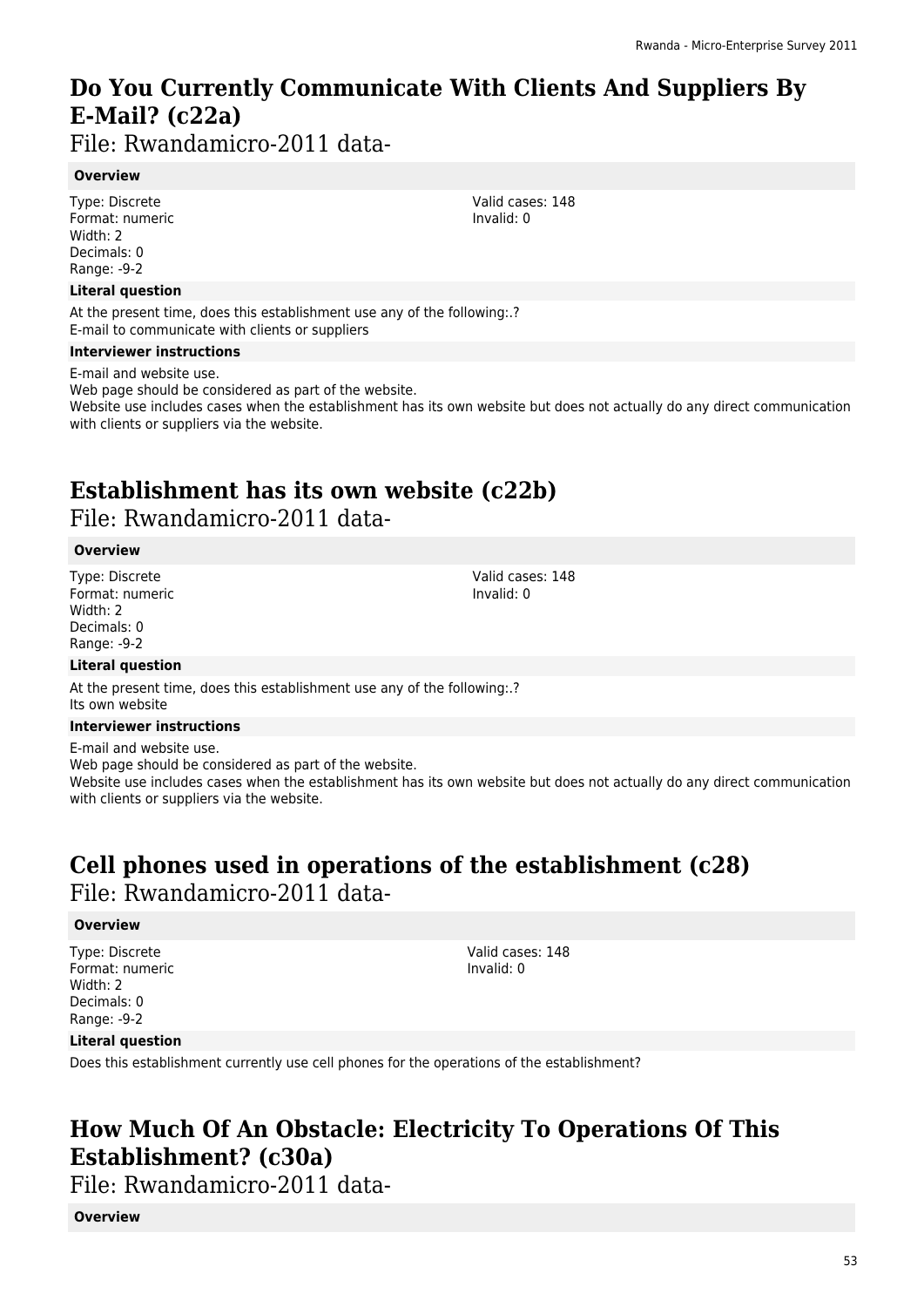# **Do You Currently Communicate With Clients And Suppliers By E-Mail? (c22a)**

File: Rwandamicro-2011 data-

### **Overview**

Type: Discrete Format: numeric Width: 2 Decimals: 0 Range: -9-2

### **Literal question**

At the present time, does this establishment use any of the following:.? E-mail to communicate with clients or suppliers

### **Interviewer instructions**

E-mail and website use. Web page should be considered as part of the website. Website use includes cases when the establishment has its own website but does not actually do any direct communication with clients or suppliers via the website.

## **Establishment has its own website (c22b)**  File: Rwandamicro-2011 data-

### **Overview**

Type: Discrete Format: numeric Width: 2 Decimals: 0 Range: -9-2

### **Literal question**

At the present time, does this establishment use any of the following:.? Its own website

### **Interviewer instructions**

E-mail and website use. Web page should be considered as part of the website.

Website use includes cases when the establishment has its own website but does not actually do any direct communication with clients or suppliers via the website.

# **Cell phones used in operations of the establishment (c28)**  File: Rwandamicro-2011 data-

### **Overview**

Type: Discrete Format: numeric Width: 2 Decimals: 0 Range: -9-2

Valid cases: 148 Invalid: 0

### **Literal question**

Does this establishment currently use cell phones for the operations of the establishment?

## **How Much Of An Obstacle: Electricity To Operations Of This Establishment? (c30a)**

File: Rwandamicro-2011 data-

**Overview**

Valid cases: 148 Invalid: 0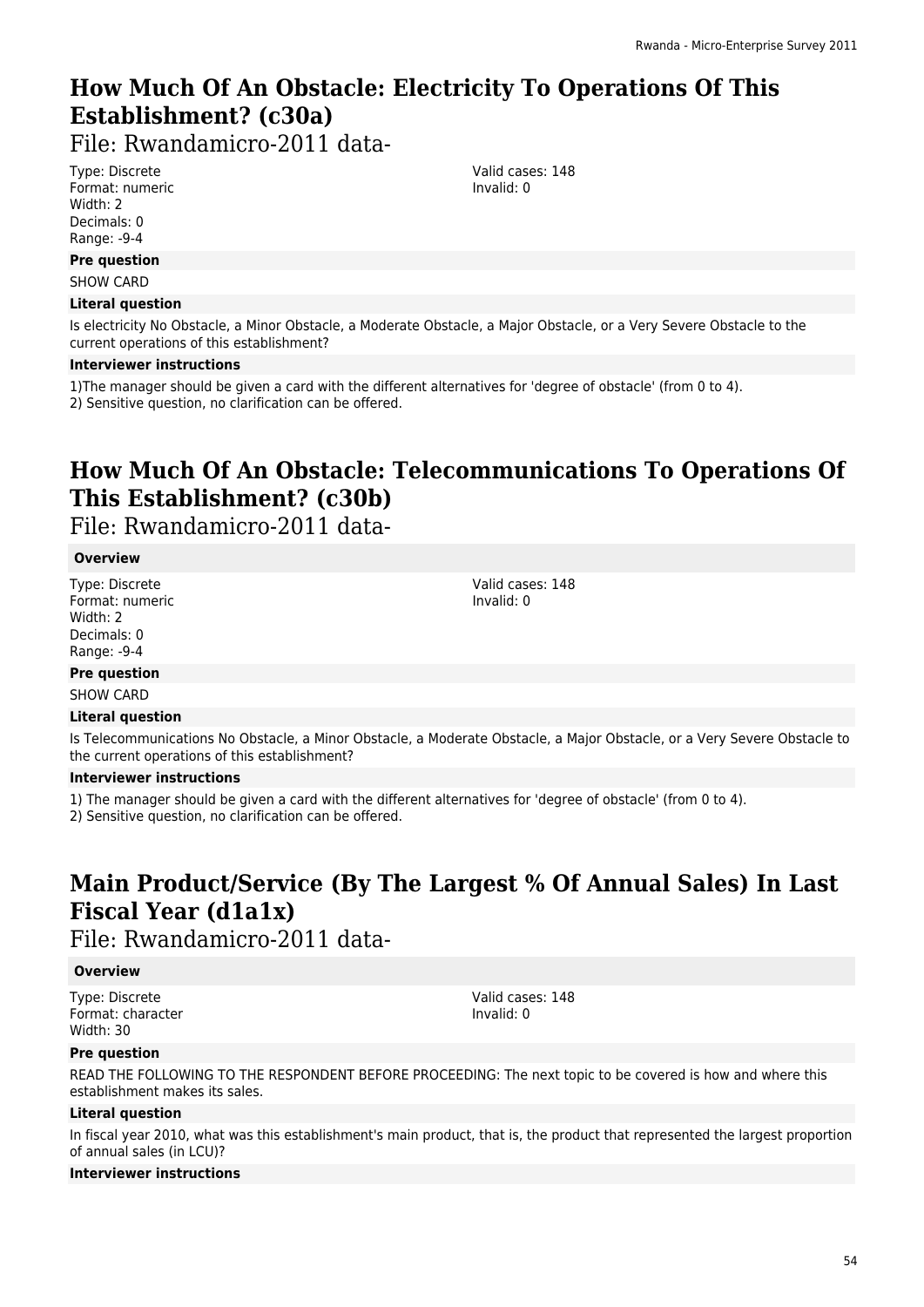# **How Much Of An Obstacle: Electricity To Operations Of This Establishment? (c30a)**

File: Rwandamicro-2011 data-

Type: Discrete Format: numeric Width: 2 Decimals: 0 Range: -9-4

### **Pre question**

SHOW CARD

### **Literal question**

Is electricity No Obstacle, a Minor Obstacle, a Moderate Obstacle, a Major Obstacle, or a Very Severe Obstacle to the current operations of this establishment?

#### **Interviewer instructions**

1)The manager should be given a card with the different alternatives for 'degree of obstacle' (from 0 to 4). 2) Sensitive question, no clarification can be offered.

## **How Much Of An Obstacle: Telecommunications To Operations Of This Establishment? (c30b)**

File: Rwandamicro-2011 data-

### **Overview**

Type: Discrete Format: numeric Width: 2 Decimals: 0 Range: -9-4

Valid cases: 148 Invalid: 0

### **Pre question**

SHOW CARD

### **Literal question**

Is Telecommunications No Obstacle, a Minor Obstacle, a Moderate Obstacle, a Major Obstacle, or a Very Severe Obstacle to the current operations of this establishment?

### **Interviewer instructions**

1) The manager should be given a card with the different alternatives for 'degree of obstacle' (from 0 to 4).

2) Sensitive question, no clarification can be offered.

# **Main Product/Service (By The Largest % Of Annual Sales) In Last Fiscal Year (d1a1x)**

### File: Rwandamicro-2011 data-

### **Overview**

Type: Discrete Format: character Width: 30

Valid cases: 148 Invalid: 0

### **Pre question**

READ THE FOLLOWING TO THE RESPONDENT BEFORE PROCEEDING: The next topic to be covered is how and where this establishment makes its sales.

### **Literal question**

In fiscal year 2010, what was this establishment's main product, that is, the product that represented the largest proportion of annual sales (in LCU)?

### **Interviewer instructions**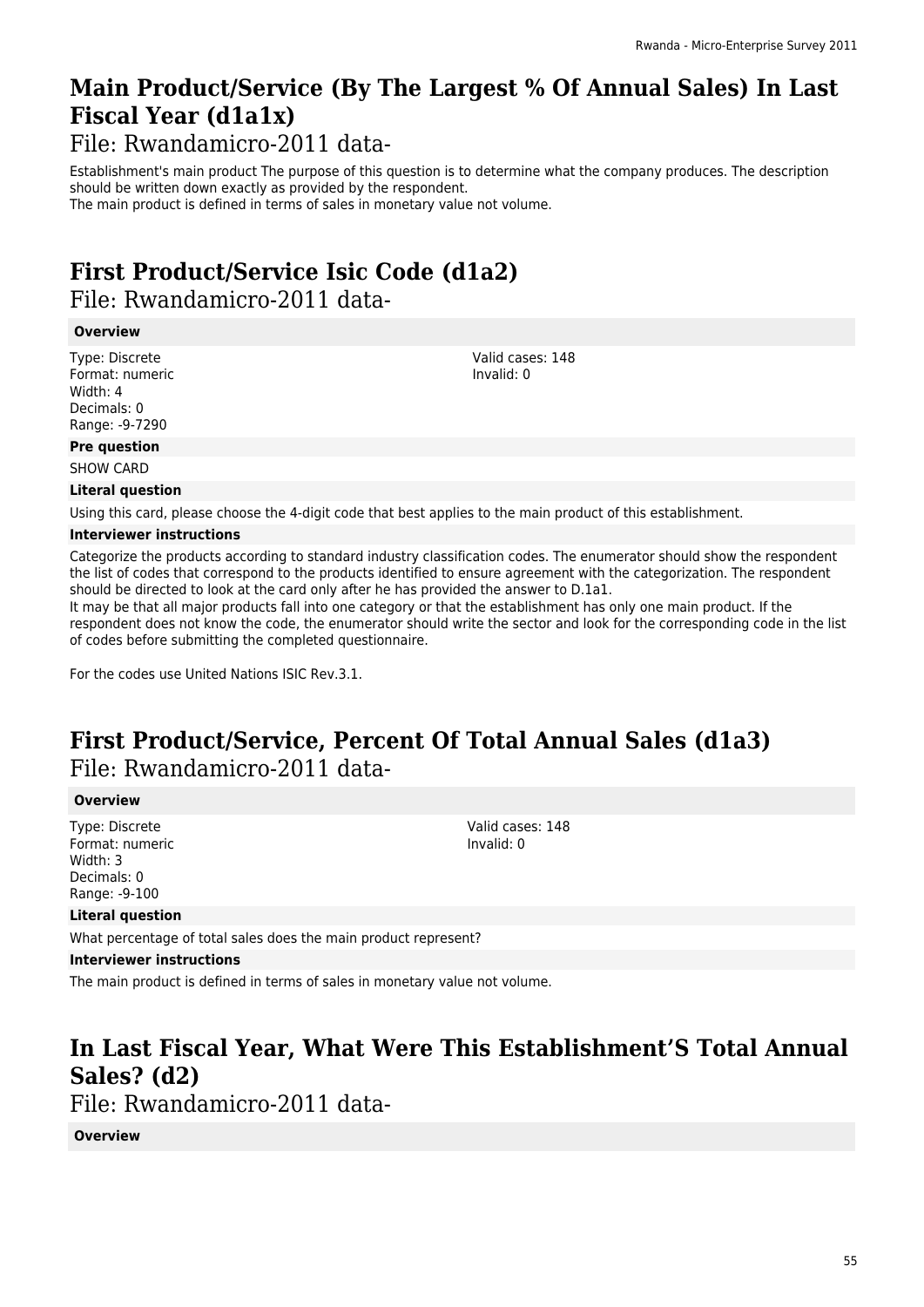# **Main Product/Service (By The Largest % Of Annual Sales) In Last Fiscal Year (d1a1x)**

File: Rwandamicro-2011 data-

Establishment's main product The purpose of this question is to determine what the company produces. The description should be written down exactly as provided by the respondent.

The main product is defined in terms of sales in monetary value not volume.

## **First Product/Service Isic Code (d1a2)**  File: Rwandamicro-2011 data-

### **Overview**

Type: Discrete Format: numeric Width: 4 Decimals: 0 Range: -9-7290

Valid cases: 148 Invalid: 0

### **Pre question**

SHOW CARD

### **Literal question**

Using this card, please choose the 4-digit code that best applies to the main product of this establishment.

### **Interviewer instructions**

Categorize the products according to standard industry classification codes. The enumerator should show the respondent the list of codes that correspond to the products identified to ensure agreement with the categorization. The respondent should be directed to look at the card only after he has provided the answer to D.1a1.

It may be that all major products fall into one category or that the establishment has only one main product. If the respondent does not know the code, the enumerator should write the sector and look for the corresponding code in the list of codes before submitting the completed questionnaire.

For the codes use United Nations ISIC Rev.3.1.

# **First Product/Service, Percent Of Total Annual Sales (d1a3)**  File: Rwandamicro-2011 data-

### **Overview**

Type: Discrete Format: numeric Width: 3 Decimals: 0 Range: -9-100

Valid cases: 148 Invalid: 0

### **Literal question**

What percentage of total sales does the main product represent?

### **Interviewer instructions**

The main product is defined in terms of sales in monetary value not volume.

# **In Last Fiscal Year, What Were This Establishment'S Total Annual Sales? (d2)**

File: Rwandamicro-2011 data-

### **Overview**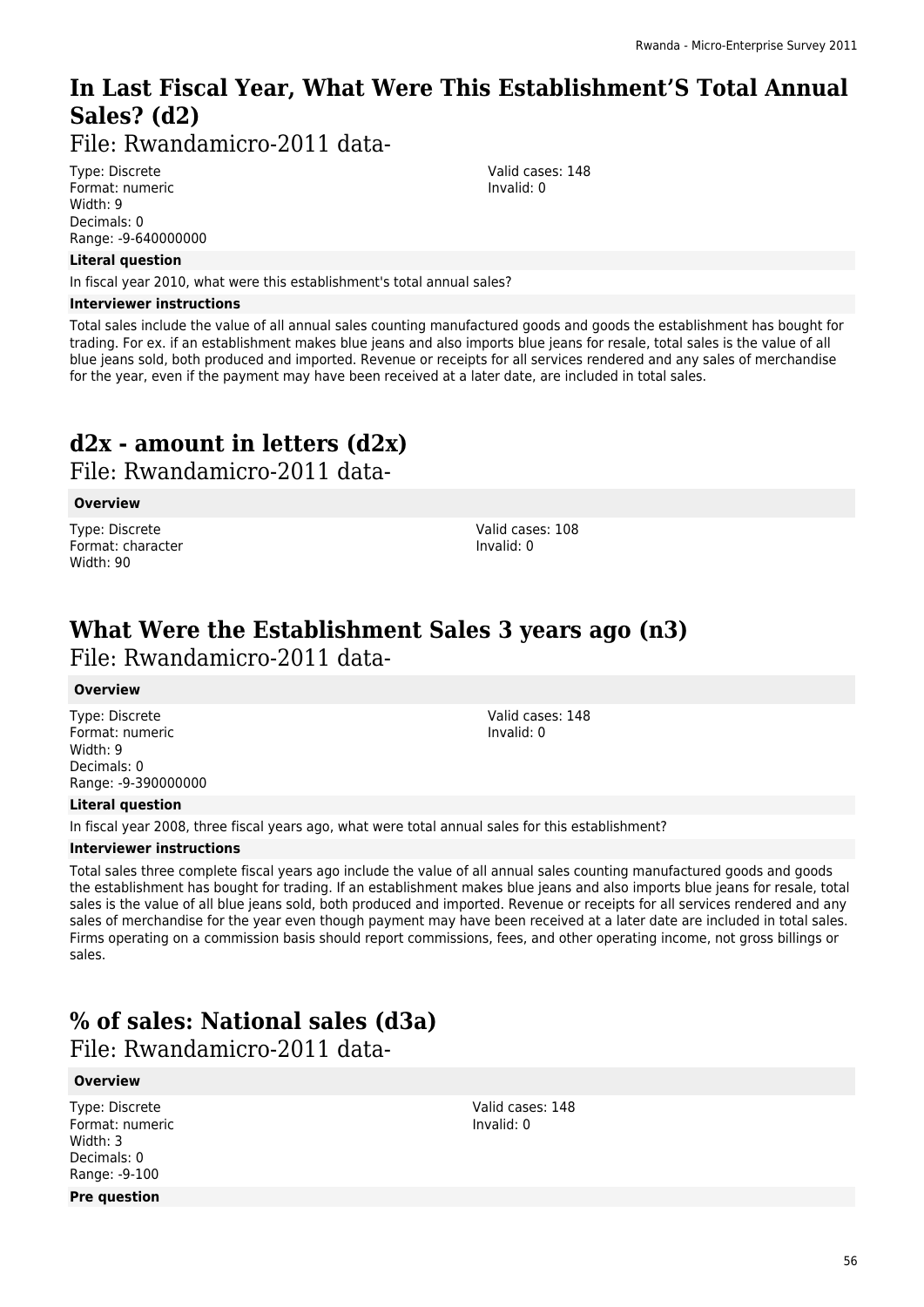# **In Last Fiscal Year, What Were This Establishment'S Total Annual Sales? (d2)**

File: Rwandamicro-2011 data-

Type: Discrete Format: numeric Width: 9 Decimals: 0 Range: -9-640000000

### **Literal question**

In fiscal year 2010, what were this establishment's total annual sales?

### **Interviewer instructions**

Total sales include the value of all annual sales counting manufactured goods and goods the establishment has bought for trading. For ex. if an establishment makes blue jeans and also imports blue jeans for resale, total sales is the value of all blue jeans sold, both produced and imported. Revenue or receipts for all services rendered and any sales of merchandise for the year, even if the payment may have been received at a later date, are included in total sales.

# **d2x - amount in letters (d2x)**

File: Rwandamicro-2011 data-

### **Overview**

Type: Discrete Format: character Width: 90

Valid cases: 108 Invalid: 0

## **What Were the Establishment Sales 3 years ago (n3)**  File: Rwandamicro-2011 data-

### **Overview**

Type: Discrete Format: numeric Width: 9 Decimals: 0 Range: -9-390000000 Valid cases: 148 Invalid: 0

### **Literal question**

In fiscal year 2008, three fiscal years ago, what were total annual sales for this establishment?

### **Interviewer instructions**

Total sales three complete fiscal years ago include the value of all annual sales counting manufactured goods and goods the establishment has bought for trading. If an establishment makes blue jeans and also imports blue jeans for resale, total sales is the value of all blue jeans sold, both produced and imported. Revenue or receipts for all services rendered and any sales of merchandise for the year even though payment may have been received at a later date are included in total sales. Firms operating on a commission basis should report commissions, fees, and other operating income, not gross billings or sales.

## **% of sales: National sales (d3a)**

File: Rwandamicro-2011 data-

### **Overview**

Type: Discrete Format: numeric Width: 3 Decimals: 0 Range: -9-100 **Pre question**

Valid cases: 148 Invalid: 0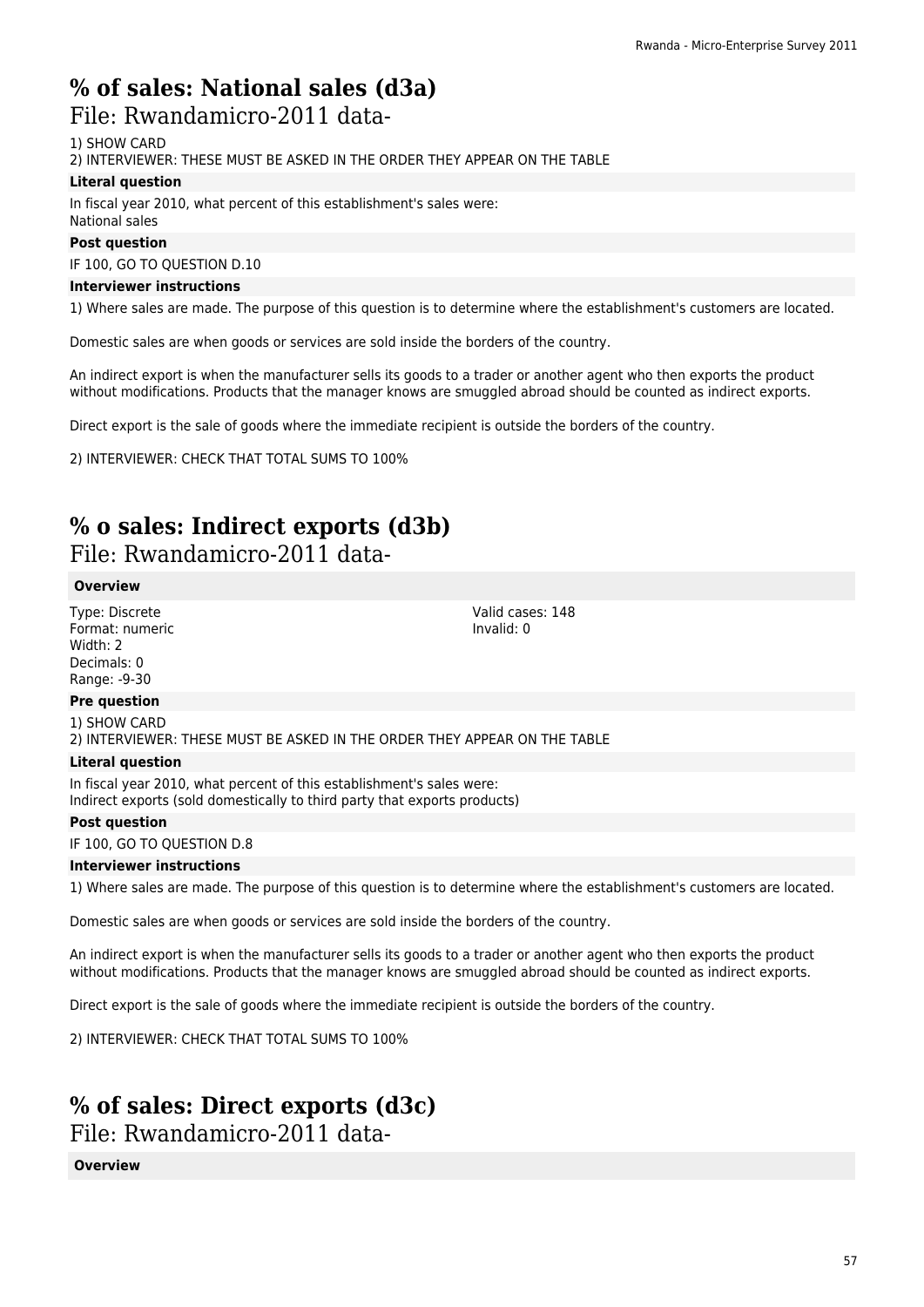# **% of sales: National sales (d3a)**

### File: Rwandamicro-2011 data-

1) SHOW CARD

2) INTERVIEWER: THESE MUST BE ASKED IN THE ORDER THEY APPEAR ON THE TABLE

### **Literal question**

In fiscal year 2010, what percent of this establishment's sales were: National sales

### **Post question**

IF 100, GO TO QUESTION D.10

### **Interviewer instructions**

1) Where sales are made. The purpose of this question is to determine where the establishment's customers are located.

Domestic sales are when goods or services are sold inside the borders of the country.

An indirect export is when the manufacturer sells its goods to a trader or another agent who then exports the product without modifications. Products that the manager knows are smuggled abroad should be counted as indirect exports.

Direct export is the sale of goods where the immediate recipient is outside the borders of the country.

2) INTERVIEWER: CHECK THAT TOTAL SUMS TO 100%

## **% o sales: Indirect exports (d3b)**

File: Rwandamicro-2011 data-

### **Overview**

Type: Discrete Format: numeric Width: 2 Decimals: 0 Range: -9-30

Valid cases: 148 Invalid: 0

### **Pre question**

1) SHOW CARD 2) INTERVIEWER: THESE MUST BE ASKED IN THE ORDER THEY APPEAR ON THE TABLE

### **Literal question**

In fiscal year 2010, what percent of this establishment's sales were: Indirect exports (sold domestically to third party that exports products)

### **Post question**

### IF 100, GO TO QUESTION D.8

### **Interviewer instructions**

1) Where sales are made. The purpose of this question is to determine where the establishment's customers are located.

Domestic sales are when goods or services are sold inside the borders of the country.

An indirect export is when the manufacturer sells its goods to a trader or another agent who then exports the product without modifications. Products that the manager knows are smuggled abroad should be counted as indirect exports.

Direct export is the sale of goods where the immediate recipient is outside the borders of the country.

2) INTERVIEWER: CHECK THAT TOTAL SUMS TO 100%

# **% of sales: Direct exports (d3c)**

File: Rwandamicro-2011 data-

### **Overview**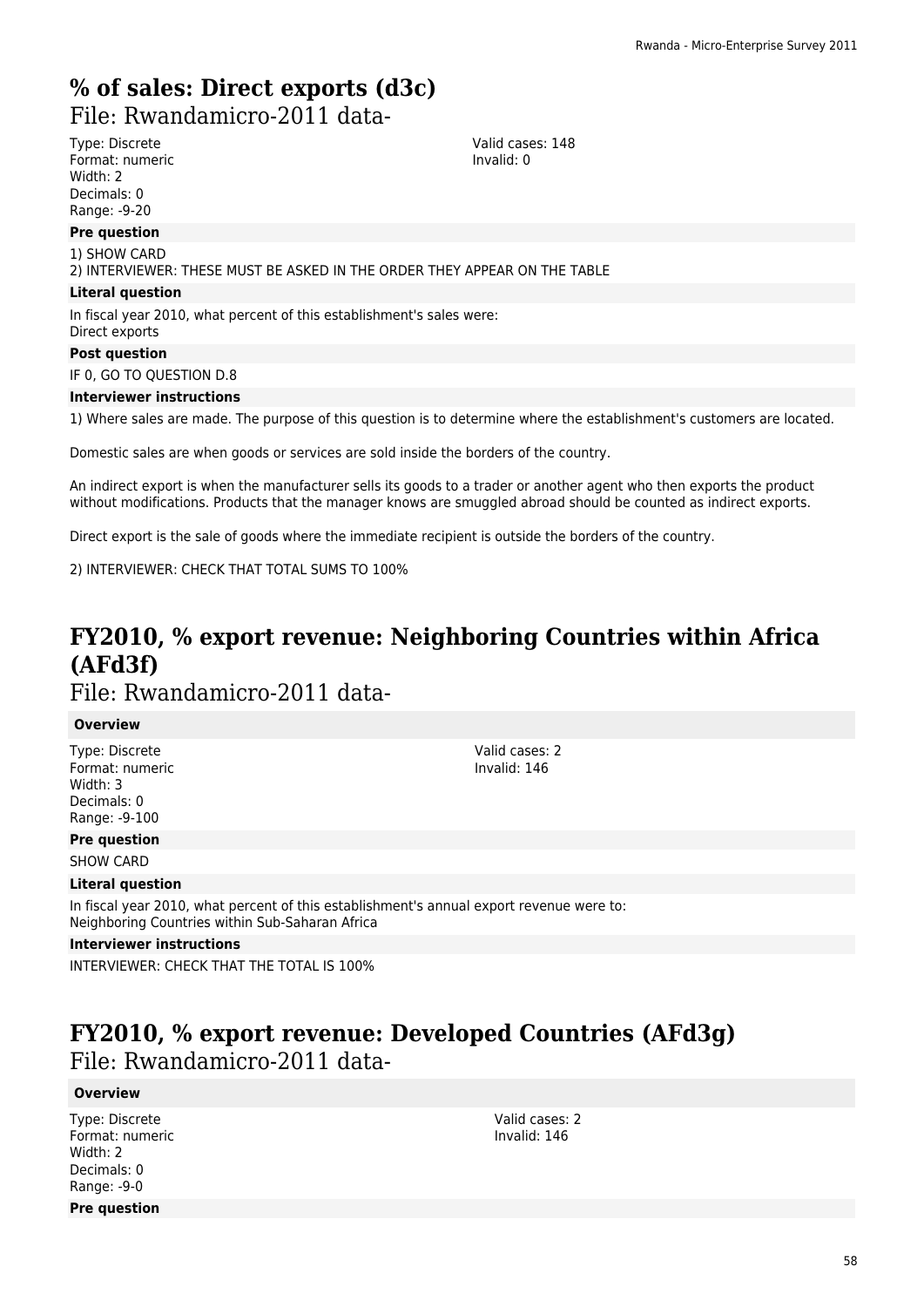# **% of sales: Direct exports (d3c)**

File: Rwandamicro-2011 data-

Type: Discrete Format: numeric Width: 2 Decimals: 0 Range: -9-20

**Pre question**

1) SHOW CARD

2) INTERVIEWER: THESE MUST BE ASKED IN THE ORDER THEY APPEAR ON THE TABLE

### **Literal question**

In fiscal year 2010, what percent of this establishment's sales were: Direct exports

#### **Post question**

IF 0, GO TO QUESTION D.8

#### **Interviewer instructions**

1) Where sales are made. The purpose of this question is to determine where the establishment's customers are located.

Valid cases: 148 Invalid: 0

Domestic sales are when goods or services are sold inside the borders of the country.

An indirect export is when the manufacturer sells its goods to a trader or another agent who then exports the product without modifications. Products that the manager knows are smuggled abroad should be counted as indirect exports.

Direct export is the sale of goods where the immediate recipient is outside the borders of the country.

2) INTERVIEWER: CHECK THAT TOTAL SUMS TO 100%

# **FY2010, % export revenue: Neighboring Countries within Africa (AFd3f)**

## File: Rwandamicro-2011 data-

### **Overview**

Type: Discrete Format: numeric Width: 3 Decimals: 0 Range: -9-100

Valid cases: 2 Invalid: 146

**Pre question**

SHOW CARD

### **Literal question**

In fiscal year 2010, what percent of this establishment's annual export revenue were to: Neighboring Countries within Sub-Saharan Africa

### **Interviewer instructions**

INTERVIEWER: CHECK THAT THE TOTAL IS 100%

## **FY2010, % export revenue: Developed Countries (AFd3g)**  File: Rwandamicro-2011 data-

### **Overview**

Type: Discrete Format: numeric Width: 2 Decimals: 0 Range: -9-0 **Pre question**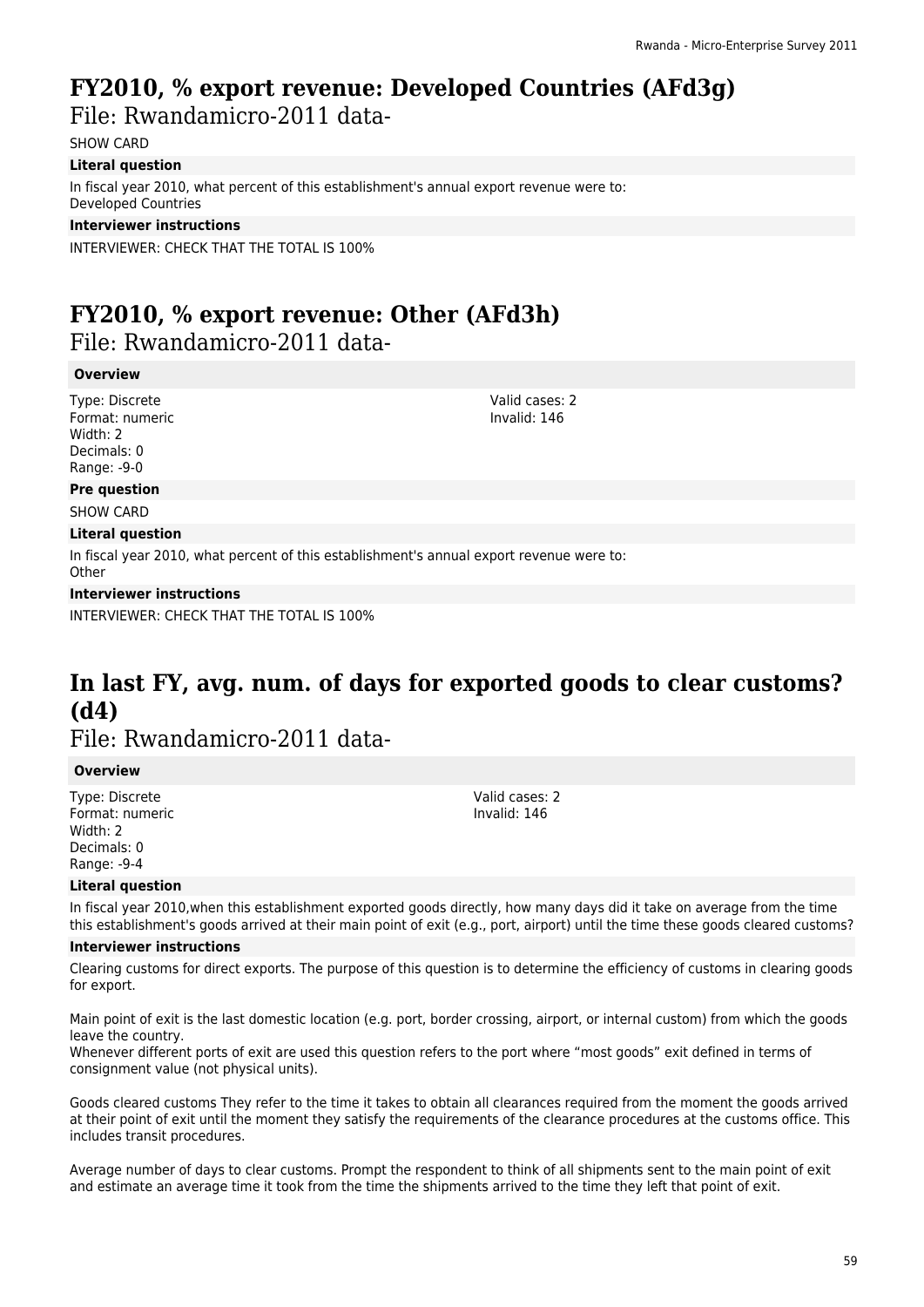# **FY2010, % export revenue: Developed Countries (AFd3g)**

File: Rwandamicro-2011 data-

SHOW CARD

### **Literal question**

In fiscal year 2010, what percent of this establishment's annual export revenue were to: Developed Countries

### **Interviewer instructions**

INTERVIEWER: CHECK THAT THE TOTAL IS 100%

# **FY2010, % export revenue: Other (AFd3h)**

File: Rwandamicro-2011 data-

### **Overview**

Type: Discrete Format: numeric Width: 2 Decimals: 0 Range: -9-0

Valid cases: 2 Invalid: 146

**Pre question** SHOW CARD

### **Literal question**

In fiscal year 2010, what percent of this establishment's annual export revenue were to: **Other** 

### **Interviewer instructions**

INTERVIEWER: CHECK THAT THE TOTAL IS 100%

# **In last FY, avg. num. of days for exported goods to clear customs? (d4)**

File: Rwandamicro-2011 data-

### **Overview**

Type: Discrete Format: numeric Width: 2 Decimals: 0 Range: -9-4

Valid cases: 2 Invalid: 146

### **Literal question**

In fiscal year 2010,when this establishment exported goods directly, how many days did it take on average from the time this establishment's goods arrived at their main point of exit (e.g., port, airport) until the time these goods cleared customs?

### **Interviewer instructions**

Clearing customs for direct exports. The purpose of this question is to determine the efficiency of customs in clearing goods for export.

Main point of exit is the last domestic location (e.g. port, border crossing, airport, or internal custom) from which the goods leave the country.

Whenever different ports of exit are used this question refers to the port where "most goods" exit defined in terms of consignment value (not physical units).

Goods cleared customs They refer to the time it takes to obtain all clearances required from the moment the goods arrived at their point of exit until the moment they satisfy the requirements of the clearance procedures at the customs office. This includes transit procedures.

Average number of days to clear customs. Prompt the respondent to think of all shipments sent to the main point of exit and estimate an average time it took from the time the shipments arrived to the time they left that point of exit.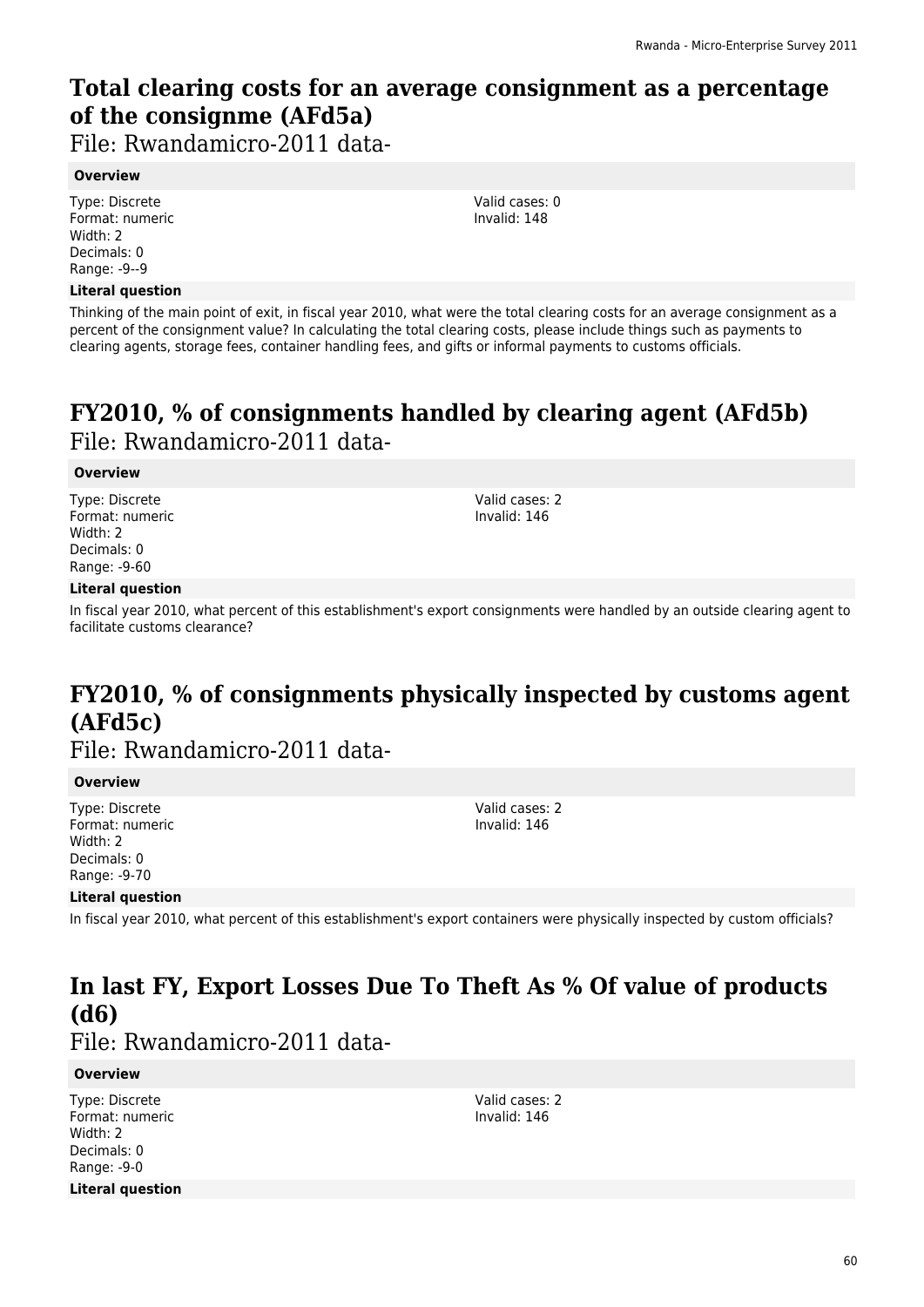# **Total clearing costs for an average consignment as a percentage of the consignme (AFd5a)**

File: Rwandamicro-2011 data-

### **Overview**

Type: Discrete Format: numeric Width: 2 Decimals: 0 Range: -9--9

### **Literal question**

Thinking of the main point of exit, in fiscal year 2010, what were the total clearing costs for an average consignment as a percent of the consignment value? In calculating the total clearing costs, please include things such as payments to clearing agents, storage fees, container handling fees, and gifts or informal payments to customs officials.

## **FY2010, % of consignments handled by clearing agent (AFd5b)**  File: Rwandamicro-2011 data-

### **Overview**

Type: Discrete Format: numeric Width: 2 Decimals: 0 Range: -9-60

Valid cases: 2 Invalid: 146

Valid cases: 0 Invalid: 148

### **Literal question**

In fiscal year 2010, what percent of this establishment's export consignments were handled by an outside clearing agent to facilitate customs clearance?

## **FY2010, % of consignments physically inspected by customs agent (AFd5c)**

File: Rwandamicro-2011 data-

### **Overview**

Type: Discrete Format: numeric Width: 2 Decimals: 0 Range: -9-70

Valid cases: 2 Invalid: 146

### **Literal question**

In fiscal year 2010, what percent of this establishment's export containers were physically inspected by custom officials?

# **In last FY, Export Losses Due To Theft As % Of value of products (d6)**

File: Rwandamicro-2011 data-

### **Overview**

Type: Discrete Format: numeric Width: 2 Decimals: 0 Range: -9-0 **Literal question** Valid cases: 2 Invalid: 146

60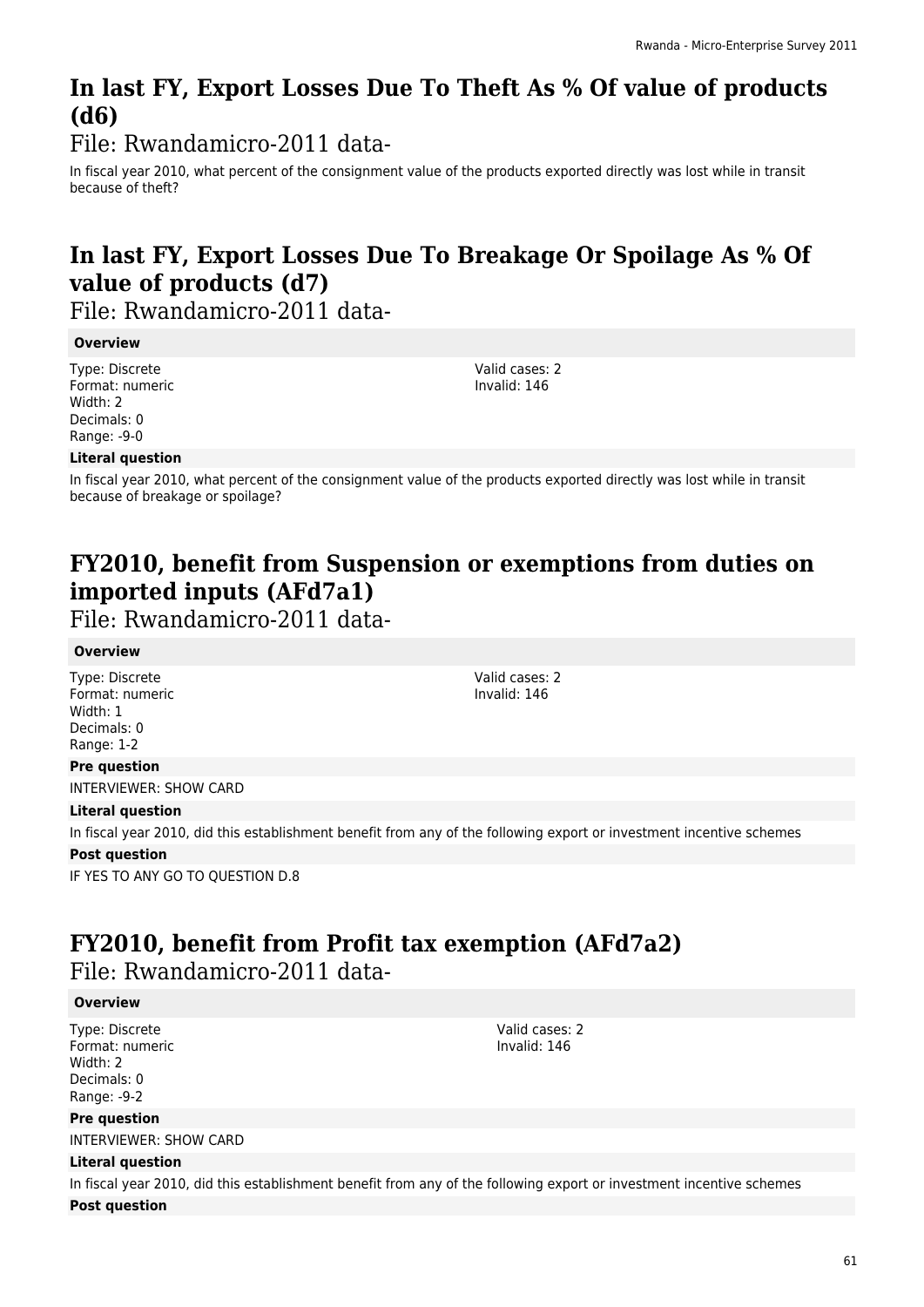# **In last FY, Export Losses Due To Theft As % Of value of products (d6)**

File: Rwandamicro-2011 data-

In fiscal year 2010, what percent of the consignment value of the products exported directly was lost while in transit because of theft?

# **In last FY, Export Losses Due To Breakage Or Spoilage As % Of value of products (d7)**

File: Rwandamicro-2011 data-

### **Overview**

Type: Discrete Format: numeric Width: 2 Decimals: 0 Range: -9-0

Valid cases: 2 Invalid: 146

Valid cases: 2 Invalid: 146

### **Literal question**

In fiscal year 2010, what percent of the consignment value of the products exported directly was lost while in transit because of breakage or spoilage?

# **FY2010, benefit from Suspension or exemptions from duties on imported inputs (AFd7a1)**

File: Rwandamicro-2011 data-

### **Overview**

Type: Discrete Format: numeric Width: 1 Decimals: 0 Range: 1-2

### **Pre question**

INTERVIEWER: SHOW CARD

### **Literal question**

In fiscal year 2010, did this establishment benefit from any of the following export or investment incentive schemes

### **Post question**

IF YES TO ANY GO TO QUESTION D.8

# **FY2010, benefit from Profit tax exemption (AFd7a2)**

File: Rwandamicro-2011 data-

### **Overview**

Type: Discrete Format: numeric Width: 2 Decimals: 0 Range: -9-2

### **Pre question**

INTERVIEWER: SHOW CARD

### **Literal question**

In fiscal year 2010, did this establishment benefit from any of the following export or investment incentive schemes **Post question**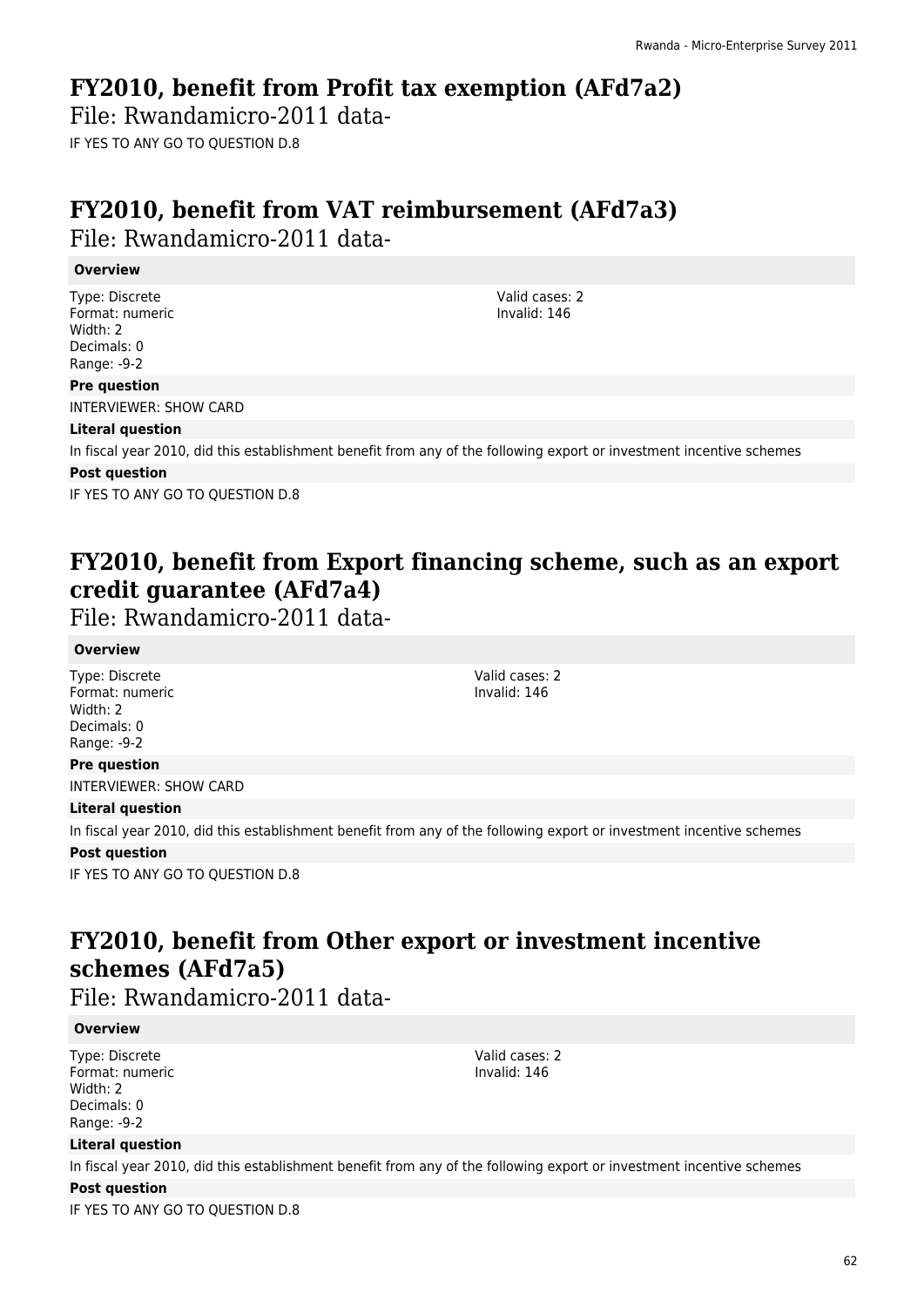## **FY2010, benefit from Profit tax exemption (AFd7a2)**

File: Rwandamicro-2011 data-IF YES TO ANY GO TO QUESTION D.8

# **FY2010, benefit from VAT reimbursement (AFd7a3)**

File: Rwandamicro-2011 data-

### **Overview**

Type: Discrete Format: numeric Width: 2 Decimals: 0 Range: -9-2

### **Pre question**

INTERVIEWER: SHOW CARD

### **Literal question**

In fiscal year 2010, did this establishment benefit from any of the following export or investment incentive schemes

### **Post question**

IF YES TO ANY GO TO QUESTION D.8

# **FY2010, benefit from Export financing scheme, such as an export credit guarantee (AFd7a4)**

File: Rwandamicro-2011 data-

### **Overview**

Type: Discrete Format: numeric Width: 2 Decimals: 0 Range: -9-2

**Pre question**

Valid cases: 2 Invalid: 146

Valid cases: 2 Invalid: 146

### INTERVIEWER: SHOW CARD

### **Literal question**

In fiscal year 2010, did this establishment benefit from any of the following export or investment incentive schemes

### **Post question**

IF YES TO ANY GO TO QUESTION D.8

# **FY2010, benefit from Other export or investment incentive schemes (AFd7a5)**

File: Rwandamicro-2011 data-

### **Overview**

Type: Discrete Format: numeric Width: 2 Decimals: 0 Range: -9-2

### **Literal question**

In fiscal year 2010, did this establishment benefit from any of the following export or investment incentive schemes

### **Post question**

IF YES TO ANY GO TO QUESTION D.8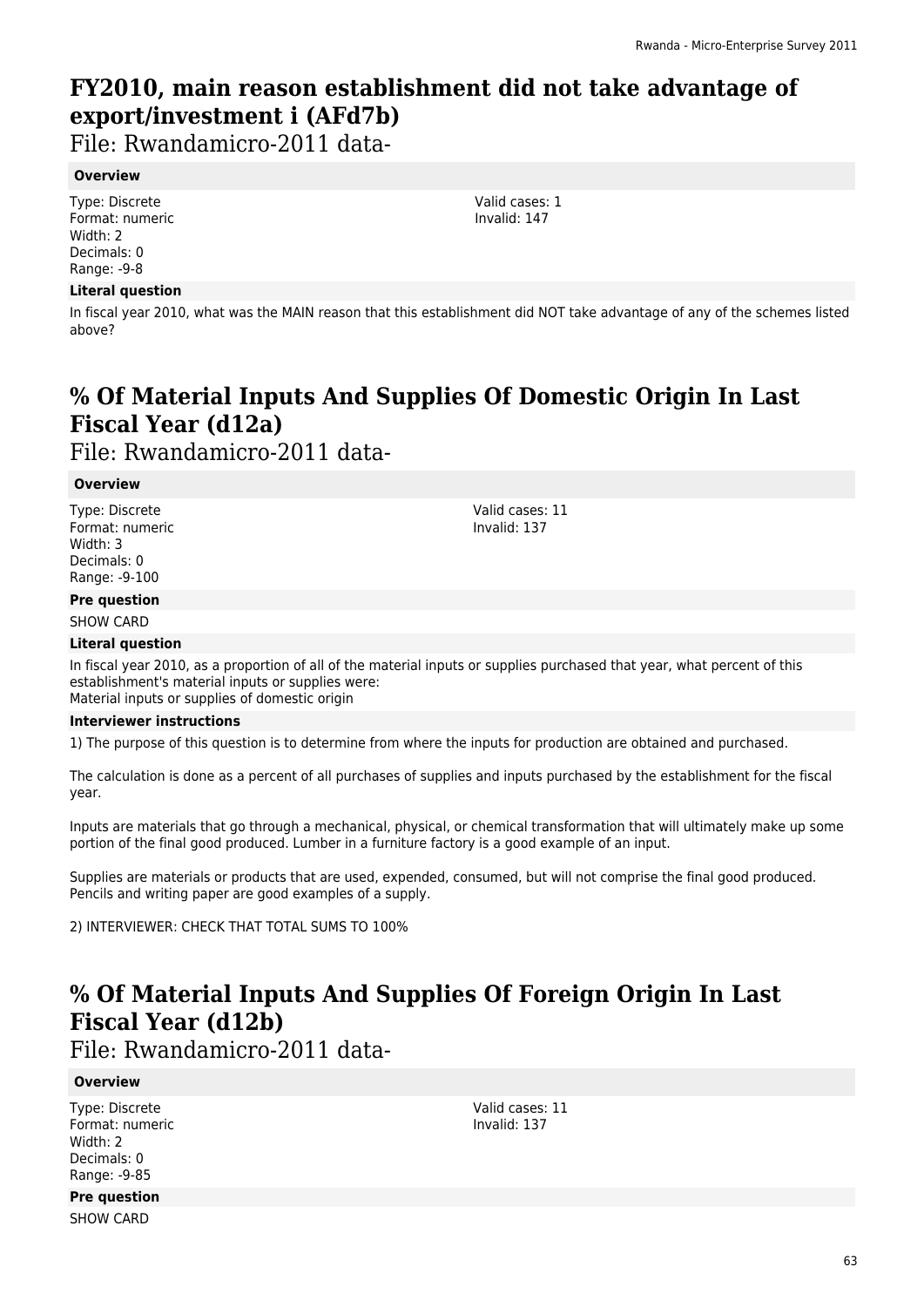# **FY2010, main reason establishment did not take advantage of export/investment i (AFd7b)**

File: Rwandamicro-2011 data-

### **Overview**

Type: Discrete Format: numeric Width: 2 Decimals: 0 Range: -9-8

### **Literal question**

In fiscal year 2010, what was the MAIN reason that this establishment did NOT take advantage of any of the schemes listed above?

# **% Of Material Inputs And Supplies Of Domestic Origin In Last Fiscal Year (d12a)**

File: Rwandamicro-2011 data-

### **Overview**

Type: Discrete Format: numeric Width: 3 Decimals: 0 Range: -9-100

Valid cases: 11 Invalid: 137

### **Pre question** SHOW CARD

### **Literal question**

In fiscal year 2010, as a proportion of all of the material inputs or supplies purchased that year, what percent of this establishment's material inputs or supplies were: Material inputs or supplies of domestic origin

### **Interviewer instructions**

1) The purpose of this question is to determine from where the inputs for production are obtained and purchased.

The calculation is done as a percent of all purchases of supplies and inputs purchased by the establishment for the fiscal year.

Inputs are materials that go through a mechanical, physical, or chemical transformation that will ultimately make up some portion of the final good produced. Lumber in a furniture factory is a good example of an input.

Supplies are materials or products that are used, expended, consumed, but will not comprise the final good produced. Pencils and writing paper are good examples of a supply.

2) INTERVIEWER: CHECK THAT TOTAL SUMS TO 100%

## **% Of Material Inputs And Supplies Of Foreign Origin In Last Fiscal Year (d12b)**

File: Rwandamicro-2011 data-

### **Overview**

Type: Discrete Format: numeric Width: 2 Decimals: 0 Range: -9-85

Valid cases: 11 Invalid: 137

# **Pre question**

SHOW CARD

63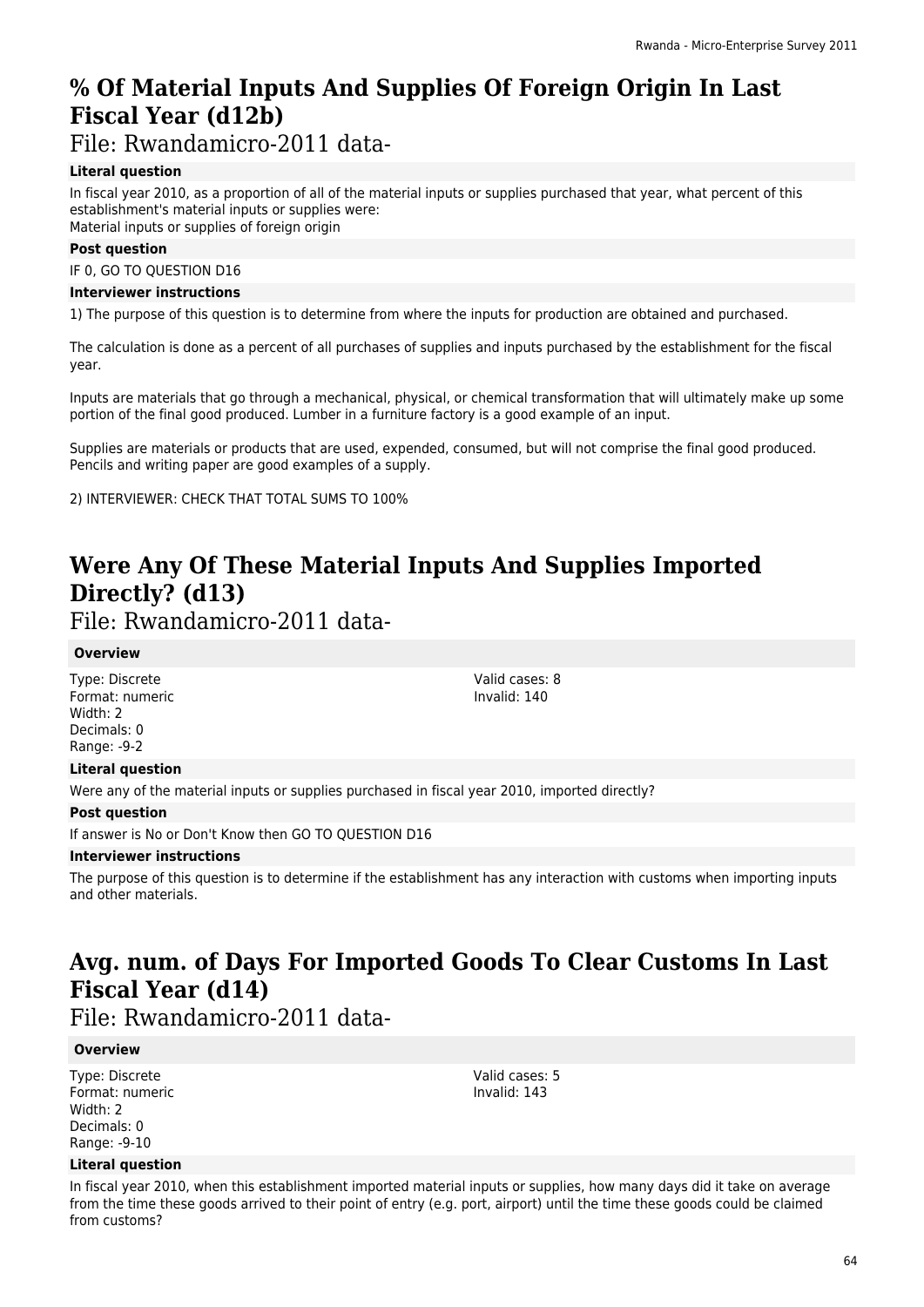## **% Of Material Inputs And Supplies Of Foreign Origin In Last Fiscal Year (d12b)**

File: Rwandamicro-2011 data-

### **Literal question**

In fiscal year 2010, as a proportion of all of the material inputs or supplies purchased that year, what percent of this establishment's material inputs or supplies were: Material inputs or supplies of foreign origin

### **Post question**

IF 0, GO TO QUESTION D16

### **Interviewer instructions**

1) The purpose of this question is to determine from where the inputs for production are obtained and purchased.

The calculation is done as a percent of all purchases of supplies and inputs purchased by the establishment for the fiscal year.

Inputs are materials that go through a mechanical, physical, or chemical transformation that will ultimately make up some portion of the final good produced. Lumber in a furniture factory is a good example of an input.

Supplies are materials or products that are used, expended, consumed, but will not comprise the final good produced. Pencils and writing paper are good examples of a supply.

2) INTERVIEWER: CHECK THAT TOTAL SUMS TO 100%

# **Were Any Of These Material Inputs And Supplies Imported Directly? (d13)**

File: Rwandamicro-2011 data-

### **Overview**

Type: Discrete Format: numeric Width: 2 Decimals: 0 Range: -9-2

### **Literal question**

Were any of the material inputs or supplies purchased in fiscal year 2010, imported directly?

### **Post question**

If answer is No or Don't Know then GO TO QUESTION D16

### **Interviewer instructions**

The purpose of this question is to determine if the establishment has any interaction with customs when importing inputs and other materials.

## **Avg. num. of Days For Imported Goods To Clear Customs In Last Fiscal Year (d14)**

File: Rwandamicro-2011 data-

### **Overview**

Type: Discrete Format: numeric Width: 2 Decimals: 0 Range: -9-10

#### Valid cases: 5 Invalid: 143

Valid cases: 8 Invalid: 140

### **Literal question**

In fiscal year 2010, when this establishment imported material inputs or supplies, how many days did it take on average from the time these goods arrived to their point of entry (e.g. port, airport) until the time these goods could be claimed from customs?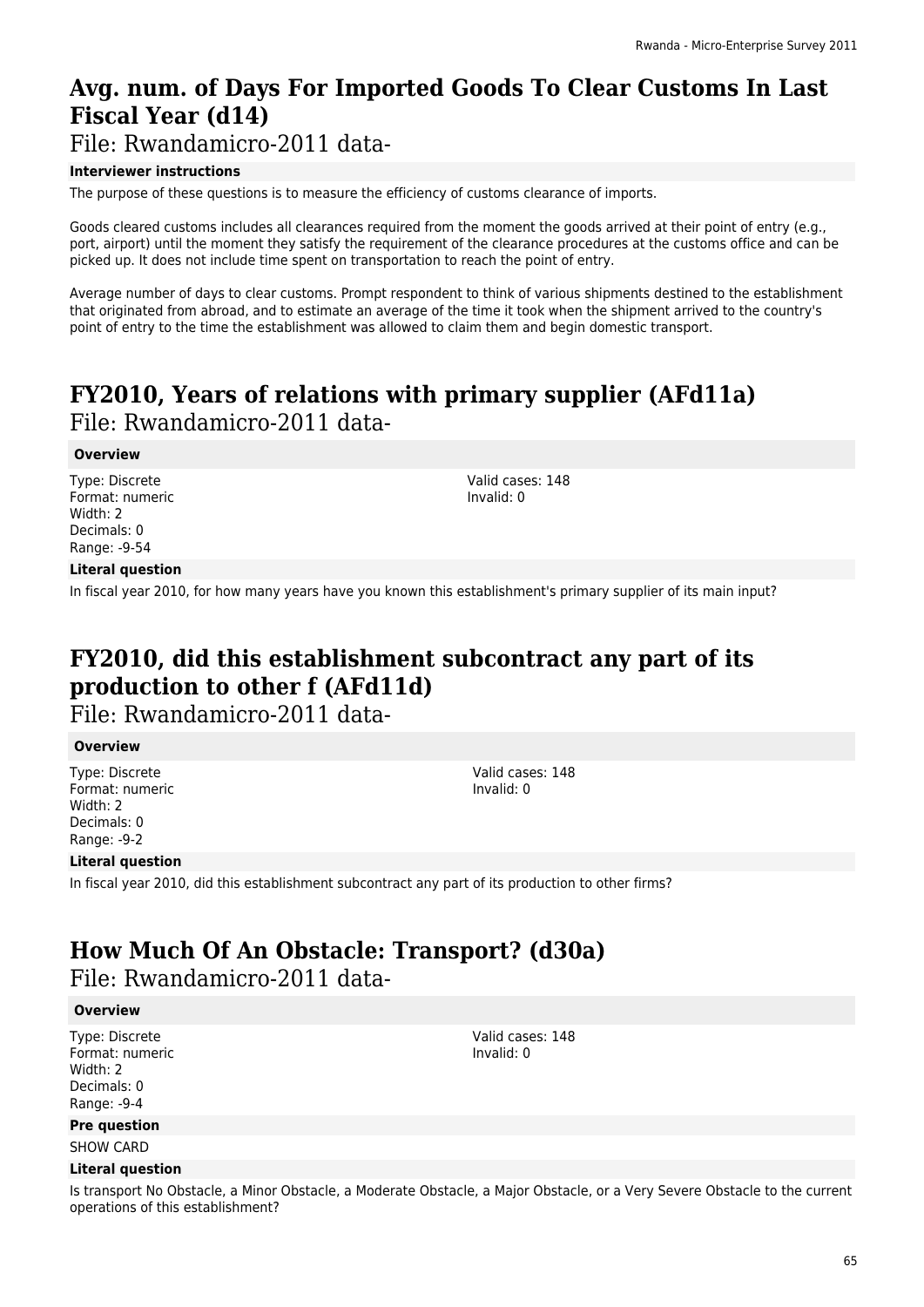# **Avg. num. of Days For Imported Goods To Clear Customs In Last Fiscal Year (d14)**

File: Rwandamicro-2011 data-

### **Interviewer instructions**

The purpose of these questions is to measure the efficiency of customs clearance of imports.

Goods cleared customs includes all clearances required from the moment the goods arrived at their point of entry (e.g., port, airport) until the moment they satisfy the requirement of the clearance procedures at the customs office and can be picked up. It does not include time spent on transportation to reach the point of entry.

Average number of days to clear customs. Prompt respondent to think of various shipments destined to the establishment that originated from abroad, and to estimate an average of the time it took when the shipment arrived to the country's point of entry to the time the establishment was allowed to claim them and begin domestic transport.

## **FY2010, Years of relations with primary supplier (AFd11a)**  File: Rwandamicro-2011 data-

### **Overview**

Type: Discrete Format: numeric Width: 2 Decimals: 0 Range: -9-54

Valid cases: 148 Invalid: 0

### **Literal question**

In fiscal year 2010, for how many years have you known this establishment's primary supplier of its main input?

## **FY2010, did this establishment subcontract any part of its production to other f (AFd11d)**

File: Rwandamicro-2011 data-

### **Overview**

Type: Discrete Format: numeric Width: 2 Decimals: 0 Range: -9-2

### **Literal question**

In fiscal year 2010, did this establishment subcontract any part of its production to other firms?

### **How Much Of An Obstacle: Transport? (d30a)**  File: Rwandamicro-2011 data-

### **Overview**

Type: Discrete Format: numeric Width: 2 Decimals: 0 Range: -9-4

**Pre question**

SHOW CARD

### **Literal question**

Is transport No Obstacle, a Minor Obstacle, a Moderate Obstacle, a Major Obstacle, or a Very Severe Obstacle to the current operations of this establishment?

65

Valid cases: 148

Invalid: 0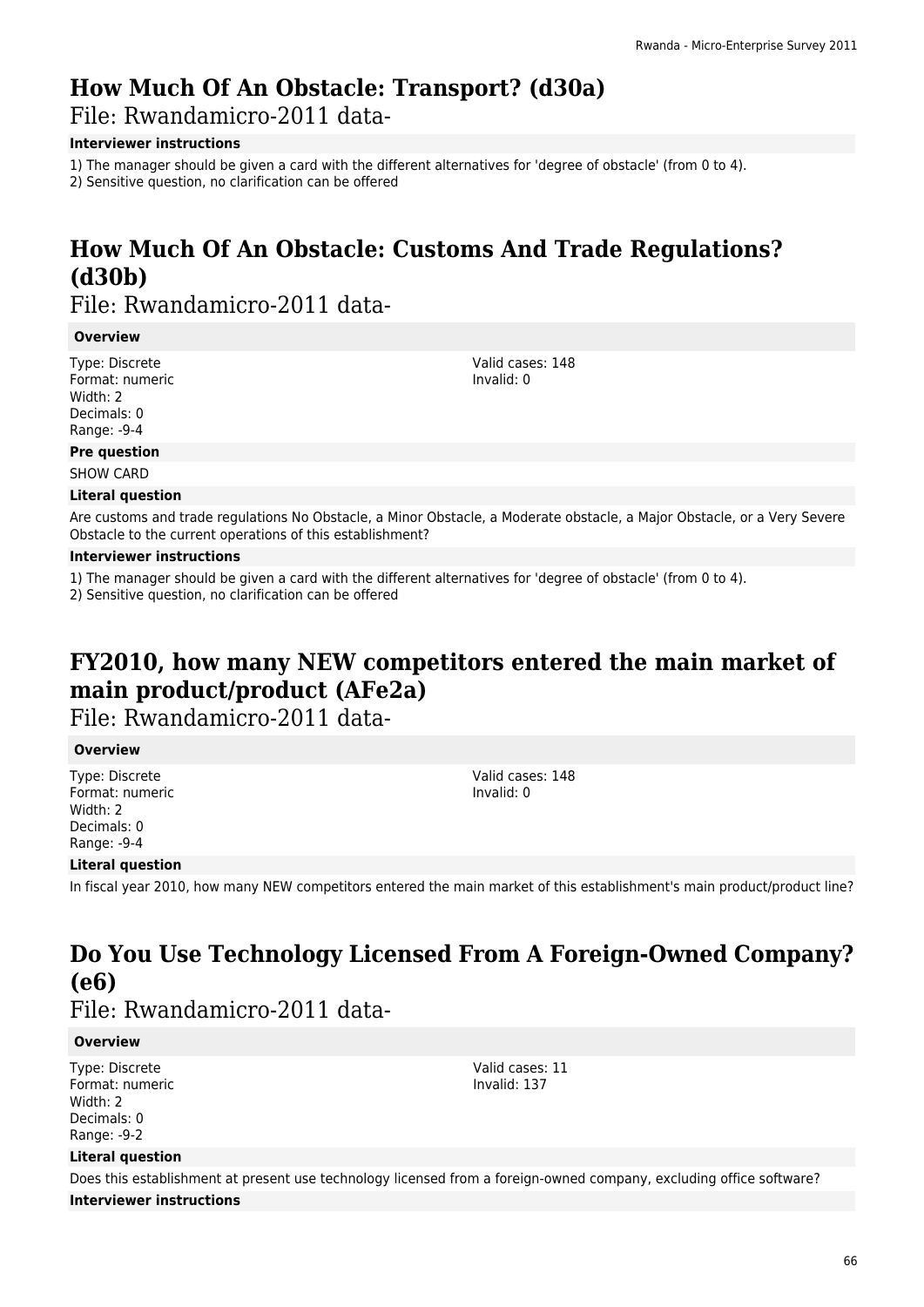# **How Much Of An Obstacle: Transport? (d30a)**

File: Rwandamicro-2011 data-

### **Interviewer instructions**

1) The manager should be given a card with the different alternatives for 'degree of obstacle' (from 0 to 4).

2) Sensitive question, no clarification can be offered

# **How Much Of An Obstacle: Customs And Trade Regulations? (d30b)**

File: Rwandamicro-2011 data-

### **Overview**

Type: Discrete Format: numeric Width: 2 Decimals: 0 Range: -9-4

Valid cases: 148 Invalid: 0

### **Pre question**

SHOW CARD

### **Literal question**

Are customs and trade regulations No Obstacle, a Minor Obstacle, a Moderate obstacle, a Major Obstacle, or a Very Severe Obstacle to the current operations of this establishment?

### **Interviewer instructions**

1) The manager should be given a card with the different alternatives for 'degree of obstacle' (from 0 to 4).

2) Sensitive question, no clarification can be offered

# **FY2010, how many NEW competitors entered the main market of main product/product (AFe2a)**

File: Rwandamicro-2011 data-

### **Overview**

Type: Discrete Format: numeric Width: 2 Decimals: 0 Range: -9-4

**Literal question**

In fiscal year 2010, how many NEW competitors entered the main market of this establishment's main product/product line?

# **Do You Use Technology Licensed From A Foreign-Owned Company? (e6)**

File: Rwandamicro-2011 data-

### **Overview**

Type: Discrete Format: numeric Width: 2 Decimals: 0 Range: -9-2

Valid cases: 11 Invalid: 137

Valid cases: 148 Invalid: 0

### **Literal question**

Does this establishment at present use technology licensed from a foreign-owned company, excluding office software? **Interviewer instructions**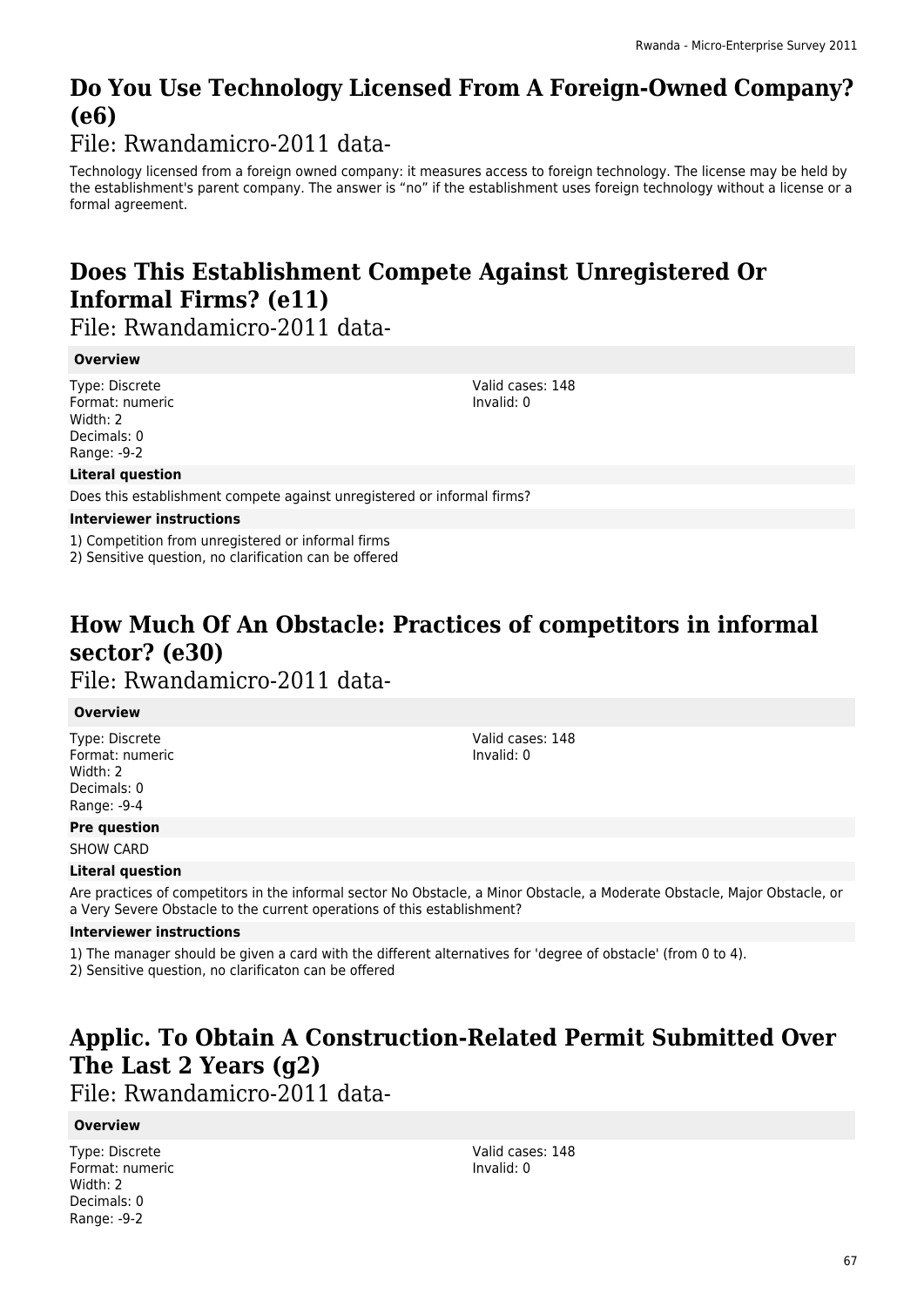# **Do You Use Technology Licensed From A Foreign-Owned Company? (e6)**

File: Rwandamicro-2011 data-

Technology licensed from a foreign owned company: it measures access to foreign technology. The license may be held by the establishment's parent company. The answer is "no" if the establishment uses foreign technology without a license or a formal agreement.

# **Does This Establishment Compete Against Unregistered Or Informal Firms? (e11)**

File: Rwandamicro-2011 data-

### **Overview**

Type: Discrete Format: numeric Width: 2 Decimals: 0 Range: -9-2

Valid cases: 148 Invalid: 0

### **Literal question**

Does this establishment compete against unregistered or informal firms?

### **Interviewer instructions**

1) Competition from unregistered or informal firms

2) Sensitive question, no clarification can be offered

### **How Much Of An Obstacle: Practices of competitors in informal sector? (e30)**  File: Rwandamicro-2011 data-

### **Overview**

Type: Discrete Format: numeric Width: 2 Decimals: 0 Range: -9-4

Valid cases: 148 Invalid: 0

### **Pre question**

SHOW CARD

### **Literal question**

Are practices of competitors in the informal sector No Obstacle, a Minor Obstacle, a Moderate Obstacle, Major Obstacle, or a Very Severe Obstacle to the current operations of this establishment?

### **Interviewer instructions**

1) The manager should be given a card with the different alternatives for 'degree of obstacle' (from 0 to 4).

2) Sensitive question, no clarificaton can be offered

# **Applic. To Obtain A Construction-Related Permit Submitted Over The Last 2 Years (g2)**

File: Rwandamicro-2011 data-

### **Overview**

Type: Discrete Format: numeric Width: 2 Decimals: 0 Range: -9-2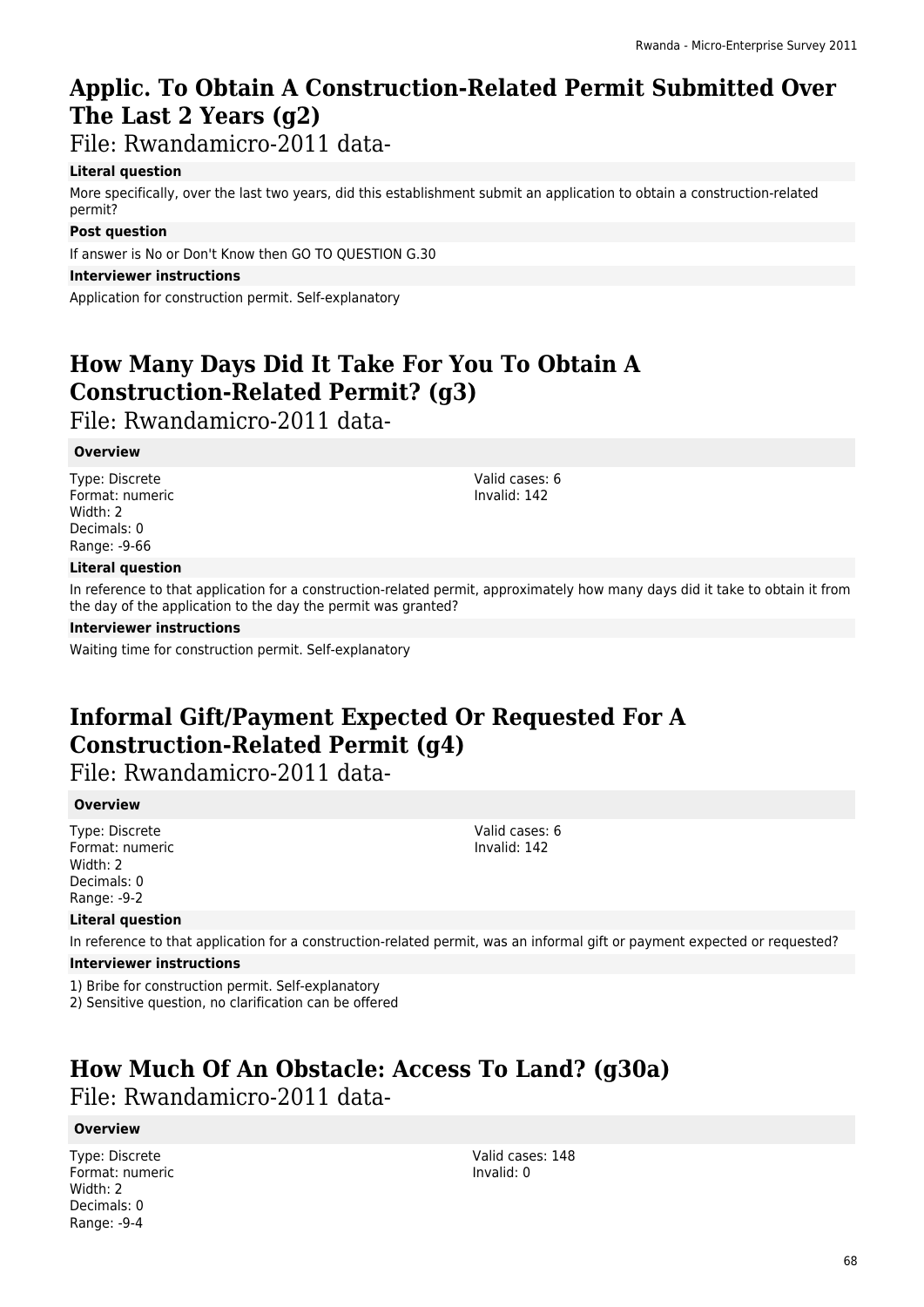# **Applic. To Obtain A Construction-Related Permit Submitted Over The Last 2 Years (g2)**

File: Rwandamicro-2011 data-

### **Literal question**

More specifically, over the last two years, did this establishment submit an application to obtain a construction-related permit?

### **Post question**

If answer is No or Don't Know then GO TO QUESTION G.30

### **Interviewer instructions**

Application for construction permit. Self-explanatory

# **How Many Days Did It Take For You To Obtain A Construction-Related Permit? (g3)**

File: Rwandamicro-2011 data-

### **Overview**

Type: Discrete Format: numeric Width: 2 Decimals: 0 Range: -9-66

Valid cases: 6 Invalid: 142

Valid cases: 6 Invalid: 142

### **Literal question**

In reference to that application for a construction-related permit, approximately how many days did it take to obtain it from the day of the application to the day the permit was granted?

### **Interviewer instructions**

Waiting time for construction permit. Self-explanatory

# **Informal Gift/Payment Expected Or Requested For A Construction-Related Permit (g4)**

File: Rwandamicro-2011 data-

### **Overview**

Type: Discrete Format: numeric Width: 2 Decimals: 0 Range: -9-2

### **Literal question**

In reference to that application for a construction-related permit, was an informal gift or payment expected or requested?

### **Interviewer instructions**

1) Bribe for construction permit. Self-explanatory

2) Sensitive question, no clarification can be offered

# **How Much Of An Obstacle: Access To Land? (g30a)**  File: Rwandamicro-2011 data-

### **Overview**

Type: Discrete Format: numeric Width: 2 Decimals: 0 Range: -9-4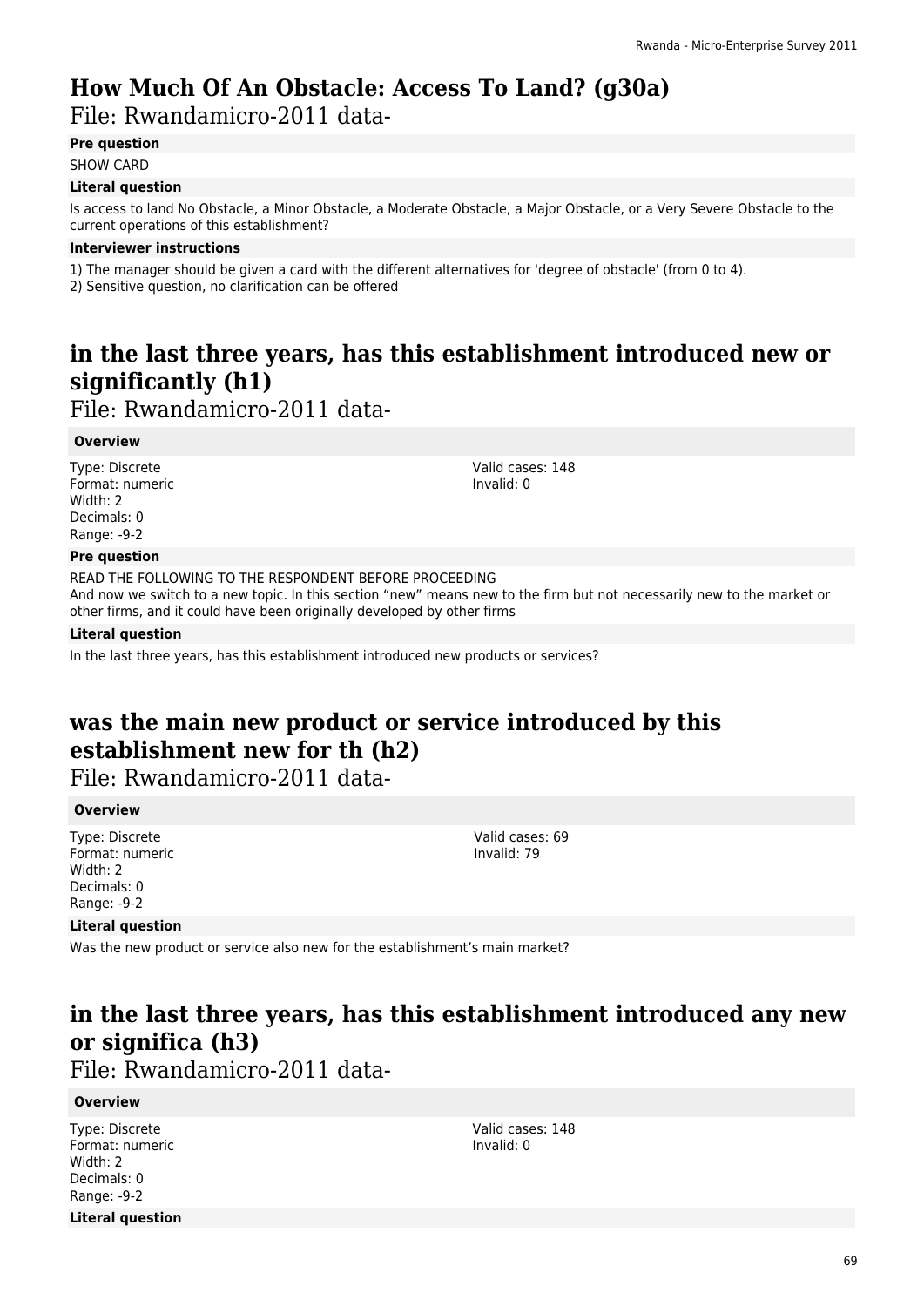# **How Much Of An Obstacle: Access To Land? (g30a)**

File: Rwandamicro-2011 data-

### **Pre question**

SHOW CARD

### **Literal question**

Is access to land No Obstacle, a Minor Obstacle, a Moderate Obstacle, a Major Obstacle, or a Very Severe Obstacle to the current operations of this establishment?

### **Interviewer instructions**

1) The manager should be given a card with the different alternatives for 'degree of obstacle' (from 0 to 4).

2) Sensitive question, no clarification can be offered

# **in the last three years, has this establishment introduced new or significantly (h1)**

File: Rwandamicro-2011 data-

### **Overview**

Type: Discrete Format: numeric Width: 2 Decimals: 0 Range: -9-2

Valid cases: 148 Invalid: 0

### **Pre question**

READ THE FOLLOWING TO THE RESPONDENT BEFORE PROCEEDING And now we switch to a new topic. In this section "new" means new to the firm but not necessarily new to the market or other firms, and it could have been originally developed by other firms

### **Literal question**

In the last three years, has this establishment introduced new products or services?

# **was the main new product or service introduced by this establishment new for th (h2)**

File: Rwandamicro-2011 data-

### **Overview**

Type: Discrete Format: numeric Width: 2 Decimals: 0 Range: -9-2

Valid cases: 69 Invalid: 79

### **Literal question**

Was the new product or service also new for the establishment's main market?

# **in the last three years, has this establishment introduced any new or significa (h3)**

File: Rwandamicro-2011 data-

### **Overview**

Type: Discrete Format: numeric Width: 2 Decimals: 0 Range: -9-2 **Literal question**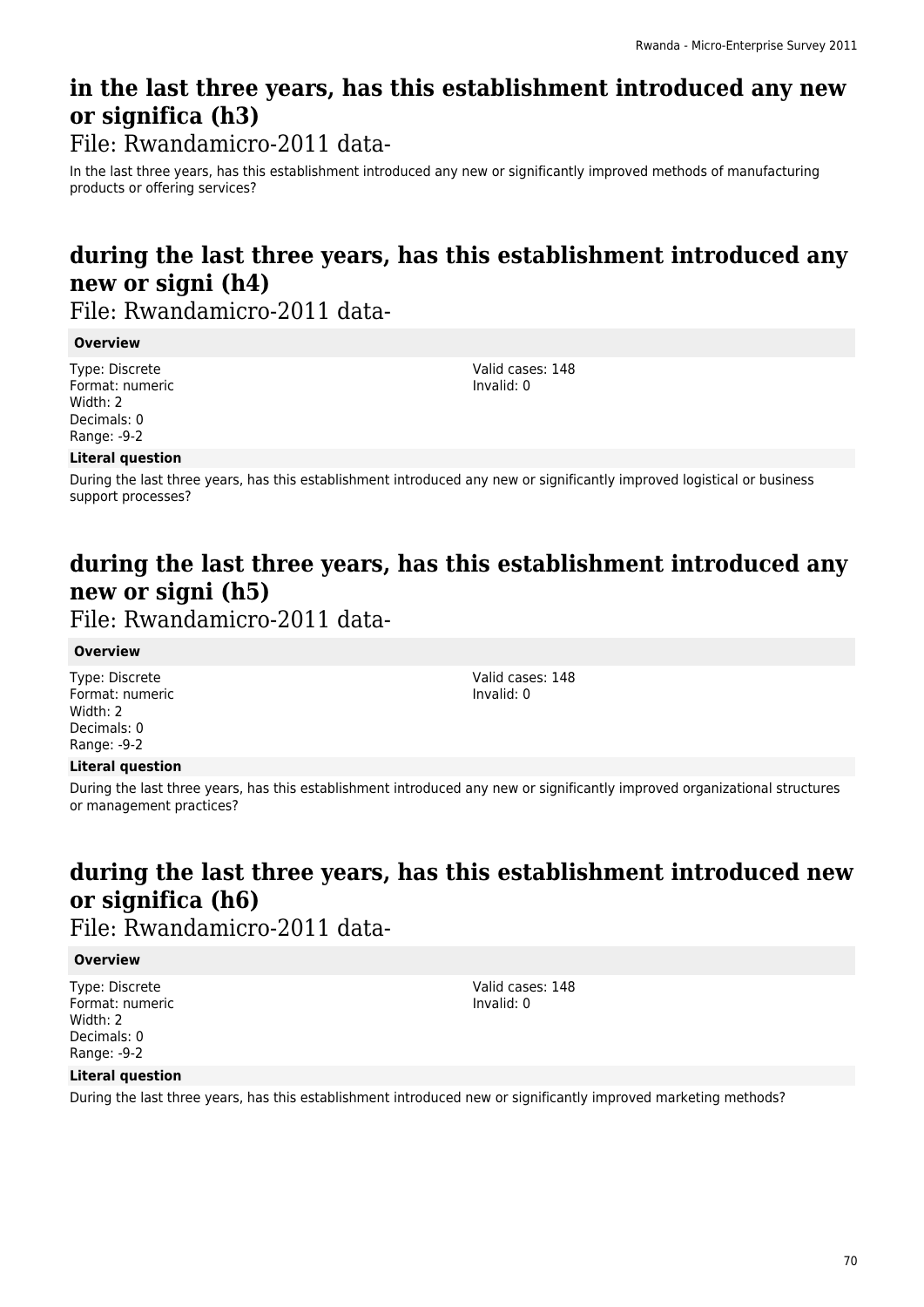# **in the last three years, has this establishment introduced any new or significa (h3)**

File: Rwandamicro-2011 data-

In the last three years, has this establishment introduced any new or significantly improved methods of manufacturing products or offering services?

# **during the last three years, has this establishment introduced any new or signi (h4)**

File: Rwandamicro-2011 data-

### **Overview**

Type: Discrete Format: numeric Width: 2 Decimals: 0 Range: -9-2

Valid cases: 148 Invalid: 0

Valid cases: 148 Invalid: 0

### **Literal question**

During the last three years, has this establishment introduced any new or significantly improved logistical or business support processes?

# **during the last three years, has this establishment introduced any new or signi (h5)**

File: Rwandamicro-2011 data-

### **Overview**

Type: Discrete Format: numeric Width: 2 Decimals: 0 Range: -9-2

### **Literal question**

During the last three years, has this establishment introduced any new or significantly improved organizational structures or management practices?

# **during the last three years, has this establishment introduced new or significa (h6)**

File: Rwandamicro-2011 data-

### **Overview**

Type: Discrete Format: numeric Width: 2 Decimals: 0 Range: -9-2

Valid cases: 148 Invalid: 0

### **Literal question**

During the last three years, has this establishment introduced new or significantly improved marketing methods?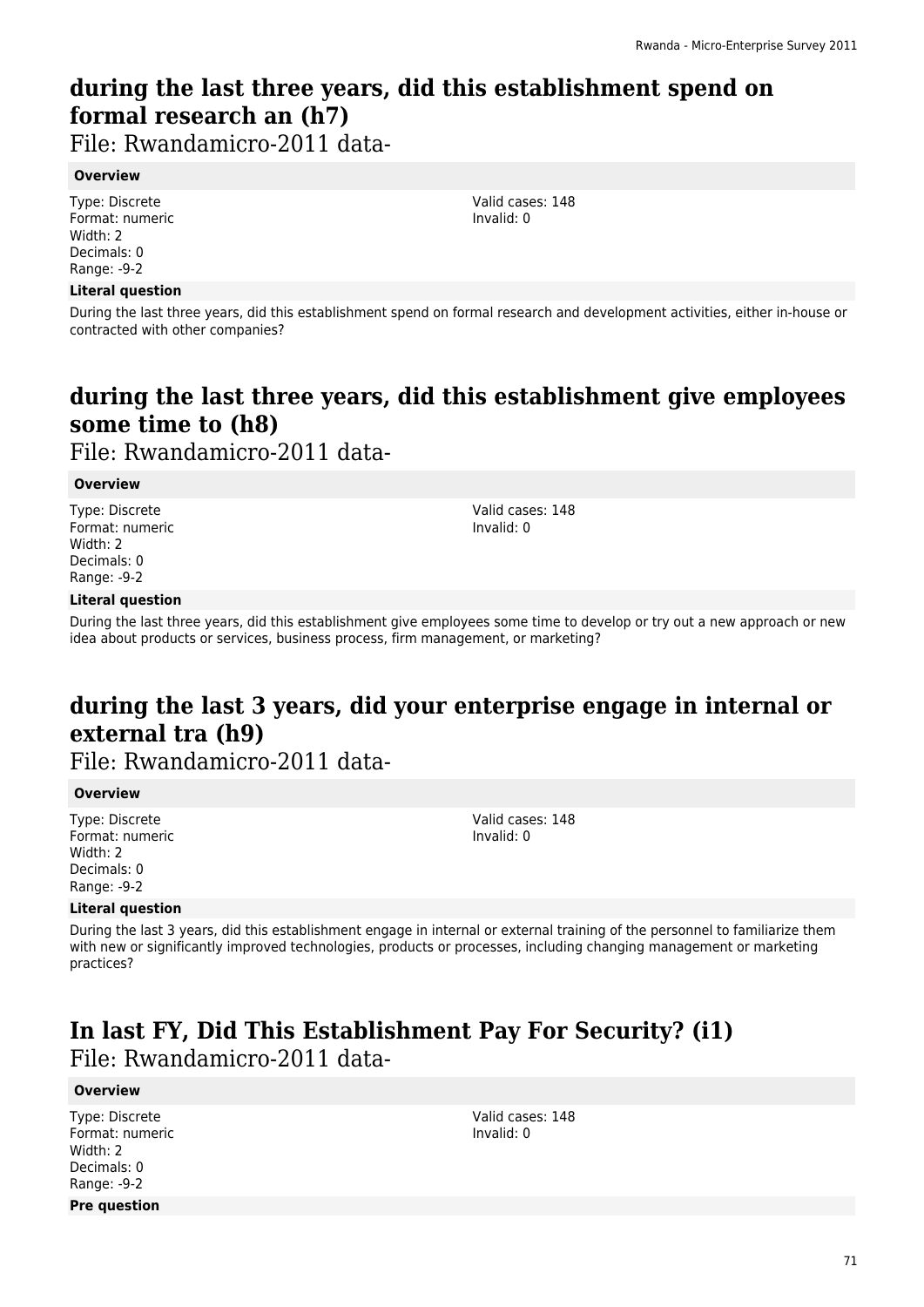# **during the last three years, did this establishment spend on formal research an (h7)**

File: Rwandamicro-2011 data-

### **Overview**

Type: Discrete Format: numeric Width: 2 Decimals: 0 Range: -9-2

### **Literal question**

During the last three years, did this establishment spend on formal research and development activities, either in-house or contracted with other companies?

# **during the last three years, did this establishment give employees some time to (h8)**

File: Rwandamicro-2011 data-

### **Overview**

Type: Discrete Format: numeric Width: 2 Decimals: 0 Range: -9-2

Valid cases: 148 Invalid: 0

### **Literal question**

During the last three years, did this establishment give employees some time to develop or try out a new approach or new idea about products or services, business process, firm management, or marketing?

# **during the last 3 years, did your enterprise engage in internal or external tra (h9)**

File: Rwandamicro-2011 data-

### **Overview**

Type: Discrete Format: numeric Width: 2 Decimals: 0 Range: -9-2

Valid cases: 148 Invalid: 0

### **Literal question**

During the last 3 years, did this establishment engage in internal or external training of the personnel to familiarize them with new or significantly improved technologies, products or processes, including changing management or marketing practices?

### **In last FY, Did This Establishment Pay For Security? (i1)**  File: Rwandamicro-2011 data-

### **Overview**

Type: Discrete Format: numeric Width: 2 Decimals: 0 Range: -9-2 **Pre question**

Valid cases: 148 Invalid: 0

71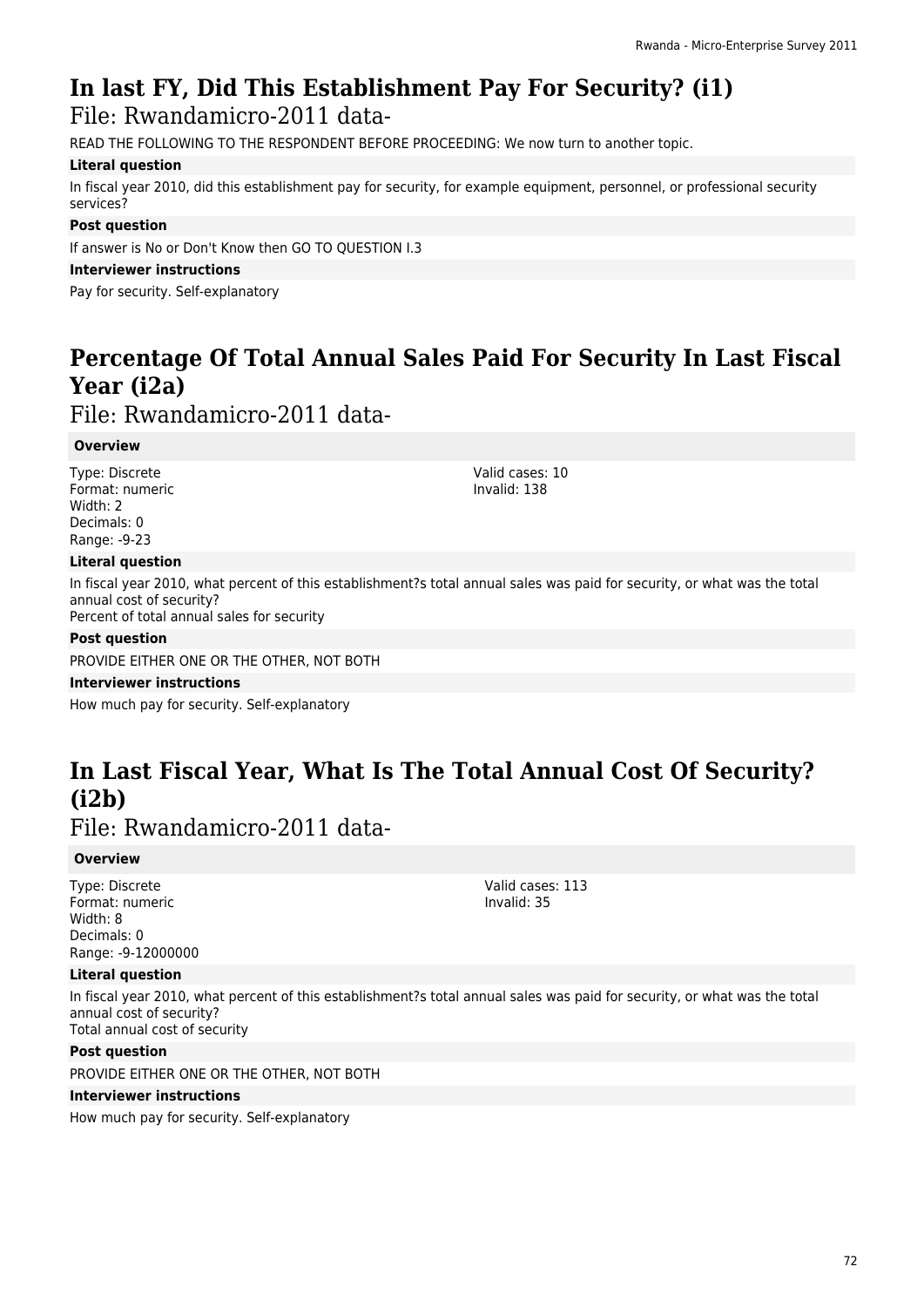# **In last FY, Did This Establishment Pay For Security? (i1)**

File: Rwandamicro-2011 data-

READ THE FOLLOWING TO THE RESPONDENT BEFORE PROCEEDING: We now turn to another topic.

### **Literal question**

In fiscal year 2010, did this establishment pay for security, for example equipment, personnel, or professional security services?

### **Post question**

If answer is No or Don't Know then GO TO QUESTION I.3

### **Interviewer instructions**

Pay for security. Self-explanatory

# **Percentage Of Total Annual Sales Paid For Security In Last Fiscal Year (i2a)**

File: Rwandamicro-2011 data-

### **Overview**

Type: Discrete Format: numeric Width: 2 Decimals: 0 Range: -9-23

### **Literal question**

In fiscal year 2010, what percent of this establishment?s total annual sales was paid for security, or what was the total annual cost of security? Percent of total annual sales for security

### **Post question**

PROVIDE EITHER ONE OR THE OTHER, NOT BOTH

**Interviewer instructions**

How much pay for security. Self-explanatory

# **In Last Fiscal Year, What Is The Total Annual Cost Of Security? (i2b)**

File: Rwandamicro-2011 data-

### **Overview**

Type: Discrete Format: numeric Width: 8 Decimals: 0 Range: -9-12000000

### **Literal question**

In fiscal year 2010, what percent of this establishment?s total annual sales was paid for security, or what was the total annual cost of security? Total annual cost of security

### **Post question**

PROVIDE EITHER ONE OR THE OTHER, NOT BOTH

### **Interviewer instructions**

How much pay for security. Self-explanatory

Valid cases: 113 Invalid: 35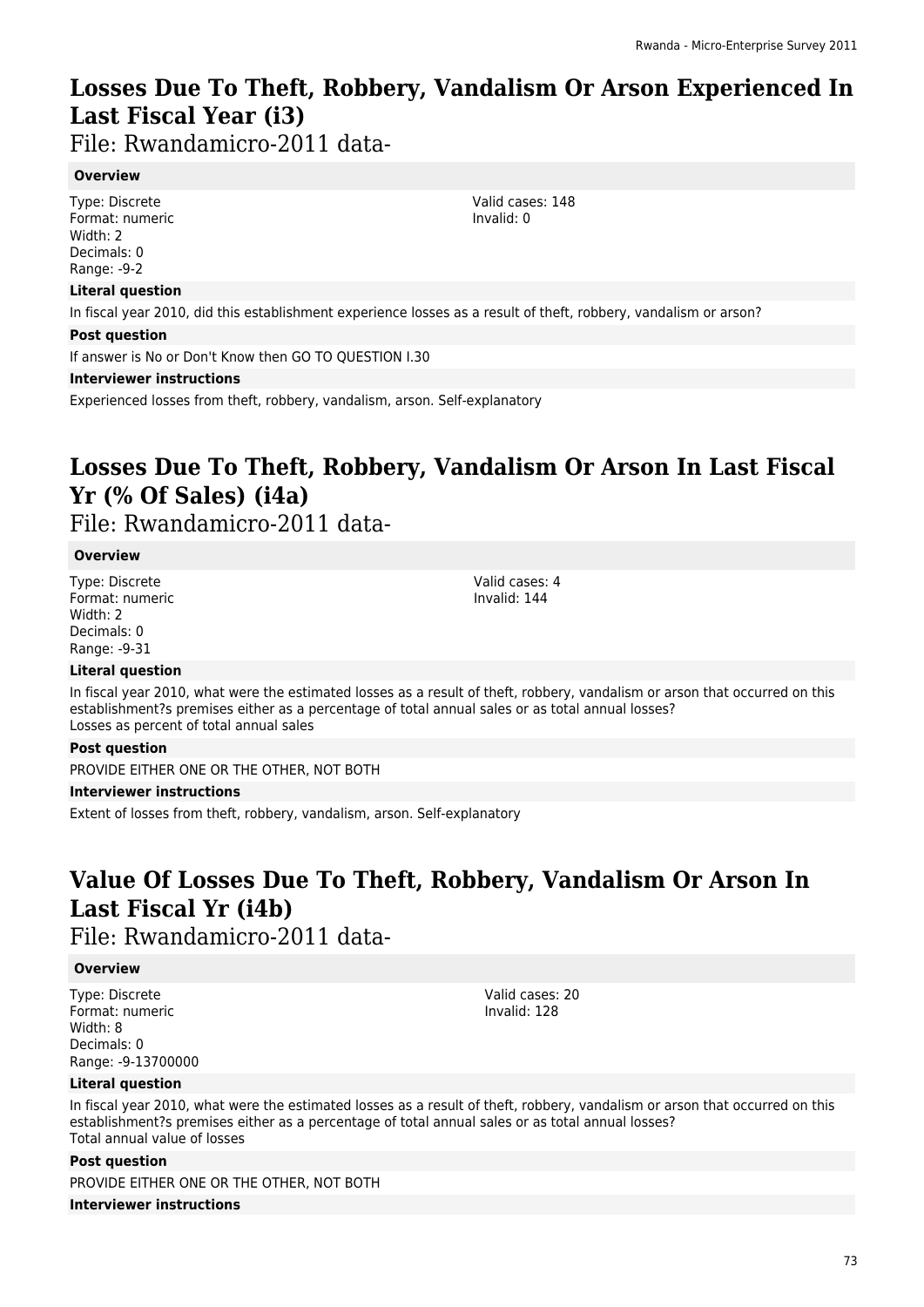### **Losses Due To Theft, Robbery, Vandalism Or Arson Experienced In Last Fiscal Year (i3)**

File: Rwandamicro-2011 data-

#### **Overview**

Type: Discrete Format: numeric Width: 2 Decimals: 0 Range: -9-2

#### **Literal question**

In fiscal year 2010, did this establishment experience losses as a result of theft, robbery, vandalism or arson?

#### **Post question**

If answer is No or Don't Know then GO TO QUESTION I.30

#### **Interviewer instructions**

Experienced losses from theft, robbery, vandalism, arson. Self-explanatory

# **Losses Due To Theft, Robbery, Vandalism Or Arson In Last Fiscal Yr (% Of Sales) (i4a)**

File: Rwandamicro-2011 data-

#### **Overview**

Type: Discrete Format: numeric Width: 2 Decimals: 0 Range: -9-31

Valid cases: 4 Invalid: 144

#### **Literal question**

In fiscal year 2010, what were the estimated losses as a result of theft, robbery, vandalism or arson that occurred on this establishment?s premises either as a percentage of total annual sales or as total annual losses? Losses as percent of total annual sales

#### **Post question**

PROVIDE EITHER ONE OR THE OTHER, NOT BOTH

#### **Interviewer instructions**

Extent of losses from theft, robbery, vandalism, arson. Self-explanatory

### **Value Of Losses Due To Theft, Robbery, Vandalism Or Arson In Last Fiscal Yr (i4b)**

File: Rwandamicro-2011 data-

#### **Overview**

Type: Discrete Format: numeric Width: 8 Decimals: 0 Range: -9-13700000 Valid cases: 20 Invalid: 128

#### **Literal question**

In fiscal year 2010, what were the estimated losses as a result of theft, robbery, vandalism or arson that occurred on this establishment?s premises either as a percentage of total annual sales or as total annual losses? Total annual value of losses

#### **Post question**

PROVIDE EITHER ONE OR THE OTHER, NOT BOTH **Interviewer instructions**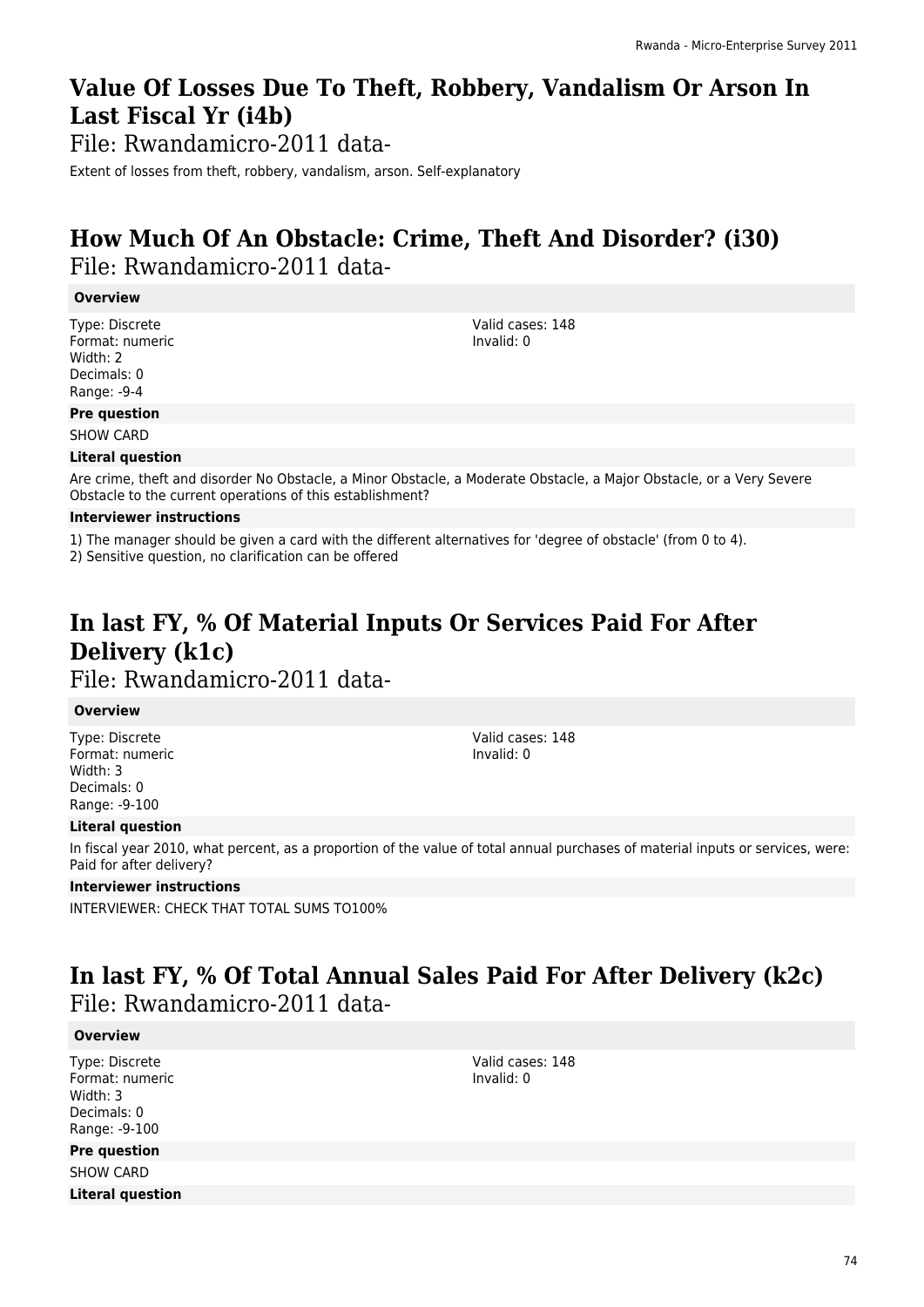## **Value Of Losses Due To Theft, Robbery, Vandalism Or Arson In Last Fiscal Yr (i4b)**

File: Rwandamicro-2011 data-

Extent of losses from theft, robbery, vandalism, arson. Self-explanatory

### **How Much Of An Obstacle: Crime, Theft And Disorder? (i30)**  File: Rwandamicro-2011 data-

#### **Overview**

Type: Discrete Format: numeric Width: 2 Decimals: 0 Range: -9-4

Valid cases: 148 Invalid: 0

#### **Pre question**

SHOW CARD

#### **Literal question**

Are crime, theft and disorder No Obstacle, a Minor Obstacle, a Moderate Obstacle, a Major Obstacle, or a Very Severe Obstacle to the current operations of this establishment?

#### **Interviewer instructions**

1) The manager should be given a card with the different alternatives for 'degree of obstacle' (from 0 to 4).

2) Sensitive question, no clarification can be offered

### **In last FY, % Of Material Inputs Or Services Paid For After Delivery (k1c)**  File: Rwandamicro-2011 data-

#### **Overview**

Type: Discrete Format: numeric Width: 3 Decimals: 0 Range: -9-100

Valid cases: 148 Invalid: 0

#### **Literal question**

In fiscal year 2010, what percent, as a proportion of the value of total annual purchases of material inputs or services, were: Paid for after delivery?

#### **Interviewer instructions**

INTERVIEWER: CHECK THAT TOTAL SUMS TO100%

### **In last FY, % Of Total Annual Sales Paid For After Delivery (k2c)**  File: Rwandamicro-2011 data-

#### **Overview**

Type: Discrete Format: numeric Width: 3 Decimals: 0 Range: -9-100

#### **Pre question**

SHOW CARD

**Literal question**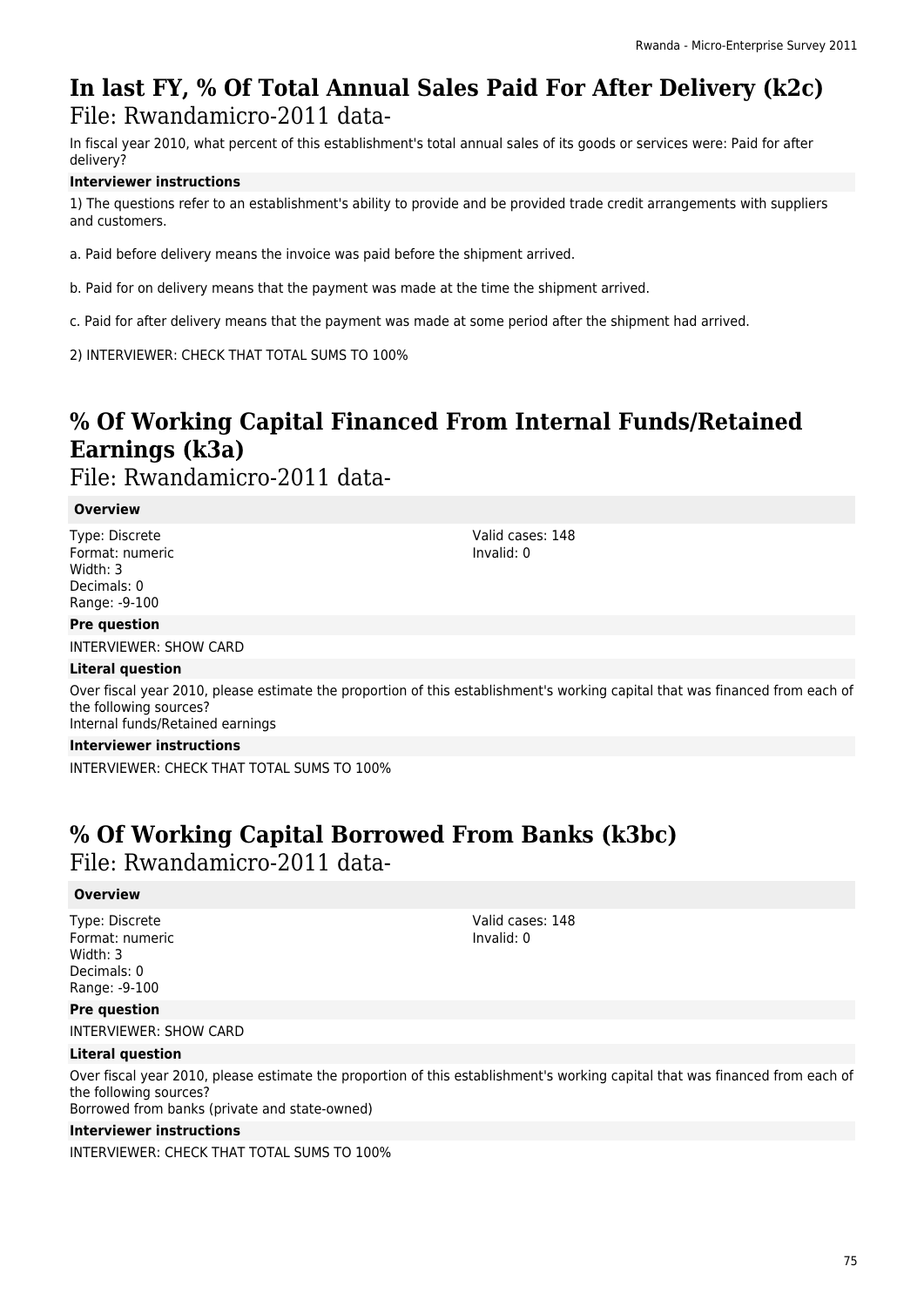### **In last FY, % Of Total Annual Sales Paid For After Delivery (k2c)**  File: Rwandamicro-2011 data-

In fiscal year 2010, what percent of this establishment's total annual sales of its goods or services were: Paid for after delivery?

#### **Interviewer instructions**

1) The questions refer to an establishment's ability to provide and be provided trade credit arrangements with suppliers and customers.

a. Paid before delivery means the invoice was paid before the shipment arrived.

b. Paid for on delivery means that the payment was made at the time the shipment arrived.

c. Paid for after delivery means that the payment was made at some period after the shipment had arrived.

2) INTERVIEWER: CHECK THAT TOTAL SUMS TO 100%

# **% Of Working Capital Financed From Internal Funds/Retained Earnings (k3a)**

File: Rwandamicro-2011 data-

#### **Overview**

Type: Discrete Format: numeric Width: 3 Decimals: 0 Range: -9-100

#### **Pre question**

INTERVIEWER: SHOW CARD

#### **Literal question**

Over fiscal year 2010, please estimate the proportion of this establishment's working capital that was financed from each of the following sources? Internal funds/Retained earnings

#### **Interviewer instructions**

INTERVIEWER: CHECK THAT TOTAL SUMS TO 100%

### **% Of Working Capital Borrowed From Banks (k3bc)**

File: Rwandamicro-2011 data-

#### **Overview**

Type: Discrete Format: numeric Width: 3 Decimals: 0 Range: -9-100

#### **Pre question**

INTERVIEWER: SHOW CARD

#### **Literal question**

Over fiscal year 2010, please estimate the proportion of this establishment's working capital that was financed from each of the following sources? Borrowed from banks (private and state-owned)

#### **Interviewer instructions**

INTERVIEWER: CHECK THAT TOTAL SUMS TO 100%

Valid cases: 148 Invalid: 0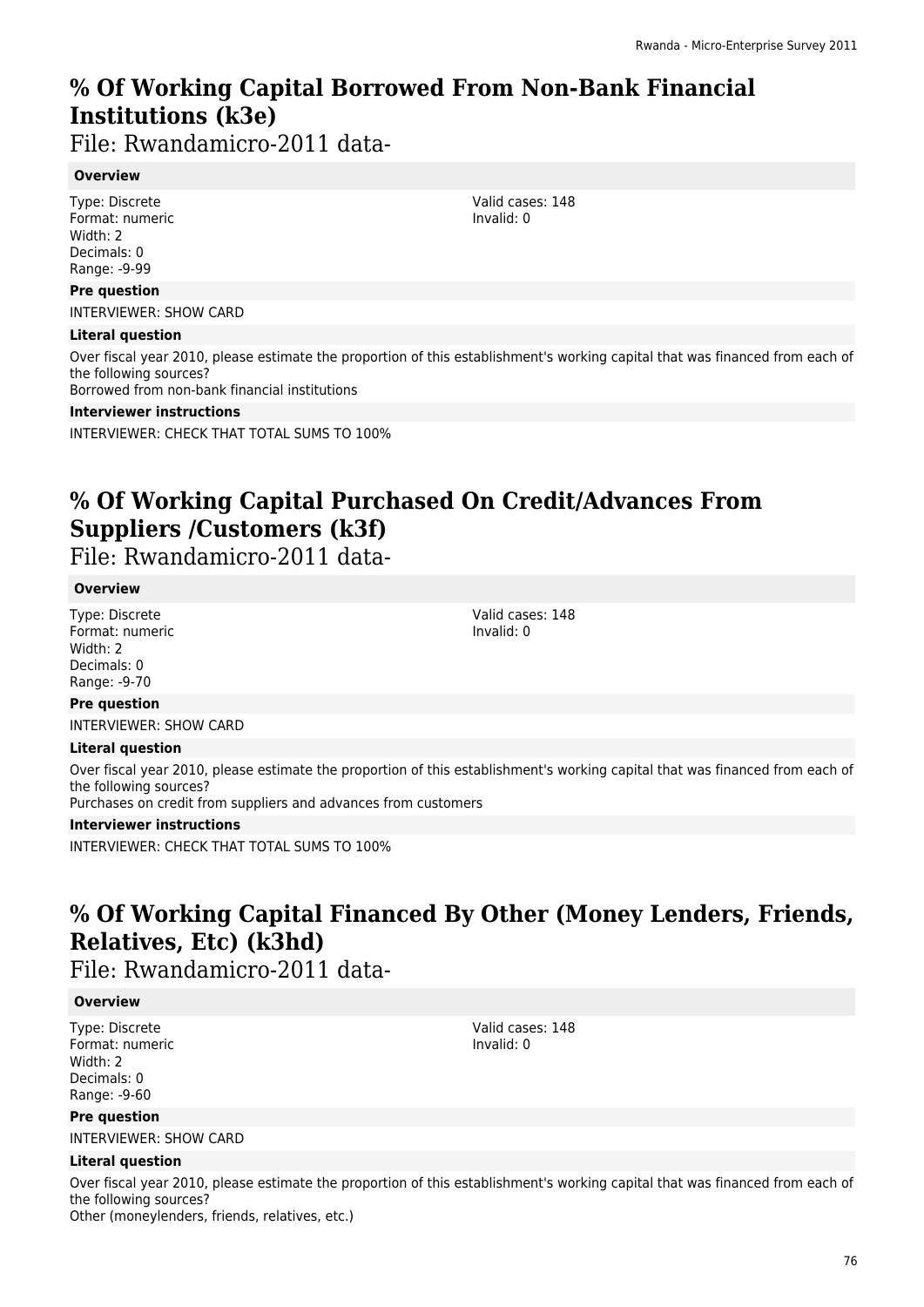# **% Of Working Capital Borrowed From Non-Bank Financial Institutions (k3e)**

File: Rwandamicro-2011 data-

#### **Overview**

Type: Discrete Format: numeric Width: 2 Decimals: 0 Range: -9-99

#### **Pre question**

INTERVIEWER: SHOW CARD

#### **Literal question**

Over fiscal year 2010, please estimate the proportion of this establishment's working capital that was financed from each of the following sources?

Borrowed from non-bank financial institutions

#### **Interviewer instructions**

INTERVIEWER: CHECK THAT TOTAL SUMS TO 100%

## **% Of Working Capital Purchased On Credit/Advances From Suppliers /Customers (k3f)**

File: Rwandamicro-2011 data-

#### **Overview**

Type: Discrete Format: numeric Width: 2 Decimals: 0 Range: -9-70

Valid cases: 148 Invalid: 0

#### **Pre question**

INTERVIEWER: SHOW CARD

#### **Literal question**

Over fiscal year 2010, please estimate the proportion of this establishment's working capital that was financed from each of the following sources?

Purchases on credit from suppliers and advances from customers

#### **Interviewer instructions**

INTERVIEWER: CHECK THAT TOTAL SUMS TO 100%

### **% Of Working Capital Financed By Other (Money Lenders, Friends, Relatives, Etc) (k3hd)**

Valid cases: 148 Invalid: 0

File: Rwandamicro-2011 data-

#### **Overview**

Type: Discrete Format: numeric Width: 2 Decimals: 0 Range: -9-60

#### **Pre question**

INTERVIEWER: SHOW CARD

#### **Literal question**

Over fiscal year 2010, please estimate the proportion of this establishment's working capital that was financed from each of the following sources? Other (moneylenders, friends, relatives, etc.)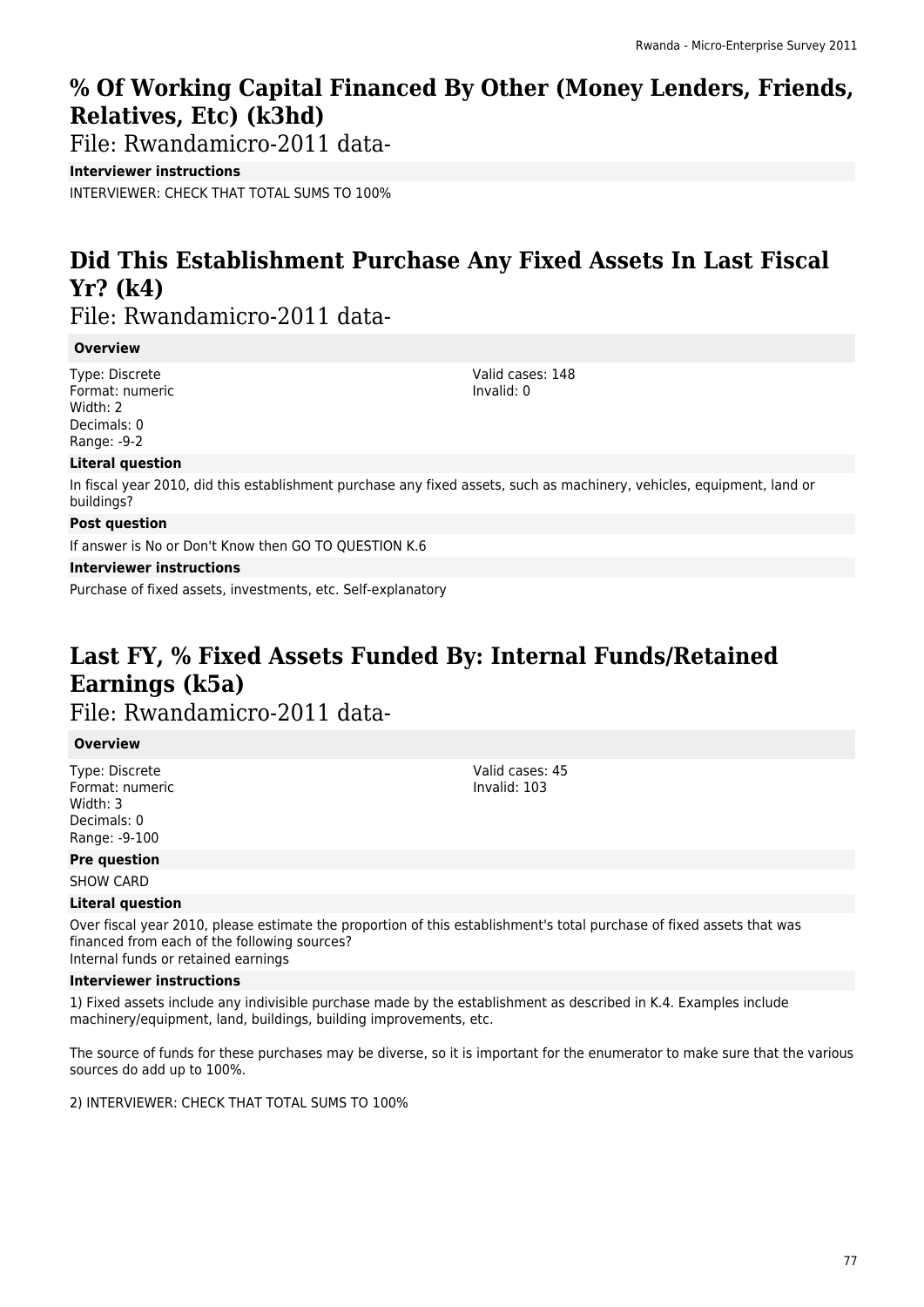### **% Of Working Capital Financed By Other (Money Lenders, Friends, Relatives, Etc) (k3hd)**

File: Rwandamicro-2011 data-

**Interviewer instructions**

INTERVIEWER: CHECK THAT TOTAL SUMS TO 100%

# **Did This Establishment Purchase Any Fixed Assets In Last Fiscal Yr? (k4)**

File: Rwandamicro-2011 data-

#### **Overview**

Type: Discrete Format: numeric Width: 2 Decimals: 0 Range: -9-2

Valid cases: 148 Invalid: 0

#### **Literal question**

In fiscal year 2010, did this establishment purchase any fixed assets, such as machinery, vehicles, equipment, land or buildings?

#### **Post question**

If answer is No or Don't Know then GO TO QUESTION K.6

#### **Interviewer instructions**

Purchase of fixed assets, investments, etc. Self-explanatory

# **Last FY, % Fixed Assets Funded By: Internal Funds/Retained Earnings (k5a)**

File: Rwandamicro-2011 data-

#### **Overview**

Type: Discrete Format: numeric Width: 3 Decimals: 0 Range: -9-100

Valid cases: 45 Invalid: 103

#### **Pre question**

SHOW CARD

#### **Literal question**

Over fiscal year 2010, please estimate the proportion of this establishment's total purchase of fixed assets that was financed from each of the following sources? Internal funds or retained earnings

#### **Interviewer instructions**

1) Fixed assets include any indivisible purchase made by the establishment as described in K.4. Examples include machinery/equipment, land, buildings, building improvements, etc.

The source of funds for these purchases may be diverse, so it is important for the enumerator to make sure that the various sources do add up to 100%.

2) INTERVIEWER: CHECK THAT TOTAL SUMS TO 100%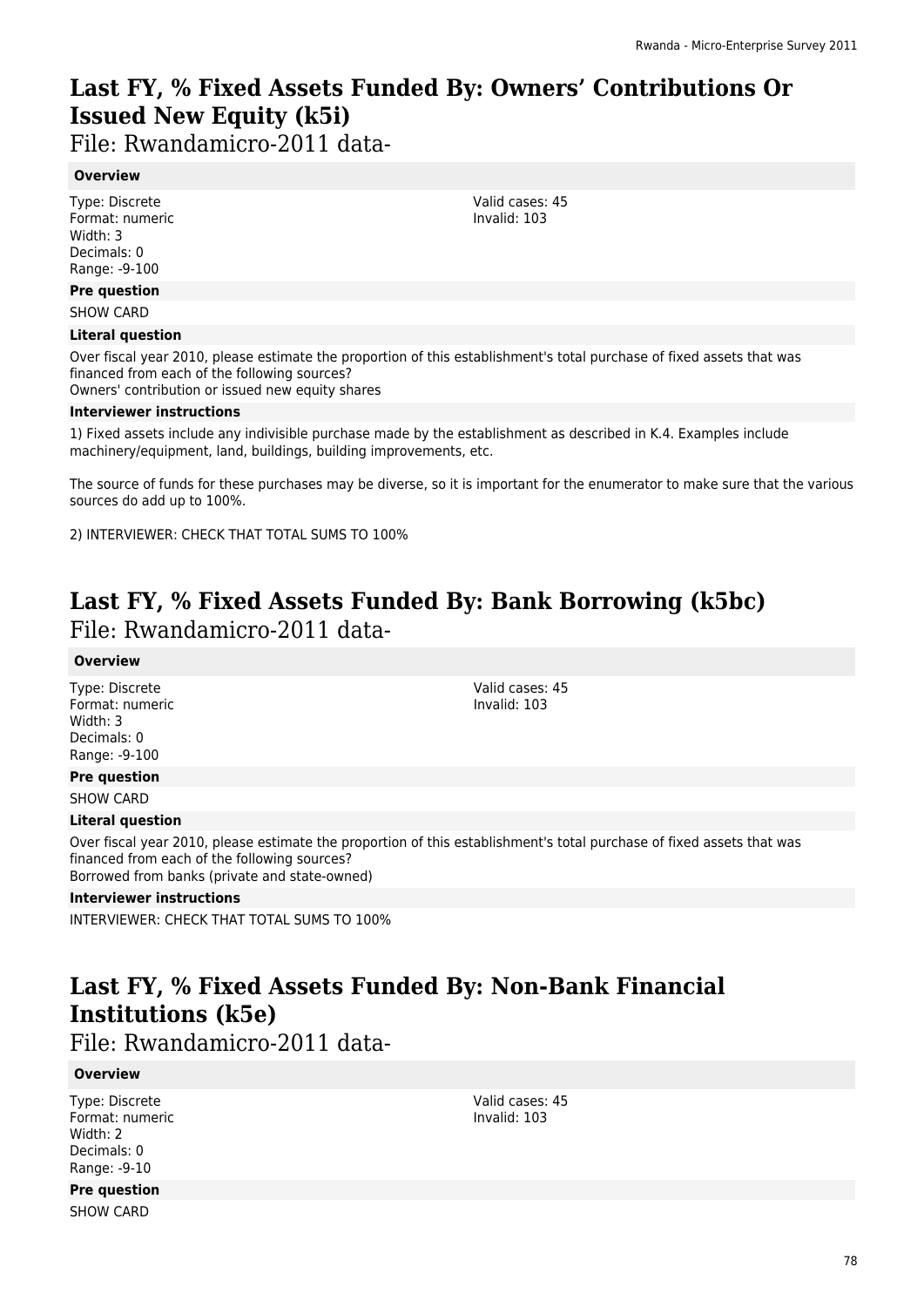# **Last FY, % Fixed Assets Funded By: Owners' Contributions Or Issued New Equity (k5i)**

File: Rwandamicro-2011 data-

#### **Overview**

Type: Discrete Format: numeric Width: 3 Decimals: 0 Range: -9-100

#### **Pre question**

SHOW CARD

#### **Literal question**

Over fiscal year 2010, please estimate the proportion of this establishment's total purchase of fixed assets that was financed from each of the following sources?

Owners' contribution or issued new equity shares

#### **Interviewer instructions**

1) Fixed assets include any indivisible purchase made by the establishment as described in K.4. Examples include machinery/equipment, land, buildings, building improvements, etc.

The source of funds for these purchases may be diverse, so it is important for the enumerator to make sure that the various sources do add up to 100%.

2) INTERVIEWER: CHECK THAT TOTAL SUMS TO 100%

### **Last FY, % Fixed Assets Funded By: Bank Borrowing (k5bc)**  File: Rwandamicro-2011 data-

#### **Overview**

Type: Discrete Format: numeric Width: 3 Decimals: 0 Range: -9-100

Valid cases: 45 Invalid: 103

#### **Pre question**

SHOW CARD

#### **Literal question**

Over fiscal year 2010, please estimate the proportion of this establishment's total purchase of fixed assets that was financed from each of the following sources? Borrowed from banks (private and state-owned)

#### **Interviewer instructions**

INTERVIEWER: CHECK THAT TOTAL SUMS TO 100%

# **Last FY, % Fixed Assets Funded By: Non-Bank Financial Institutions (k5e)**

File: Rwandamicro-2011 data-

#### **Overview**

Type: Discrete Format: numeric Width: 2 Decimals: 0 Range: -9-10

Valid cases: 45 Invalid: 103

**Pre question**

SHOW CARD

78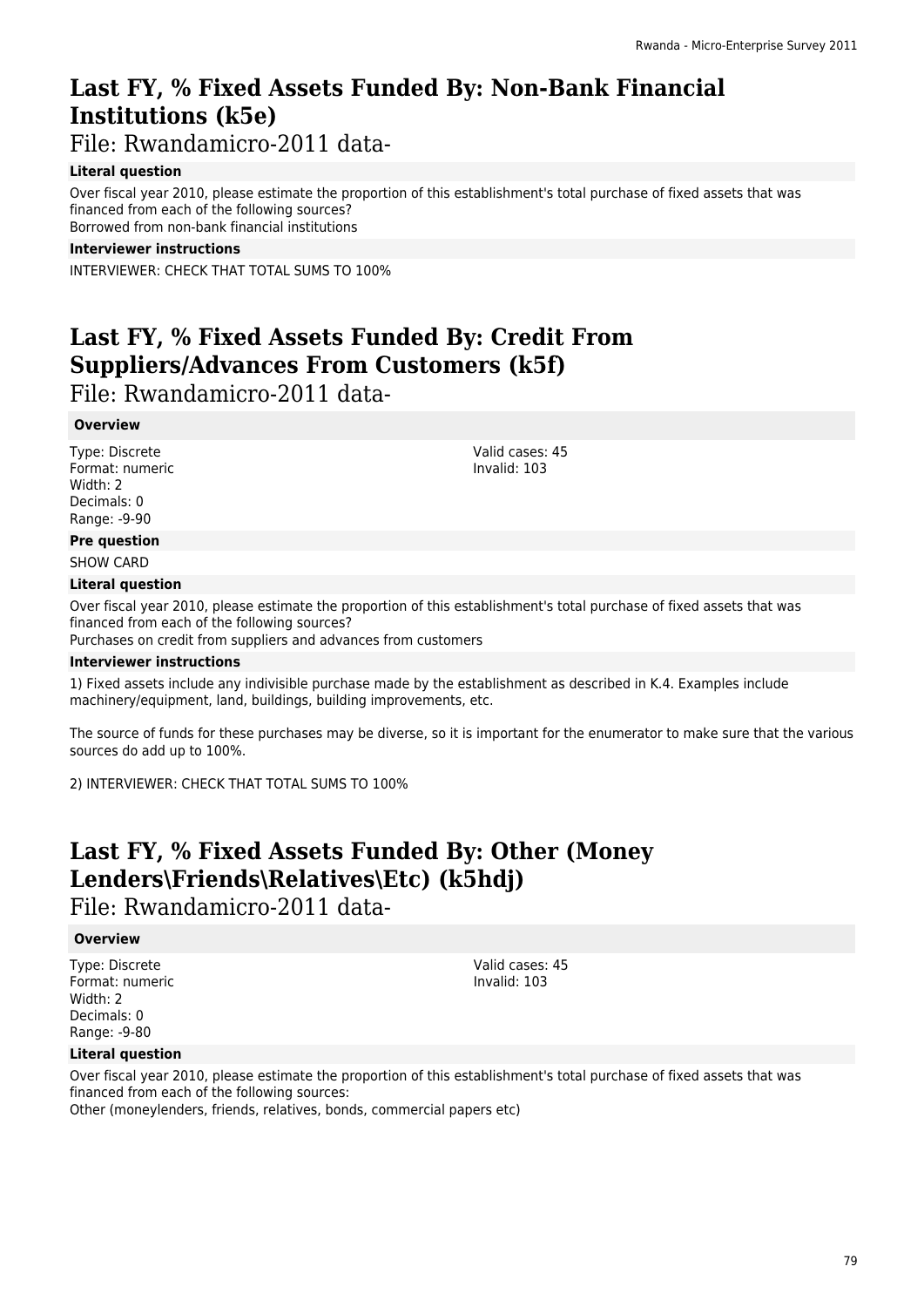# **Last FY, % Fixed Assets Funded By: Non-Bank Financial Institutions (k5e)**

File: Rwandamicro-2011 data-

#### **Literal question**

Over fiscal year 2010, please estimate the proportion of this establishment's total purchase of fixed assets that was financed from each of the following sources? Borrowed from non-bank financial institutions

#### **Interviewer instructions**

INTERVIEWER: CHECK THAT TOTAL SUMS TO 100%

### **Last FY, % Fixed Assets Funded By: Credit From Suppliers/Advances From Customers (k5f)**

File: Rwandamicro-2011 data-

#### **Overview**

Type: Discrete Format: numeric Width: 2 Decimals: 0 Range: -9-90

Valid cases: 45 Invalid: 103

#### **Pre question**

SHOW CARD

#### **Literal question**

Over fiscal year 2010, please estimate the proportion of this establishment's total purchase of fixed assets that was financed from each of the following sources?

Purchases on credit from suppliers and advances from customers

#### **Interviewer instructions**

1) Fixed assets include any indivisible purchase made by the establishment as described in K.4. Examples include machinery/equipment, land, buildings, building improvements, etc.

The source of funds for these purchases may be diverse, so it is important for the enumerator to make sure that the various sources do add up to 100%.

2) INTERVIEWER: CHECK THAT TOTAL SUMS TO 100%

### **Last FY, % Fixed Assets Funded By: Other (Money Lenders\Friends\Relatives\Etc) (k5hdj)**

File: Rwandamicro-2011 data-

#### **Overview**

Type: Discrete Format: numeric Width: 2 Decimals: 0 Range: -9-80

Valid cases: 45 Invalid: 103

#### **Literal question**

Over fiscal year 2010, please estimate the proportion of this establishment's total purchase of fixed assets that was financed from each of the following sources:

Other (moneylenders, friends, relatives, bonds, commercial papers etc)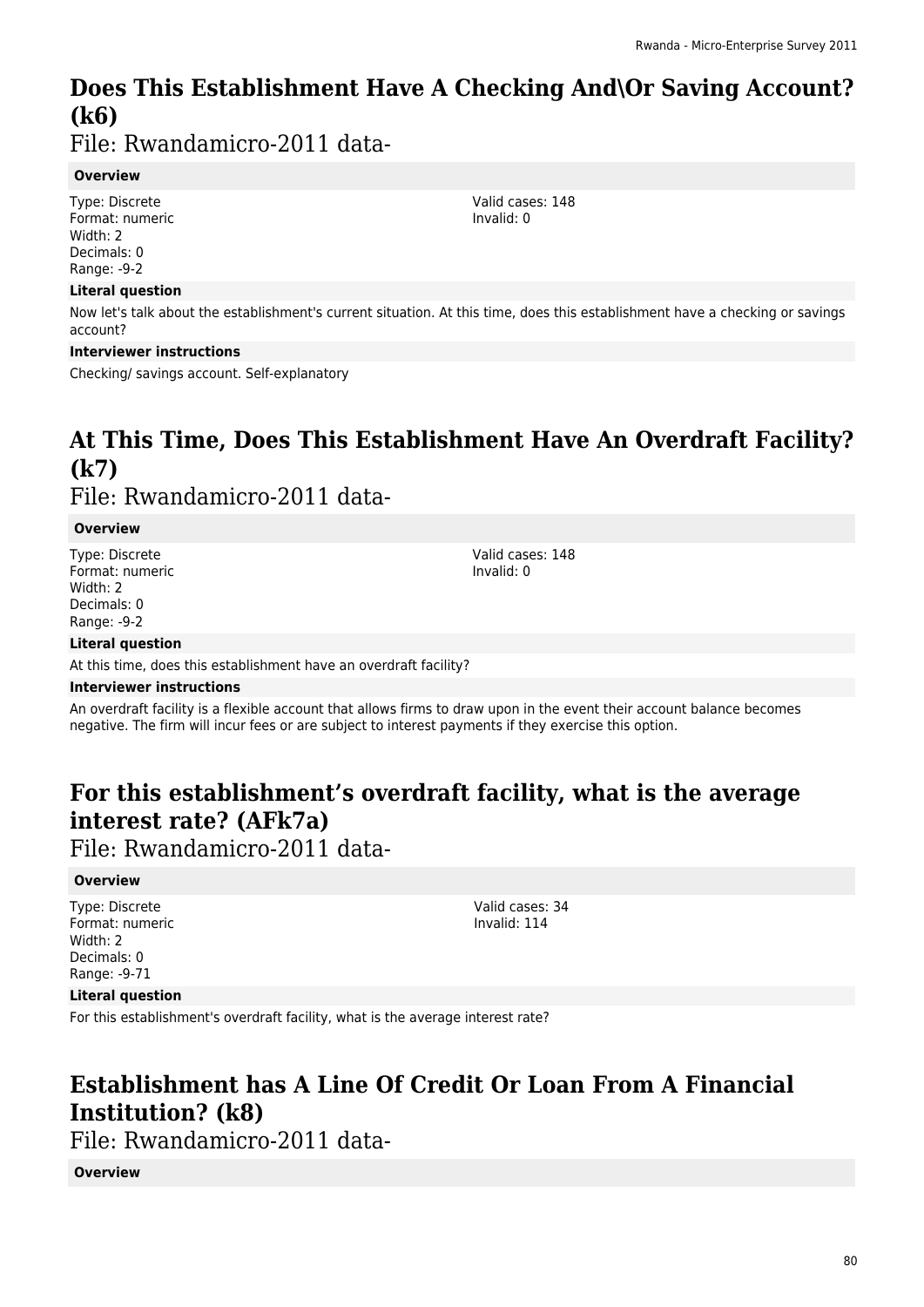# **Does This Establishment Have A Checking And\Or Saving Account? (k6)**

File: Rwandamicro-2011 data-

#### **Overview**

Type: Discrete Format: numeric Width: 2 Decimals: 0 Range: -9-2

#### **Literal question**

Now let's talk about the establishment's current situation. At this time, does this establishment have a checking or savings account?

#### **Interviewer instructions**

Checking/ savings account. Self-explanatory

### **At This Time, Does This Establishment Have An Overdraft Facility? (k7)**  File: Rwandamicro-2011 data-

#### **Overview**

Type: Discrete Format: numeric Width: 2 Decimals: 0 Range: -9-2

Valid cases: 148 Invalid: 0

#### **Literal question**

At this time, does this establishment have an overdraft facility?

#### **Interviewer instructions**

An overdraft facility is a flexible account that allows firms to draw upon in the event their account balance becomes negative. The firm will incur fees or are subject to interest payments if they exercise this option.

### **For this establishment's overdraft facility, what is the average interest rate? (AFk7a)**

File: Rwandamicro-2011 data-

#### **Overview**

Type: Discrete Format: numeric Width: 2 Decimals: 0 Range: -9-71

Valid cases: 34 Invalid: 114

#### **Literal question**

For this establishment's overdraft facility, what is the average interest rate?

### **Establishment has A Line Of Credit Or Loan From A Financial Institution? (k8)**

File: Rwandamicro-2011 data-

#### **Overview**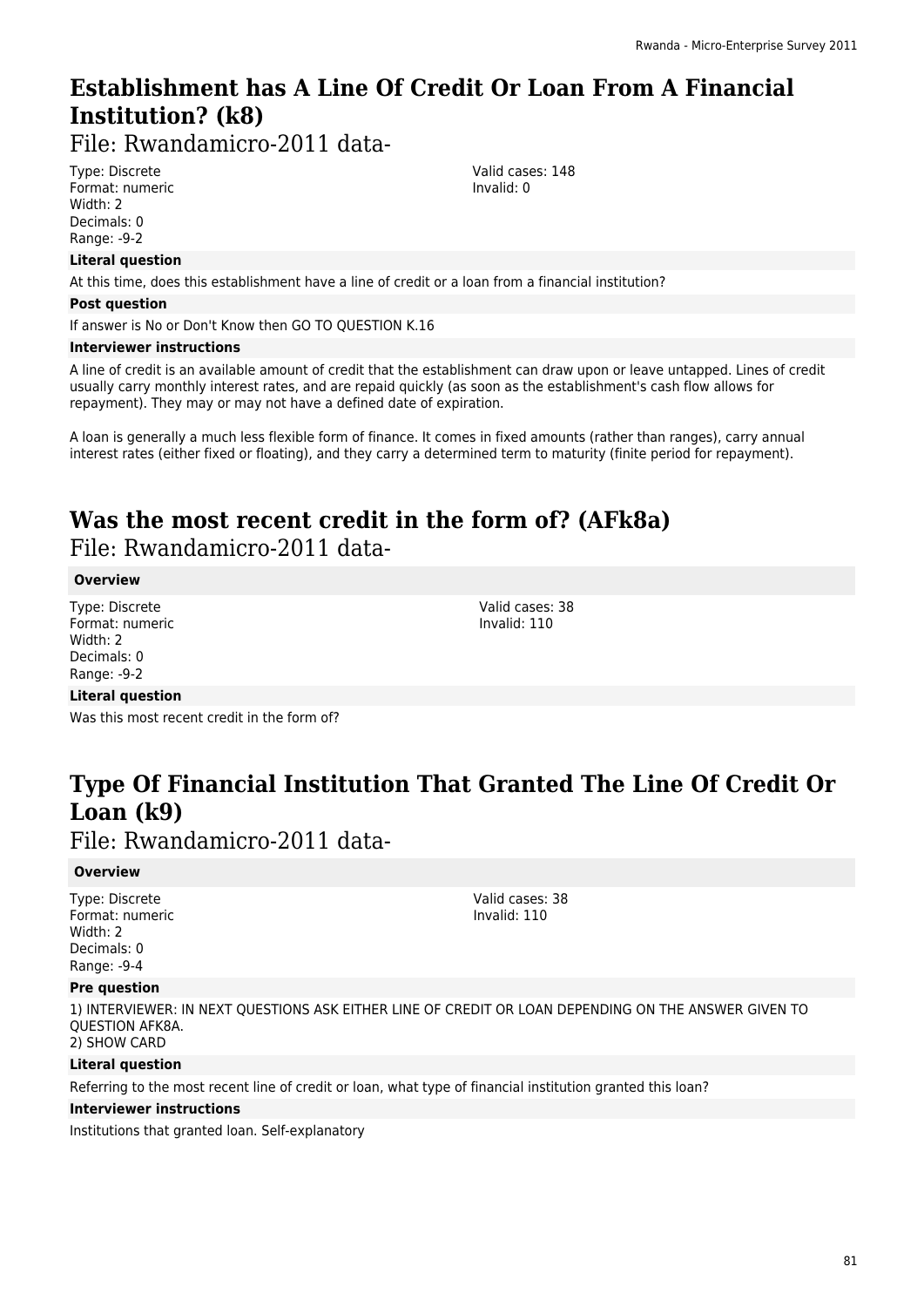### **Establishment has A Line Of Credit Or Loan From A Financial Institution? (k8)**

File: Rwandamicro-2011 data-

Type: Discrete Format: numeric Width: 2 Decimals: 0 Range: -9-2

#### **Literal question**

At this time, does this establishment have a line of credit or a loan from a financial institution?

#### **Post question**

If answer is No or Don't Know then GO TO QUESTION K.16

#### **Interviewer instructions**

A line of credit is an available amount of credit that the establishment can draw upon or leave untapped. Lines of credit usually carry monthly interest rates, and are repaid quickly (as soon as the establishment's cash flow allows for repayment). They may or may not have a defined date of expiration.

A loan is generally a much less flexible form of finance. It comes in fixed amounts (rather than ranges), carry annual interest rates (either fixed or floating), and they carry a determined term to maturity (finite period for repayment).

# **Was the most recent credit in the form of? (AFk8a)**

File: Rwandamicro-2011 data-

#### **Overview**

Type: Discrete Format: numeric Width: 2 Decimals: 0 Range: -9-2

Valid cases: 38 Invalid: 110

Valid cases: 148 Invalid: 0

#### **Literal question**

Was this most recent credit in the form of?

# **Type Of Financial Institution That Granted The Line Of Credit Or Loan (k9)**

File: Rwandamicro-2011 data-

#### **Overview**

Type: Discrete Format: numeric Width: 2 Decimals: 0 Range: -9-4

Valid cases: 38 Invalid: 110

#### **Pre question**

1) INTERVIEWER: IN NEXT QUESTIONS ASK EITHER LINE OF CREDIT OR LOAN DEPENDING ON THE ANSWER GIVEN TO QUESTION AFK8A. 2) SHOW CARD

#### **Literal question**

Referring to the most recent line of credit or loan, what type of financial institution granted this loan?

#### **Interviewer instructions**

Institutions that granted loan. Self-explanatory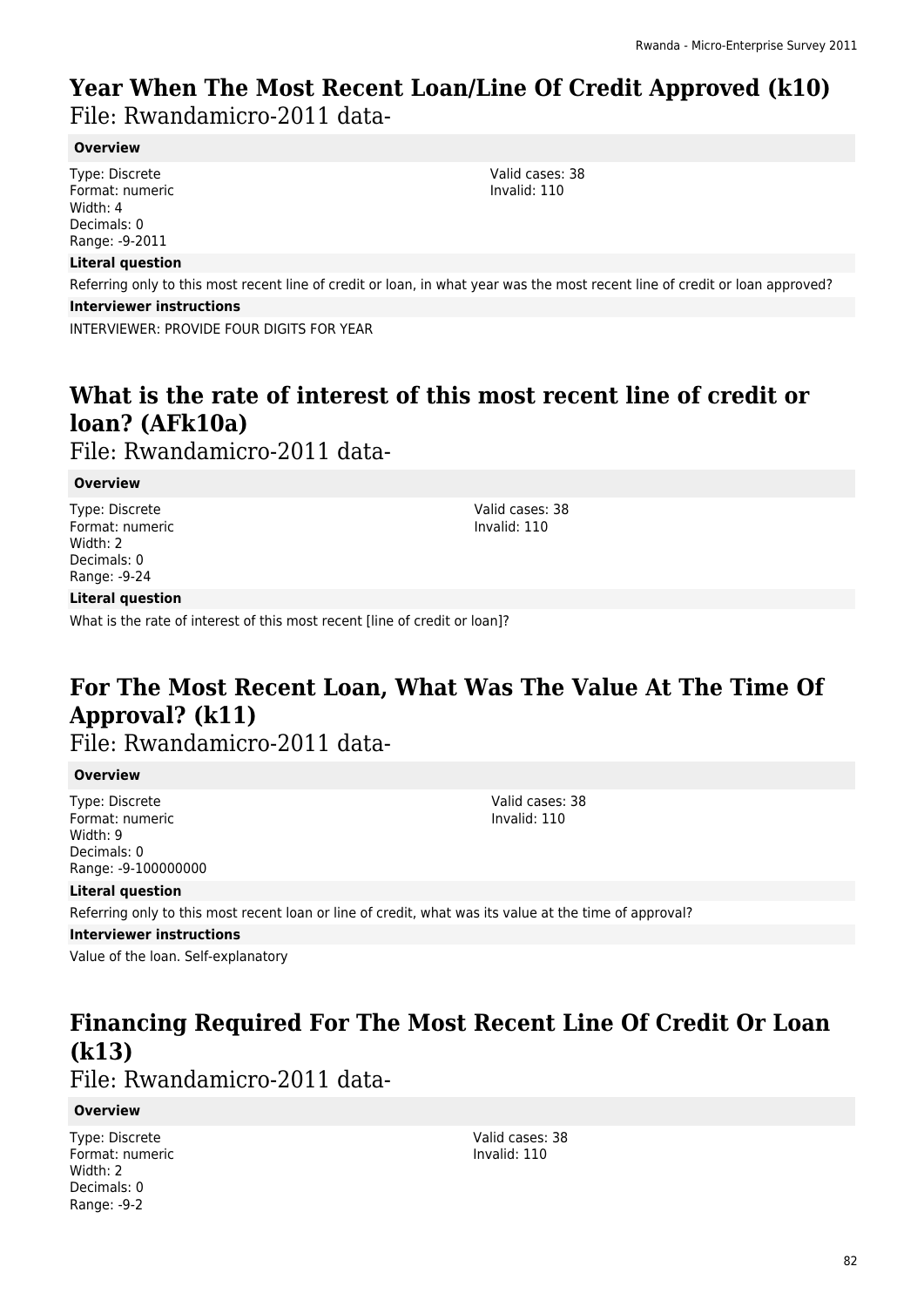### **Year When The Most Recent Loan/Line Of Credit Approved (k10)**  File: Rwandamicro-2011 data-

#### **Overview**

Type: Discrete Format: numeric Width: 4 Decimals: 0 Range: -9-2011

#### **Literal question**

Referring only to this most recent line of credit or loan, in what year was the most recent line of credit or loan approved?

#### **Interviewer instructions**

INTERVIEWER: PROVIDE FOUR DIGITS FOR YEAR

## **What is the rate of interest of this most recent line of credit or loan? (AFk10a)**

File: Rwandamicro-2011 data-

#### **Overview**

Type: Discrete Format: numeric Width: 2 Decimals: 0 Range: -9-24

#### **Literal question**

What is the rate of interest of this most recent [line of credit or loan]?

### **For The Most Recent Loan, What Was The Value At The Time Of Approval? (k11)**

File: Rwandamicro-2011 data-

#### **Overview**

Type: Discrete Format: numeric Width: 9 Decimals: 0 Range: -9-100000000 Valid cases: 38 Invalid: 110

Valid cases: 38 Invalid: 110

#### **Literal question**

Referring only to this most recent loan or line of credit, what was its value at the time of approval?

#### **Interviewer instructions**

Value of the loan. Self-explanatory

### **Financing Required For The Most Recent Line Of Credit Or Loan (k13)**

File: Rwandamicro-2011 data-

#### **Overview**

Type: Discrete Format: numeric Width: 2 Decimals: 0 Range: -9-2

Valid cases: 38 Invalid: 110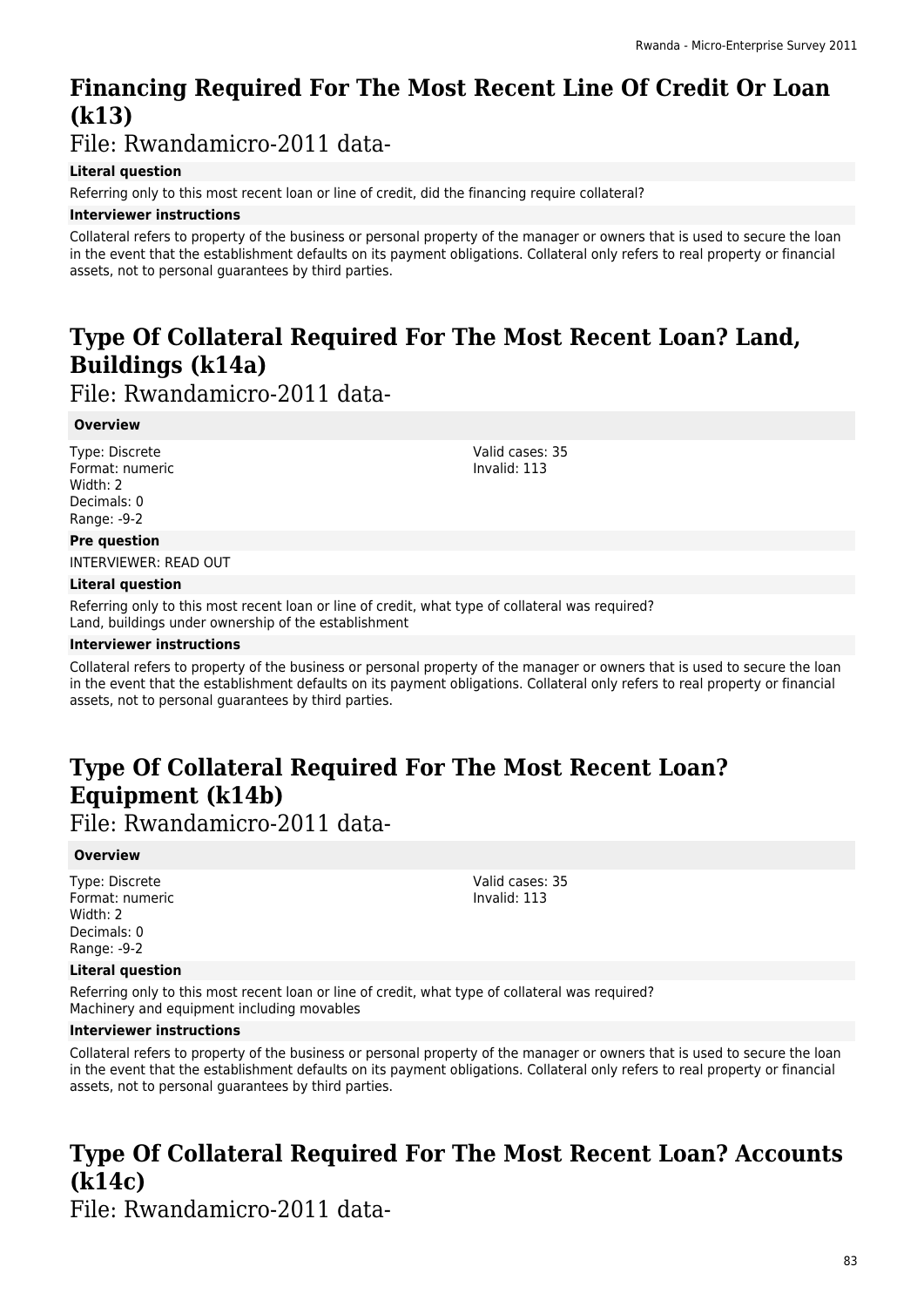# **Financing Required For The Most Recent Line Of Credit Or Loan (k13)**

File: Rwandamicro-2011 data-

#### **Literal question**

Referring only to this most recent loan or line of credit, did the financing require collateral?

#### **Interviewer instructions**

Collateral refers to property of the business or personal property of the manager or owners that is used to secure the loan in the event that the establishment defaults on its payment obligations. Collateral only refers to real property or financial assets, not to personal guarantees by third parties.

# **Type Of Collateral Required For The Most Recent Loan? Land, Buildings (k14a)**

File: Rwandamicro-2011 data-

#### **Overview**

Type: Discrete Format: numeric Width: 2 Decimals: 0 Range: -9-2

Valid cases: 35 Invalid: 113

#### **Pre question**

INTERVIEWER: READ OUT

#### **Literal question**

Referring only to this most recent loan or line of credit, what type of collateral was required? Land, buildings under ownership of the establishment

#### **Interviewer instructions**

Collateral refers to property of the business or personal property of the manager or owners that is used to secure the loan in the event that the establishment defaults on its payment obligations. Collateral only refers to real property or financial assets, not to personal guarantees by third parties.

# **Type Of Collateral Required For The Most Recent Loan? Equipment (k14b)**

File: Rwandamicro-2011 data-

#### **Overview**

Type: Discrete Format: numeric Width: 2 Decimals: 0 Range: -9-2

#### Valid cases: 35 Invalid: 113

#### **Literal question**

Referring only to this most recent loan or line of credit, what type of collateral was required? Machinery and equipment including movables

#### **Interviewer instructions**

Collateral refers to property of the business or personal property of the manager or owners that is used to secure the loan in the event that the establishment defaults on its payment obligations. Collateral only refers to real property or financial assets, not to personal guarantees by third parties.

# **Type Of Collateral Required For The Most Recent Loan? Accounts (k14c)**

File: Rwandamicro-2011 data-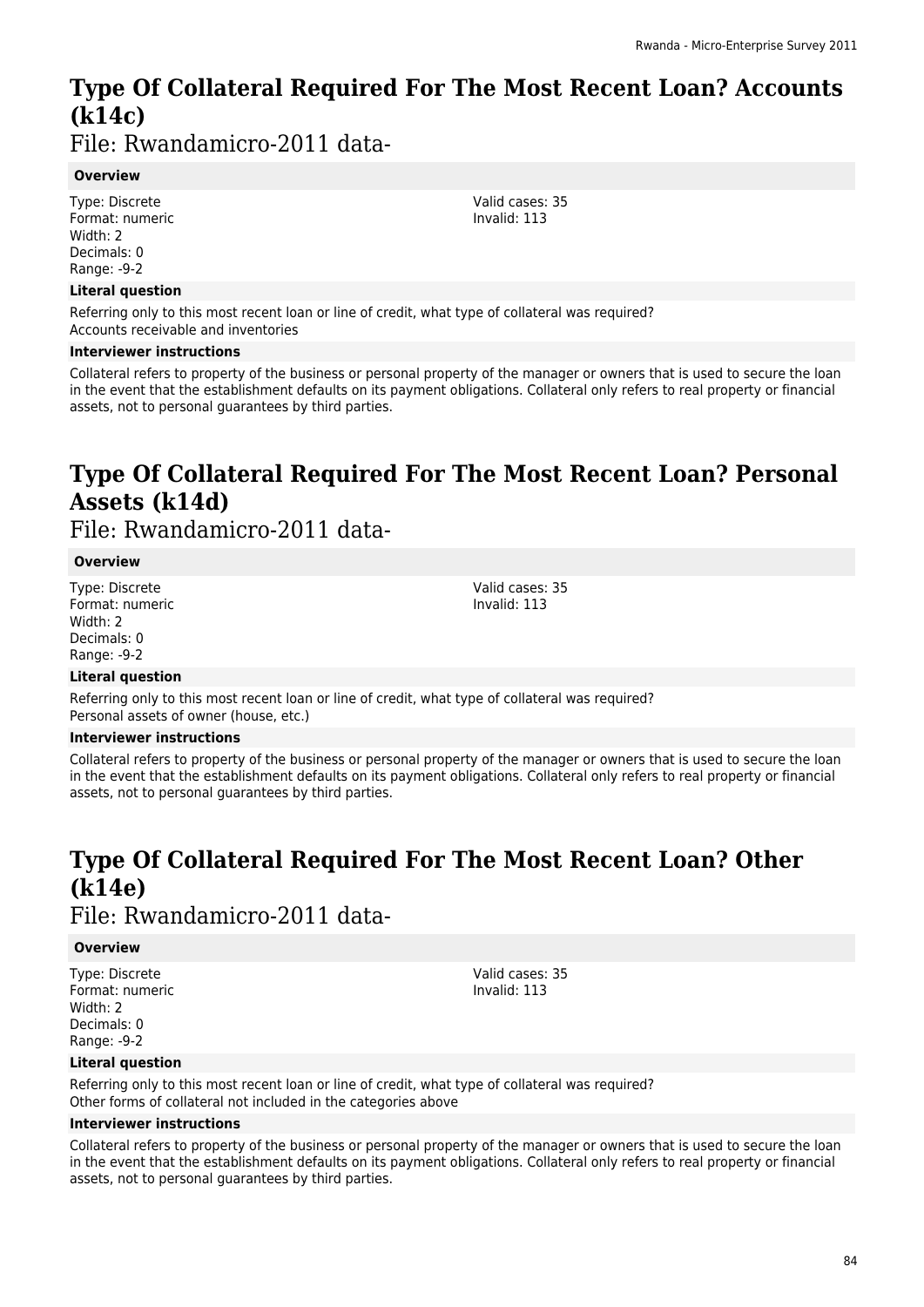# **Type Of Collateral Required For The Most Recent Loan? Accounts (k14c)**

File: Rwandamicro-2011 data-

#### **Overview**

Type: Discrete Format: numeric Width: 2 Decimals: 0 Range: -9-2

#### **Literal question**

Referring only to this most recent loan or line of credit, what type of collateral was required? Accounts receivable and inventories

#### **Interviewer instructions**

Collateral refers to property of the business or personal property of the manager or owners that is used to secure the loan in the event that the establishment defaults on its payment obligations. Collateral only refers to real property or financial assets, not to personal guarantees by third parties.

# **Type Of Collateral Required For The Most Recent Loan? Personal Assets (k14d)**

File: Rwandamicro-2011 data-

#### **Overview**

Type: Discrete Format: numeric Width: 2 Decimals: 0 Range: -9-2

Valid cases: 35 Invalid: 113

#### **Literal question**

Referring only to this most recent loan or line of credit, what type of collateral was required? Personal assets of owner (house, etc.)

#### **Interviewer instructions**

Collateral refers to property of the business or personal property of the manager or owners that is used to secure the loan in the event that the establishment defaults on its payment obligations. Collateral only refers to real property or financial assets, not to personal guarantees by third parties.

# **Type Of Collateral Required For The Most Recent Loan? Other (k14e)**

### File: Rwandamicro-2011 data-

#### **Overview**

Type: Discrete Format: numeric Width: 2 Decimals: 0 Range: -9-2

Valid cases: 35 Invalid: 113

#### **Literal question**

Referring only to this most recent loan or line of credit, what type of collateral was required? Other forms of collateral not included in the categories above

#### **Interviewer instructions**

Collateral refers to property of the business or personal property of the manager or owners that is used to secure the loan in the event that the establishment defaults on its payment obligations. Collateral only refers to real property or financial assets, not to personal guarantees by third parties.

Valid cases: 35 Invalid: 113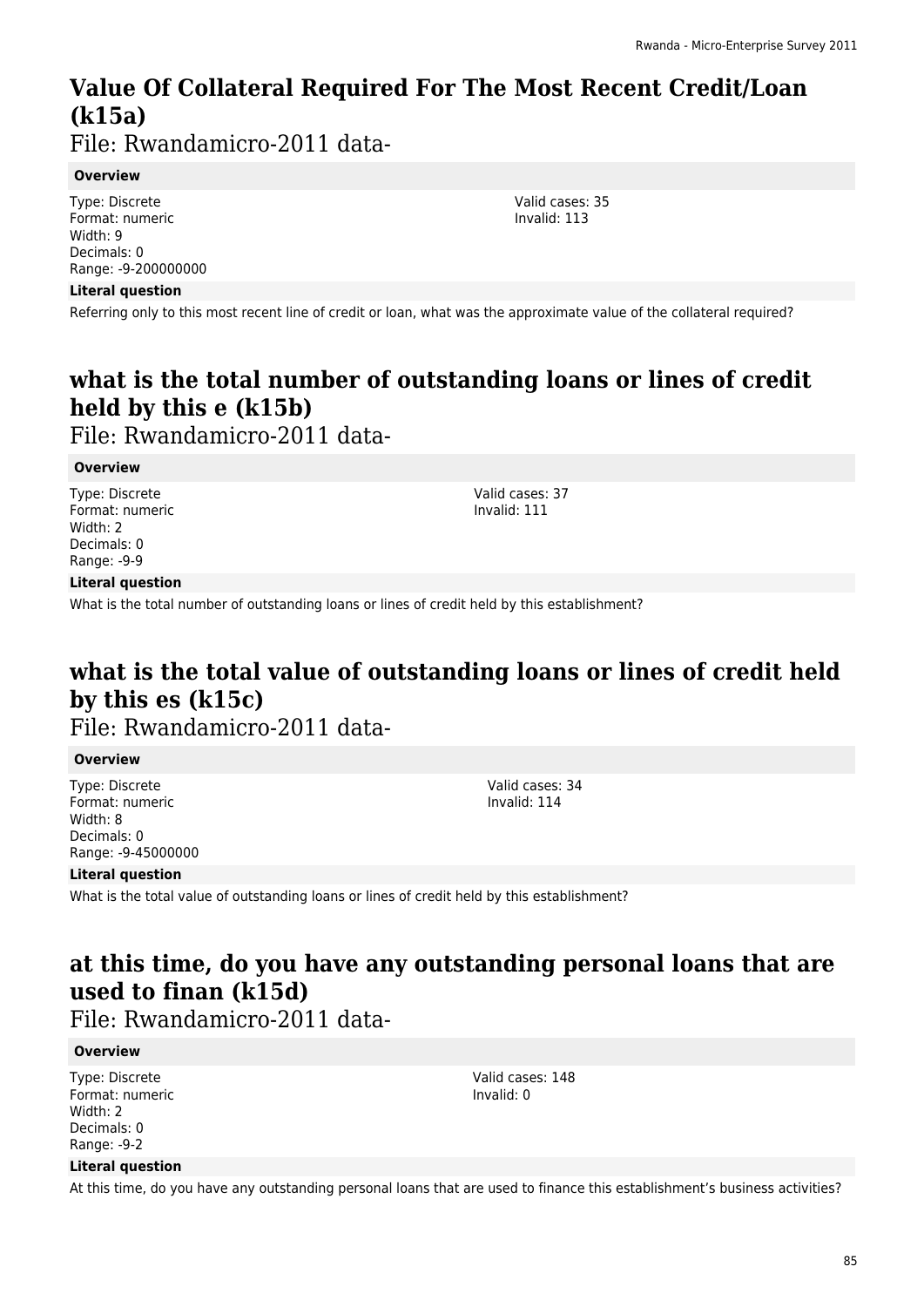# **Value Of Collateral Required For The Most Recent Credit/Loan (k15a)**

File: Rwandamicro-2011 data-

#### **Overview**

Type: Discrete Format: numeric Width: 9 Decimals: 0 Range: -9-200000000

#### **Literal question**

Referring only to this most recent line of credit or loan, what was the approximate value of the collateral required?

# **what is the total number of outstanding loans or lines of credit held by this e (k15b)**

File: Rwandamicro-2011 data-

#### **Overview**

Type: Discrete Format: numeric Width: 2 Decimals: 0 Range: -9-9

Valid cases: 37 Invalid: 111

#### **Literal question**

What is the total number of outstanding loans or lines of credit held by this establishment?

### **what is the total value of outstanding loans or lines of credit held by this es (k15c)**

File: Rwandamicro-2011 data-

#### **Overview**

Type: Discrete Format: numeric Width: 8 Decimals: 0 Range: -9-45000000 Valid cases: 34 Invalid: 114

#### **Literal question**

What is the total value of outstanding loans or lines of credit held by this establishment?

### **at this time, do you have any outstanding personal loans that are used to finan (k15d)**

File: Rwandamicro-2011 data-

#### **Overview**

Type: Discrete Format: numeric Width: 2 Decimals: 0 Range: -9-2

Valid cases: 148 Invalid: 0

#### **Literal question**

At this time, do you have any outstanding personal loans that are used to finance this establishment's business activities?

Valid cases: 35 Invalid: 113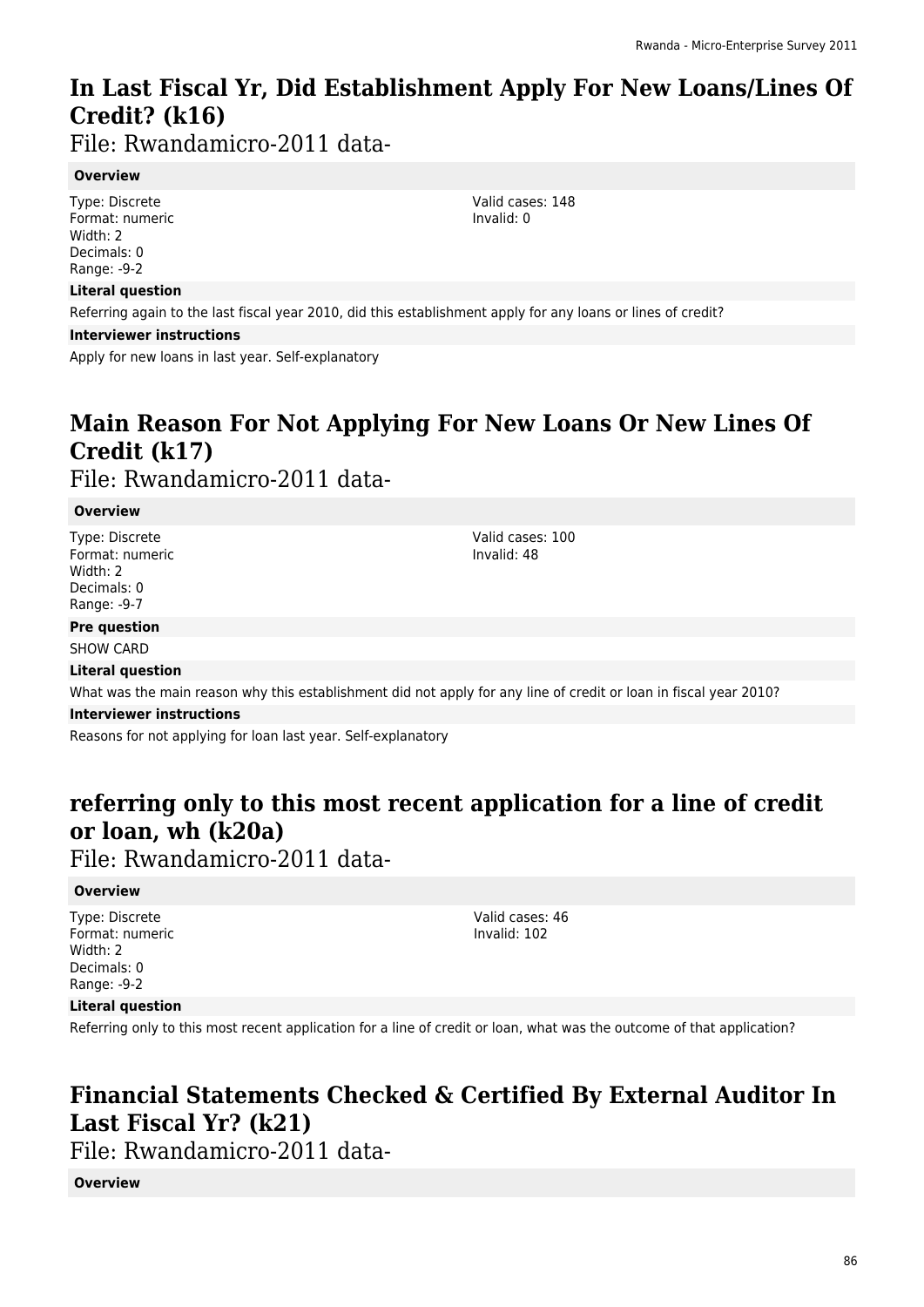## **In Last Fiscal Yr, Did Establishment Apply For New Loans/Lines Of Credit? (k16)**

File: Rwandamicro-2011 data-

#### **Overview**

Type: Discrete Format: numeric Width: 2 Decimals: 0 Range: -9-2

#### **Literal question**

Referring again to the last fiscal year 2010, did this establishment apply for any loans or lines of credit?

**Interviewer instructions**

Apply for new loans in last year. Self-explanatory

# **Main Reason For Not Applying For New Loans Or New Lines Of Credit (k17)**

File: Rwandamicro-2011 data-

#### **Overview**

Type: Discrete Format: numeric Width: 2 Decimals: 0 Range: -9-7

**Pre question**

#### SHOW CARD

#### **Literal question**

What was the main reason why this establishment did not apply for any line of credit or loan in fiscal year 2010?

#### **Interviewer instructions**

Reasons for not applying for loan last year. Self-explanatory

### **referring only to this most recent application for a line of credit or loan, wh (k20a)**

File: Rwandamicro-2011 data-

#### **Overview**

Type: Discrete Format: numeric Width: 2 Decimals: 0 Range: -9-2

Valid cases: 46 Invalid: 102

#### **Literal question**

Referring only to this most recent application for a line of credit or loan, what was the outcome of that application?

### **Financial Statements Checked & Certified By External Auditor In Last Fiscal Yr? (k21)**

File: Rwandamicro-2011 data-

#### **Overview**

Valid cases: 148 Invalid: 0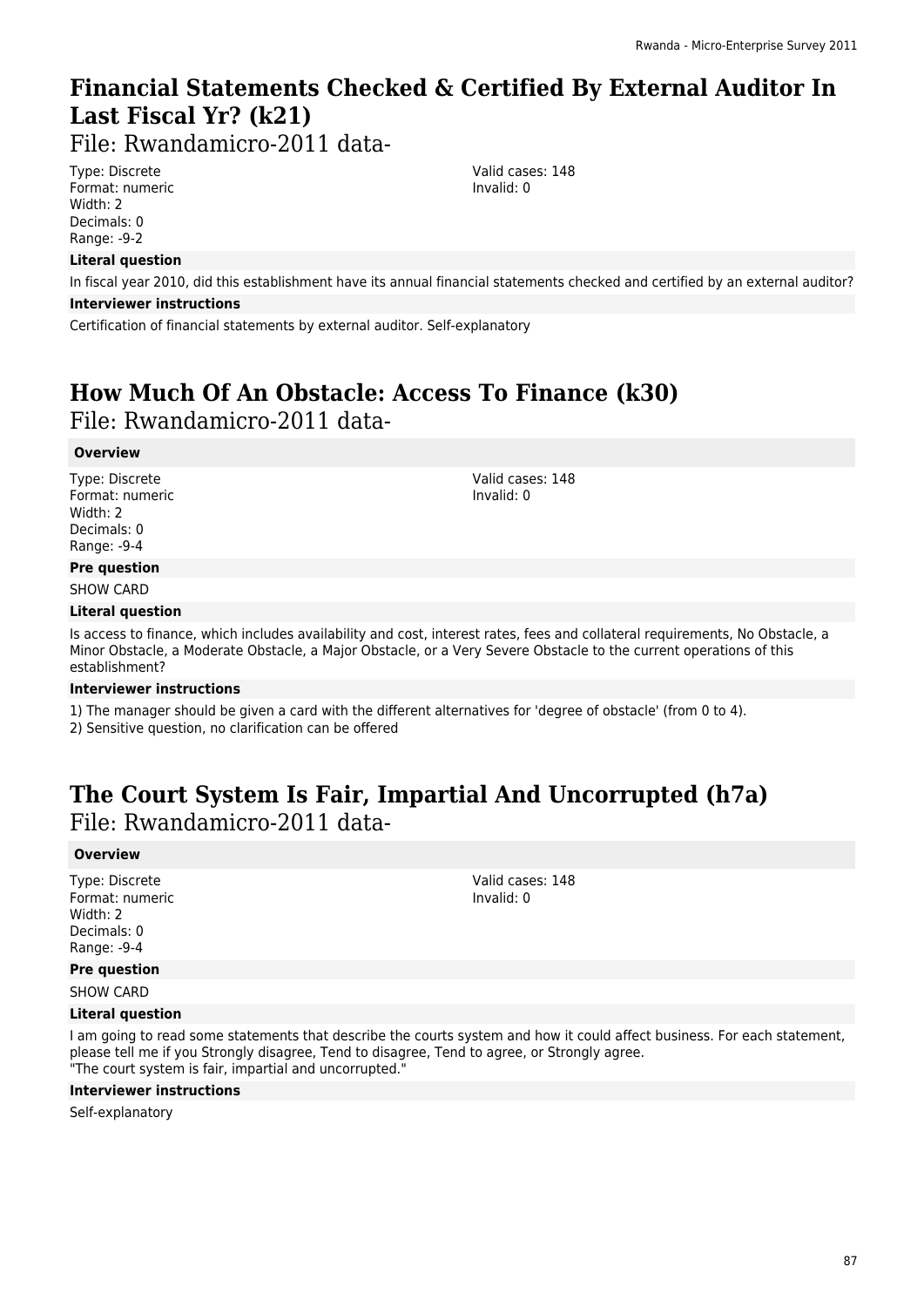# **Financial Statements Checked & Certified By External Auditor In Last Fiscal Yr? (k21)**

File: Rwandamicro-2011 data-

Type: Discrete Format: numeric Width: 2 Decimals: 0 Range: -9-2

#### **Literal question**

In fiscal year 2010, did this establishment have its annual financial statements checked and certified by an external auditor?

#### **Interviewer instructions**

Certification of financial statements by external auditor. Self-explanatory

### **How Much Of An Obstacle: Access To Finance (k30)**  File: Rwandamicro-2011 data-

#### **Overview**

Type: Discrete Format: numeric Width: 2 Decimals: 0 Range: -9-4

#### **Pre question**

SHOW CARD

#### **Literal question**

Is access to finance, which includes availability and cost, interest rates, fees and collateral requirements, No Obstacle, a Minor Obstacle, a Moderate Obstacle, a Major Obstacle, or a Very Severe Obstacle to the current operations of this establishment?

#### **Interviewer instructions**

1) The manager should be given a card with the different alternatives for 'degree of obstacle' (from 0 to 4).

2) Sensitive question, no clarification can be offered

### **The Court System Is Fair, Impartial And Uncorrupted (h7a)**  File: Rwandamicro-2011 data-

#### **Overview**

Type: Discrete Format: numeric Width: 2 Decimals: 0 Range: -9-4

#### **Pre question**

SHOW CARD

#### **Literal question**

I am going to read some statements that describe the courts system and how it could affect business. For each statement, please tell me if you Strongly disagree, Tend to disagree, Tend to agree, or Strongly agree. "The court system is fair, impartial and uncorrupted."

#### **Interviewer instructions**

Self-explanatory

Valid cases: 148 Invalid: 0

Valid cases: 148 Invalid: 0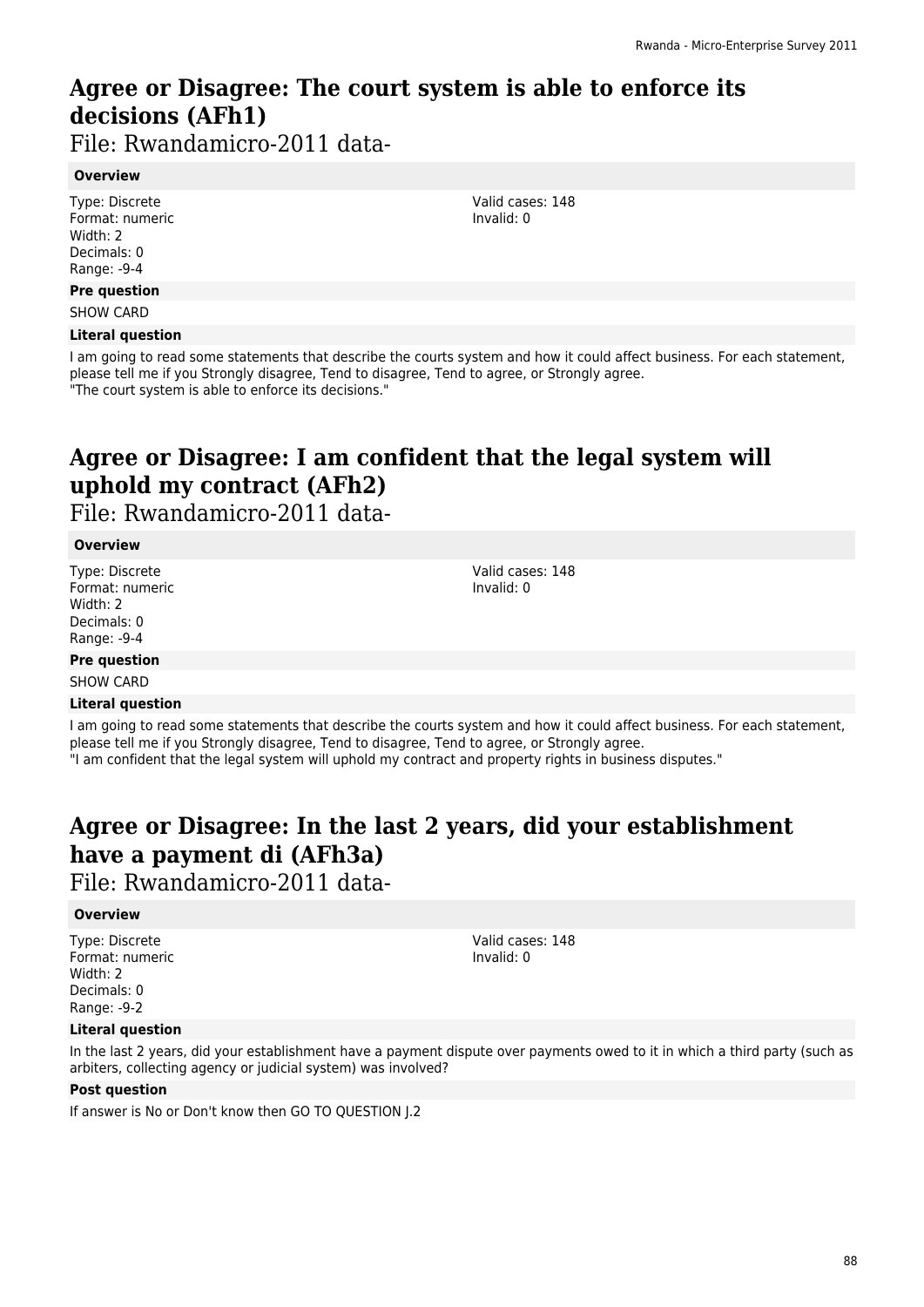# **Agree or Disagree: The court system is able to enforce its decisions (AFh1)**

File: Rwandamicro-2011 data-

#### **Overview**

Type: Discrete Format: numeric Width: 2 Decimals: 0 Range: -9-4

#### **Pre question**

SHOW CARD

#### **Literal question**

I am going to read some statements that describe the courts system and how it could affect business. For each statement, please tell me if you Strongly disagree, Tend to disagree, Tend to agree, or Strongly agree. "The court system is able to enforce its decisions."

# **Agree or Disagree: I am confident that the legal system will uphold my contract (AFh2)**

File: Rwandamicro-2011 data-

#### **Overview**

Type: Discrete Format: numeric Width: 2 Decimals: 0 Range: -9-4

Valid cases: 148 Invalid: 0

Valid cases: 148 Invalid: 0

#### **Pre question** SHOW CARD

#### **Literal question**

I am going to read some statements that describe the courts system and how it could affect business. For each statement, please tell me if you Strongly disagree, Tend to disagree, Tend to agree, or Strongly agree. "I am confident that the legal system will uphold my contract and property rights in business disputes."

# **Agree or Disagree: In the last 2 years, did your establishment have a payment di (AFh3a)**

File: Rwandamicro-2011 data-

#### **Overview**

Type: Discrete Format: numeric Width: 2 Decimals: 0 Range: -9-2

Valid cases: 148 Invalid: 0

#### **Literal question**

In the last 2 years, did your establishment have a payment dispute over payments owed to it in which a third party (such as arbiters, collecting agency or judicial system) was involved?

#### **Post question**

If answer is No or Don't know then GO TO QUESTION J.2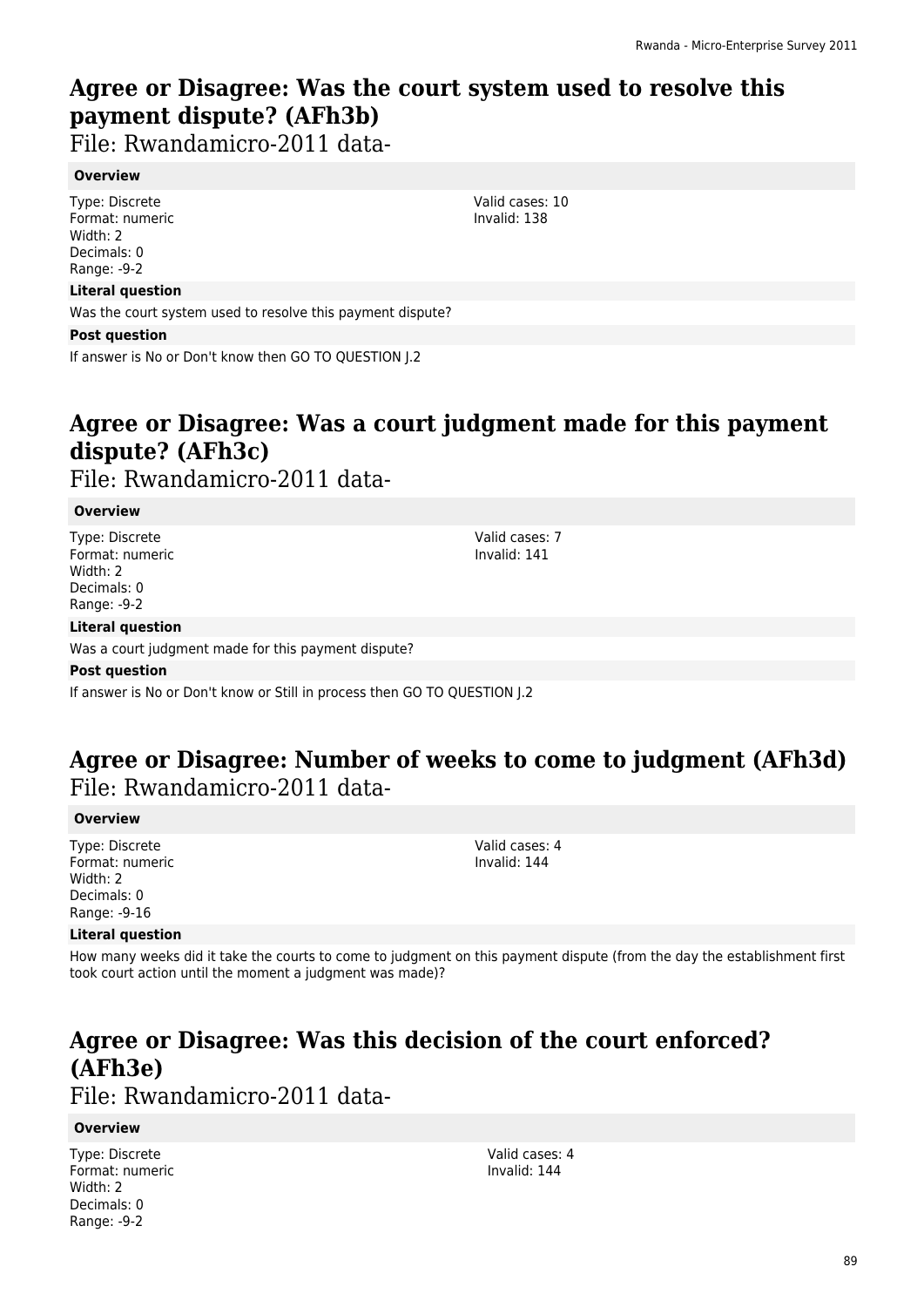# **Agree or Disagree: Was the court system used to resolve this payment dispute? (AFh3b)**

File: Rwandamicro-2011 data-

#### **Overview**

Type: Discrete Format: numeric Width: 2 Decimals: 0 Range: -9-2

#### **Literal question**

Was the court system used to resolve this payment dispute?

#### **Post question**

If answer is No or Don't know then GO TO QUESTION J.2

### **Agree or Disagree: Was a court judgment made for this payment dispute? (AFh3c)**

### File: Rwandamicro-2011 data-

#### **Overview**

Type: Discrete Format: numeric Width: 2 Decimals: 0 Range: -9-2

#### **Literal question**

Was a court judgment made for this payment dispute?

#### **Post question**

If answer is No or Don't know or Still in process then GO TO QUESTION J.2

### **Agree or Disagree: Number of weeks to come to judgment (AFh3d)**  File: Rwandamicro-2011 data-

#### **Overview**

Type: Discrete Format: numeric Width: 2 Decimals: 0 Range: -9-16

#### **Literal question**

How many weeks did it take the courts to come to judgment on this payment dispute (from the day the establishment first took court action until the moment a judgment was made)?

# **Agree or Disagree: Was this decision of the court enforced? (AFh3e)**

File: Rwandamicro-2011 data-

#### **Overview**

Type: Discrete Format: numeric Width: 2 Decimals: 0 Range: -9-2

Valid cases: 4 Invalid: 144

Valid cases: 7 Invalid: 141

Valid cases: 10 Invalid: 138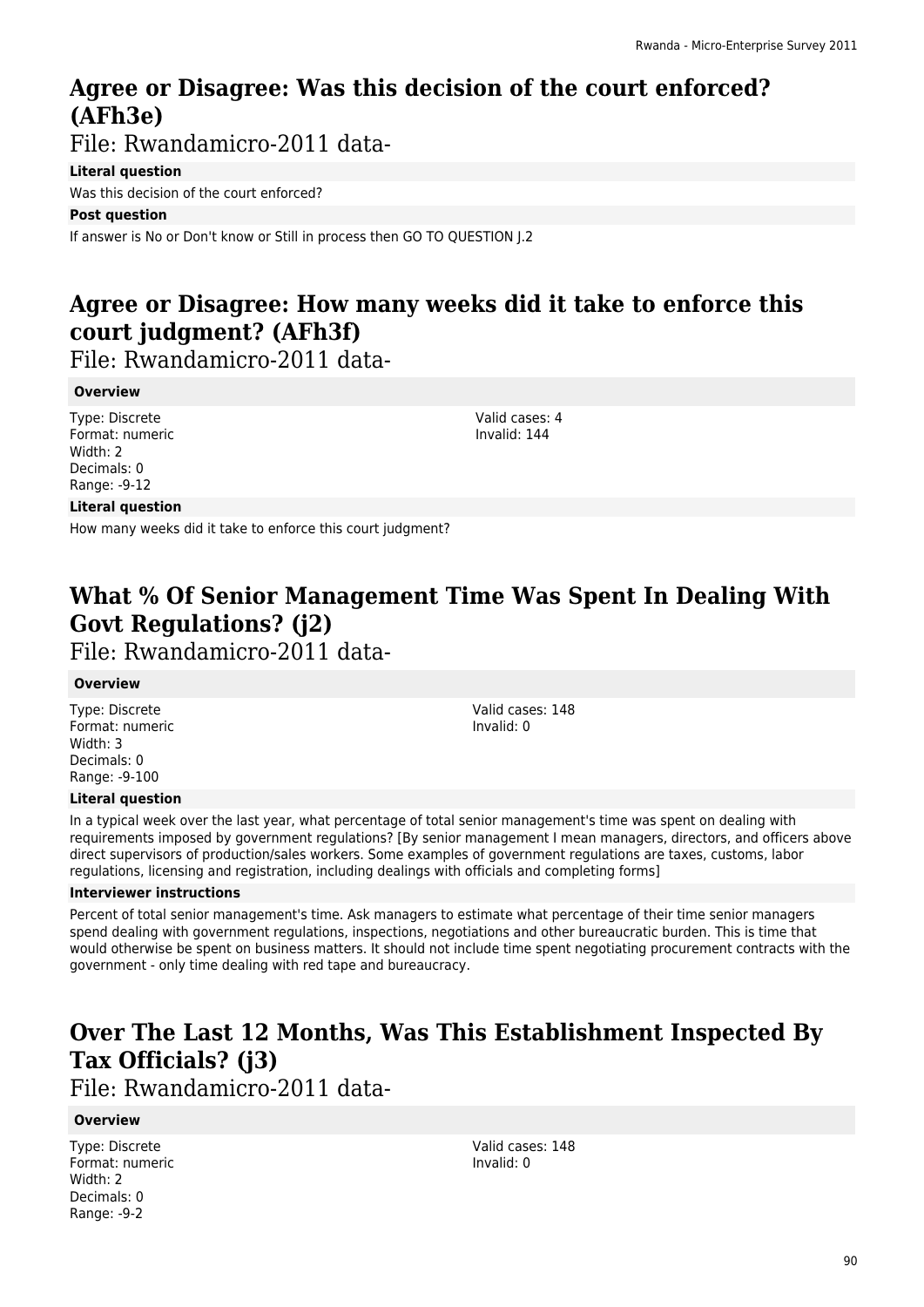## **Agree or Disagree: Was this decision of the court enforced? (AFh3e)**

File: Rwandamicro-2011 data-

#### **Literal question**

Was this decision of the court enforced?

#### **Post question**

If answer is No or Don't know or Still in process then GO TO QUESTION J.2

# **Agree or Disagree: How many weeks did it take to enforce this court judgment? (AFh3f)**

File: Rwandamicro-2011 data-

#### **Overview**

Type: Discrete Format: numeric Width: 2 Decimals: 0 Range: -9-12

Valid cases: 4 Invalid: 144

#### **Literal question**

How many weeks did it take to enforce this court judgment?

# **What % Of Senior Management Time Was Spent In Dealing With Govt Regulations? (j2)**

File: Rwandamicro-2011 data-

#### **Overview**

Type: Discrete Format: numeric Width: 3 Decimals: 0 Range: -9-100

Valid cases: 148 Invalid: 0

#### **Literal question**

In a typical week over the last year, what percentage of total senior management's time was spent on dealing with requirements imposed by government regulations? [By senior management I mean managers, directors, and officers above direct supervisors of production/sales workers. Some examples of government regulations are taxes, customs, labor regulations, licensing and registration, including dealings with officials and completing forms]

#### **Interviewer instructions**

Percent of total senior management's time. Ask managers to estimate what percentage of their time senior managers spend dealing with government regulations, inspections, negotiations and other bureaucratic burden. This is time that would otherwise be spent on business matters. It should not include time spent negotiating procurement contracts with the government - only time dealing with red tape and bureaucracy.

# **Over The Last 12 Months, Was This Establishment Inspected By Tax Officials? (j3)**

File: Rwandamicro-2011 data-

#### **Overview**

Type: Discrete Format: numeric Width: 2 Decimals: 0 Range: -9-2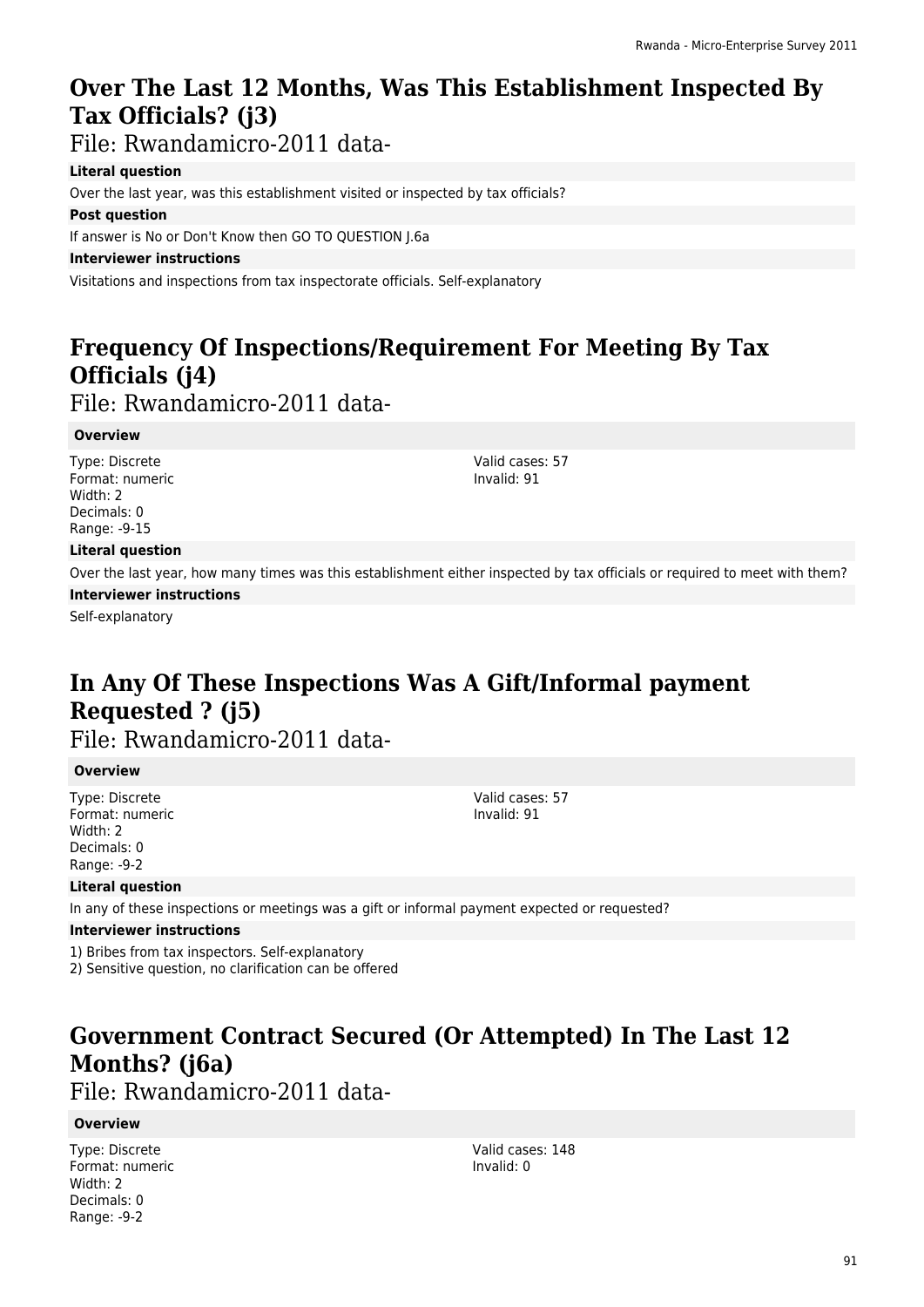# **Over The Last 12 Months, Was This Establishment Inspected By Tax Officials? (j3)**

File: Rwandamicro-2011 data-

#### **Literal question**

Over the last year, was this establishment visited or inspected by tax officials?

#### **Post question**

If answer is No or Don't Know then GO TO QUESTION J.6a

#### **Interviewer instructions**

Visitations and inspections from tax inspectorate officials. Self-explanatory

# **Frequency Of Inspections/Requirement For Meeting By Tax Officials (j4)**

File: Rwandamicro-2011 data-

#### **Overview**

Type: Discrete Format: numeric Width: 2 Decimals: 0 Range: -9-15

Valid cases: 57 Invalid: 91

#### **Literal question**

Over the last year, how many times was this establishment either inspected by tax officials or required to meet with them?

**Interviewer instructions**

Self-explanatory

# **In Any Of These Inspections Was A Gift/Informal payment Requested ? (j5)**

File: Rwandamicro-2011 data-

#### **Overview**

Type: Discrete Format: numeric Width: 2 Decimals: 0 Range: -9-2

Valid cases: 57 Invalid: 91

#### **Literal question**

In any of these inspections or meetings was a gift or informal payment expected or requested?

#### **Interviewer instructions**

1) Bribes from tax inspectors. Self-explanatory

2) Sensitive question, no clarification can be offered

# **Government Contract Secured (Or Attempted) In The Last 12 Months? (j6a)**

### File: Rwandamicro-2011 data-

#### **Overview**

Type: Discrete Format: numeric Width: 2 Decimals: 0 Range: -9-2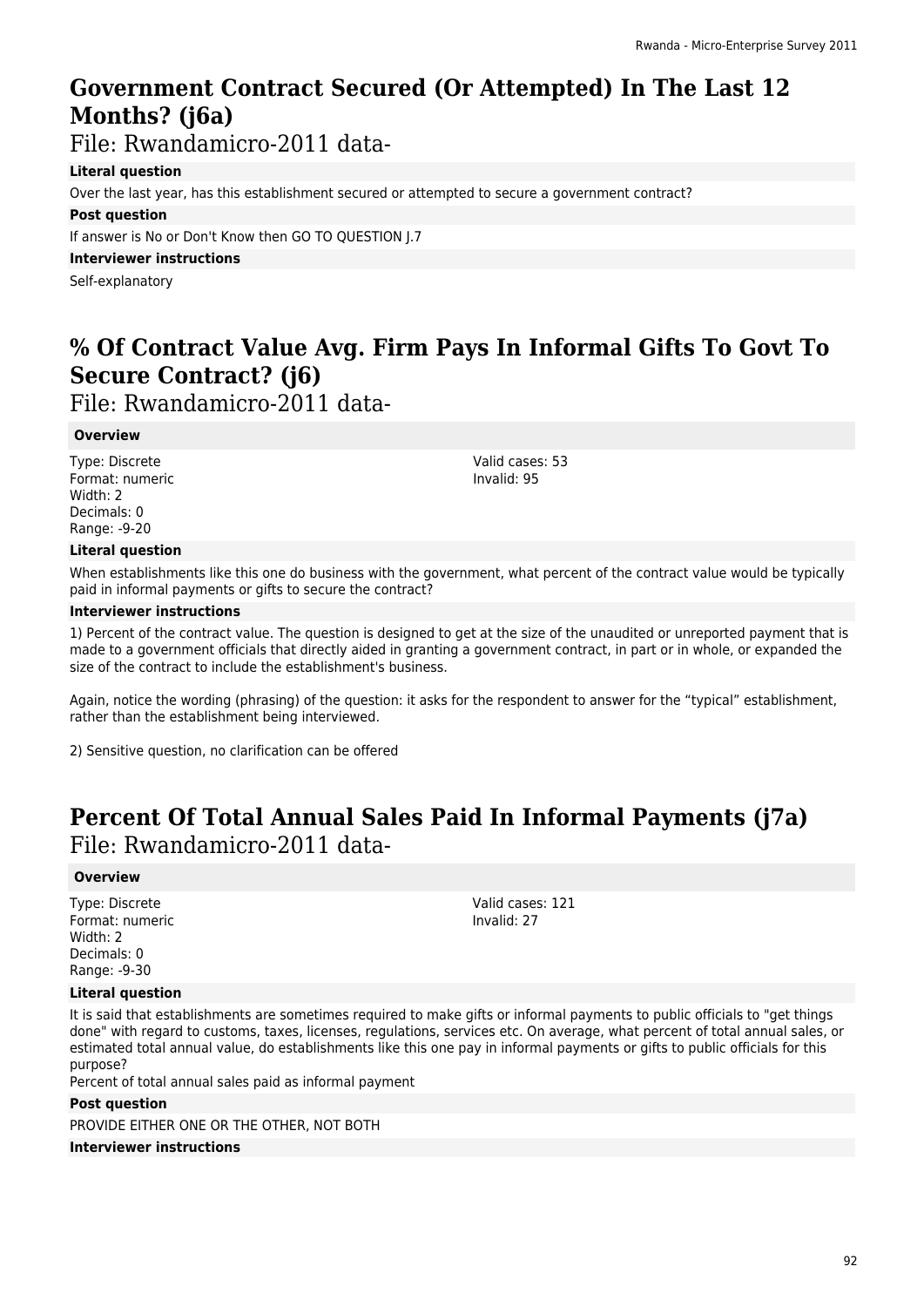# **Government Contract Secured (Or Attempted) In The Last 12 Months? (j6a)**

File: Rwandamicro-2011 data-

#### **Literal question**

Over the last year, has this establishment secured or attempted to secure a government contract?

#### **Post question**

If answer is No or Don't Know then GO TO QUESTION J.7

**Interviewer instructions**

Self-explanatory

# **% Of Contract Value Avg. Firm Pays In Informal Gifts To Govt To Secure Contract? (j6)**

File: Rwandamicro-2011 data-

#### **Overview**

Type: Discrete Format: numeric Width: 2 Decimals: 0 Range: -9-20

Valid cases: 53 Invalid: 95

#### **Literal question**

When establishments like this one do business with the government, what percent of the contract value would be typically paid in informal payments or gifts to secure the contract?

#### **Interviewer instructions**

1) Percent of the contract value. The question is designed to get at the size of the unaudited or unreported payment that is made to a government officials that directly aided in granting a government contract, in part or in whole, or expanded the size of the contract to include the establishment's business.

Again, notice the wording (phrasing) of the question: it asks for the respondent to answer for the "typical" establishment, rather than the establishment being interviewed.

2) Sensitive question, no clarification can be offered

### **Percent Of Total Annual Sales Paid In Informal Payments (j7a)**  File: Rwandamicro-2011 data-

#### **Overview**

Type: Discrete Format: numeric Width: 2 Decimals: 0 Range: -9-30

Valid cases: 121 Invalid: 27

#### **Literal question**

It is said that establishments are sometimes required to make gifts or informal payments to public officials to "get things done" with regard to customs, taxes, licenses, regulations, services etc. On average, what percent of total annual sales, or estimated total annual value, do establishments like this one pay in informal payments or gifts to public officials for this purpose?

Percent of total annual sales paid as informal payment

#### **Post question**

PROVIDE EITHER ONE OR THE OTHER, NOT BOTH

#### **Interviewer instructions**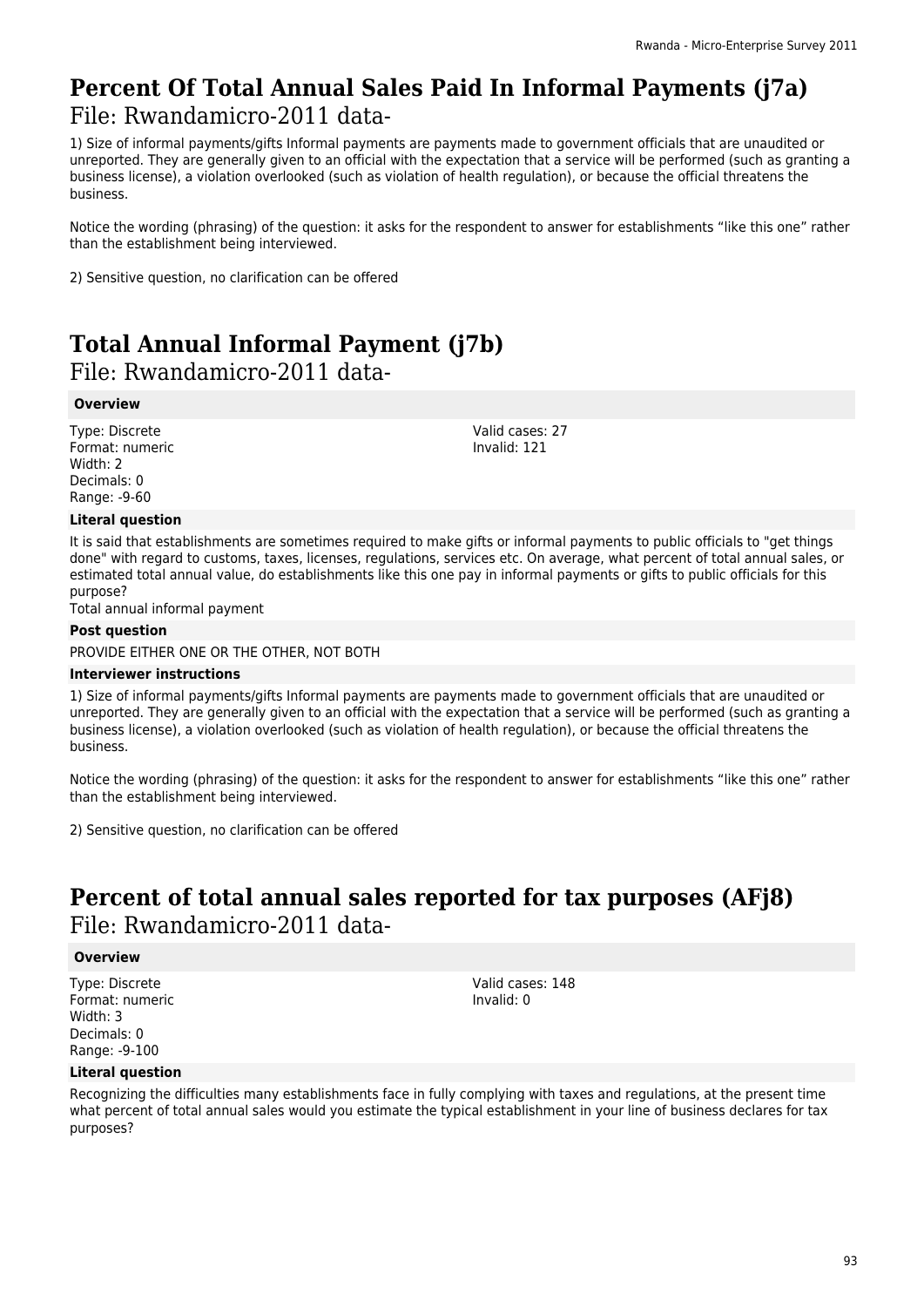### **Percent Of Total Annual Sales Paid In Informal Payments (j7a)**  File: Rwandamicro-2011 data-

1) Size of informal payments/gifts Informal payments are payments made to government officials that are unaudited or unreported. They are generally given to an official with the expectation that a service will be performed (such as granting a business license), a violation overlooked (such as violation of health regulation), or because the official threatens the business.

Notice the wording (phrasing) of the question: it asks for the respondent to answer for establishments "like this one" rather than the establishment being interviewed.

2) Sensitive question, no clarification can be offered

# **Total Annual Informal Payment (j7b)**

#### File: Rwandamicro-2011 data-

#### **Overview**

Type: Discrete Format: numeric Width: 2 Decimals: 0 Range: -9-60

#### **Literal question**

It is said that establishments are sometimes required to make gifts or informal payments to public officials to "get things done" with regard to customs, taxes, licenses, regulations, services etc. On average, what percent of total annual sales, or estimated total annual value, do establishments like this one pay in informal payments or gifts to public officials for this purpose?

Total annual informal payment

#### **Post question**

PROVIDE EITHER ONE OR THE OTHER, NOT BOTH

#### **Interviewer instructions**

1) Size of informal payments/gifts Informal payments are payments made to government officials that are unaudited or unreported. They are generally given to an official with the expectation that a service will be performed (such as granting a business license), a violation overlooked (such as violation of health regulation), or because the official threatens the business.

Notice the wording (phrasing) of the question: it asks for the respondent to answer for establishments "like this one" rather than the establishment being interviewed.

2) Sensitive question, no clarification can be offered

### **Percent of total annual sales reported for tax purposes (AFj8)**  File: Rwandamicro-2011 data-

#### **Overview**

Type: Discrete Format: numeric Width: 3 Decimals: 0 Range: -9-100

Valid cases: 148 Invalid: 0

#### **Literal question**

Recognizing the difficulties many establishments face in fully complying with taxes and regulations, at the present time what percent of total annual sales would you estimate the typical establishment in your line of business declares for tax purposes?

Valid cases: 27 Invalid: 121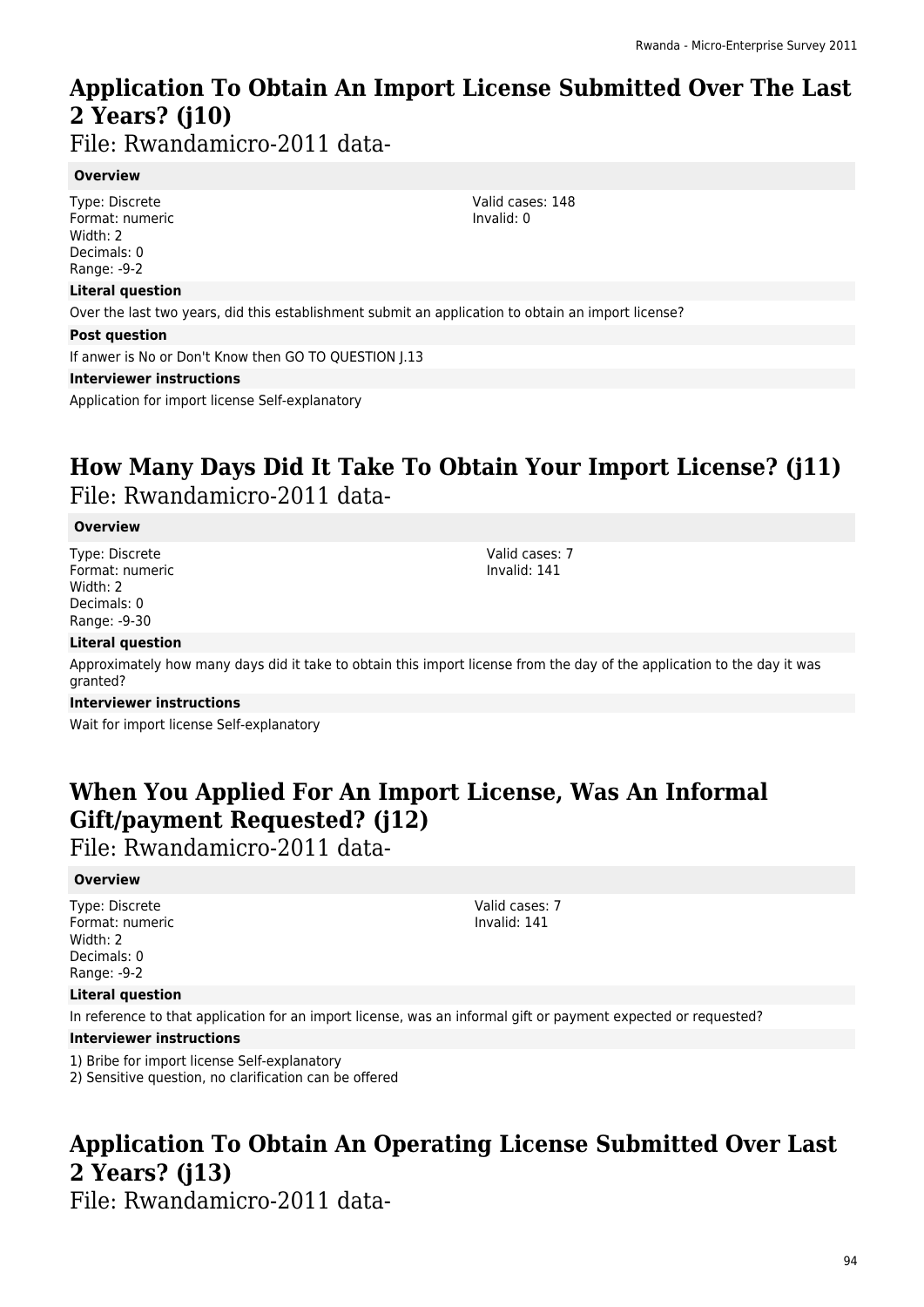### **Application To Obtain An Import License Submitted Over The Last 2 Years? (j10)**

File: Rwandamicro-2011 data-

#### **Overview**

Type: Discrete Format: numeric Width: 2 Decimals: 0 Range: -9-2

#### **Literal question**

Over the last two years, did this establishment submit an application to obtain an import license?

#### **Post question**

If anwer is No or Don't Know then GO TO QUESTION J.13

#### **Interviewer instructions**

Application for import license Self-explanatory

### **How Many Days Did It Take To Obtain Your Import License? (j11)**  File: Rwandamicro-2011 data-

#### **Overview**

Type: Discrete Format: numeric Width: 2 Decimals: 0 Range: -9-30

Valid cases: 7 Invalid: 141

#### **Literal question**

Approximately how many days did it take to obtain this import license from the day of the application to the day it was granted?

#### **Interviewer instructions**

Wait for import license Self-explanatory

### **When You Applied For An Import License, Was An Informal Gift/payment Requested? (j12)**

File: Rwandamicro-2011 data-

#### **Overview**

Type: Discrete Format: numeric Width: 2 Decimals: 0 Range: -9-2

#### Valid cases: 7 Invalid: 141

#### **Literal question**

In reference to that application for an import license, was an informal gift or payment expected or requested?

#### **Interviewer instructions**

- 1) Bribe for import license Self-explanatory
- 2) Sensitive question, no clarification can be offered

# **Application To Obtain An Operating License Submitted Over Last 2 Years? (j13)**

File: Rwandamicro-2011 data-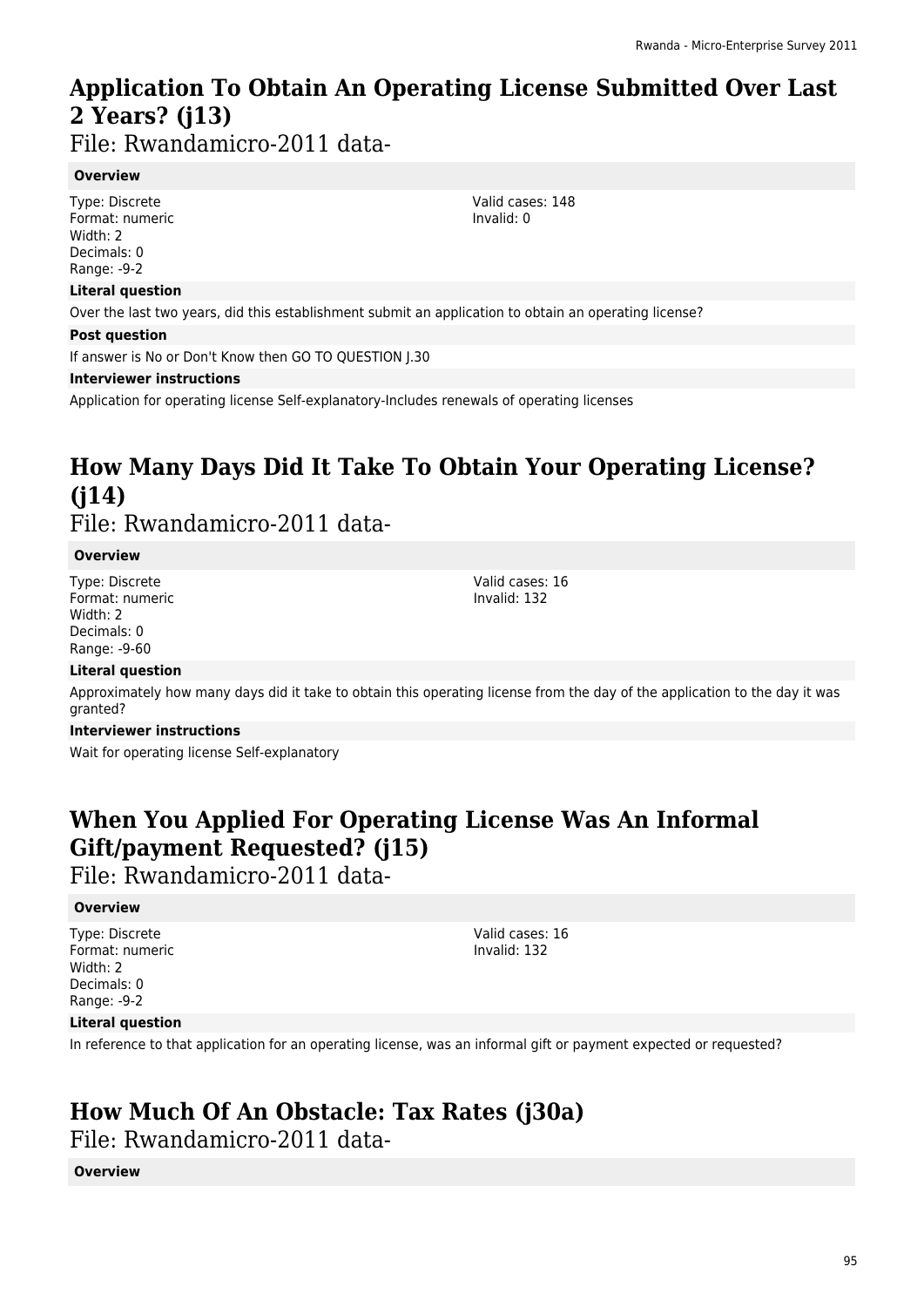# **Application To Obtain An Operating License Submitted Over Last 2 Years? (j13)**

File: Rwandamicro-2011 data-

#### **Overview**

Type: Discrete Format: numeric Width: 2 Decimals: 0 Range: -9-2

#### **Literal question**

Over the last two years, did this establishment submit an application to obtain an operating license?

#### **Post question**

If answer is No or Don't Know then GO TO QUESTION J.30

#### **Interviewer instructions**

Application for operating license Self-explanatory-Includes renewals of operating licenses

### **How Many Days Did It Take To Obtain Your Operating License? (j14)**  File: Rwandamicro-2011 data-

#### **Overview**

Type: Discrete Format: numeric Width: 2 Decimals: 0 Range: -9-60

Valid cases: 16 Invalid: 132

Valid cases: 148 Invalid: 0

#### **Literal question**

Approximately how many days did it take to obtain this operating license from the day of the application to the day it was granted?

#### **Interviewer instructions**

Wait for operating license Self-explanatory

# **When You Applied For Operating License Was An Informal Gift/payment Requested? (j15)**

File: Rwandamicro-2011 data-

#### **Overview**

Type: Discrete Format: numeric Width: 2 Decimals: 0 Range: -9-2

Valid cases: 16 Invalid: 132

#### **Literal question**

In reference to that application for an operating license, was an informal gift or payment expected or requested?

# **How Much Of An Obstacle: Tax Rates (j30a)**

File: Rwandamicro-2011 data-

#### **Overview**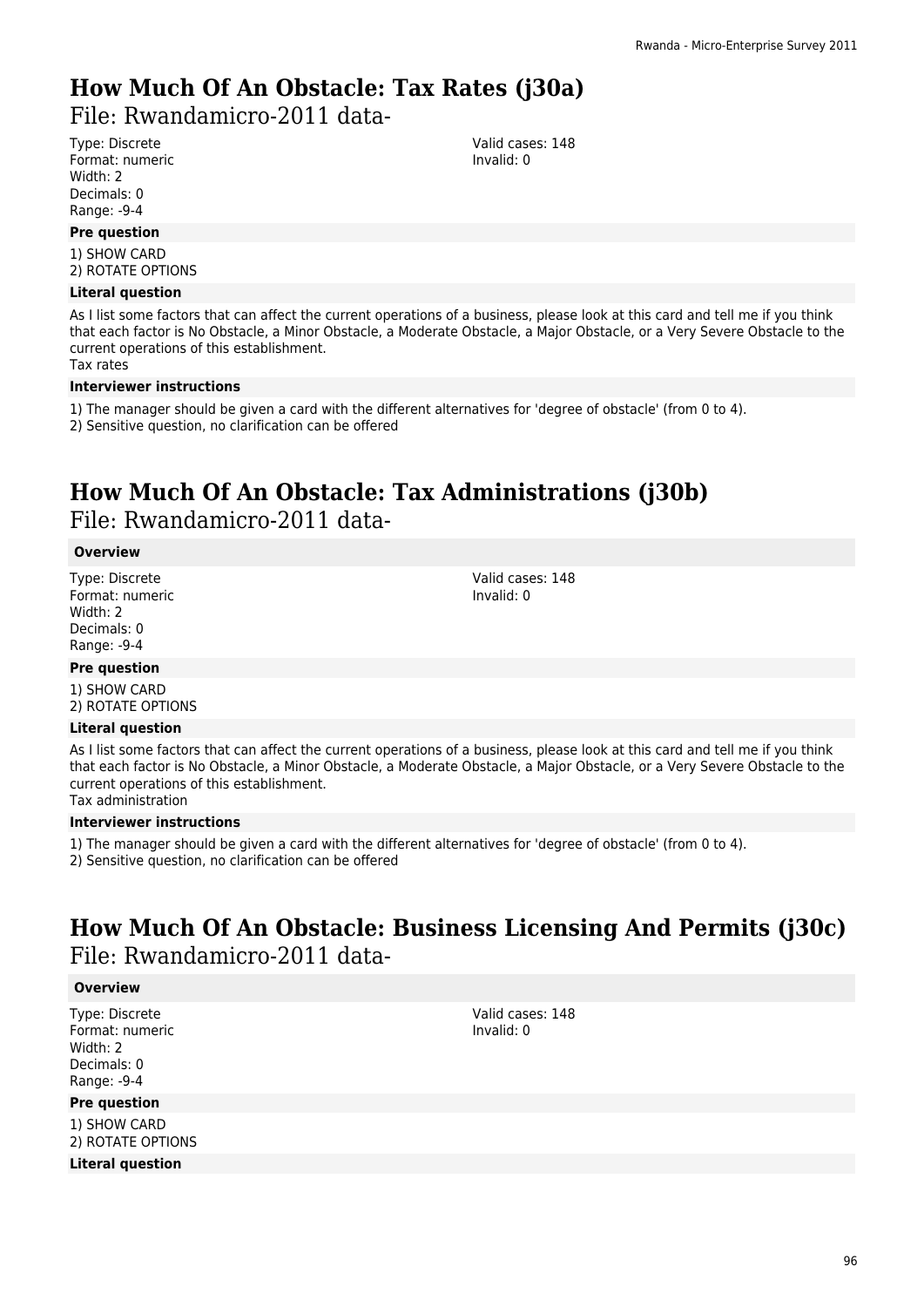# **How Much Of An Obstacle: Tax Rates (j30a)**

File: Rwandamicro-2011 data-

Type: Discrete Format: numeric Width: 2 Decimals: 0 Range: -9-4

#### **Pre question**

1) SHOW CARD 2) ROTATE OPTIONS

#### **Literal question**

As I list some factors that can affect the current operations of a business, please look at this card and tell me if you think that each factor is No Obstacle, a Minor Obstacle, a Moderate Obstacle, a Major Obstacle, or a Very Severe Obstacle to the current operations of this establishment.

Tax rates

#### **Interviewer instructions**

- 1) The manager should be given a card with the different alternatives for 'degree of obstacle' (from 0 to 4).
- 2) Sensitive question, no clarification can be offered

### **How Much Of An Obstacle: Tax Administrations (j30b)**  File: Rwandamicro-2011 data-

#### **Overview**

Type: Discrete Format: numeric Width: 2 Decimals: 0 Range: -9-4

Valid cases: 148 Invalid: 0

#### **Pre question**

1) SHOW CARD 2) ROTATE OPTIONS

#### **Literal question**

As I list some factors that can affect the current operations of a business, please look at this card and tell me if you think that each factor is No Obstacle, a Minor Obstacle, a Moderate Obstacle, a Major Obstacle, or a Very Severe Obstacle to the current operations of this establishment. Tax administration

#### **Interviewer instructions**

1) The manager should be given a card with the different alternatives for 'degree of obstacle' (from 0 to 4).

2) Sensitive question, no clarification can be offered

### **How Much Of An Obstacle: Business Licensing And Permits (j30c)**  File: Rwandamicro-2011 data-

#### **Overview**

Type: Discrete Format: numeric Width: 2 Decimals: 0 Range: -9-4

#### **Pre question**

1) SHOW CARD 2) ROTATE OPTIONS

**Literal question**

Valid cases: 148 Invalid: 0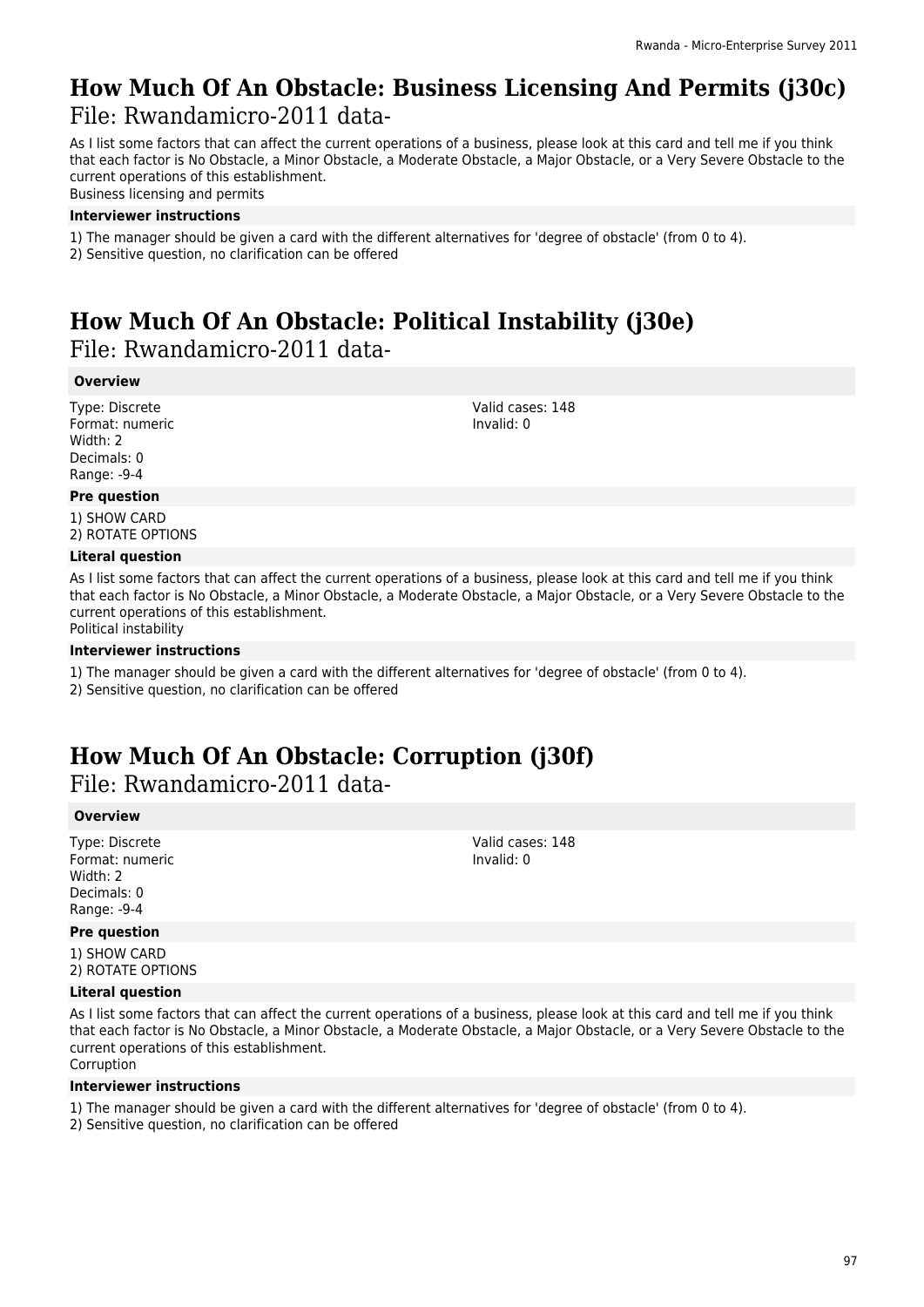### **How Much Of An Obstacle: Business Licensing And Permits (j30c)**  File: Rwandamicro-2011 data-

As I list some factors that can affect the current operations of a business, please look at this card and tell me if you think that each factor is No Obstacle, a Minor Obstacle, a Moderate Obstacle, a Major Obstacle, or a Very Severe Obstacle to the current operations of this establishment.

Business licensing and permits

#### **Interviewer instructions**

- 1) The manager should be given a card with the different alternatives for 'degree of obstacle' (from 0 to 4).
- 2) Sensitive question, no clarification can be offered

### **How Much Of An Obstacle: Political Instability (j30e)**  File: Rwandamicro-2011 data-

#### **Overview**

Type: Discrete Format: numeric Width: 2 Decimals: 0 Range: -9-4

#### Valid cases: 148 Invalid: 0

#### **Pre question**

1) SHOW CARD 2) ROTATE OPTIONS

#### **Literal question**

As I list some factors that can affect the current operations of a business, please look at this card and tell me if you think that each factor is No Obstacle, a Minor Obstacle, a Moderate Obstacle, a Major Obstacle, or a Very Severe Obstacle to the current operations of this establishment. Political instability

#### **Interviewer instructions**

- 1) The manager should be given a card with the different alternatives for 'degree of obstacle' (from 0 to 4).
- 2) Sensitive question, no clarification can be offered

# **How Much Of An Obstacle: Corruption (j30f)**

File: Rwandamicro-2011 data-

#### **Overview**

Type: Discrete Format: numeric Width: 2 Decimals: 0 Range: -9-4

#### **Pre question**

1) SHOW CARD 2) ROTATE OPTIONS

#### **Literal question**

As I list some factors that can affect the current operations of a business, please look at this card and tell me if you think that each factor is No Obstacle, a Minor Obstacle, a Moderate Obstacle, a Major Obstacle, or a Very Severe Obstacle to the current operations of this establishment. Corruption

#### **Interviewer instructions**

- 1) The manager should be given a card with the different alternatives for 'degree of obstacle' (from 0 to 4).
- 2) Sensitive question, no clarification can be offered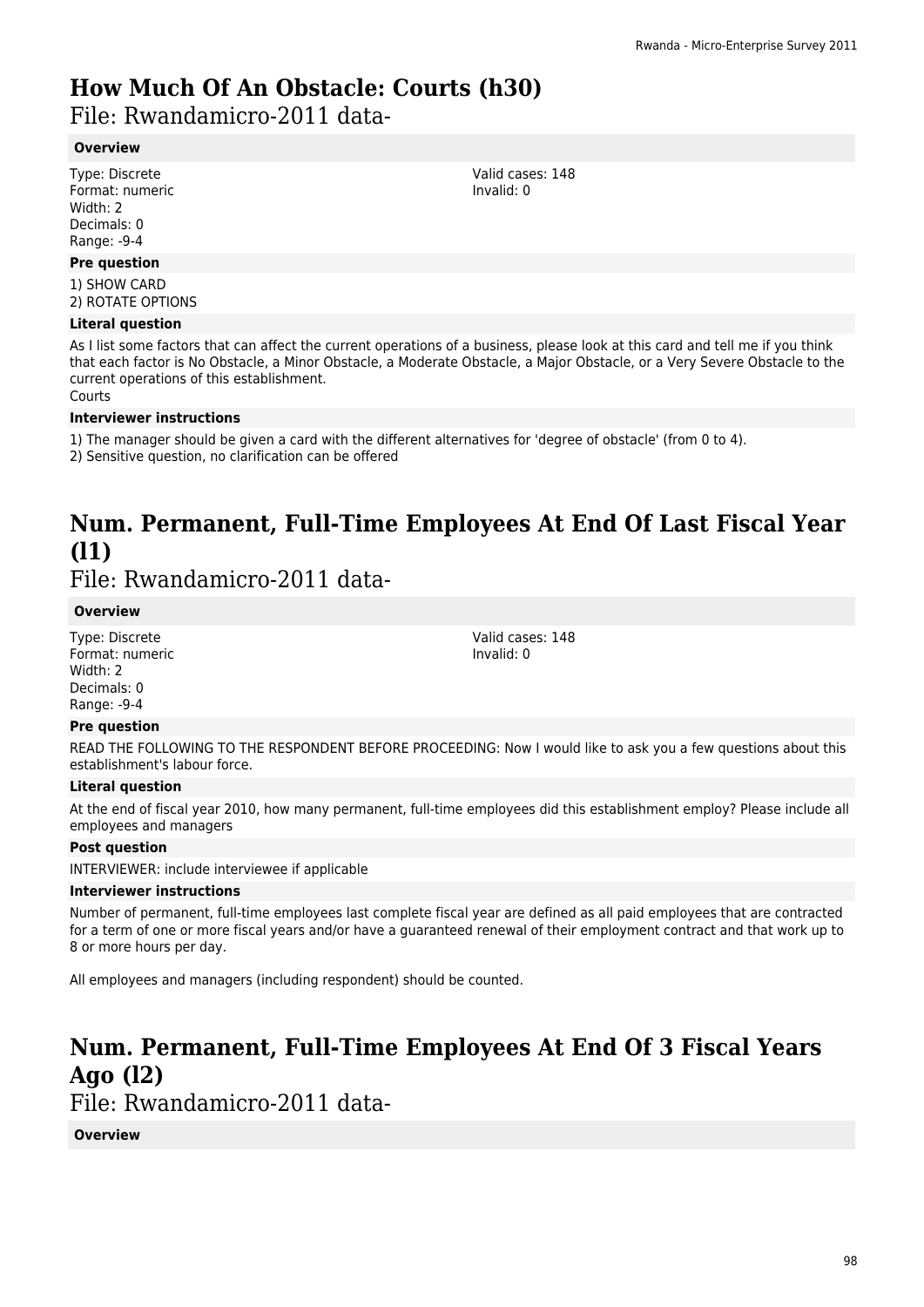# **How Much Of An Obstacle: Courts (h30)**

File: Rwandamicro-2011 data-

#### **Overview**

Type: Discrete Format: numeric Width: 2 Decimals: 0 Range: -9-4

#### **Pre question**

1) SHOW CARD 2) ROTATE OPTIONS

#### **Literal question**

As I list some factors that can affect the current operations of a business, please look at this card and tell me if you think that each factor is No Obstacle, a Minor Obstacle, a Moderate Obstacle, a Major Obstacle, or a Very Severe Obstacle to the current operations of this establishment. Courts

#### **Interviewer instructions**

1) The manager should be given a card with the different alternatives for 'degree of obstacle' (from 0 to 4).

2) Sensitive question, no clarification can be offered

# **Num. Permanent, Full-Time Employees At End Of Last Fiscal Year (l1)**

File: Rwandamicro-2011 data-

#### **Overview**

Type: Discrete Format: numeric Width: 2 Decimals: 0 Range: -9-4

#### **Pre question**

READ THE FOLLOWING TO THE RESPONDENT BEFORE PROCEEDING: Now I would like to ask you a few questions about this establishment's labour force.

#### **Literal question**

At the end of fiscal year 2010, how many permanent, full-time employees did this establishment employ? Please include all employees and managers

#### **Post question**

INTERVIEWER: include interviewee if applicable

#### **Interviewer instructions**

Number of permanent, full-time employees last complete fiscal year are defined as all paid employees that are contracted for a term of one or more fiscal years and/or have a guaranteed renewal of their employment contract and that work up to 8 or more hours per day.

All employees and managers (including respondent) should be counted.

### **Num. Permanent, Full-Time Employees At End Of 3 Fiscal Years Ago (l2)**

File: Rwandamicro-2011 data-

#### **Overview**

Valid cases: 148 Invalid: 0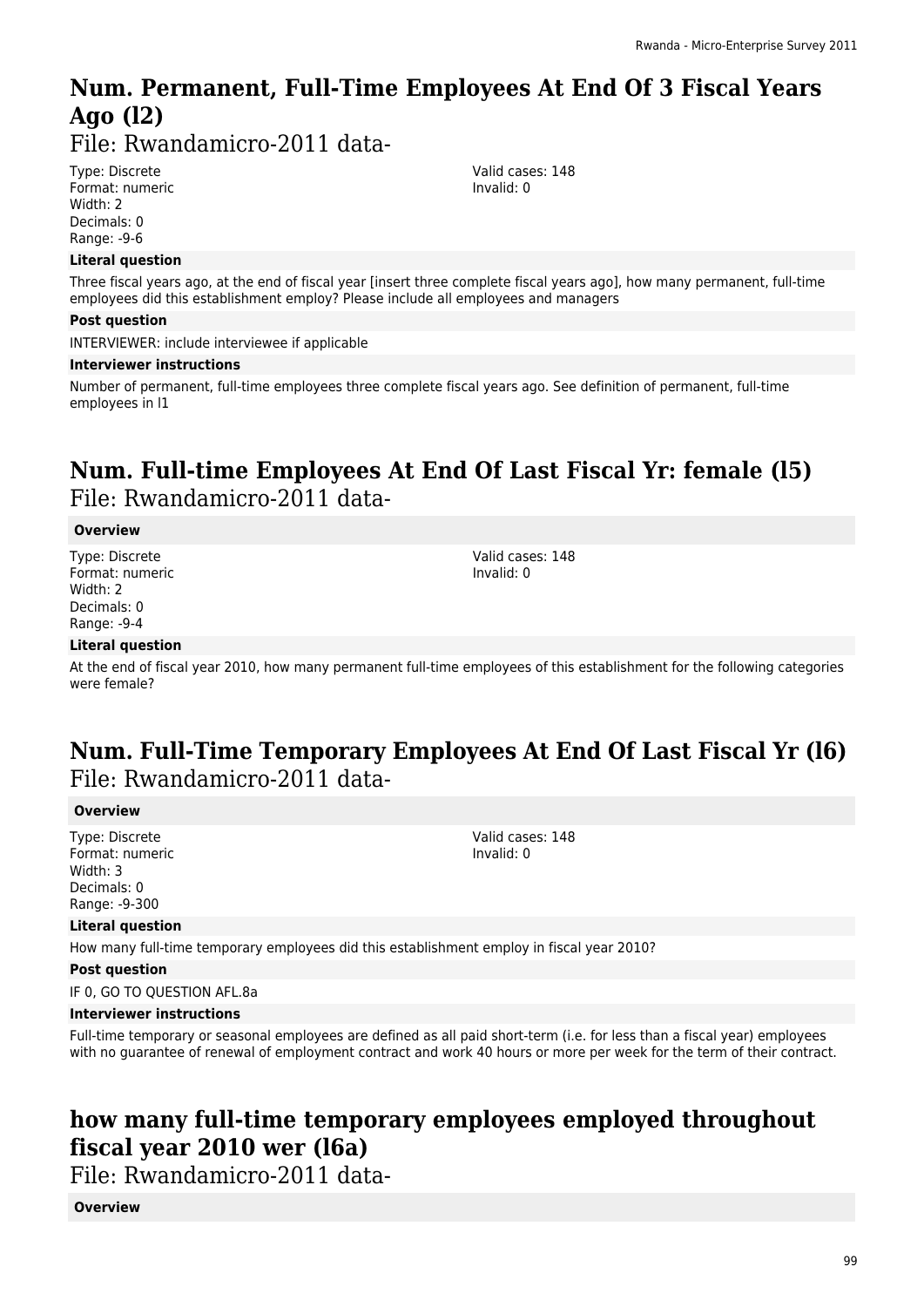# **Num. Permanent, Full-Time Employees At End Of 3 Fiscal Years Ago (l2)**

File: Rwandamicro-2011 data-

Type: Discrete Format: numeric Width: 2 Decimals: 0 Range: -9-6

#### **Literal question**

Three fiscal years ago, at the end of fiscal year [insert three complete fiscal years ago], how many permanent, full-time employees did this establishment employ? Please include all employees and managers

#### **Post question**

INTERVIEWER: include interviewee if applicable

#### **Interviewer instructions**

Number of permanent, full-time employees three complete fiscal years ago. See definition of permanent, full-time employees in l1

### **Num. Full-time Employees At End Of Last Fiscal Yr: female (l5)**  File: Rwandamicro-2011 data-

#### **Overview**

Type: Discrete Format: numeric Width: 2 Decimals: 0 Range: -9-4

Valid cases: 148 Invalid: 0

Valid cases: 148 Invalid: 0

#### **Literal question**

At the end of fiscal year 2010, how many permanent full-time employees of this establishment for the following categories were female?

### **Num. Full-Time Temporary Employees At End Of Last Fiscal Yr (l6)**  File: Rwandamicro-2011 data-

#### **Overview**

Type: Discrete Format: numeric Width: 3 Decimals: 0 Range: -9-300

#### **Literal question**

How many full-time temporary employees did this establishment employ in fiscal year 2010?

#### **Post question**

IF 0, GO TO QUESTION AFL.8a

#### **Interviewer instructions**

Full-time temporary or seasonal employees are defined as all paid short-term (i.e. for less than a fiscal year) employees with no guarantee of renewal of employment contract and work 40 hours or more per week for the term of their contract.

### **how many full-time temporary employees employed throughout fiscal year 2010 wer (l6a)**

File: Rwandamicro-2011 data-

**Overview**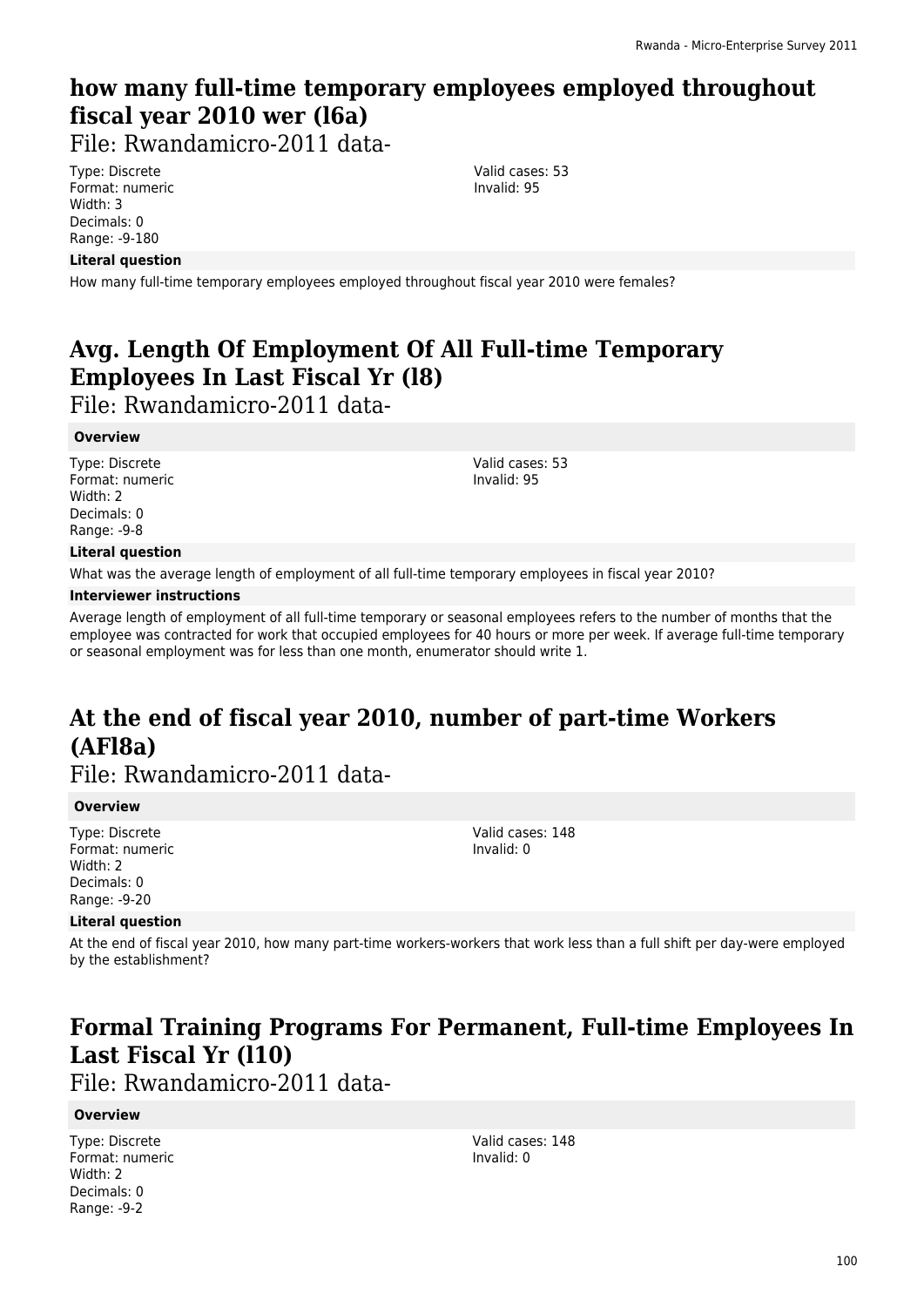### **how many full-time temporary employees employed throughout fiscal year 2010 wer (l6a)**

File: Rwandamicro-2011 data-

Type: Discrete Format: numeric Width: 3 Decimals: 0 Range: -9-180

#### **Literal question**

How many full-time temporary employees employed throughout fiscal year 2010 were females?

### **Avg. Length Of Employment Of All Full-time Temporary Employees In Last Fiscal Yr (l8)**

File: Rwandamicro-2011 data-

#### **Overview**

Type: Discrete Format: numeric Width: 2 Decimals: 0 Range: -9-8

Valid cases: 53 Invalid: 95

Valid cases: 53 Invalid: 95

#### **Literal question**

What was the average length of employment of all full-time temporary employees in fiscal year 2010?

#### **Interviewer instructions**

Average length of employment of all full-time temporary or seasonal employees refers to the number of months that the employee was contracted for work that occupied employees for 40 hours or more per week. If average full-time temporary or seasonal employment was for less than one month, enumerator should write 1.

# **At the end of fiscal year 2010, number of part-time Workers (AFl8a)**

File: Rwandamicro-2011 data-

#### **Overview**

Type: Discrete Format: numeric Width: 2 Decimals: 0 Range: -9-20

Valid cases: 148 Invalid: 0

#### **Literal question**

At the end of fiscal year 2010, how many part-time workers-workers that work less than a full shift per day-were employed by the establishment?

### **Formal Training Programs For Permanent, Full-time Employees In Last Fiscal Yr (l10)**

File: Rwandamicro-2011 data-

#### **Overview**

Type: Discrete Format: numeric Width: 2 Decimals: 0 Range: -9-2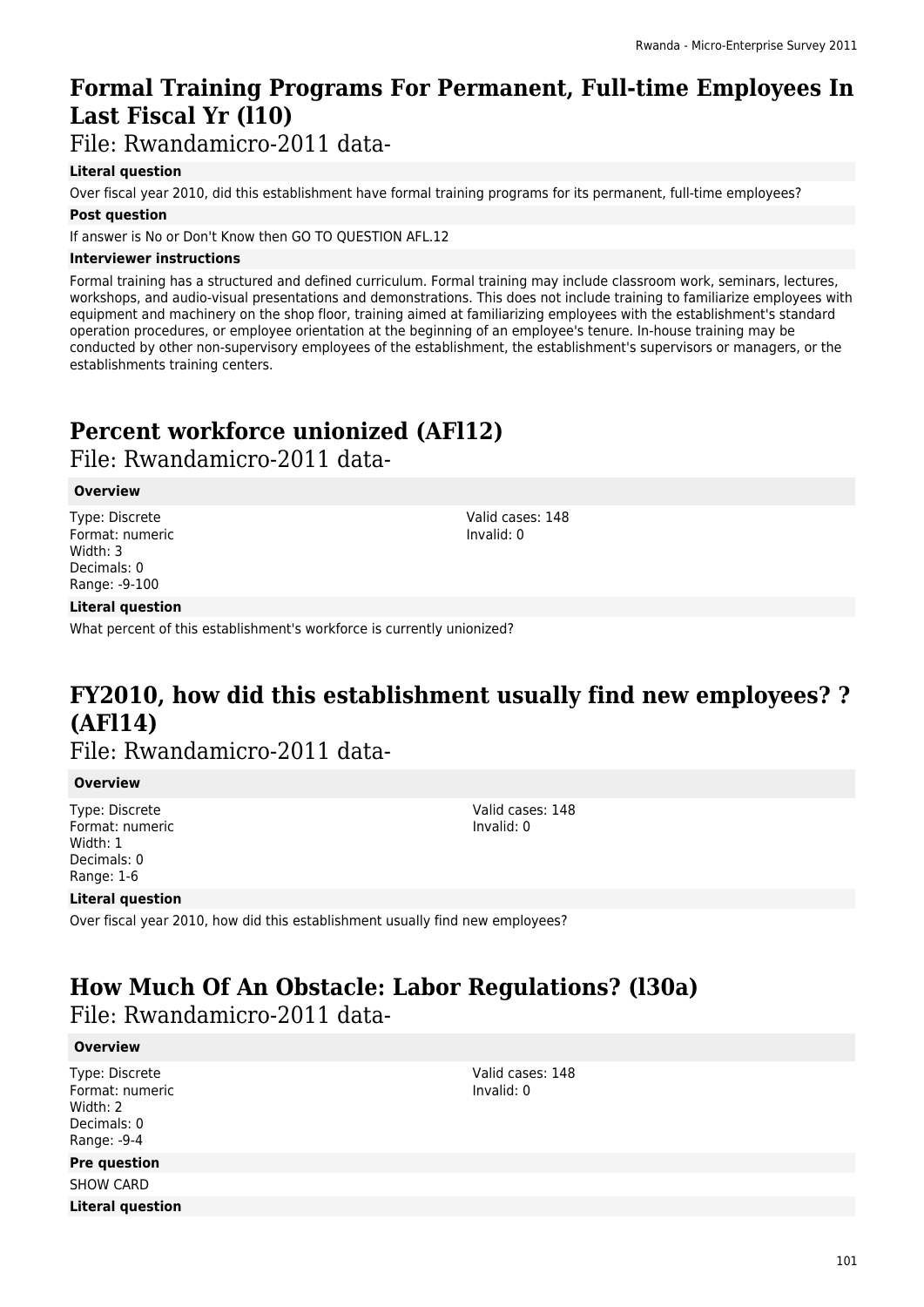### **Formal Training Programs For Permanent, Full-time Employees In Last Fiscal Yr (l10)**

File: Rwandamicro-2011 data-

#### **Literal question**

Over fiscal year 2010, did this establishment have formal training programs for its permanent, full-time employees?

#### **Post question**

If answer is No or Don't Know then GO TO QUESTION AFL.12

#### **Interviewer instructions**

Formal training has a structured and defined curriculum. Formal training may include classroom work, seminars, lectures, workshops, and audio-visual presentations and demonstrations. This does not include training to familiarize employees with equipment and machinery on the shop floor, training aimed at familiarizing employees with the establishment's standard operation procedures, or employee orientation at the beginning of an employee's tenure. In-house training may be conducted by other non-supervisory employees of the establishment, the establishment's supervisors or managers, or the establishments training centers.

# **Percent workforce unionized (AFl12)**

File: Rwandamicro-2011 data-

#### **Overview**

Type: Discrete Format: numeric Width: 3 Decimals: 0 Range: -9-100

Valid cases: 148 Invalid: 0

#### **Literal question**

What percent of this establishment's workforce is currently unionized?

### **FY2010, how did this establishment usually find new employees? ? (AFl14)**

File: Rwandamicro-2011 data-

#### **Overview**

Type: Discrete Format: numeric Width: 1 Decimals: 0 Range: 1-6

Valid cases: 148 Invalid: 0

#### **Literal question**

Over fiscal year 2010, how did this establishment usually find new employees?

### **How Much Of An Obstacle: Labor Regulations? (l30a)**  File: Rwandamicro-2011 data-

#### **Overview**

Type: Discrete Format: numeric Width: 2 Decimals: 0 Range: -9-4

#### **Pre question**

SHOW CARD **Literal question**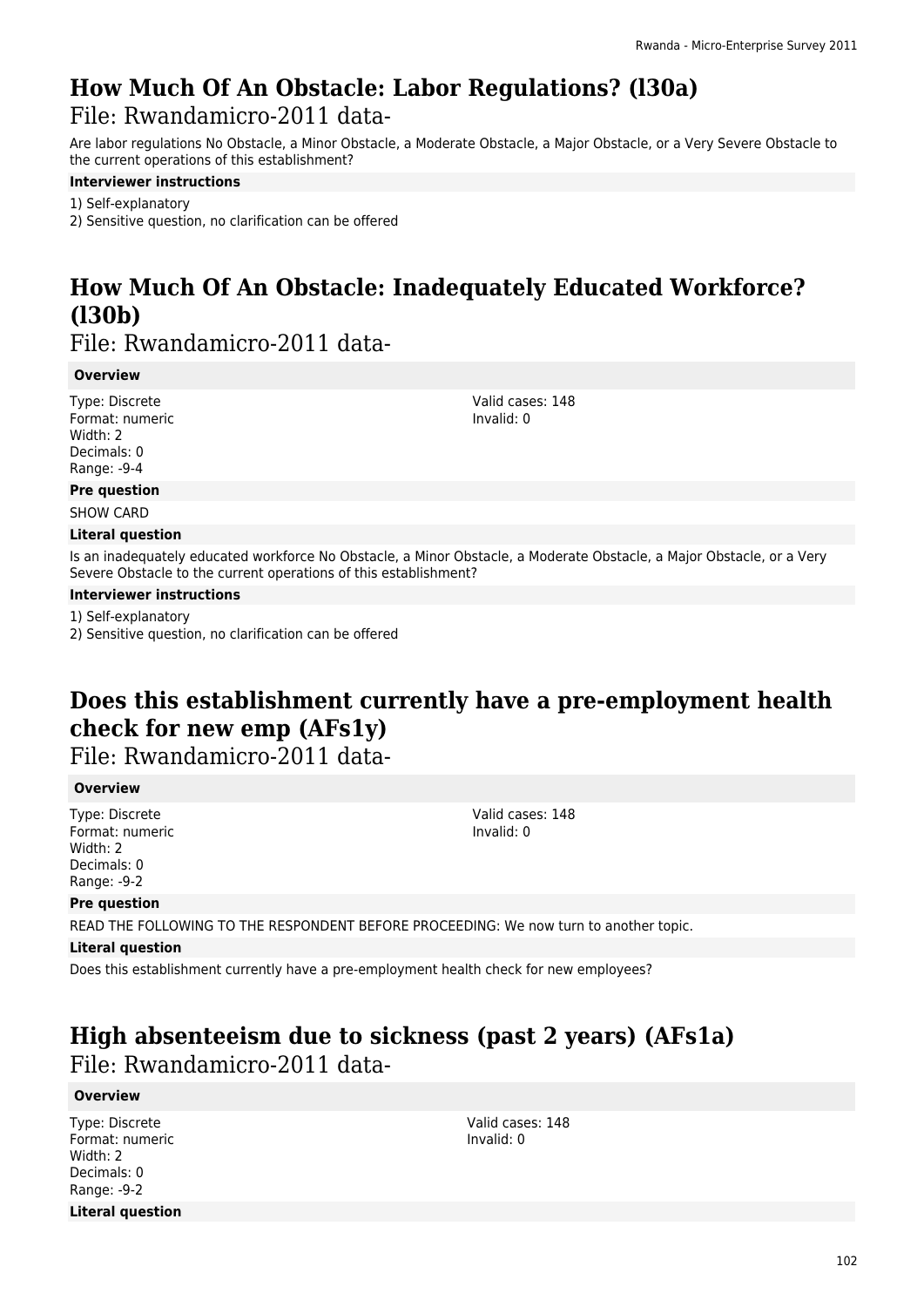### **How Much Of An Obstacle: Labor Regulations? (l30a)**  File: Rwandamicro-2011 data-

Are labor regulations No Obstacle, a Minor Obstacle, a Moderate Obstacle, a Major Obstacle, or a Very Severe Obstacle to the current operations of this establishment?

#### **Interviewer instructions**

1) Self-explanatory 2) Sensitive question, no clarification can be offered

# **How Much Of An Obstacle: Inadequately Educated Workforce? (l30b)**

File: Rwandamicro-2011 data-

#### **Overview**

Type: Discrete Format: numeric Width: 2 Decimals: 0 Range: -9-4

**Pre question**

SHOW CARD

#### **Literal question**

Is an inadequately educated workforce No Obstacle, a Minor Obstacle, a Moderate Obstacle, a Major Obstacle, or a Very Severe Obstacle to the current operations of this establishment?

#### **Interviewer instructions**

1) Self-explanatory

2) Sensitive question, no clarification can be offered

# **Does this establishment currently have a pre-employment health check for new emp (AFs1y)**

File: Rwandamicro-2011 data-

#### **Overview**

Type: Discrete Format: numeric Width: 2 Decimals: 0 Range: -9-2

Valid cases: 148 Invalid: 0

Valid cases: 148 Invalid: 0

#### **Pre question**

READ THE FOLLOWING TO THE RESPONDENT BEFORE PROCEEDING: We now turn to another topic.

#### **Literal question**

Does this establishment currently have a pre-employment health check for new employees?

# **High absenteeism due to sickness (past 2 years) (AFs1a)**

File: Rwandamicro-2011 data-

#### **Overview**

Type: Discrete Format: numeric Width: 2 Decimals: 0 Range: -9-2 **Literal question**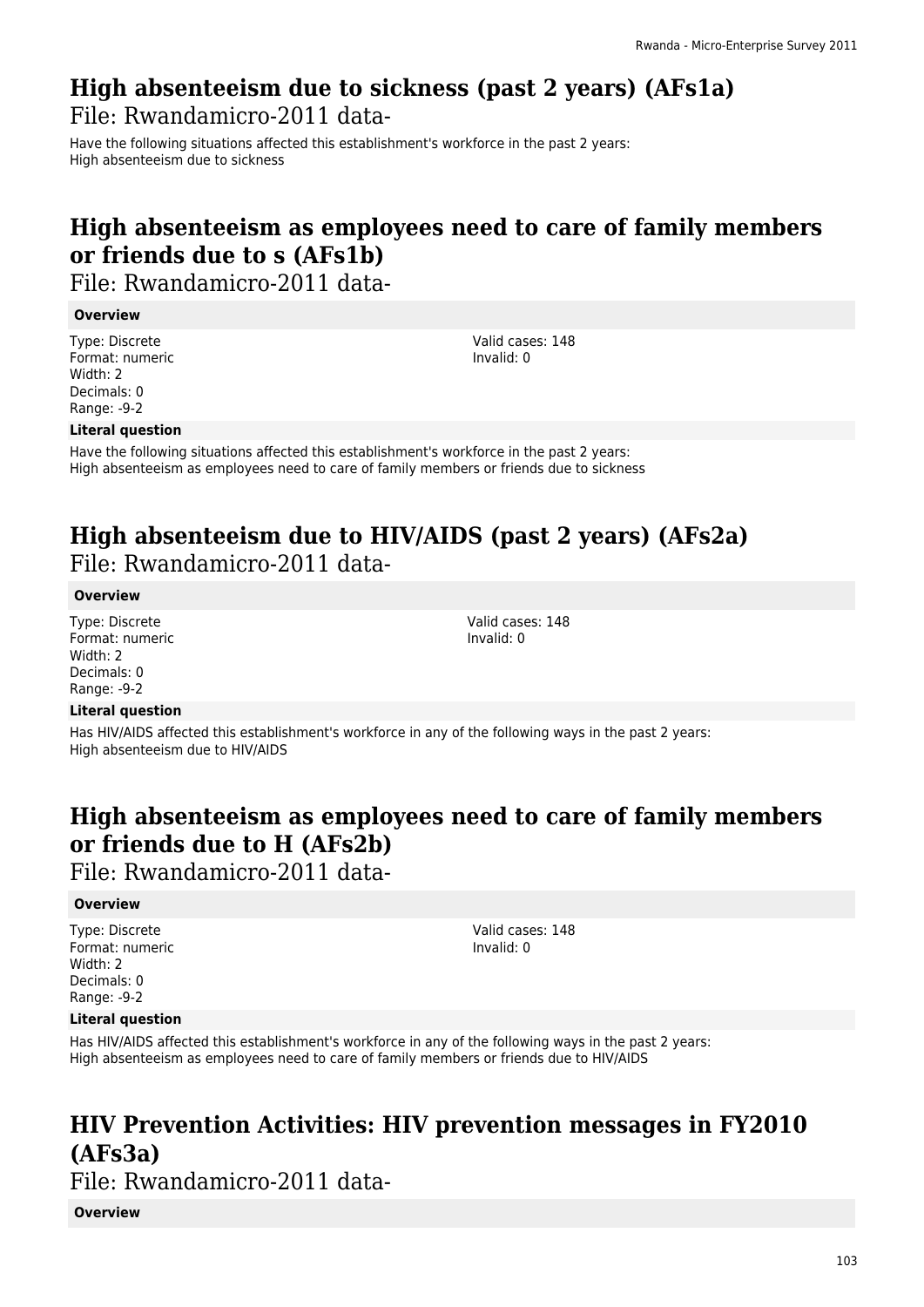### **High absenteeism due to sickness (past 2 years) (AFs1a)**  File: Rwandamicro-2011 data-

Have the following situations affected this establishment's workforce in the past 2 years: High absenteeism due to sickness

# **High absenteeism as employees need to care of family members or friends due to s (AFs1b)**

File: Rwandamicro-2011 data-

#### **Overview**

Type: Discrete Format: numeric Width: 2 Decimals: 0 Range: -9-2

Valid cases: 148 Invalid: 0

Valid cases: 148 Invalid: 0

#### **Literal question**

Have the following situations affected this establishment's workforce in the past 2 years: High absenteeism as employees need to care of family members or friends due to sickness

### **High absenteeism due to HIV/AIDS (past 2 years) (AFs2a)**  File: Rwandamicro-2011 data-

#### **Overview**

Type: Discrete Format: numeric Width: 2 Decimals: 0 Range: -9-2

#### **Literal question**

Has HIV/AIDS affected this establishment's workforce in any of the following ways in the past 2 years: High absenteeism due to HIV/AIDS

# **High absenteeism as employees need to care of family members or friends due to H (AFs2b)**

File: Rwandamicro-2011 data-

#### **Overview**

Type: Discrete Format: numeric Width: 2 Decimals: 0 Range: -9-2

Valid cases: 148 Invalid: 0

#### **Literal question**

Has HIV/AIDS affected this establishment's workforce in any of the following ways in the past 2 years: High absenteeism as employees need to care of family members or friends due to HIV/AIDS

# **HIV Prevention Activities: HIV prevention messages in FY2010 (AFs3a)**

File: Rwandamicro-2011 data-

**Overview**

103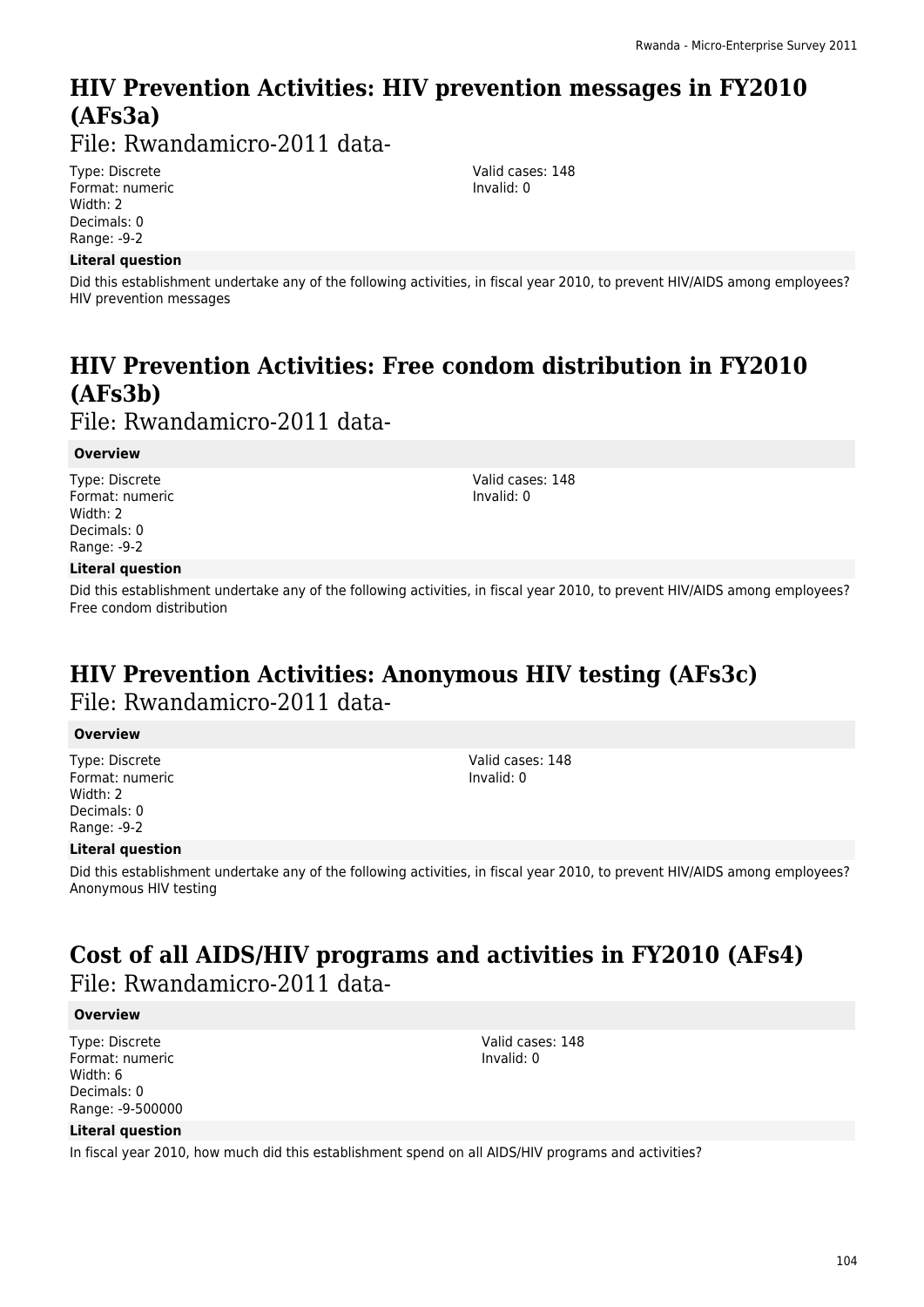# **HIV Prevention Activities: HIV prevention messages in FY2010 (AFs3a)**

File: Rwandamicro-2011 data-

Type: Discrete Format: numeric Width: 2 Decimals: 0 Range: -9-2

#### **Literal question**

Valid cases: 148 Invalid: 0

Did this establishment undertake any of the following activities, in fiscal year 2010, to prevent HIV/AIDS among employees? HIV prevention messages

# **HIV Prevention Activities: Free condom distribution in FY2010 (AFs3b)**

File: Rwandamicro-2011 data-

#### **Overview**

Type: Discrete Format: numeric Width: 2 Decimals: 0 Range: -9-2

#### **Literal question**

Did this establishment undertake any of the following activities, in fiscal year 2010, to prevent HIV/AIDS among employees? Free condom distribution

### **HIV Prevention Activities: Anonymous HIV testing (AFs3c)**  File: Rwandamicro-2011 data-

#### **Overview**

Type: Discrete Format: numeric Width: 2 Decimals: 0 Range: -9-2

#### **Literal question**

Did this establishment undertake any of the following activities, in fiscal year 2010, to prevent HIV/AIDS among employees? Anonymous HIV testing

### **Cost of all AIDS/HIV programs and activities in FY2010 (AFs4)**  File: Rwandamicro-2011 data-

#### **Overview**

Type: Discrete Format: numeric Width: 6 Decimals: 0 Range: -9-500000 Valid cases: 148 Invalid: 0

#### **Literal question**

In fiscal year 2010, how much did this establishment spend on all AIDS/HIV programs and activities?

Valid cases: 148 Invalid: 0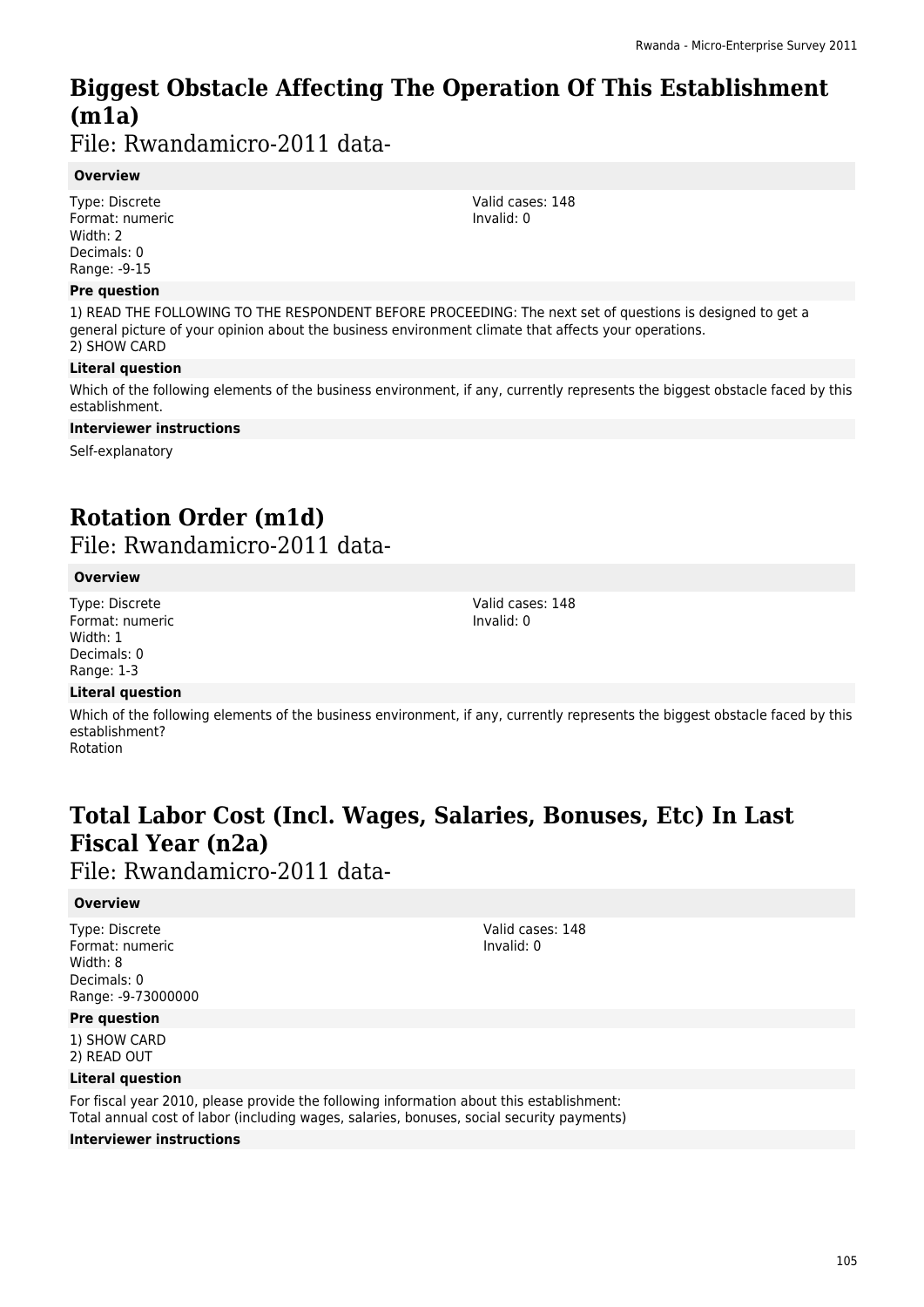# **Biggest Obstacle Affecting The Operation Of This Establishment (m1a)**

File: Rwandamicro-2011 data-

#### **Overview**

Type: Discrete Format: numeric Width: 2 Decimals: 0 Range: -9-15

#### **Pre question**

1) READ THE FOLLOWING TO THE RESPONDENT BEFORE PROCEEDING: The next set of questions is designed to get a general picture of your opinion about the business environment climate that affects your operations. 2) SHOW CARD

#### **Literal question**

Which of the following elements of the business environment, if any, currently represents the biggest obstacle faced by this establishment.

#### **Interviewer instructions**

Self-explanatory

# **Rotation Order (m1d)**

File: Rwandamicro-2011 data-

#### **Overview**

Type: Discrete Format: numeric Width: 1 Decimals: 0 Range: 1-3

Valid cases: 148 Invalid: 0

#### **Literal question**

Which of the following elements of the business environment, if any, currently represents the biggest obstacle faced by this establishment? Rotation

# **Total Labor Cost (Incl. Wages, Salaries, Bonuses, Etc) In Last Fiscal Year (n2a)**

File: Rwandamicro-2011 data-

#### **Overview**

Type: Discrete Format: numeric Width: 8 Decimals: 0 Range: -9-73000000

**Pre question**

1) SHOW CARD 2) READ OUT

#### **Literal question**

For fiscal year 2010, please provide the following information about this establishment: Total annual cost of labor (including wages, salaries, bonuses, social security payments)

#### **Interviewer instructions**

Valid cases: 148 Invalid: 0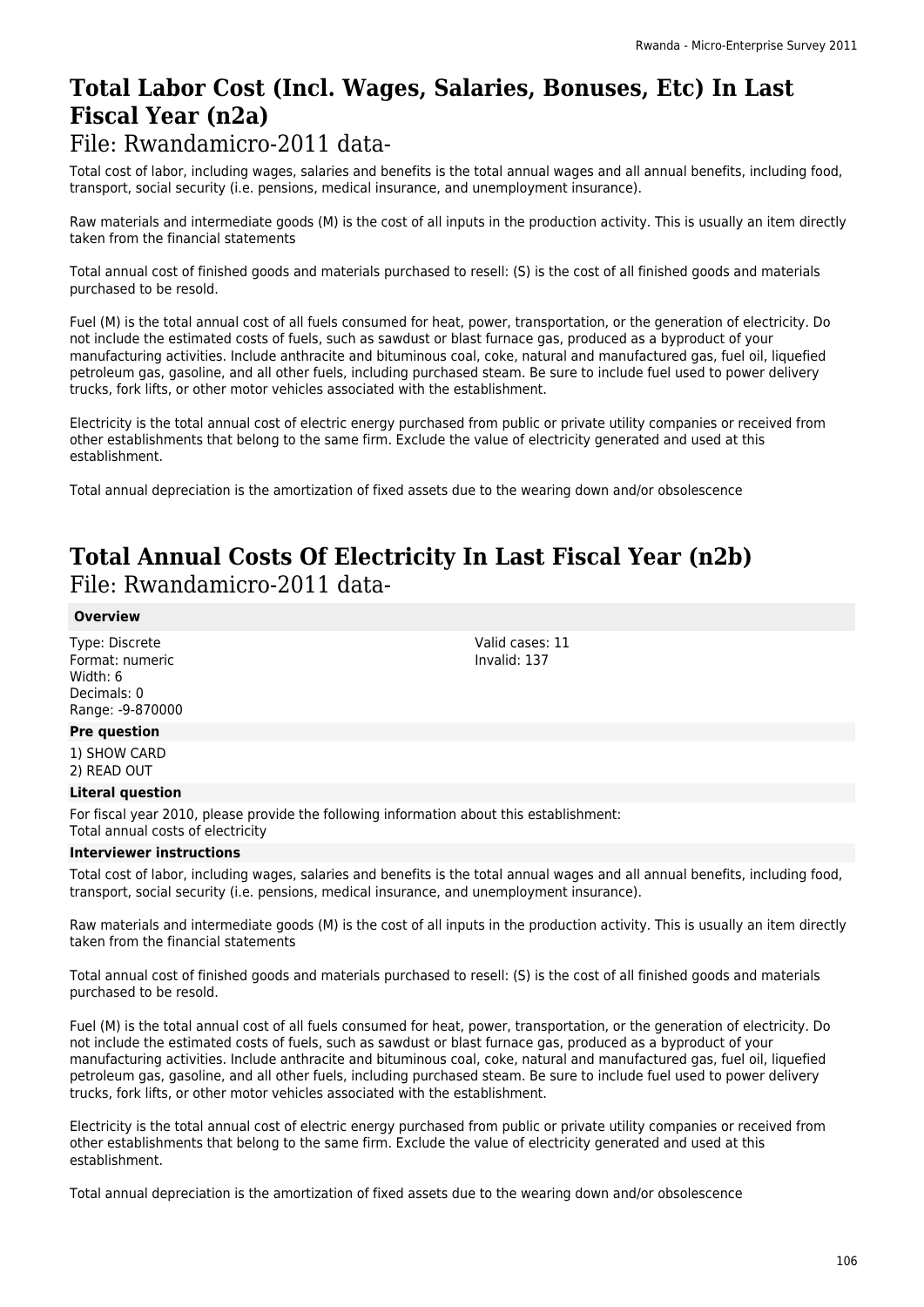# **Total Labor Cost (Incl. Wages, Salaries, Bonuses, Etc) In Last Fiscal Year (n2a)**

### File: Rwandamicro-2011 data-

Total cost of labor, including wages, salaries and benefits is the total annual wages and all annual benefits, including food, transport, social security (i.e. pensions, medical insurance, and unemployment insurance).

Raw materials and intermediate goods (M) is the cost of all inputs in the production activity. This is usually an item directly taken from the financial statements

Total annual cost of finished goods and materials purchased to resell: (S) is the cost of all finished goods and materials purchased to be resold.

Fuel (M) is the total annual cost of all fuels consumed for heat, power, transportation, or the generation of electricity. Do not include the estimated costs of fuels, such as sawdust or blast furnace gas, produced as a byproduct of your manufacturing activities. Include anthracite and bituminous coal, coke, natural and manufactured gas, fuel oil, liquefied petroleum gas, gasoline, and all other fuels, including purchased steam. Be sure to include fuel used to power delivery trucks, fork lifts, or other motor vehicles associated with the establishment.

Electricity is the total annual cost of electric energy purchased from public or private utility companies or received from other establishments that belong to the same firm. Exclude the value of electricity generated and used at this establishment.

Total annual depreciation is the amortization of fixed assets due to the wearing down and/or obsolescence

### **Total Annual Costs Of Electricity In Last Fiscal Year (n2b)**  File: Rwandamicro-2011 data-

#### **Overview**

Type: Discrete Format: numeric Width: 6 Decimals: 0 Range: -9-870000

#### **Pre question**

1) SHOW CARD 2) READ OUT

#### **Literal question**

For fiscal year 2010, please provide the following information about this establishment: Total annual costs of electricity

#### **Interviewer instructions**

Total cost of labor, including wages, salaries and benefits is the total annual wages and all annual benefits, including food, transport, social security (i.e. pensions, medical insurance, and unemployment insurance).

Raw materials and intermediate goods (M) is the cost of all inputs in the production activity. This is usually an item directly taken from the financial statements

Total annual cost of finished goods and materials purchased to resell: (S) is the cost of all finished goods and materials purchased to be resold.

Fuel (M) is the total annual cost of all fuels consumed for heat, power, transportation, or the generation of electricity. Do not include the estimated costs of fuels, such as sawdust or blast furnace gas, produced as a byproduct of your manufacturing activities. Include anthracite and bituminous coal, coke, natural and manufactured gas, fuel oil, liquefied petroleum gas, gasoline, and all other fuels, including purchased steam. Be sure to include fuel used to power delivery trucks, fork lifts, or other motor vehicles associated with the establishment.

Electricity is the total annual cost of electric energy purchased from public or private utility companies or received from other establishments that belong to the same firm. Exclude the value of electricity generated and used at this establishment.

Total annual depreciation is the amortization of fixed assets due to the wearing down and/or obsolescence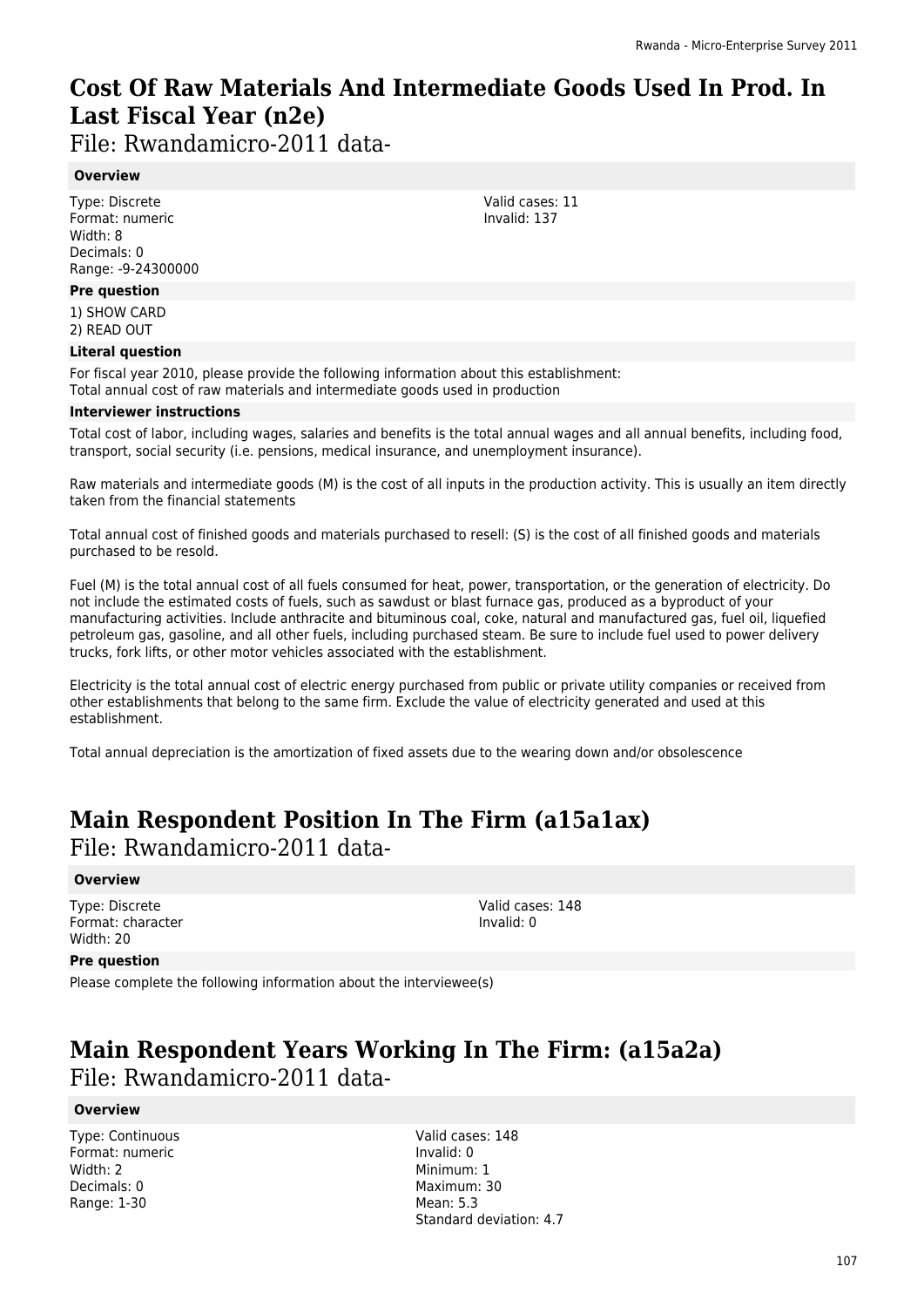# **Cost Of Raw Materials And Intermediate Goods Used In Prod. In Last Fiscal Year (n2e)**

Valid cases: 11 Invalid: 137

File: Rwandamicro-2011 data-

#### **Overview**

Type: Discrete Format: numeric Width: 8 Decimals: 0 Range: -9-24300000

#### **Pre question**

1) SHOW CARD 2) READ OUT

#### **Literal question**

For fiscal year 2010, please provide the following information about this establishment: Total annual cost of raw materials and intermediate goods used in production

#### **Interviewer instructions**

Total cost of labor, including wages, salaries and benefits is the total annual wages and all annual benefits, including food, transport, social security (i.e. pensions, medical insurance, and unemployment insurance).

Raw materials and intermediate goods (M) is the cost of all inputs in the production activity. This is usually an item directly taken from the financial statements

Total annual cost of finished goods and materials purchased to resell: (S) is the cost of all finished goods and materials purchased to be resold.

Fuel (M) is the total annual cost of all fuels consumed for heat, power, transportation, or the generation of electricity. Do not include the estimated costs of fuels, such as sawdust or blast furnace gas, produced as a byproduct of your manufacturing activities. Include anthracite and bituminous coal, coke, natural and manufactured gas, fuel oil, liquefied petroleum gas, gasoline, and all other fuels, including purchased steam. Be sure to include fuel used to power delivery trucks, fork lifts, or other motor vehicles associated with the establishment.

Electricity is the total annual cost of electric energy purchased from public or private utility companies or received from other establishments that belong to the same firm. Exclude the value of electricity generated and used at this establishment.

Total annual depreciation is the amortization of fixed assets due to the wearing down and/or obsolescence

# **Main Respondent Position In The Firm (a15a1ax)**

File: Rwandamicro-2011 data-

#### **Overview**

Type: Discrete Format: character Width: 20

Valid cases: 148 Invalid: 0

#### **Pre question**

Please complete the following information about the interviewee(s)

### **Main Respondent Years Working In The Firm: (a15a2a)**  File: Rwandamicro-2011 data-

#### **Overview**

Type: Continuous Format: numeric Width: 2 Decimals: 0 Range: 1-30

Valid cases: 148 Invalid: 0 Minimum: 1 Maximum: 30 Mean: 5.3 Standard deviation: 4.7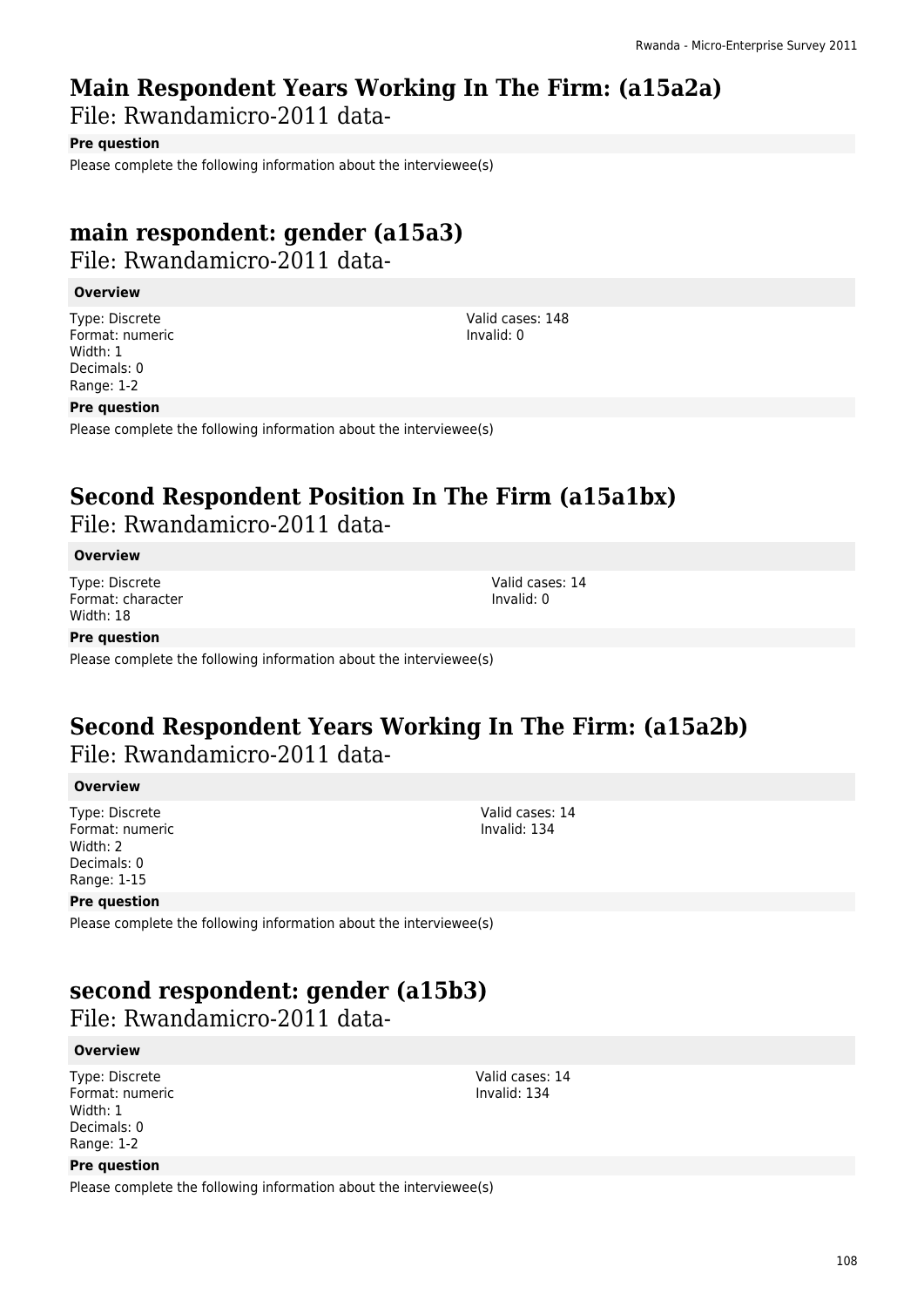### **Main Respondent Years Working In The Firm: (a15a2a)**

File: Rwandamicro-2011 data-

#### **Pre question**

Please complete the following information about the interviewee(s)

### **main respondent: gender (a15a3)**  File: Rwandamicro-2011 data-

#### **Overview**

Type: Discrete Format: numeric Width: 1 Decimals: 0 Range: 1-2

Valid cases: 148 Invalid: 0

#### **Pre question**

Please complete the following information about the interviewee(s)

### **Second Respondent Position In The Firm (a15a1bx)**

File: Rwandamicro-2011 data-

#### **Overview**

Type: Discrete Format: character Width: 18

Valid cases: 14 Invalid: 0

#### **Pre question**

Please complete the following information about the interviewee(s)

### **Second Respondent Years Working In The Firm: (a15a2b)**  File: Rwandamicro-2011 data-

**Overview**

Type: Discrete Format: numeric Width: 2 Decimals: 0 Range: 1-15

Valid cases: 14 Invalid: 134

#### **Pre question**

Please complete the following information about the interviewee(s)

### **second respondent: gender (a15b3)**

File: Rwandamicro-2011 data-

#### **Overview**

Type: Discrete Format: numeric Width: 1 Decimals: 0 Range: 1-2

#### Valid cases: 14 Invalid: 134

**Pre question**

Please complete the following information about the interviewee(s)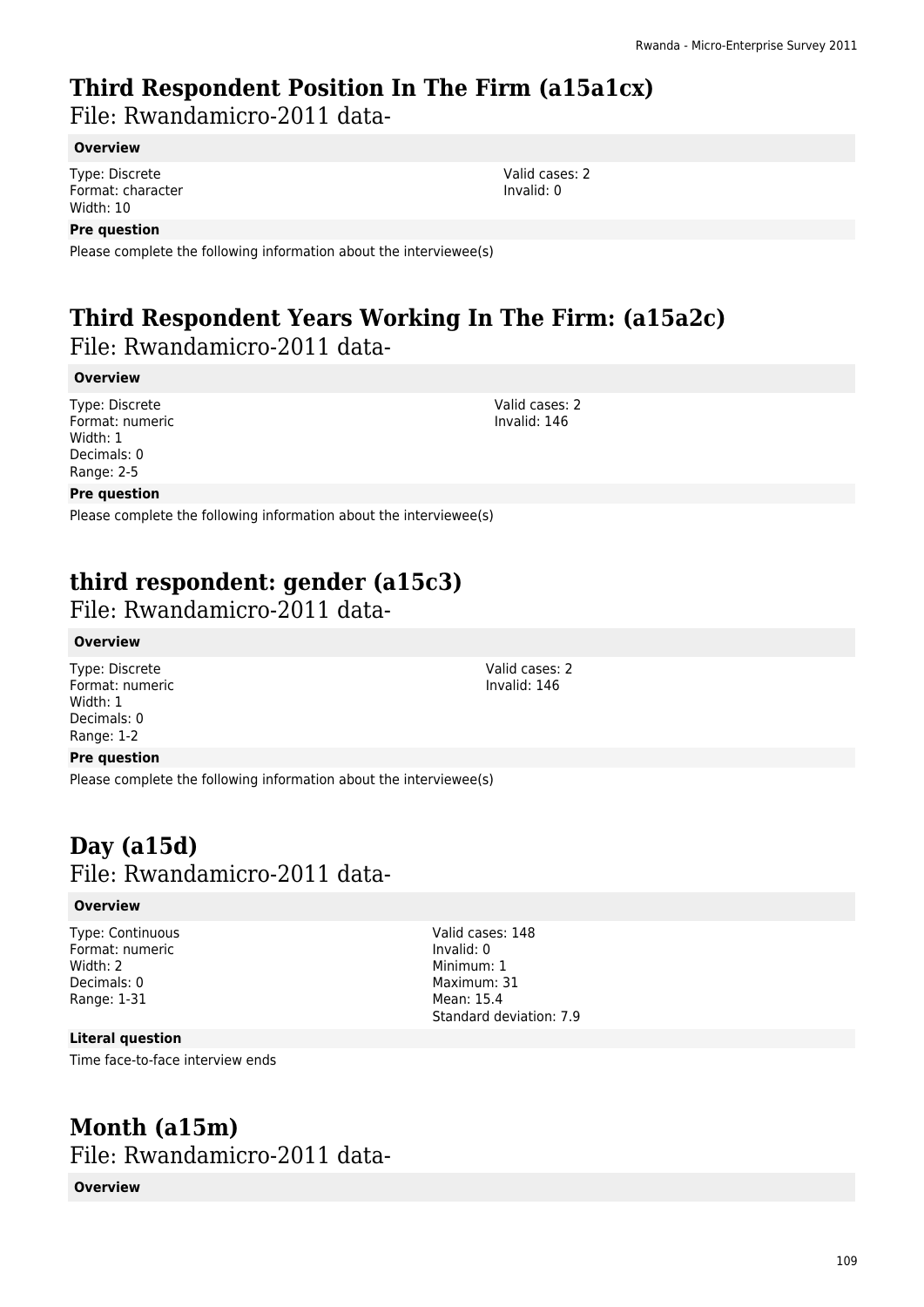# **Third Respondent Position In The Firm (a15a1cx)**

File: Rwandamicro-2011 data-

### **Overview**

Type: Discrete Format: character Width: 10

### **Pre question**

Please complete the following information about the interviewee(s)

# **Third Respondent Years Working In The Firm: (a15a2c)**

File: Rwandamicro-2011 data-

### **Overview**

Type: Discrete Format: numeric Width: 1 Decimals: 0 Range: 2-5

Valid cases: 2 Invalid: 146

### **Pre question**

Please complete the following information about the interviewee(s)

# **third respondent: gender (a15c3)**

File: Rwandamicro-2011 data-

### **Overview**

Type: Discrete Format: numeric Width: 1 Decimals: 0 Range: 1-2

### **Pre question**

Please complete the following information about the interviewee(s)

# **Day (a15d)**  File: Rwandamicro-2011 data-

### **Overview**

Type: Continuous Format: numeric Width: 2 Decimals: 0 Range: 1-31

**Literal question**

Time face-to-face interview ends

## **Month (a15m)**  File: Rwandamicro-2011 data-

### **Overview**

Valid cases: 2 Invalid: 146

Valid cases: 148 Invalid: 0 Minimum: 1 Maximum: 31 Mean: 15.4

Standard deviation: 7.9

Valid cases: 2 Invalid: 0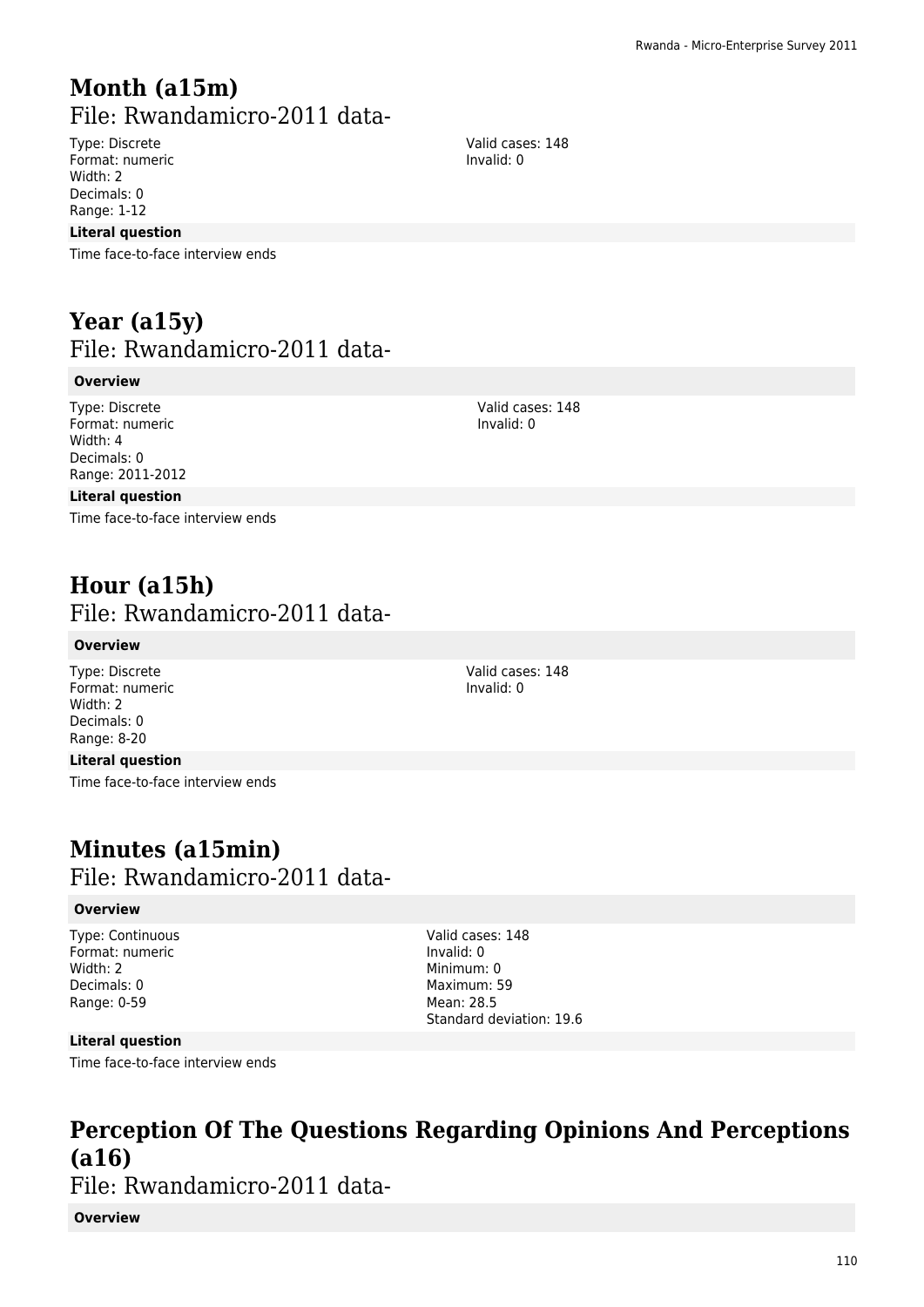# **Month (a15m)**  File: Rwandamicro-2011 data-

Type: Discrete Format: numeric Width: 2 Decimals: 0 Range: 1-12

#### **Literal question**

Time face-to-face interview ends

# **Year (a15y)**  File: Rwandamicro-2011 data-

#### **Overview**

Type: Discrete Format: numeric Width: 4 Decimals: 0 Range: 2011-2012

### **Literal question**

Time face-to-face interview ends

# **Hour (a15h)**  File: Rwandamicro-2011 data-

#### **Overview**

Type: Discrete Format: numeric Width: 2 Decimals: 0 Range: 8-20

### **Literal question**

Time face-to-face interview ends

### **Minutes (a15min)**  File: Rwandamicro-2011 data-

#### **Overview**

Type: Continuous Format: numeric Width: 2 Decimals: 0 Range: 0-59

Valid cases: 148 Invalid: 0 Minimum: 0 Maximum: 59 Mean: 28.5 Standard deviation: 19.6

### **Literal question**

Time face-to-face interview ends

# **Perception Of The Questions Regarding Opinions And Perceptions (a16)**

File: Rwandamicro-2011 data-

**Overview**

Valid cases: 148 Invalid: 0

> Valid cases: 148 Invalid: 0

Valid cases: 148 Invalid: 0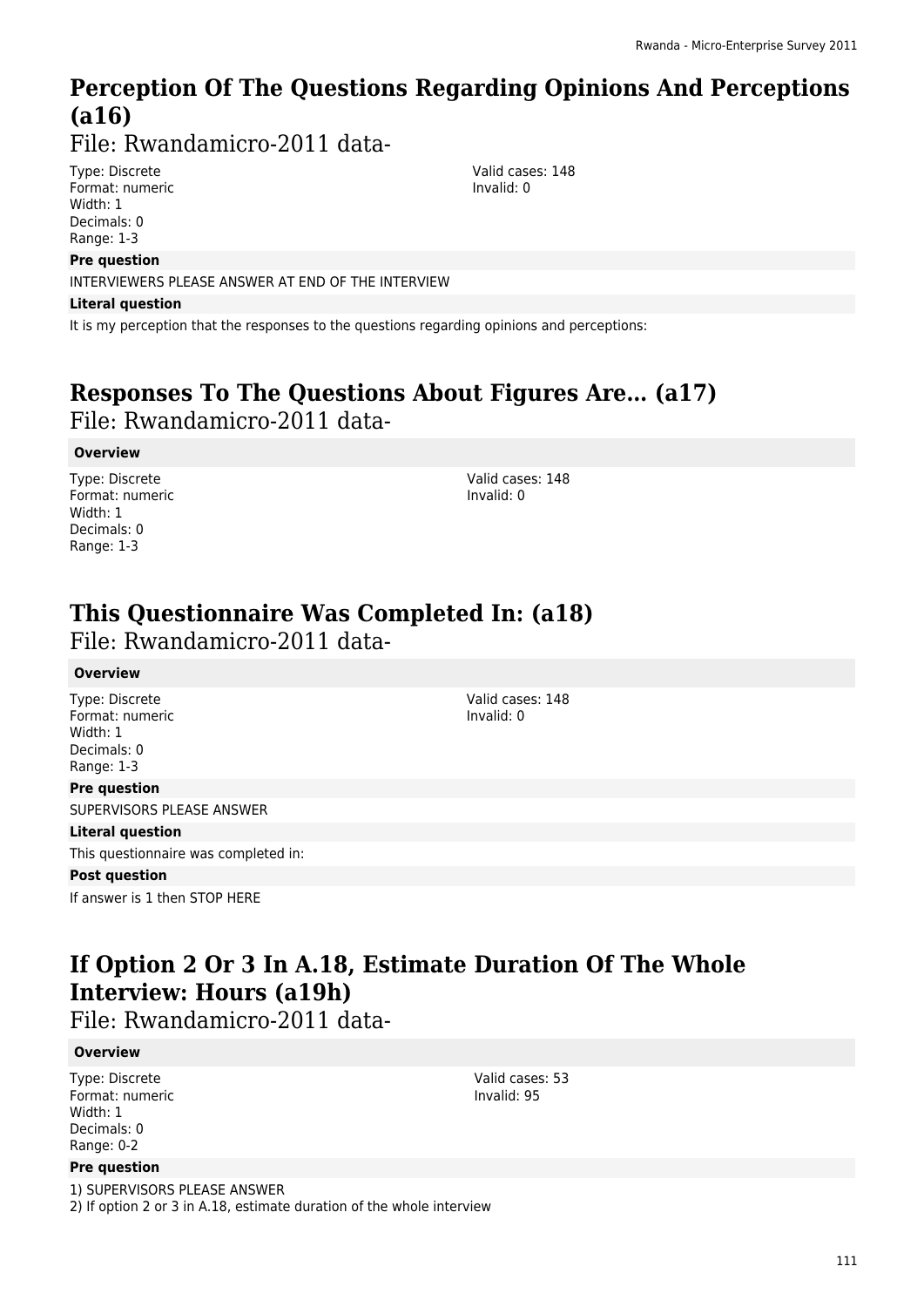# **Perception Of The Questions Regarding Opinions And Perceptions (a16)**

File: Rwandamicro-2011 data-

Type: Discrete Format: numeric Width: 1 Decimals: 0 Range: 1-3

#### **Pre question**

INTERVIEWERS PLEASE ANSWER AT END OF THE INTERVIEW

#### **Literal question**

It is my perception that the responses to the questions regarding opinions and perceptions:

# **Responses To The Questions About Figures Are… (a17)**

File: Rwandamicro-2011 data-

### **Overview**

Type: Discrete Format: numeric Width: 1 Decimals: 0 Range: 1-3

Valid cases: 148 Invalid: 0

Valid cases: 148 Invalid: 0

Valid cases: 148 Invalid: 0

# **This Questionnaire Was Completed In: (a18)**

File: Rwandamicro-2011 data-

### **Overview**

Type: Discrete Format: numeric Width: 1 Decimals: 0 Range: 1-3

#### **Pre question**

SUPERVISORS PLEASE ANSWER

#### **Literal question**

This questionnaire was completed in:

### **Post question**

If answer is 1 then STOP HERE

# **If Option 2 Or 3 In A.18, Estimate Duration Of The Whole Interview: Hours (a19h)**

File: Rwandamicro-2011 data-

### **Overview**

Type: Discrete Format: numeric Width: 1 Decimals: 0 Range: 0-2

#### **Pre question**

1) SUPERVISORS PLEASE ANSWER 2) If option 2 or 3 in A.18, estimate duration of the whole interview

Valid cases: 53 Invalid: 95

111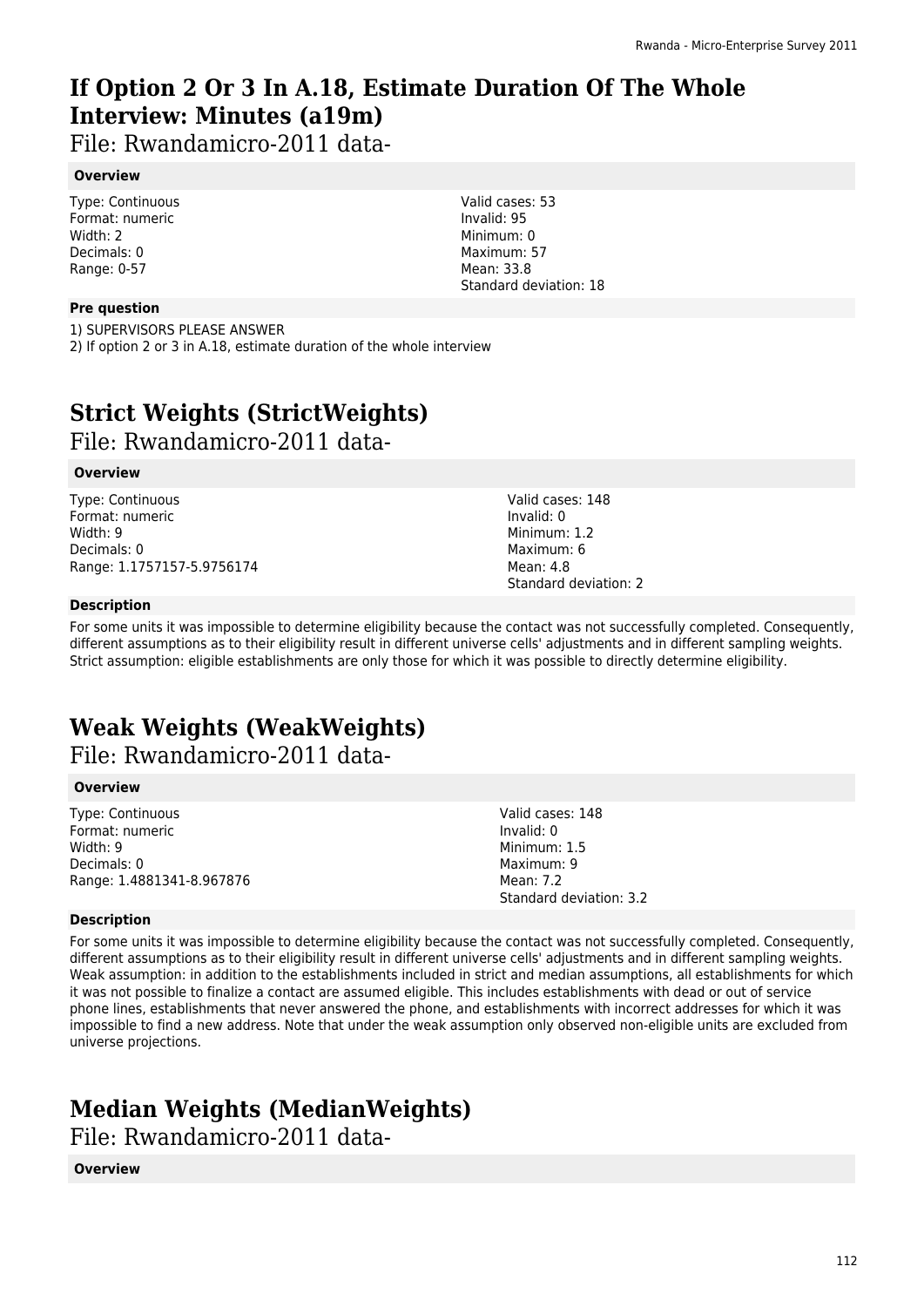# **If Option 2 Or 3 In A.18, Estimate Duration Of The Whole Interview: Minutes (a19m)**

File: Rwandamicro-2011 data-

### **Overview**

Type: Continuous Format: numeric Width: 2 Decimals: 0 Range: 0-57

### **Pre question**

1) SUPERVISORS PLEASE ANSWER

2) If option 2 or 3 in A.18, estimate duration of the whole interview

# **Strict Weights (StrictWeights)**

File: Rwandamicro-2011 data-

#### **Overview**

Type: Continuous Format: numeric Width: 9 Decimals: 0 Range: 1.1757157-5.9756174 Valid cases: 53 Invalid: 95 Minimum: 0 Maximum: 57 Mean: 33.8 Standard deviation: 18

> Valid cases: 148 Invalid: 0 Minimum: 1.2 Maximum: 6 Mean: 4.8 Standard deviation: 2

#### **Description**

For some units it was impossible to determine eligibility because the contact was not successfully completed. Consequently, different assumptions as to their eligibility result in different universe cells' adjustments and in different sampling weights. Strict assumption: eligible establishments are only those for which it was possible to directly determine eligibility.

# **Weak Weights (WeakWeights)**

File: Rwandamicro-2011 data-

#### **Overview**

Type: Continuous Format: numeric Width: 9 Decimals: 0 Range: 1.4881341-8.967876 Valid cases: 148 Invalid: 0 Minimum: 1.5 Maximum: 9 Mean: 7.2 Standard deviation: 3.2

#### **Description**

For some units it was impossible to determine eligibility because the contact was not successfully completed. Consequently, different assumptions as to their eligibility result in different universe cells' adjustments and in different sampling weights. Weak assumption: in addition to the establishments included in strict and median assumptions, all establishments for which it was not possible to finalize a contact are assumed eligible. This includes establishments with dead or out of service phone lines, establishments that never answered the phone, and establishments with incorrect addresses for which it was impossible to find a new address. Note that under the weak assumption only observed non-eligible units are excluded from universe projections.

# **Median Weights (MedianWeights)**

File: Rwandamicro-2011 data-

#### **Overview**

112